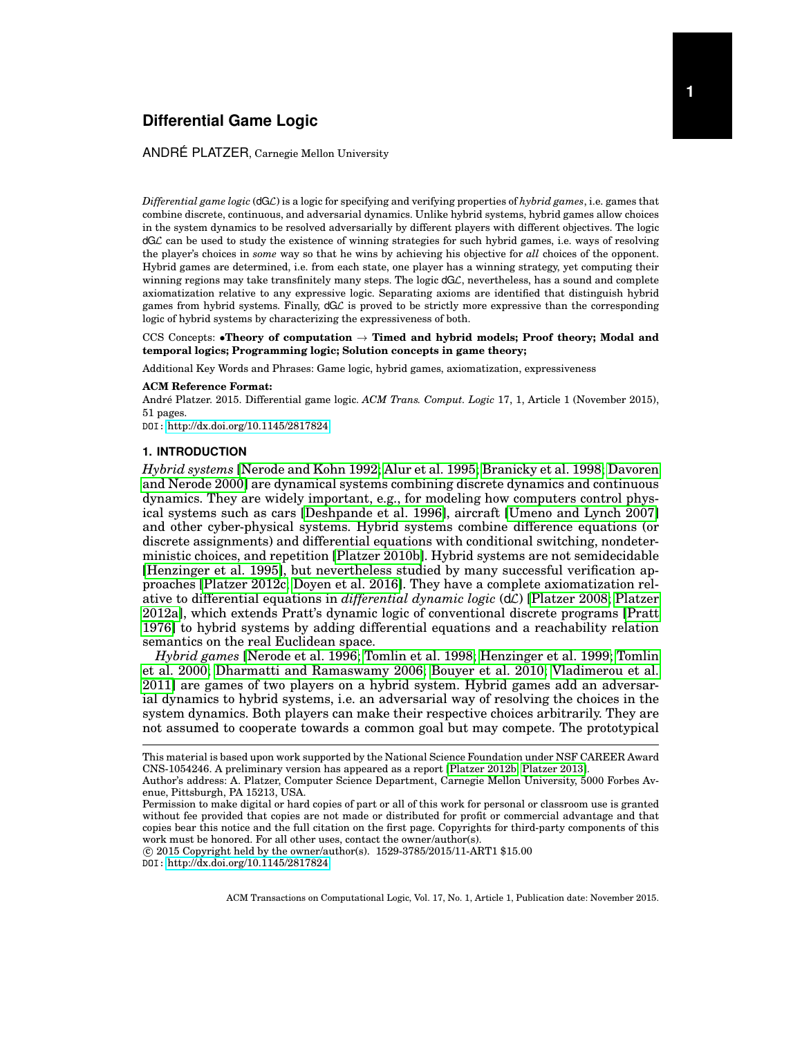## ANDRÉ PLATZER, Carnegie Mellon University

*Differential game logic* (dGL) is a logic for specifying and verifying properties of *hybrid games*, i.e. games that combine discrete, continuous, and adversarial dynamics. Unlike hybrid systems, hybrid games allow choices in the system dynamics to be resolved adversarially by different players with different objectives. The logic dGL can be used to study the existence of winning strategies for such hybrid games, i.e. ways of resolving the player's choices in *some* way so that he wins by achieving his objective for *all* choices of the opponent. Hybrid games are determined, i.e. from each state, one player has a winning strategy, yet computing their winning regions may take transfinitely many steps. The logic  $dG\mathcal{L}$ , nevertheless, has a sound and complete axiomatization relative to any expressive logic. Separating axioms are identified that distinguish hybrid games from hybrid systems. Finally, dGL is proved to be strictly more expressive than the corresponding logic of hybrid systems by characterizing the expressiveness of both.

CCS Concepts: •**Theory of computation** → **Timed and hybrid models; Proof theory; Modal and temporal logics; Programming logic; Solution concepts in game theory;**

Additional Key Words and Phrases: Game logic, hybrid games, axiomatization, expressiveness

#### **ACM Reference Format:**

André Platzer. 2015. Differential game logic. *ACM Trans. Comput. Logic* 17, 1, Article 1 (November 2015), 51 pages.

DOI: <http://dx.doi.org/10.1145/2817824>

### **1. INTRODUCTION**

<span id="page-0-0"></span>*Hybrid systems* [\[Nerode and Kohn 1992;](#page-49-0) [Alur et al. 1995;](#page-47-0) [Branicky et al. 1998;](#page-47-1) [Davoren](#page-48-0) [and Nerode 2000\]](#page-48-0) are dynamical systems combining discrete dynamics and continuous dynamics. They are widely important, e.g., for modeling how computers control physical systems such as cars [\[Deshpande et al. 1996\]](#page-48-1), aircraft [\[Umeno and Lynch 2007\]](#page-50-0) and other cyber-physical systems. Hybrid systems combine difference equations (or discrete assignments) and differential equations with conditional switching, nondeterministic choices, and repetition [\[Platzer 2010b\]](#page-49-1). Hybrid systems are not semidecidable [\[Henzinger et al. 1995\]](#page-48-2), but nevertheless studied by many successful verification approaches [\[Platzer 2012c;](#page-49-2) [Doyen et al. 2016\]](#page-48-3). They have a complete axiomatization relative to differential equations in *differential dynamic logic* (dL) [\[Platzer 2008;](#page-49-3) [Platzer](#page-49-4) [2012a\]](#page-49-4), which extends Pratt's dynamic logic of conventional discrete programs [\[Pratt](#page-49-5) [1976\]](#page-49-5) to hybrid systems by adding differential equations and a reachability relation semantics on the real Euclidean space.

*Hybrid games* [\[Nerode et al. 1996;](#page-49-6) [Tomlin et al. 1998;](#page-49-7) [Henzinger et al. 1999;](#page-48-4) [Tomlin](#page-50-1) [et al. 2000;](#page-50-1) [Dharmatti and Ramaswamy 2006;](#page-48-5) [Bouyer et al. 2010;](#page-47-2) [Vladimerou et al.](#page-50-2) [2011\]](#page-50-2) are games of two players on a hybrid system. Hybrid games add an adversarial dynamics to hybrid systems, i.e. an adversarial way of resolving the choices in the system dynamics. Both players can make their respective choices arbitrarily. They are not assumed to cooperate towards a common goal but may compete. The prototypical

 $\overline{c}$  2015 Copyright held by the owner/author(s). 1529-3785/2015/11-ART1 \$15.00 DOI: <http://dx.doi.org/10.1145/2817824>

This material is based upon work supported by the National Science Foundation under NSF CAREER Award CNS-1054246. A preliminary version has appeared as a report [\[Platzer 2012b;](#page-49-8) [Platzer 2013\]](#page-49-9).

Author's address: A. Platzer, Computer Science Department, Carnegie Mellon University, 5000 Forbes Avenue, Pittsburgh, PA 15213, USA.

Permission to make digital or hard copies of part or all of this work for personal or classroom use is granted without fee provided that copies are not made or distributed for profit or commercial advantage and that copies bear this notice and the full citation on the first page. Copyrights for third-party components of this work must be honored. For all other uses, contact the owner/author(s).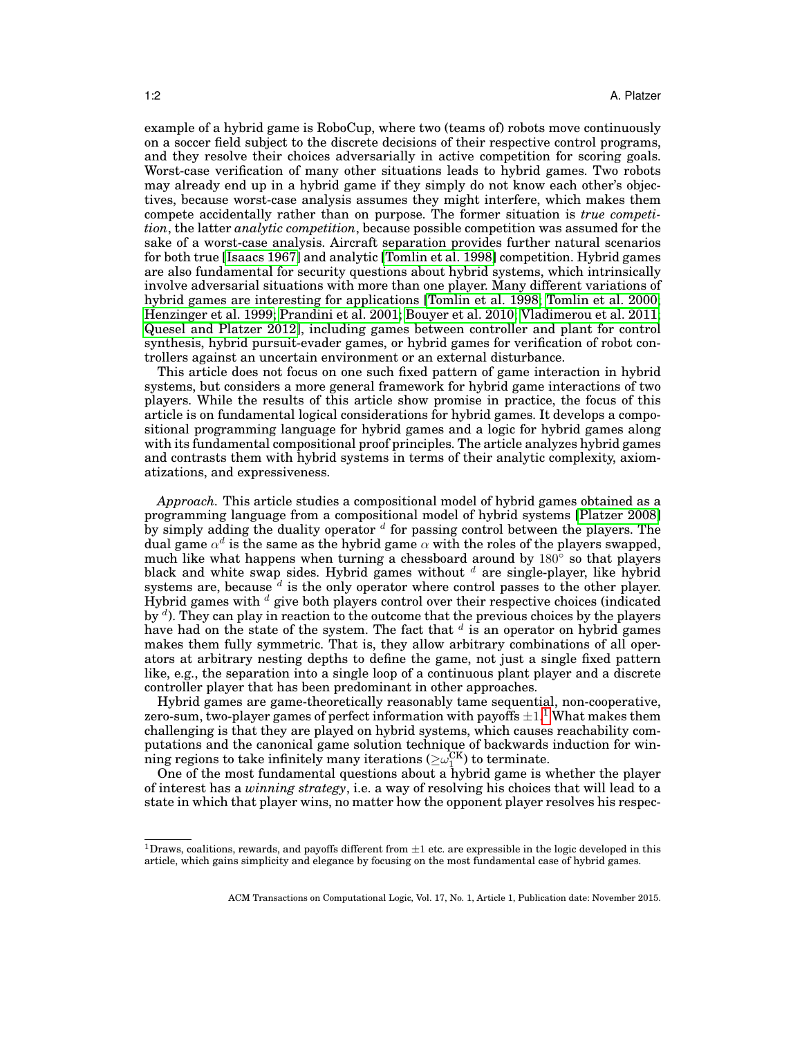example of a hybrid game is RoboCup, where two (teams of) robots move continuously on a soccer field subject to the discrete decisions of their respective control programs, and they resolve their choices adversarially in active competition for scoring goals. Worst-case verification of many other situations leads to hybrid games. Two robots may already end up in a hybrid game if they simply do not know each other's objectives, because worst-case analysis assumes they might interfere, which makes them compete accidentally rather than on purpose. The former situation is *true competition*, the latter *analytic competition*, because possible competition was assumed for the sake of a worst-case analysis. Aircraft separation provides further natural scenarios for both true [\[Isaacs 1967\]](#page-48-6) and analytic [\[Tomlin et al. 1998\]](#page-49-7) competition. Hybrid games are also fundamental for security questions about hybrid systems, which intrinsically involve adversarial situations with more than one player. Many different variations of hybrid games are interesting for applications [\[Tomlin et al. 1998;](#page-49-7) [Tomlin et al. 2000;](#page-50-1) [Henzinger et al. 1999;](#page-48-4) [Prandini et al. 2001;](#page-49-10) [Bouyer et al. 2010;](#page-47-2) [Vladimerou et al. 2011;](#page-50-2) [Quesel and Platzer 2012\]](#page-49-11), including games between controller and plant for control synthesis, hybrid pursuit-evader games, or hybrid games for verification of robot controllers against an uncertain environment or an external disturbance.

This article does not focus on one such fixed pattern of game interaction in hybrid systems, but considers a more general framework for hybrid game interactions of two players. While the results of this article show promise in practice, the focus of this article is on fundamental logical considerations for hybrid games. It develops a compositional programming language for hybrid games and a logic for hybrid games along with its fundamental compositional proof principles. The article analyzes hybrid games and contrasts them with hybrid systems in terms of their analytic complexity, axiomatizations, and expressiveness.

*Approach.* This article studies a compositional model of hybrid games obtained as a programming language from a compositional model of hybrid systems [\[Platzer 2008\]](#page-49-3) by simply adding the duality operator  $d$  for passing control between the players. The dual game  $\alpha^d$  is the same as the hybrid game  $\alpha$  with the roles of the players swapped, much like what happens when turning a chessboard around by  $180^{\circ}$  so that players black and white swap sides. Hybrid games without  $d$  are single-player, like hybrid systems are, because  $d$  is the only operator where control passes to the other player. Hybrid games with  $d$  give both players control over their respective choices (indicated by  $d$ ). They can play in reaction to the outcome that the previous choices by the players have had on the state of the system. The fact that  $d$  is an operator on hybrid games makes them fully symmetric. That is, they allow arbitrary combinations of all operators at arbitrary nesting depths to define the game, not just a single fixed pattern like, e.g., the separation into a single loop of a continuous plant player and a discrete controller player that has been predominant in other approaches.

Hybrid games are game-theoretically reasonably tame sequential, non-cooperative, zero-sum, two-player games of perfect information with payoffs  $\pm 1$  $\pm 1$ .<sup>1</sup> What makes them challenging is that they are played on hybrid systems, which causes reachability computations and the canonical game solution technique of backwards induction for winning regions to take infinitely many iterations ( $\geq \omega_1^{\text{CK}}$ ) to terminate.

One of the most fundamental questions about a hybrid game is whether the player of interest has a *winning strategy*, i.e. a way of resolving his choices that will lead to a state in which that player wins, no matter how the opponent player resolves his respec-

<span id="page-1-0"></span><sup>&</sup>lt;sup>1</sup>Draws, coalitions, rewards, and payoffs different from  $\pm$ 1 etc. are expressible in the logic developed in this article, which gains simplicity and elegance by focusing on the most fundamental case of hybrid games.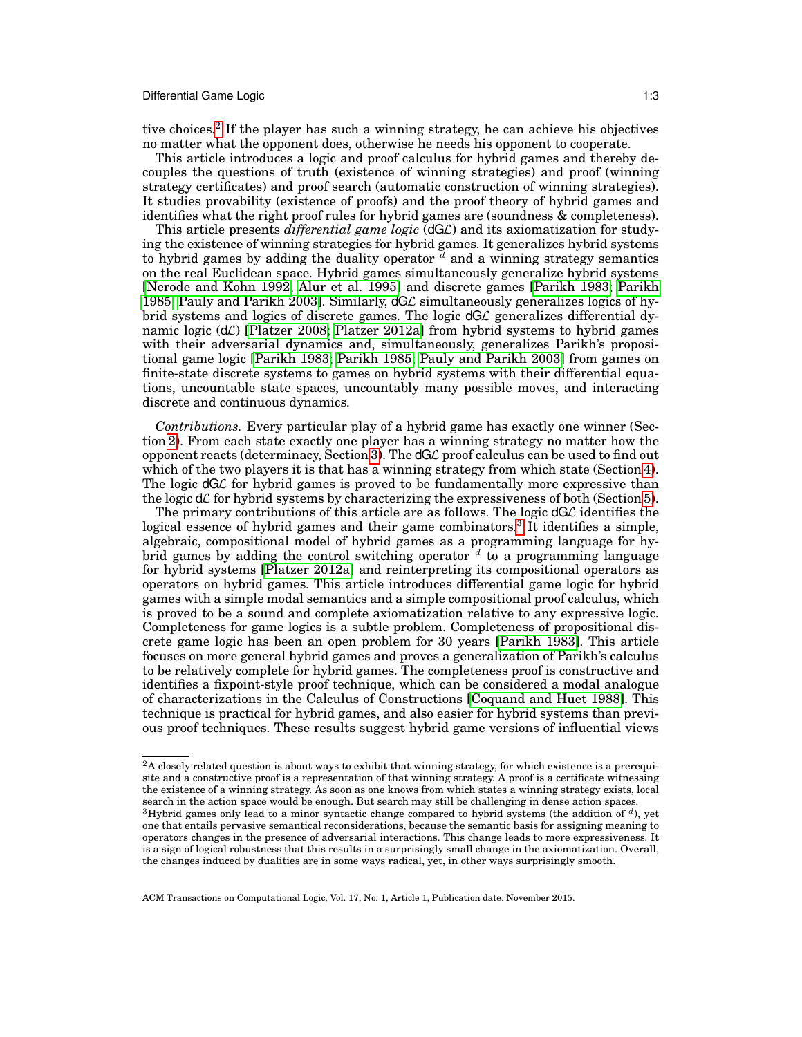tive choices.<sup>[2](#page-2-0)</sup> If the player has such a winning strategy, he can achieve his objectives no matter what the opponent does, otherwise he needs his opponent to cooperate.

This article introduces a logic and proof calculus for hybrid games and thereby decouples the questions of truth (existence of winning strategies) and proof (winning strategy certificates) and proof search (automatic construction of winning strategies). It studies provability (existence of proofs) and the proof theory of hybrid games and identifies what the right proof rules for hybrid games are (soundness & completeness).

This article presents *differential game logic* (dGL) and its axiomatization for studying the existence of winning strategies for hybrid games. It generalizes hybrid systems to hybrid games by adding the duality operator  $\overline{d}$  and a winning strategy semantics on the real Euclidean space. Hybrid games simultaneously generalize hybrid systems [\[Nerode and Kohn 1992;](#page-49-0) [Alur et al. 1995\]](#page-47-0) and discrete games [\[Parikh 1983;](#page-49-12) [Parikh](#page-49-13) [1985;](#page-49-13) [Pauly and Parikh 2003\]](#page-49-14). Similarly,  $dG\mathcal{L}$  simultaneously generalizes logics of hybrid systems and logics of discrete games. The logic  $dG\mathcal{L}$  generalizes differential dynamic logic  $(d\mathcal{L})$  [\[Platzer 2008;](#page-49-3) [Platzer 2012a\]](#page-49-4) from hybrid systems to hybrid games with their adversarial dynamics and, simultaneously, generalizes Parikh's propositional game logic [\[Parikh 1983;](#page-49-12) [Parikh 1985;](#page-49-13) [Pauly and Parikh 2003\]](#page-49-14) from games on finite-state discrete systems to games on hybrid systems with their differential equations, uncountable state spaces, uncountably many possible moves, and interacting discrete and continuous dynamics.

*Contributions.* Every particular play of a hybrid game has exactly one winner (Section [2\)](#page-3-0). From each state exactly one player has a winning strategy no matter how the opponent reacts (determinacy, Section [3\)](#page-12-0). The  $dG\mathcal{L}$  proof calculus can be used to find out which of the two players it is that has a winning strategy from which state (Section [4\)](#page-20-0). The logic  $dG\mathcal{L}$  for hybrid games is proved to be fundamentally more expressive than the logic  $d\mathcal{L}$  for hybrid systems by characterizing the expressiveness of both (Section [5\)](#page-35-0).

The primary contributions of this article are as follows. The logic  $dG\mathcal{L}$  identifies the logical essence of hybrid games and their game combinators.<sup>[3](#page-2-1)</sup> It identifies a simple, algebraic, compositional model of hybrid games as a programming language for hybrid games by adding the control switching operator  $d$  to a programming language for hybrid systems [\[Platzer 2012a\]](#page-49-4) and reinterpreting its compositional operators as operators on hybrid games. This article introduces differential game logic for hybrid games with a simple modal semantics and a simple compositional proof calculus, which is proved to be a sound and complete axiomatization relative to any expressive logic. Completeness for game logics is a subtle problem. Completeness of propositional discrete game logic has been an open problem for 30 years [\[Parikh 1983\]](#page-49-12). This article focuses on more general hybrid games and proves a generalization of Parikh's calculus to be relatively complete for hybrid games. The completeness proof is constructive and identifies a fixpoint-style proof technique, which can be considered a modal analogue of characterizations in the Calculus of Constructions [\[Coquand and Huet 1988\]](#page-47-3). This technique is practical for hybrid games, and also easier for hybrid systems than previous proof techniques. These results suggest hybrid game versions of influential views

<span id="page-2-0"></span><sup>&</sup>lt;sup>2</sup>A closely related question is about ways to exhibit that winning strategy, for which existence is a prerequisite and a constructive proof is a representation of that winning strategy. A proof is a certificate witnessing the existence of a winning strategy. As soon as one knows from which states a winning strategy exists, local search in the action space would be enough. But search may still be challenging in dense action spaces.

<span id="page-2-1"></span> $3$ Hybrid games only lead to a minor syntactic change compared to hybrid systems (the addition of  $d$ ), yet one that entails pervasive semantical reconsiderations, because the semantic basis for assigning meaning to operators changes in the presence of adversarial interactions. This change leads to more expressiveness. It is a sign of logical robustness that this results in a surprisingly small change in the axiomatization. Overall, the changes induced by dualities are in some ways radical, yet, in other ways surprisingly smooth.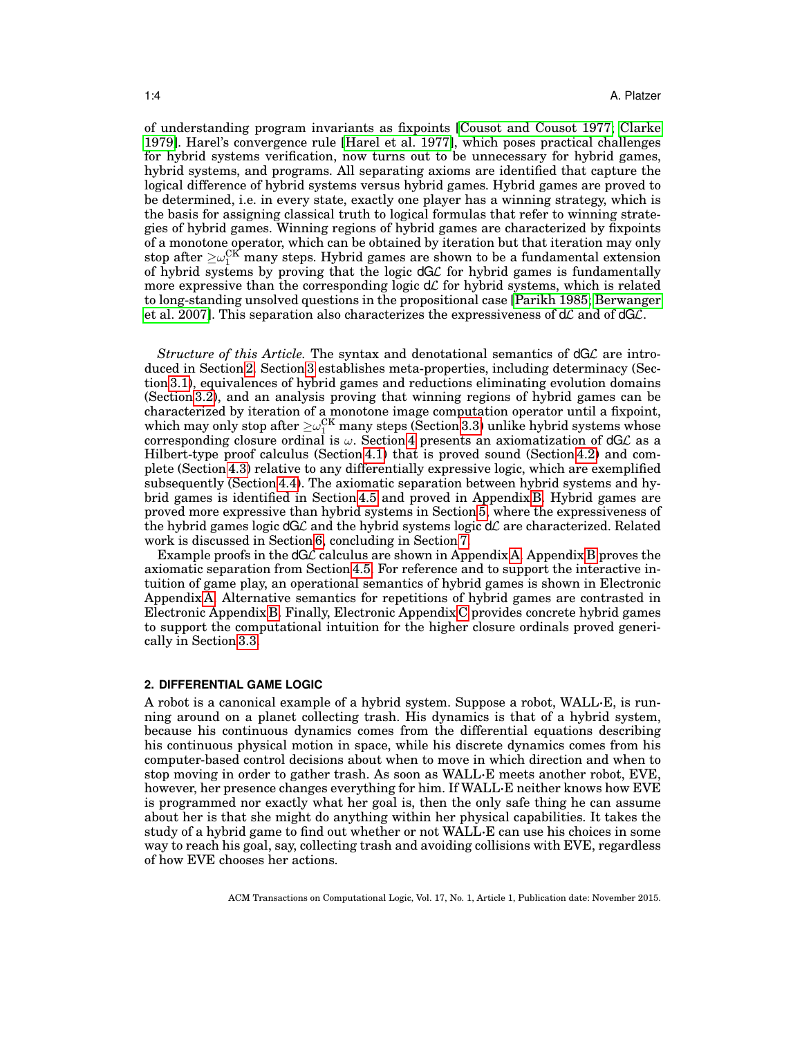of understanding program invariants as fixpoints [\[Cousot and Cousot 1977;](#page-48-7) [Clarke](#page-47-4) [1979\]](#page-47-4). Harel's convergence rule [\[Harel et al. 1977\]](#page-48-8), which poses practical challenges for hybrid systems verification, now turns out to be unnecessary for hybrid games, hybrid systems, and programs. All separating axioms are identified that capture the logical difference of hybrid systems versus hybrid games. Hybrid games are proved to be determined, i.e. in every state, exactly one player has a winning strategy, which is the basis for assigning classical truth to logical formulas that refer to winning strategies of hybrid games. Winning regions of hybrid games are characterized by fixpoints of a monotone operator, which can be obtained by iteration but that iteration may only stop after  $\geq\!\omega_{1}^{\text{CK}}$  many steps. Hybrid games are shown to be a fundamental extension of hybrid systems by proving that the logic  $dG\mathcal{L}$  for hybrid games is fundamentally more expressive than the corresponding logic  $d\mathcal{L}$  for hybrid systems, which is related to long-standing unsolved questions in the propositional case [\[Parikh 1985;](#page-49-13) [Berwanger](#page-47-5) [et al. 2007\]](#page-47-5). This separation also characterizes the expressiveness of  $d\mathcal{L}$  and of  $dG\mathcal{L}$ .

*Structure of this Article.* The syntax and denotational semantics of dGL are introduced in Section [2.](#page-3-0) Section [3](#page-12-0) establishes meta-properties, including determinacy (Section [3.1\)](#page-12-1), equivalences of hybrid games and reductions eliminating evolution domains (Section [3.2\)](#page-15-0), and an analysis proving that winning regions of hybrid games can be characterized by iteration of a monotone image computation operator until a fixpoint, which may only stop after  $\geq \omega_1^{\text{CK}}$  many steps (Section [3.3\)](#page-16-0) unlike hybrid systems whose corresponding closure ordinal is  $\omega$ . Section [4](#page-20-0) presents an axiomatization of  $dG\mathcal{L}$  as a Hilbert-type proof calculus (Section [4.1\)](#page-21-0) that is proved sound (Section [4.2\)](#page-24-0) and complete (Section [4.3\)](#page-26-0) relative to any differentially expressive logic, which are exemplified subsequently (Section [4.4\)](#page-31-0). The axiomatic separation between hybrid systems and hybrid games is identified in Section [4.5](#page-33-0) and proved in Appendix [B.](#page-42-0) Hybrid games are proved more expressive than hybrid systems in Section [5,](#page-35-0) where the expressiveness of the hybrid games logic  $dG\mathcal{L}$  and the hybrid systems logic  $d\mathcal{L}$  are characterized. Related work is discussed in Section [6,](#page-37-0) concluding in Section [7.](#page-40-0)

Example proofs in the dGL calculus are shown in Appendix [A.](#page-41-0) Appendix [B](#page-42-0) proves the axiomatic separation from Section [4.5.](#page-33-0) For reference and to support the interactive intuition of game play, an operational semantics of hybrid games is shown in Electronic Appendix [A.](#page-41-0) Alternative semantics for repetitions of hybrid games are contrasted in Electronic Appendix [B.](#page-42-0) Finally, Electronic Appendix [C](#page-57-0) provides concrete hybrid games to support the computational intuition for the higher closure ordinals proved generically in Section [3.3.](#page-16-0)

### <span id="page-3-0"></span>**2. DIFFERENTIAL GAME LOGIC**

A robot is a canonical example of a hybrid system. Suppose a robot, WALL·E, is running around on a planet collecting trash. His dynamics is that of a hybrid system, because his continuous dynamics comes from the differential equations describing his continuous physical motion in space, while his discrete dynamics comes from his computer-based control decisions about when to move in which direction and when to stop moving in order to gather trash. As soon as WALL·E meets another robot, EVE, however, her presence changes everything for him. If WALL·E neither knows how EVE is programmed nor exactly what her goal is, then the only safe thing he can assume about her is that she might do anything within her physical capabilities. It takes the study of a hybrid game to find out whether or not WALL·E can use his choices in some way to reach his goal, say, collecting trash and avoiding collisions with EVE, regardless of how EVE chooses her actions.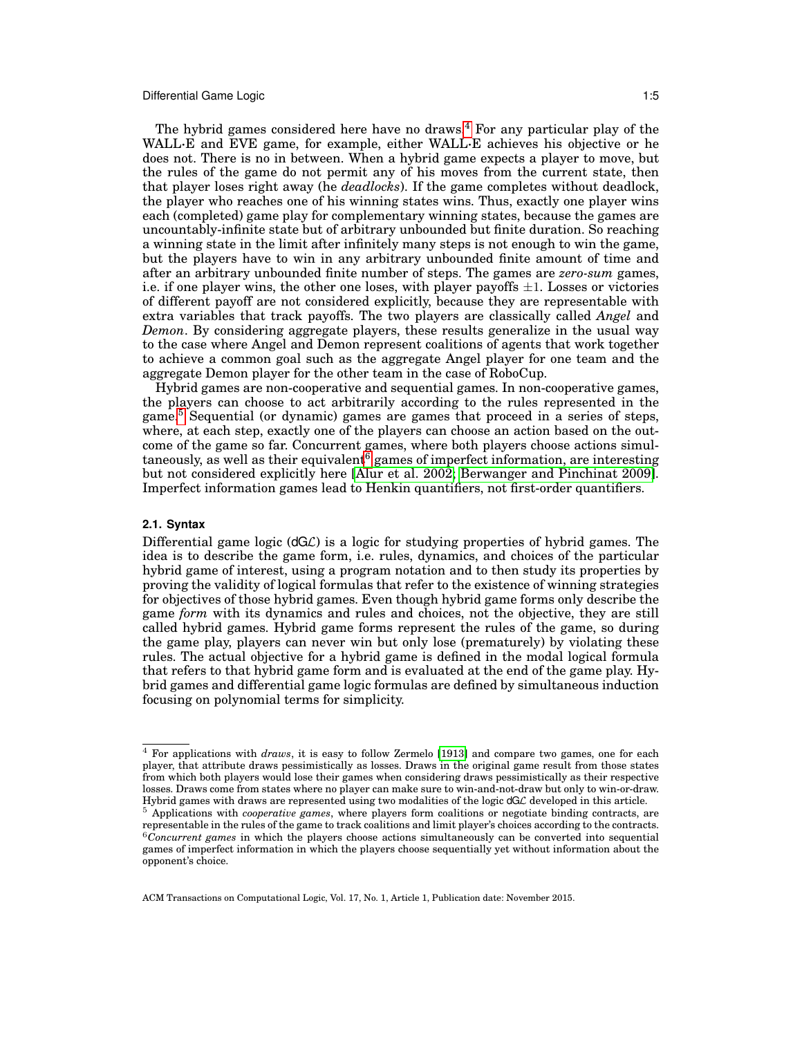The hybrid games considered here have no draws.<sup>[4](#page-4-0)</sup> For any particular play of the WALL<sup>·E</sup> and EVE game, for example, either WALL·E achieves his objective or he does not. There is no in between. When a hybrid game expects a player to move, but the rules of the game do not permit any of his moves from the current state, then that player loses right away (he *deadlocks*). If the game completes without deadlock, the player who reaches one of his winning states wins. Thus, exactly one player wins each (completed) game play for complementary winning states, because the games are uncountably-infinite state but of arbitrary unbounded but finite duration. So reaching a winning state in the limit after infinitely many steps is not enough to win the game, but the players have to win in any arbitrary unbounded finite amount of time and after an arbitrary unbounded finite number of steps. The games are *zero-sum* games, i.e. if one player wins, the other one loses, with player payoffs  $\pm 1$ . Losses or victories of different payoff are not considered explicitly, because they are representable with extra variables that track payoffs. The two players are classically called *Angel* and *Demon*. By considering aggregate players, these results generalize in the usual way to the case where Angel and Demon represent coalitions of agents that work together to achieve a common goal such as the aggregate Angel player for one team and the aggregate Demon player for the other team in the case of RoboCup.

Hybrid games are non-cooperative and sequential games. In non-cooperative games, the players can choose to act arbitrarily according to the rules represented in the game.[5](#page-4-1) Sequential (or dynamic) games are games that proceed in a series of steps, where, at each step, exactly one of the players can choose an action based on the outcome of the game so far. Concurrent games, where both players choose actions simul-taneously, as well as their equivalent<sup>[6](#page-4-2)</sup> games of imperfect information, are interesting but not considered explicitly here [\[Alur et al. 2002;](#page-47-6) [Berwanger and Pinchinat 2009\]](#page-47-7). Imperfect information games lead to Henkin quantifiers, not first-order quantifiers.

## **2.1. Syntax**

Differential game logic  $(dG\mathcal{L})$  is a logic for studying properties of hybrid games. The idea is to describe the game form, i.e. rules, dynamics, and choices of the particular hybrid game of interest, using a program notation and to then study its properties by proving the validity of logical formulas that refer to the existence of winning strategies for objectives of those hybrid games. Even though hybrid game forms only describe the game *form* with its dynamics and rules and choices, not the objective, they are still called hybrid games. Hybrid game forms represent the rules of the game, so during the game play, players can never win but only lose (prematurely) by violating these rules. The actual objective for a hybrid game is defined in the modal logical formula that refers to that hybrid game form and is evaluated at the end of the game play. Hybrid games and differential game logic formulas are defined by simultaneous induction focusing on polynomial terms for simplicity.

<span id="page-4-0"></span><sup>4</sup> For applications with *draws*, it is easy to follow Zermelo [\[1913\]](#page-50-3) and compare two games, one for each player, that attribute draws pessimistically as losses. Draws in the original game result from those states from which both players would lose their games when considering draws pessimistically as their respective losses. Draws come from states where no player can make sure to win-and-not-draw but only to win-or-draw. Hybrid games with draws are represented using two modalities of the logic dGL developed in this article.

<span id="page-4-2"></span><span id="page-4-1"></span><sup>5</sup> Applications with *cooperative games*, where players form coalitions or negotiate binding contracts, are representable in the rules of the game to track coalitions and limit player's choices according to the contracts. <sup>6</sup>*Concurrent games* in which the players choose actions simultaneously can be converted into sequential games of imperfect information in which the players choose sequentially yet without information about the opponent's choice.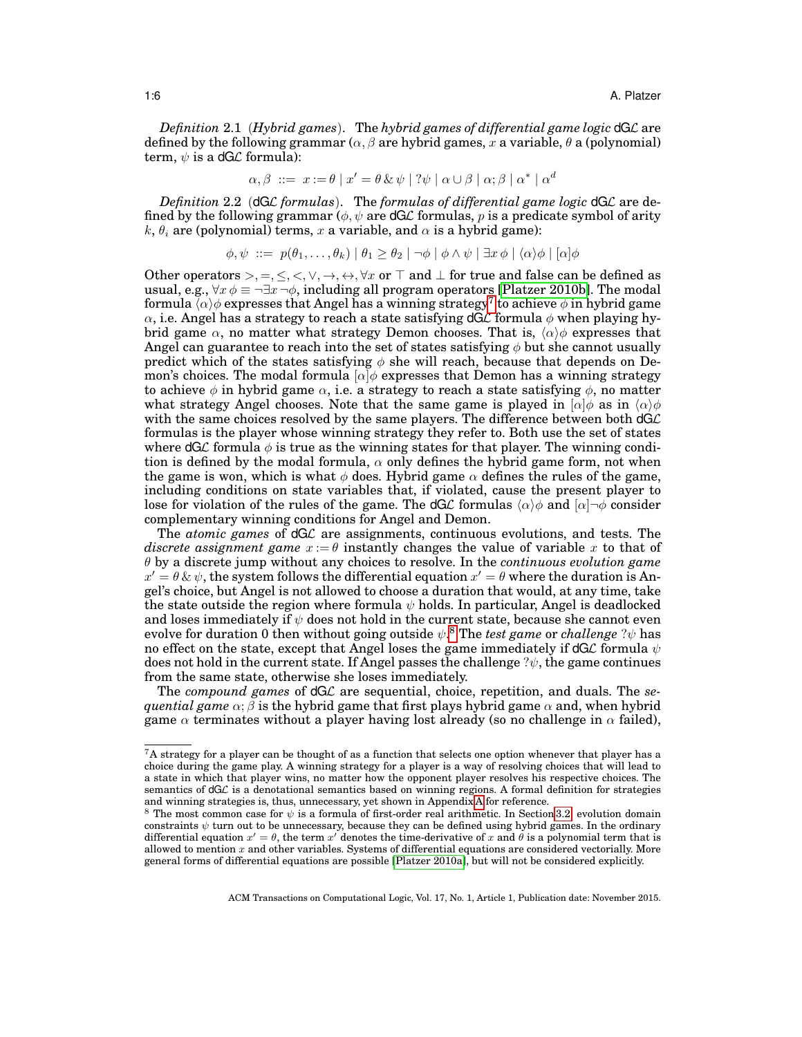*Definition* 2.1 (*Hybrid games*). The *hybrid games of differential game logic* dGL are defined by the following grammar ( $\alpha, \beta$  are hybrid games, x a variable,  $\theta$  a (polynomial) term,  $\psi$  is a dG*L* formula):

$$
\alpha, \beta \ ::= x := \theta \mid x' = \theta \& \psi \mid ?\psi \mid \alpha \cup \beta \mid \alpha; \beta \mid \alpha^* \mid \alpha^d
$$

*Definition* 2.2 (dGL *formulas*). The *formulas of differential game logic* dGL are defined by the following grammar ( $\phi, \psi$  are dGL formulas, p is a predicate symbol of arity k,  $\theta_i$  are (polynomial) terms, x a variable, and  $\alpha$  is a hybrid game):

$$
\phi, \psi \ ::= \ p(\theta_1, \ldots, \theta_k) \mid \theta_1 \ge \theta_2 \mid \neg \phi \mid \phi \land \psi \mid \exists x \, \phi \mid \langle \alpha \rangle \phi \mid [\alpha] \phi
$$

Other operators >, =,  $\leq$ ,  $\lt$ ,  $\lor$ ,  $\to$ ,  $\leftrightarrow$ ,  $\forall x$  or  $\top$  and  $\bot$  for true and false can be defined as usual, e.g.,  $\forall x \phi \equiv \neg \exists x \neg \phi$ , including all program operators [\[Platzer 2010b\]](#page-49-1). The modal formula  $\bar{\langle \alpha \rangle} \phi$  expresses that Angel has a winning strategy<sup>[7](#page-5-0)</sup> to achieve  $\phi$  in hybrid game  $\alpha$ , i.e. Angel has a strategy to reach a state satisfying dGL formula  $\phi$  when playing hybrid game  $\alpha$ , no matter what strategy Demon chooses. That is,  $\langle \alpha \rangle \phi$  expresses that Angel can guarantee to reach into the set of states satisfying  $\phi$  but she cannot usually predict which of the states satisfying  $\phi$  she will reach, because that depends on Demon's choices. The modal formula  $\alpha | \phi \rangle$  expresses that Demon has a winning strategy to achieve  $\phi$  in hybrid game  $\alpha$ , i.e. a strategy to reach a state satisfying  $\phi$ , no matter what strategy Angel chooses. Note that the same game is played in  $[\alpha]\phi$  as in  $\langle \alpha \rangle \phi$ with the same choices resolved by the same players. The difference between both  $dG\mathcal{L}$ formulas is the player whose winning strategy they refer to. Both use the set of states where  $dG\mathcal{L}$  formula  $\phi$  is true as the winning states for that player. The winning condition is defined by the modal formula,  $\alpha$  only defines the hybrid game form, not when the game is won, which is what  $\phi$  does. Hybrid game  $\alpha$  defines the rules of the game, including conditions on state variables that, if violated, cause the present player to lose for violation of the rules of the game. The dGL formulas  $\langle \alpha \rangle \phi$  and  $[\alpha] \neg \phi$  consider complementary winning conditions for Angel and Demon.

The *atomic games* of dGL are assignments, continuous evolutions, and tests. The *discrete assignment game*  $x := \theta$  instantly changes the value of variable x to that of θ by a discrete jump without any choices to resolve. In the *continuous evolution game*  $x' = \theta \& \psi$ , the system follows the differential equation  $x' = \theta$  where the duration is Angel's choice, but Angel is not allowed to choose a duration that would, at any time, take the state outside the region where formula  $\psi$  holds. In particular, Angel is deadlocked and loses immediately if  $\psi$  does not hold in the current state, because she cannot even evolve for duration 0 then without going outside  $\psi$ .<sup>[8](#page-5-1)</sup> The *test game* or *challenge* ? $\psi$  has no effect on the state, except that Angel loses the game immediately if dGL formula  $\psi$ does not hold in the current state. If Angel passes the challenge  $\psi$ , the game continues from the same state, otherwise she loses immediately.

The *compound games* of dGL are sequential, choice, repetition, and duals. The *sequential game*  $\alpha$ ;  $\beta$  is the hybrid game that first plays hybrid game  $\alpha$  and, when hybrid game  $\alpha$  terminates without a player having lost already (so no challenge in  $\alpha$  failed),

<span id="page-5-0"></span> $7A$  strategy for a player can be thought of as a function that selects one option whenever that player has a choice during the game play. A winning strategy for a player is a way of resolving choices that will lead to a state in which that player wins, no matter how the opponent player resolves his respective choices. The semantics of dGL is a denotational semantics based on winning regions. A formal definition for strategies and winning strategies is, thus, unnecessary, yet shown in Appendix [A](#page-41-0) for reference.

<span id="page-5-1"></span><sup>&</sup>lt;sup>8</sup> The most common case for  $\psi$  is a formula of first-order real arithmetic. In Section [3.2,](#page-15-0) evolution domain constraints  $\psi$  turn out to be unnecessary, because they can be defined using hybrid games. In the ordinary differential equation  $x' = \theta$ , the term x' denotes the time-derivative of x and  $\theta$  is a polynomial term that is allowed to mention  $x$  and other variables. Systems of differential equations are considered vectorially. More general forms of differential equations are possible [\[Platzer 2010a\]](#page-49-15), but will not be considered explicitly.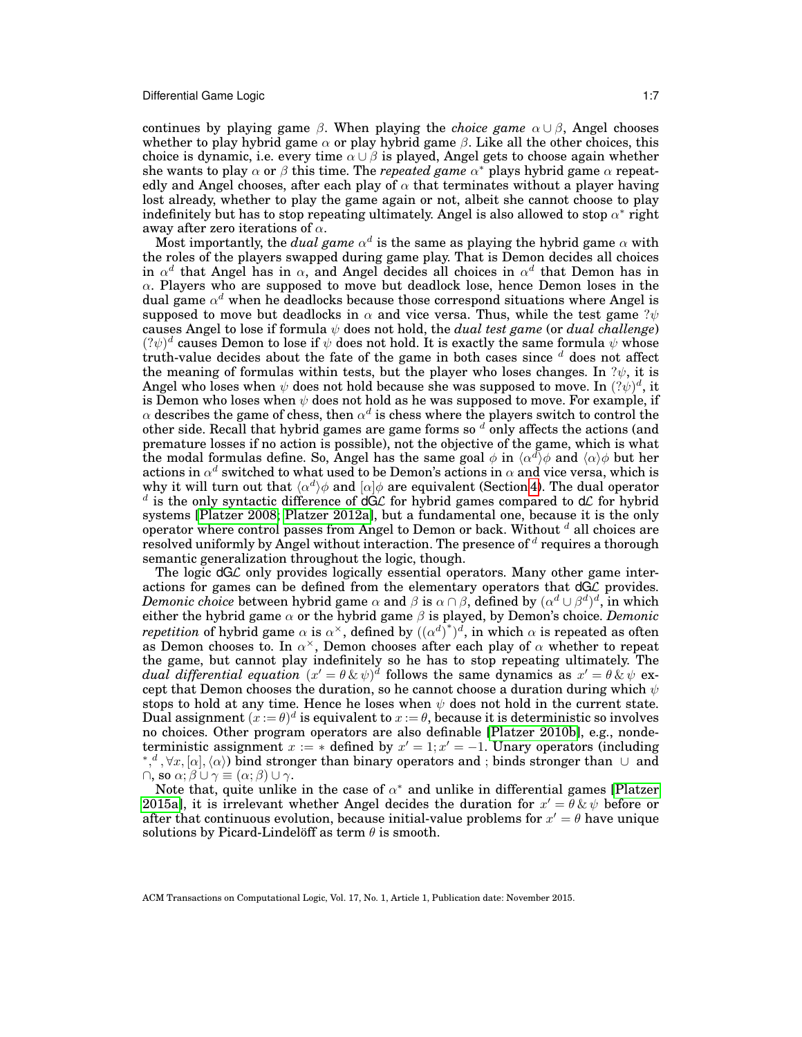continues by playing game  $\beta$ . When playing the *choice game*  $\alpha \cup \beta$ , Angel chooses whether to play hybrid game  $\alpha$  or play hybrid game  $\beta$ . Like all the other choices, this choice is dynamic, i.e. every time  $\alpha \cup \beta$  is played, Angel gets to choose again whether she wants to play  $\alpha$  or  $\beta$  this time. The *repeated game*  $\alpha^*$  plays hybrid game  $\alpha$  repeatedly and Angel chooses, after each play of  $\alpha$  that terminates without a player having lost already, whether to play the game again or not, albeit she cannot choose to play indefinitely but has to stop repeating ultimately. Angel is also allowed to stop  $\alpha^*$  right away after zero iterations of  $\alpha$ .

Most importantly, the *dual game*  $\alpha^d$  is the same as playing the hybrid game  $\alpha$  with the roles of the players swapped during game play. That is Demon decides all choices in  $\alpha^d$  that Angel has in  $\alpha$ , and Angel decides all choices in  $\alpha^d$  that Demon has in  $\alpha$ . Players who are supposed to move but deadlock lose, hence Demon loses in the dual game  $\alpha^d$  when he deadlocks because those correspond situations where Angel is supposed to move but deadlocks in  $\alpha$  and vice versa. Thus, while the test game ? $\psi$ causes Angel to lose if formula ψ does not hold, the *dual test game* (or *dual challenge*)  $(? \psi)^d$  causes Demon to lose if  $\psi$  does not hold. It is exactly the same formula  $\psi$  whose truth-value decides about the fate of the game in both cases since  $d$  does not affect the meaning of formulas within tests, but the player who loses changes. In  $\psi$ , it is Angel who loses when  $\psi$  does not hold because she was supposed to move. In  $(?\psi)^d,$  it is Demon who loses when  $\psi$  does not hold as he was supposed to move. For example, if  $\alpha$  describes the game of chess, then  $\alpha^d$  is chess where the players switch to control the other side. Recall that hybrid games are game forms so  $\frac{d}{d}$  only affects the actions (and premature losses if no action is possible), not the objective of the game, which is what the modal formulas define. So, Angel has the same goal  $\phi$  in  $\langle \alpha^d \rangle \phi$  and  $\langle \alpha \rangle \phi$  but her actions in  $\alpha^d$  switched to what used to be Demon's actions in  $\alpha$  and vice versa, which is why it will turn out that  $\langle \alpha^d \rangle \phi$  and  $[\alpha] \phi$  are equivalent (Section [4\)](#page-20-0). The dual operator  $d$  is the only syntactic difference of  $dG\mathcal{L}$  for hybrid games compared to  $d\mathcal{L}$  for hybrid systems [\[Platzer 2008;](#page-49-3) [Platzer 2012a\]](#page-49-4), but a fundamental one, because it is the only operator where control passes from Angel to Demon or back. Without  $d$  all choices are resolved uniformly by Angel without interaction. The presence of  $^d$  requires a thorough semantic generalization throughout the logic, though.

The logic  $dG\mathcal{L}$  only provides logically essential operators. Many other game interactions for games can be defined from the elementary operators that  $dGC$  provides. *Demonic choice* between hybrid game  $\alpha$  and  $\beta$  is  $\alpha \cap \beta$ , defined by  $(\alpha^d \cup \beta^d)^d$ , in which either the hybrid game  $\alpha$  or the hybrid game  $\beta$  is played, by Demon's choice. *Demonic repetition* of hybrid game  $\alpha$  is  $\alpha^{\times}$ , defined by  $((\alpha^d)^*)^d$ , in which  $\alpha$  is repeated as often as Demon chooses to. In  $\alpha^{\times}$ , Demon chooses after each play of  $\alpha$  whether to repeat the game, but cannot play indefinitely so he has to stop repeating ultimately. The *dual differential equation*  $(x' = \theta \& \psi)^d$  follows the same dynamics as  $x' = \theta \& \psi$  except that Demon chooses the duration, so he cannot choose a duration during which  $\psi$ stops to hold at any time. Hence he loses when  $\psi$  does not hold in the current state. Dual assignment  $(x := \theta)^d$  is equivalent to  $x := \theta$ , because it is deterministic so involves no choices. Other program operators are also definable [\[Platzer 2010b\]](#page-49-1), e.g., nondeterministic assignment  $x := *$  defined by  $x' = 1; x' = -1$ . Unary operators (including  $\langle \phi, \phi, \phi \rangle$ ,  $\langle \phi, \phi \rangle$  bind stronger than binary operators and ; binds stronger than ∪ and  $\cap$ , so  $\alpha$ ;  $\beta \cup \gamma \equiv (\alpha; \beta) \cup \gamma$ .

Note that, quite unlike in the case of  $\alpha^*$  and unlike in differential games [\[Platzer](#page-49-16) [2015a\]](#page-49-16), it is irrelevant whether Angel decides the duration for  $x' = \theta \& \psi$  before or after that continuous evolution, because initial-value problems for  $x' = \theta$  have unique solutions by Picard-Lindelöff as term  $\theta$  is smooth.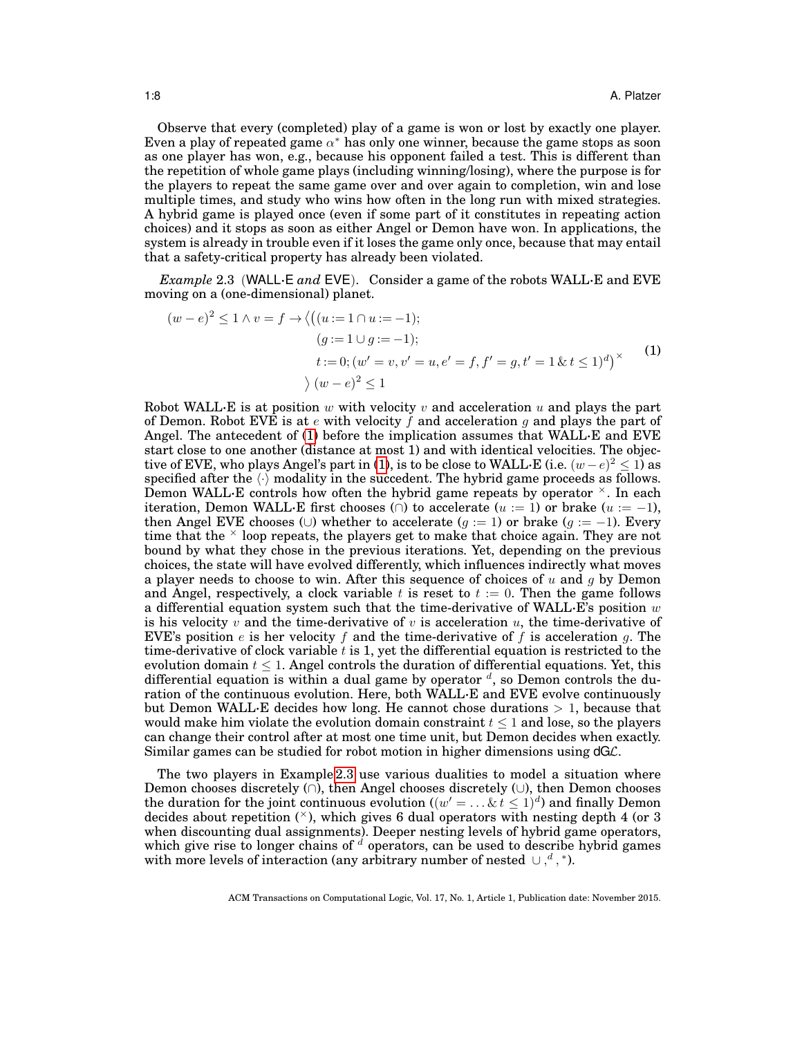Observe that every (completed) play of a game is won or lost by exactly one player. Even a play of repeated game  $\alpha^*$  has only one winner, because the game stops as soon as one player has won, e.g., because his opponent failed a test. This is different than the repetition of whole game plays (including winning/losing), where the purpose is for the players to repeat the same game over and over again to completion, win and lose multiple times, and study who wins how often in the long run with mixed strategies. A hybrid game is played once (even if some part of it constitutes in repeating action choices) and it stops as soon as either Angel or Demon have won. In applications, the system is already in trouble even if it loses the game only once, because that may entail that a safety-critical property has already been violated.

<span id="page-7-1"></span>*Example* 2.3 (WALL·E *and* EVE). Consider a game of the robots WALL·E and EVE moving on a (one-dimensional) planet.

<span id="page-7-0"></span>
$$
(w - e)^2 \le 1 \land v = f \to \langle ((u := 1 \cap u := -1);(g := 1 \cup g := -1);t := 0; (w' = v, v' = u, e' = f, f' = g, t' = 1 \& t \le 1)^d \rangle^{\times}
$$
(1)  

$$
\rangle (w - e)^2 \le 1
$$

Robot WALL $\cdot$ E is at position w with velocity v and acceleration u and plays the part of Demon. Robot EVE is at e with velocity f and acceleration g and plays the part of Angel. The antecedent of [\(1\)](#page-7-0) before the implication assumes that  $WALL \cdot E$  and  $EVE$ start close to one another (distance at most 1) and with identical velocities. The objec-tive of EVE, who plays Angel's part in [\(1\)](#page-7-0), is to be close to WALL·E (i.e.  $(w-e)^2 \leq 1$ ) as specified after the  $\langle \cdot \rangle$  modality in the succedent. The hybrid game proceeds as follows. Demon WALL $\cdot$ E controls how often the hybrid game repeats by operator  $\times$ . In each iteration, Demon WALL·E first chooses ( $\cap$ ) to accelerate (u := 1) or brake (u := -1), then Angel EVE chooses (∪) whether to accelerate (q := 1) or brake (q := -1). Every time that the  $\times$  loop repeats, the players get to make that choice again. They are not bound by what they chose in the previous iterations. Yet, depending on the previous choices, the state will have evolved differently, which influences indirectly what moves a player needs to choose to win. After this sequence of choices of  $u$  and  $g$  by Demon and Angel, respectively, a clock variable t is reset to  $t := 0$ . Then the game follows a differential equation system such that the time-derivative of WALL·E's position  $w$ is his velocity v and the time-derivative of v is acceleration u, the time-derivative of EVE's position  $e$  is her velocity  $f$  and the time-derivative of  $f$  is acceleration  $g$ . The time-derivative of clock variable  $t$  is 1, yet the differential equation is restricted to the evolution domain  $t \leq 1$ . Angel controls the duration of differential equations. Yet, this differential equation is within a dual game by operator  $d$ , so Demon controls the duration of the continuous evolution. Here, both WALL·E and EVE evolve continuously but Demon WALL·E decides how long. He cannot chose durations  $> 1$ , because that would make him violate the evolution domain constraint  $t < 1$  and lose, so the players can change their control after at most one time unit, but Demon decides when exactly. Similar games can be studied for robot motion in higher dimensions using dGL.

The two players in Example [2.3](#page-7-1) use various dualities to model a situation where Demon chooses discretely (∩), then Angel chooses discretely (∪), then Demon chooses the duration for the joint continuous evolution  $((w' = ... \& t \leq 1)^d)$  and finally Demon decides about repetition  $(\times)$ , which gives 6 dual operators with nesting depth 4 (or 3 when discounting dual assignments). Deeper nesting levels of hybrid game operators, which give rise to longer chains of  $\alpha$  operators, can be used to describe hybrid games with more levels of interaction (any arbitrary number of nested  $\cup$ ,<sup>d</sup>,<sup>\*</sup>).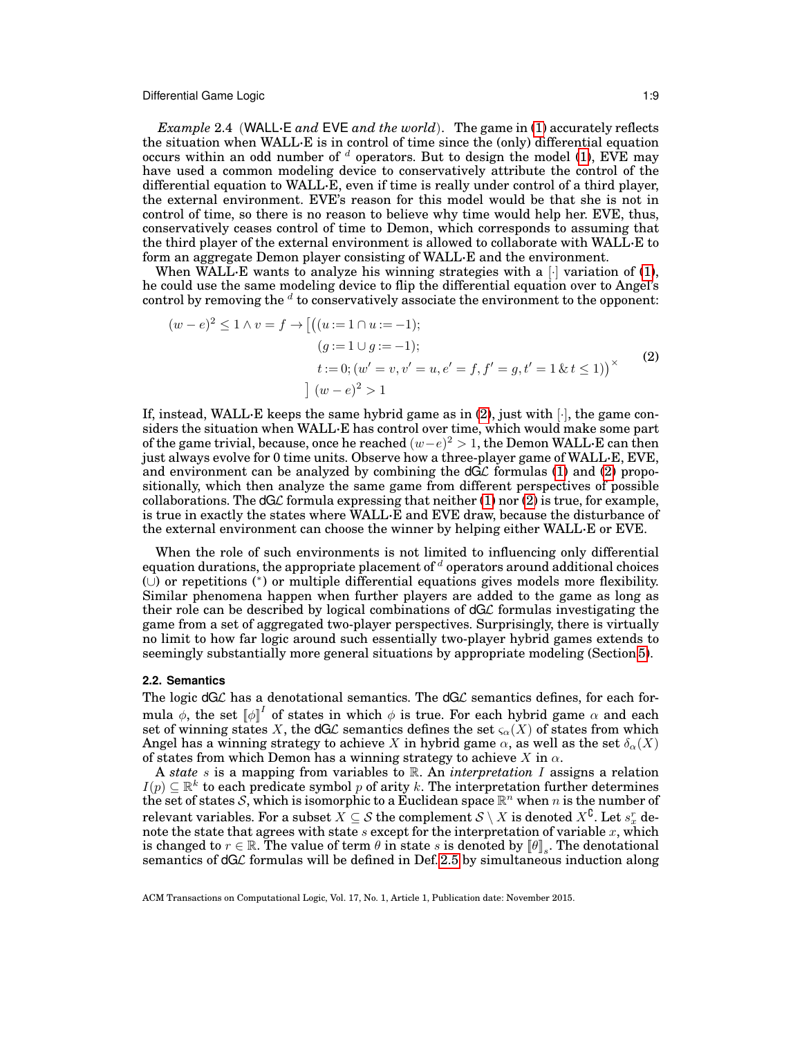*Example* 2.4 (WALL·E *and* EVE *and the world*). The game in [\(1\)](#page-7-0) accurately reflects the situation when WALL·E is in control of time since the (only) differential equation occurs within an odd number of  $d$  operators. But to design the model [\(1\)](#page-7-0), EVE may have used a common modeling device to conservatively attribute the control of the differential equation to WALL·E, even if time is really under control of a third player, the external environment. EVE's reason for this model would be that she is not in control of time, so there is no reason to believe why time would help her. EVE, thus, conservatively ceases control of time to Demon, which corresponds to assuming that the third player of the external environment is allowed to collaborate with WALL·E to form an aggregate Demon player consisting of WALL·E and the environment.

When WALL·E wants to analyze his winning strategies with a  $\lceil \cdot \rceil$  variation of [\(1\)](#page-7-0), he could use the same modeling device to flip the differential equation over to Angel's control by removing the  $d$  to conservatively associate the environment to the opponent:

<span id="page-8-0"></span>
$$
(w - e)^2 \le 1 \land v = f \to \left[ \left( (u := 1 \cap u := -1) ; \right) \right]
$$
  
\n
$$
(g := 1 \cup g := -1);
$$
  
\n
$$
t := 0; (w' = v, v' = u, e' = f, f' = g, t' = 1 \& t \le 1) \right)
$$
  
\n
$$
\left[ (w - e)^2 > 1 \right]
$$
  
\n(2)

If, instead, WALL·E keeps the same hybrid game as in  $(2)$ , just with  $[\cdot]$ , the game considers the situation when WALL·E has control over time, which would make some part of the game trivial, because, once he reached  $(w-e)^2 > 1$ , the Demon WALL·E can then just always evolve for 0 time units. Observe how a three-player game of WALL·E, EVE, and environment can be analyzed by combining the  $dG\mathcal{L}$  formulas [\(1\)](#page-7-0) and [\(2\)](#page-8-0) propositionally, which then analyze the same game from different perspectives of possible collaborations. The  $dG\mathcal{L}$  formula expressing that neither [\(1\)](#page-7-0) nor [\(2\)](#page-8-0) is true, for example, is true in exactly the states where WALL·E and EVE draw, because the disturbance of the external environment can choose the winner by helping either WALL·E or EVE.

When the role of such environments is not limited to influencing only differential equation durations, the appropriate placement of  $d$  operators around additional choices (∪) or repetitions (<sup>∗</sup> ) or multiple differential equations gives models more flexibility. Similar phenomena happen when further players are added to the game as long as their role can be described by logical combinations of dGL formulas investigating the game from a set of aggregated two-player perspectives. Surprisingly, there is virtually no limit to how far logic around such essentially two-player hybrid games extends to seemingly substantially more general situations by appropriate modeling (Section [5\)](#page-35-0).

#### <span id="page-8-1"></span>**2.2. Semantics**

The logic  $dG\mathcal{L}$  has a denotational semantics. The  $dG\mathcal{L}$  semantics defines, for each formula  $\phi$ , the set  $\llbracket \phi \rrbracket^I$  of states in which  $\phi$  is true. For each hybrid game  $\alpha$  and each set of winning states X, the dGL semantics defines the set  $\varsigma_{\alpha}(X)$  of states from which Angel has a winning strategy to achieve X in hybrid game  $\alpha$ , as well as the set  $\delta_{\alpha}(X)$ of states from which Demon has a winning strategy to achieve X in  $\alpha$ .

A *state* s is a mapping from variables to R. An *interpretation* I assigns a relation  $I(p) \subseteq \mathbb{R}^k$  to each predicate symbol p of arity k. The interpretation further determines the set of states S, which is isomorphic to a Euclidean space  $\mathbb{R}^n$  when n is the number of relevant variables. For a subset  $X\subseteq \mathcal{S}$  the complement  $\mathcal{S}\setminus X$  is denoted  $X^{\complement}.$  Let  $s_x^r$  denote the state that agrees with state s except for the interpretation of variable  $x$ , which is changed to  $r \in \mathbb{R}$ . The value of term  $\theta$  in state s is denoted by  $\llbracket \theta \rrbracket_s$ . The denotational semantics of  $dG\mathcal{L}$  formulas will be defined in Def. [2.5](#page-9-0) by simultaneous induction along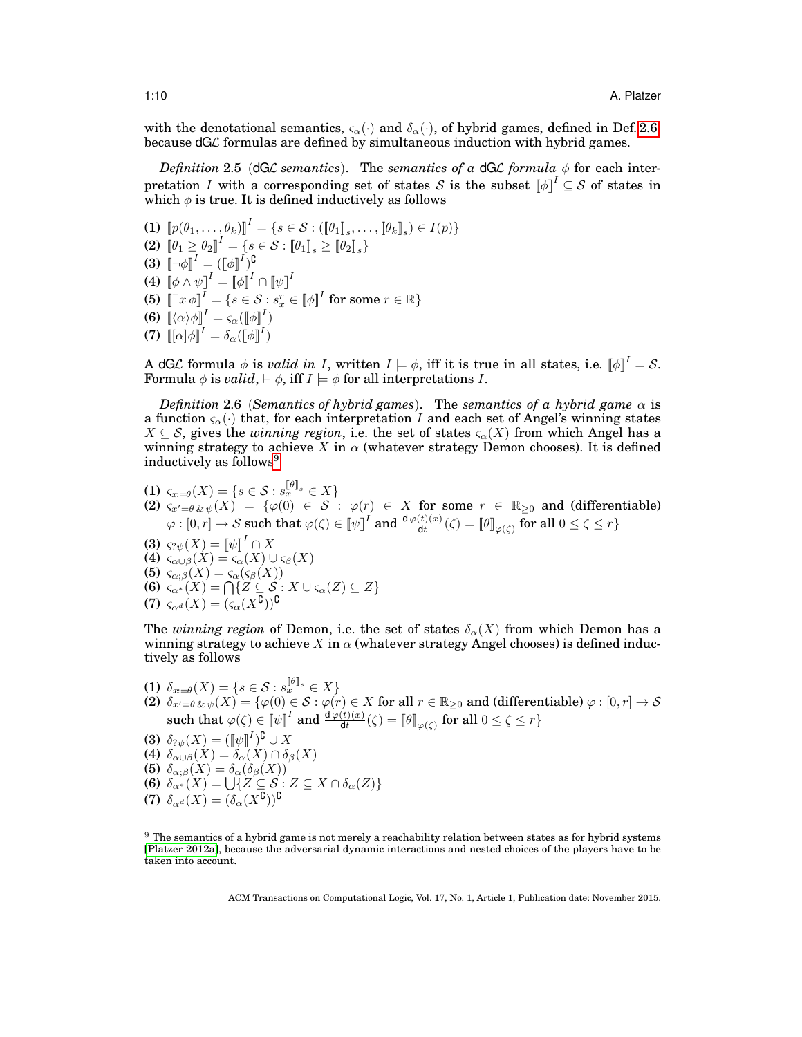with the denotational semantics,  $\varsigma_{\alpha}(\cdot)$  and  $\delta_{\alpha}(\cdot)$ , of hybrid games, defined in Def. [2.6,](#page-9-1) because dGL formulas are defined by simultaneous induction with hybrid games.

<span id="page-9-0"></span>*Definition* 2.5 (dGL *semantics*). The *semantics of a* dGL *formula*  $\phi$  for each interpretation I with a corresponding set of states S is the subset  $[\![\phi]\!]^I \subseteq S$  of states in which  $\phi$  is true. It is defined inductively as follows

(1)  $[\![p(\theta_1, \ldots, \theta_k)]\!]^I = \{ s \in \mathcal{S} : (\llbracket \theta_1 \rrbracket_s, \ldots, \llbracket \theta_k \rrbracket_s) \in I(p) \}$ (2)  $\llbracket \theta_1 \geq \theta_2 \rrbracket ^I = \{ s \in \mathcal{S} : \llbracket \theta_1 \rrbracket_s \geq \llbracket \theta_2 \rrbracket_s \}$  $(3)$   $\llbracket \neg \phi \rrbracket ^{I} = (\llbracket \phi \rrbracket ^{I})^{\complement}$ (4)  $\llbracket \phi \wedge \psi \rrbracket ^I = \llbracket \phi \rrbracket ^I \cap \llbracket \psi \rrbracket ^I$ (5)  $\left[\exists x \, \phi\right]^I = \{s \in \mathcal{S} : s_x^r \in \llbracket \phi \rrbracket^I \text{ for some } r \in \mathbb{R}\}$ (6)  $\llbracket \langle \alpha \rangle \phi \rrbracket^I = \varsigma_{\alpha}(\llbracket \phi \rrbracket^I)$ (7)  $\llbracket [\alpha] \phi \rrbracket^I = \delta_\alpha (\llbracket \phi \rrbracket^I)$ 

A dGL formula  $\phi$  is *valid in I*, written  $I \models \phi$ , iff it is true in all states, i.e.  $[\![\phi]\!]^I = S$ . Formula  $\phi$  is *valid*,  $\models \phi$ , iff  $I \models \phi$  for all interpretations I.

<span id="page-9-1"></span>*Definition* 2.6 (*Semantics of hybrid games*). The *semantics of a hybrid game*  $\alpha$  is a function  $\varsigma_{\alpha}(\cdot)$  that, for each interpretation I and each set of Angel's winning states  $X \subseteq S$ , gives the *winning region*, i.e. the set of states  $\varsigma_{\alpha}(X)$  from which Angel has a winning strategy to achieve X in  $\alpha$  (whatever strategy Demon chooses). It is defined inductively as follows<sup>[9](#page-9-2)</sup>

- $\textnormal{(1)} \ \ \varsigma_{x : = \theta}(X) = \{ s \in \mathcal{S} : s_x^{\llbracket \theta \rrbracket_s} \in X \}$ (2)  $\zeta_{x'=0}$   $\chi_{\psi}(X) = {\varphi(0) \in \mathcal{S}}$ :  $\varphi(r) \in X$  for some  $r \in \mathbb{R}_{\geq 0}$  and (differentiable)
- $\varphi:[0,r]\to\mathcal{S} \text{ such that } \varphi(\zeta)\in\llbracket\psi\rrbracket^I \text{ and } \frac{\texttt{d}\varphi(t)(x)}{\texttt{d}t}(\zeta)=\llbracket\theta\rrbracket_{\varphi(\zeta)} \text{ for all } 0\leq\zeta\leq r\}$
- (3)  $\varsigma_{? \psi}(X) = \llbracket \psi \rrbracket^I \cap X$ (4)  $\varsigma_{\alpha\cup\beta}(X) = \varsigma_{\alpha}(X) \cup \varsigma_{\beta}(X)$
- (5)  $\varsigma_{\alpha;\beta}(X) = \varsigma_{\alpha}(\varsigma_{\beta}(X))$
- (6)  $\varsigma_{\alpha^*}(X) = \bigcap \{ Z \subseteq S : X \cup \varsigma_{\alpha}(Z) \subseteq Z \}$
- (7)  $\varsigma_{\alpha^d}(X) = (\varsigma_{\alpha}(X^{\complement}))^{\complement}$

The *winning region* of Demon, i.e. the set of states  $\delta_{\alpha}(X)$  from which Demon has a winning strategy to achieve X in  $\alpha$  (whatever strategy Angel chooses) is defined inductively as follows

- $\text{(1) } \delta_{x = \theta}(X) = \{s \in \mathcal{S} : s_{x}^{\lbrack \theta \rbrack_s} \in X\}$
- (2)  $\delta_{x'=\theta \, \& \, \psi}(X) = \{\varphi(0) \in \mathcal{S} : \varphi(r) \in X \text{ for all } r \in \mathbb{R}_{\geq 0} \text{ and (differentiable) } \varphi : [0,r] \to \mathcal{S}$ such that  $\varphi(\zeta) \in \llbracket \psi \rrbracket^I$  and  $\frac{\text{d}\varphi(t)(x)}{\text{d}t}(\zeta) = \llbracket \theta \rrbracket_{\varphi(\zeta)}$  for all  $0 \leq \zeta \leq r$ }
- (3)  $\delta_{? \psi}(X) = (\llbracket \psi \rrbracket^I)^{\complement} \cup X$
- (4)  $\delta_{\alpha\cup\beta}(X) = \delta_{\alpha}(X) \cap \delta_{\beta}(X)$
- (5)  $\delta_{\alpha;\beta}(X) = \delta_{\alpha}(\delta_{\beta}(X))$
- (6)  $\delta_{\alpha^*}(X) = \bigcup \{ Z \subseteq S : Z \subseteq X \cap \delta_{\alpha}(Z) \}$
- (7)  $\delta_{\alpha^d}(X) = (\delta_{\alpha}(X^{\complement}))^{\complement}$

<span id="page-9-2"></span> $9$  The semantics of a hybrid game is not merely a reachability relation between states as for hybrid systems [\[Platzer 2012a\]](#page-49-4), because the adversarial dynamic interactions and nested choices of the players have to be taken into account.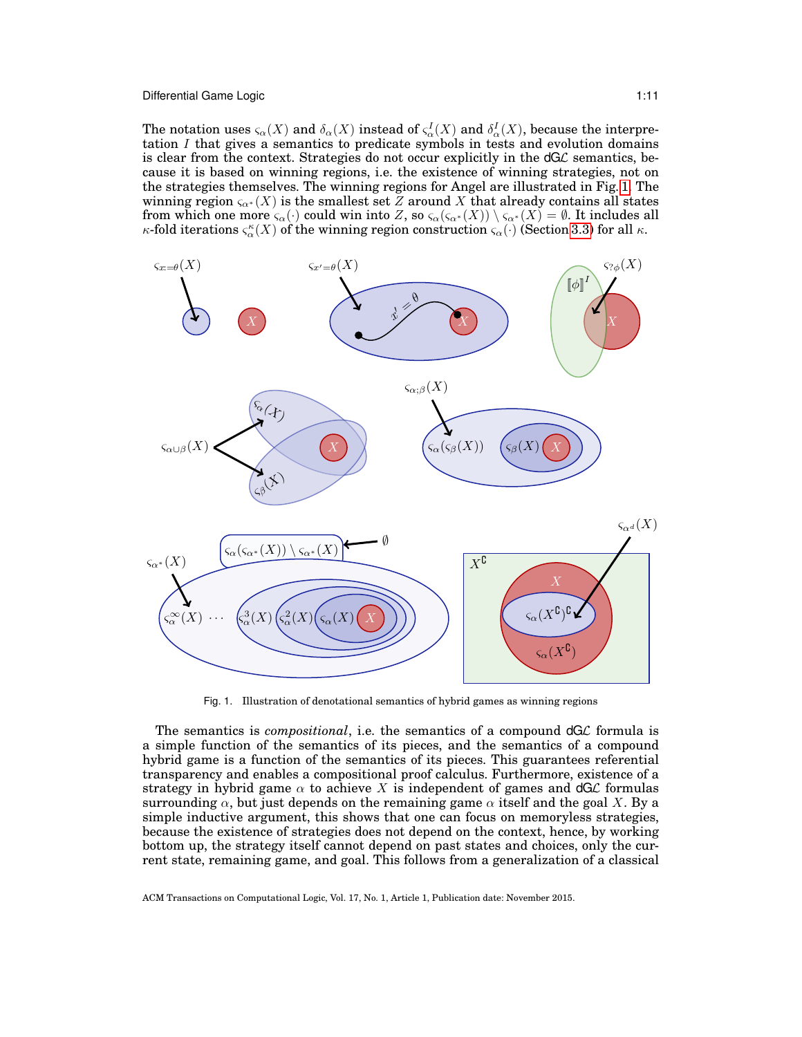Differential Game Logic 1:11 and the contract of the contract of the contract of the contract of the contract of the contract of the contract of the contract of the contract of the contract of the contract of the contract

The notation uses  $\varsigma_\alpha(X)$  and  $\delta_\alpha(X)$  instead of  $\varsigma_\alpha^I(X)$  and  $\delta_\alpha^I(X)$ , because the interpretation  $I$  that gives a semantics to predicate symbols in tests and evolution domains is clear from the context. Strategies do not occur explicitly in the  $dG\mathcal{L}$  semantics, because it is based on winning regions, i.e. the existence of winning strategies, not on the strategies themselves. The winning regions for Angel are illustrated in Fig. [1.](#page-10-0) The winning region  $\varsigma_{\alpha}$ <sup>\*</sup> (X) is the smallest set Z around X that already contains all states from which one more  $\varsigma_\alpha(\cdot)$  could win into Z, so  $\varsigma_\alpha(\varsigma_{\alpha^*}(X))\setminus \varsigma_{\alpha^*}(X)=\emptyset.$  It includes all κ-fold iterations  $\varsigma_\alpha^\kappa(X)$  of the winning region construction  $\varsigma_\alpha(\cdot)$  (Section [3.3\)](#page-16-0) for all  $\kappa.$ 



<span id="page-10-0"></span>Fig. 1. Illustration of denotational semantics of hybrid games as winning regions

The semantics is *compositional*, i.e. the semantics of a compound dGL formula is a simple function of the semantics of its pieces, and the semantics of a compound hybrid game is a function of the semantics of its pieces. This guarantees referential transparency and enables a compositional proof calculus. Furthermore, existence of a strategy in hybrid game  $\alpha$  to achieve X is independent of games and dGL formulas surrounding  $\alpha$ , but just depends on the remaining game  $\alpha$  itself and the goal X. By a simple inductive argument, this shows that one can focus on memoryless strategies, because the existence of strategies does not depend on the context, hence, by working bottom up, the strategy itself cannot depend on past states and choices, only the current state, remaining game, and goal. This follows from a generalization of a classical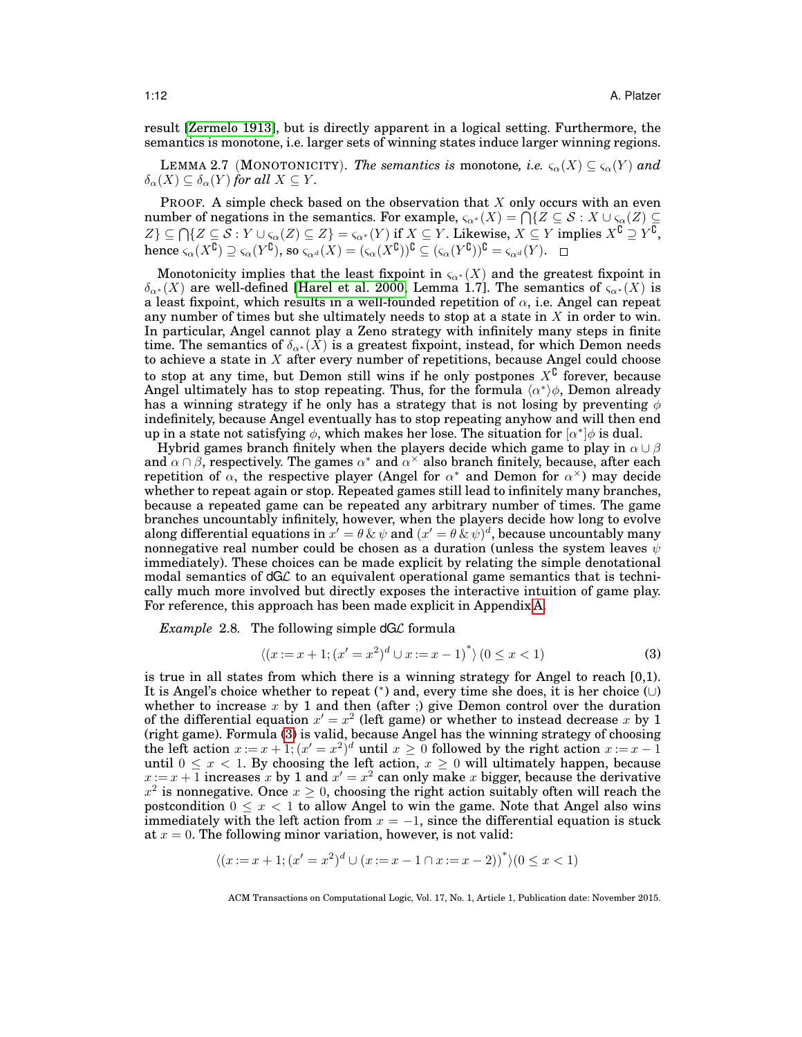result [\[Zermelo 1913\]](#page-50-3), but is directly apparent in a logical setting. Furthermore, the semantics is monotone, i.e. larger sets of winning states induce larger winning regions.

<span id="page-11-2"></span>LEMMA 2.7 (MONOTONICITY). *The semantics is* monotone, *i.e.*  $\varsigma_{\alpha}(X) \subseteq \varsigma_{\alpha}(Y)$  and  $\delta_{\alpha}(X) \subseteq \delta_{\alpha}(Y)$  *for all*  $X \subseteq Y$ *.* 

**PROOF.** A simple check based on the observation that  $X$  only occurs with an even number of negations in the semantics. For example,  $\varsigma_{\alpha^*}(X) = \bigcap \{Z \subseteq \mathcal{S} : X \cup \varsigma_{\alpha}(Z) \subseteq$  $Z\}\subseteq \bigcap \{Z\subseteq \mathcal{S}: Y\cup \varsigma_{\alpha}(Z)\subseteq Z\} = \varsigma_{\alpha^*}(Y)$  if  $X\subseteq Y$ . Likewise,  $X\subseteq Y$  implies  $X^{\complement} \supseteq Y^{\complement}$ ,  $\text{hence }\varsigma_{\alpha}(X^{\complement})\supseteq\varsigma_{\alpha}(Y^{\complement}), \text{ so }\varsigma_{\alpha^{d}}(X)=(\varsigma_{\alpha}(X^{\complement}))^{\complement}\subseteq(\varsigma_{\alpha}(Y^{\complement}))^{\complement}=\varsigma_{\alpha^{d}}(Y).$ 

Monotonicity implies that the least fixpoint in  $\varsigma_{\alpha^*}(X)$  and the greatest fixpoint in  $\delta_{\alpha^*}(X)$  are well-defined [\[Harel et al. 2000,](#page-48-9) Lemma 1.7]. The semantics of  $\varsigma_{\alpha^*}(X)$  is a least fixpoint, which results in a well-founded repetition of  $\alpha$ , i.e. Angel can repeat any number of times but she ultimately needs to stop at a state in  $X$  in order to win. In particular, Angel cannot play a Zeno strategy with infinitely many steps in finite time. The semantics of  $\delta_{\alpha^*}(\tilde{X})$  is a greatest fixpoint, instead, for which Demon needs to achieve a state in  $X$  after every number of repetitions, because Angel could choose to stop at any time, but Demon still wins if he only postpones  $X^{\complement}$  forever, because Angel ultimately has to stop repeating. Thus, for the formula  $\langle \alpha^* \rangle \phi$ , Demon already has a winning strategy if he only has a strategy that is not losing by preventing  $\phi$ indefinitely, because Angel eventually has to stop repeating anyhow and will then end up in a state not satisfying  $\phi$ , which makes her lose. The situation for  $\lbrack \alpha^* \rbrack \phi$  is dual.

Hybrid games branch finitely when the players decide which game to play in  $\alpha \cup \beta$ and  $\alpha \cap \beta$ , respectively. The games  $\alpha^*$  and  $\alpha^*$  also branch finitely, because, after each repetition of  $\alpha$ , the respective player (Angel for  $\alpha^*$  and Demon for  $\alpha^*$ ) may decide whether to repeat again or stop. Repeated games still lead to infinitely many branches, because a repeated game can be repeated any arbitrary number of times. The game branches uncountably infinitely, however, when the players decide how long to evolve along differential equations in  $x' = \theta \, \& \, \psi$  and  $(x' = \theta \, \& \, \psi)^d$ , because uncountably many nonnegative real number could be chosen as a duration (unless the system leaves  $\psi$ immediately). These choices can be made explicit by relating the simple denotational modal semantics of  $dG\mathcal{L}$  to an equivalent operational game semantics that is technically much more involved but directly exposes the interactive intuition of game play. For reference, this approach has been made explicit in Appendix [A.](#page-41-0)

<span id="page-11-1"></span>*Example* 2.8*.* The following simple dGL formula

<span id="page-11-0"></span>
$$
\langle (x:=x+1; (x'=x^2)^d \cup x:=x-1)^* \rangle \, (0 \le x < 1) \tag{3}
$$

is true in all states from which there is a winning strategy for Angel to reach [0,1). It is Angel's choice whether to repeat (<sup>∗</sup> ) and, every time she does, it is her choice (∪) whether to increase  $x$  by 1 and then (after ;) give Demon control over the duration of the differential equation  $x' = x^2$  (left game) or whether to instead decrease x by 1 (right game). Formula [\(3\)](#page-11-0) is valid, because Angel has the winning strategy of choosing the left action  $x := x + 1$ ;  $(x' = x^2)^d$  until  $x \ge 0$  followed by the right action  $x := x - 1$ until  $0 \leq x < 1$ . By choosing the left action,  $x \geq 0$  will ultimately happen, because  $x := x + 1$  increases x by 1 and  $x' = x^2$  can only make x bigger, because the derivative  $x^2$  is nonnegative. Once  $x \geq 0$ , choosing the right action suitably often will reach the postcondition  $0 \leq x < 1$  to allow Angel to win the game. Note that Angel also wins immediately with the left action from  $x = -1$ , since the differential equation is stuck at  $x = 0$ . The following minor variation, however, is not valid:

$$
\langle (x:=x+1; (x'=x^2)^d \cup (x:=x-1 \cap x:=x-2) )^* \rangle (0 \le x < 1)
$$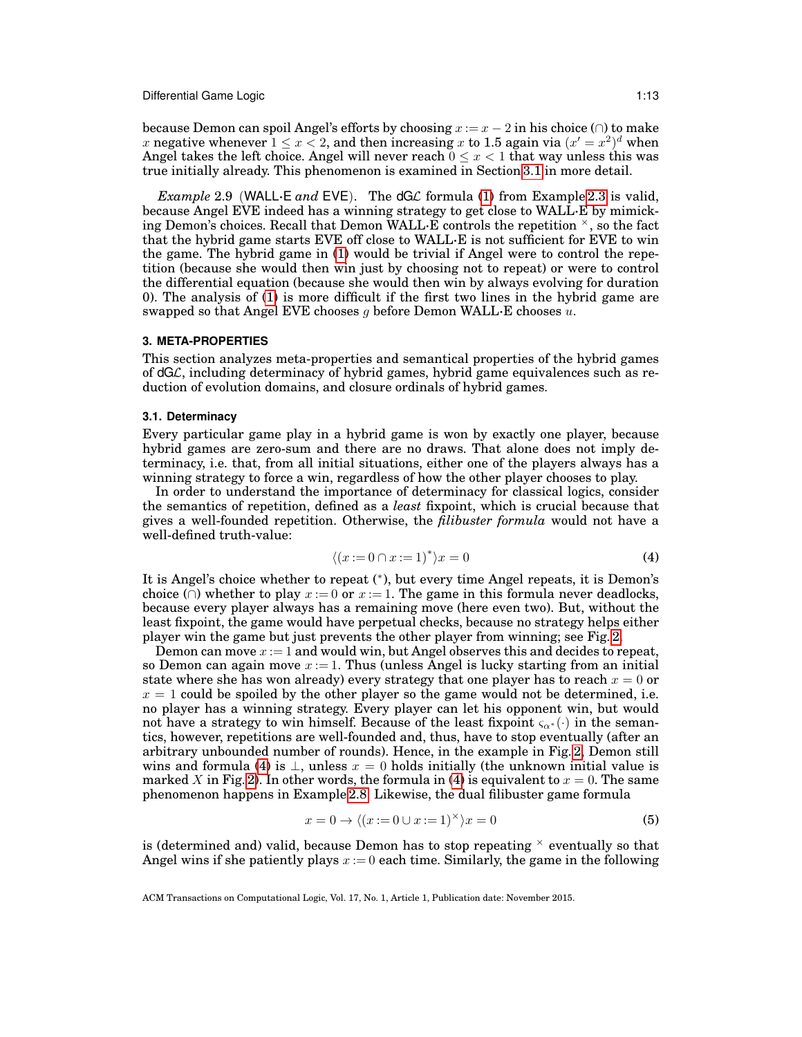because Demon can spoil Angel's efforts by choosing  $x := x - 2$  in his choice ( $\cap$ ) to make x negative whenever  $1 \le x < 2$ , and then increasing x to 1.5 again via  $(x' = x^2)^d$  when Angel takes the left choice. Angel will never reach  $0 \leq x < 1$  that way unless this was true initially already. This phenomenon is examined in Section [3.1](#page-12-1) in more detail.

*Example* 2.9 (WALL·E *and* EVE). The dGL formula [\(1\)](#page-7-0) from Example [2.3](#page-7-1) is valid, because Angel EVE indeed has a winning strategy to get close to WALL·E by mimicking Demon's choices. Recall that Demon WALL $\cdot$ E controls the repetition  $\times$ , so the fact that the hybrid game starts EVE off close to WALL·E is not sufficient for EVE to win the game. The hybrid game in [\(1\)](#page-7-0) would be trivial if Angel were to control the repetition (because she would then win just by choosing not to repeat) or were to control the differential equation (because she would then win by always evolving for duration 0). The analysis of [\(1\)](#page-7-0) is more difficult if the first two lines in the hybrid game are swapped so that Angel EVE chooses g before Demon WALL $\cdot$ E chooses u.

## <span id="page-12-0"></span>**3. META-PROPERTIES**

This section analyzes meta-properties and semantical properties of the hybrid games of dGL, including determinacy of hybrid games, hybrid game equivalences such as reduction of evolution domains, and closure ordinals of hybrid games.

## <span id="page-12-1"></span>**3.1. Determinacy**

Every particular game play in a hybrid game is won by exactly one player, because hybrid games are zero-sum and there are no draws. That alone does not imply determinacy, i.e. that, from all initial situations, either one of the players always has a winning strategy to force a win, regardless of how the other player chooses to play.

In order to understand the importance of determinacy for classical logics, consider the semantics of repetition, defined as a *least* fixpoint, which is crucial because that gives a well-founded repetition. Otherwise, the *filibuster formula* would not have a well-defined truth-value:

<span id="page-12-2"></span>
$$
\langle (x:=0 \cap x:=1)^* \rangle x = 0 \tag{4}
$$

It is Angel's choice whether to repeat (\*), but every time Angel repeats, it is Demon's choice ( $\cap$ ) whether to play  $x := 0$  or  $x := 1$ . The game in this formula never deadlocks, because every player always has a remaining move (here even two). But, without the least fixpoint, the game would have perpetual checks, because no strategy helps either player win the game but just prevents the other player from winning; see Fig. [2.](#page-13-0)

Demon can move  $x := 1$  and would win, but Angel observes this and decides to repeat, so Demon can again move  $x := 1$ . Thus (unless Angel is lucky starting from an initial state where she has won already) every strategy that one player has to reach  $x = 0$  or  $x = 1$  could be spoiled by the other player so the game would not be determined, i.e. no player has a winning strategy. Every player can let his opponent win, but would not have a strategy to win himself. Because of the least fixpoint  $\varsigma_{\alpha^*}(\cdot)$  in the semantics, however, repetitions are well-founded and, thus, have to stop eventually (after an arbitrary unbounded number of rounds). Hence, in the example in Fig. [2,](#page-13-0) Demon still wins and formula [\(4\)](#page-12-2) is  $\perp$ , unless  $x = 0$  holds initially (the unknown initial value is marked X in Fig. [2\)](#page-13-0). In other words, the formula in [\(4\)](#page-12-2) is equivalent to  $x = 0$ . The same phenomenon happens in Example [2.8.](#page-11-1) Likewise, the dual filibuster game formula

<span id="page-12-3"></span>
$$
x = 0 \rightarrow \langle (x := 0 \cup x := 1)^{\times} \rangle x = 0 \tag{5}
$$

is (determined and) valid, because Demon has to stop repeating  $\times$  eventually so that Angel wins if she patiently plays  $x := 0$  each time. Similarly, the game in the following

ACM Transactions on Computational Logic, Vol. 17, No. 1, Article 1, Publication date: November 2015.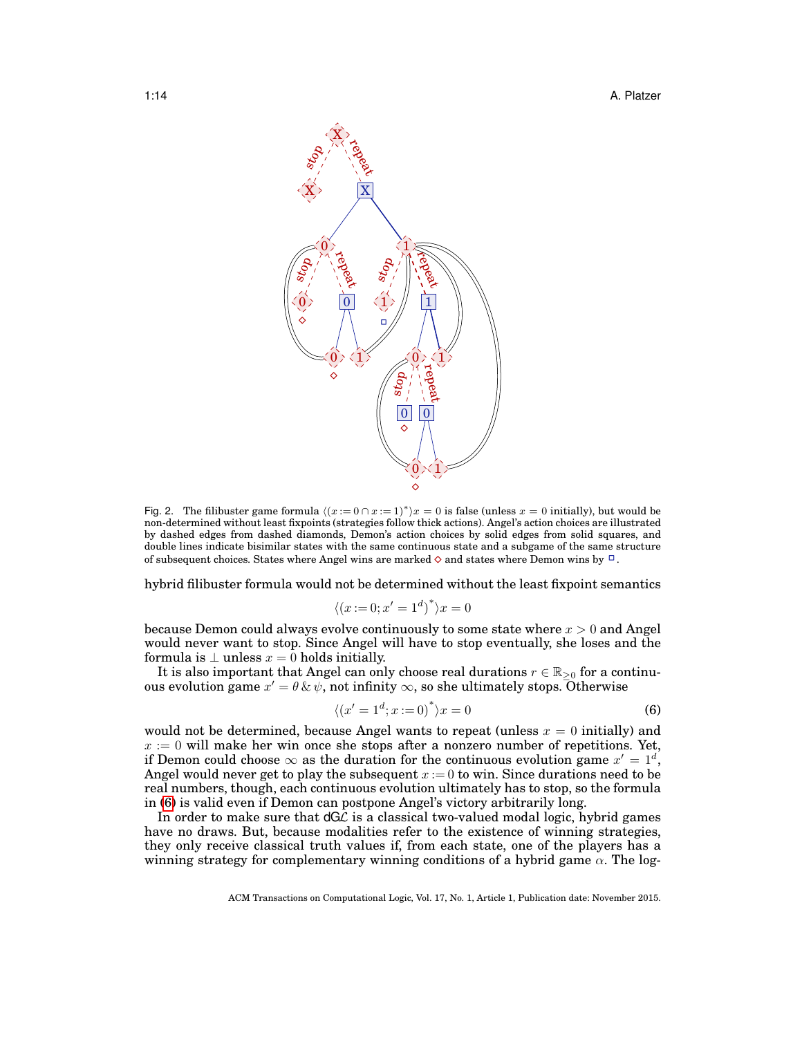

<span id="page-13-0"></span>Fig. 2. The filibuster game formula  $\langle (x := 0 \cap x := 1)^* \rangle x = 0$  is false (unless  $x = 0$  initially), but would be non-determined without least fixpoints (strategies follow thick actions). Angel's action choices are illustrated by dashed edges from dashed diamonds, Demon's action choices by solid edges from solid squares, and double lines indicate bisimilar states with the same continuous state and a subgame of the same structure of subsequent choices. States where Angel wins are marked  $\diamond$  and states where Demon wins by  $\Box$ .

hybrid filibuster formula would not be determined without the least fixpoint semantics

$$
\langle (x:=0; x'=1^d)^* \rangle x=0
$$

because Demon could always evolve continuously to some state where  $x > 0$  and Angel would never want to stop. Since Angel will have to stop eventually, she loses and the formula is  $\perp$  unless  $x = 0$  holds initially.

It is also important that Angel can only choose real durations  $r \in \mathbb{R}_{\geq 0}$  for a continuous evolution game  $x' = \theta \, \& \, \psi$ , not infinity  $\infty$ , so she ultimately stops. Otherwise

<span id="page-13-1"></span>
$$
\langle (x'=1^d; x:=0)^* \rangle x = 0 \tag{6}
$$

would not be determined, because Angel wants to repeat (unless  $x = 0$  initially) and  $x := 0$  will make her win once she stops after a nonzero number of repetitions. Yet, if Demon could choose  $\infty$  as the duration for the continuous evolution game  $x' = 1^d$ , Angel would never get to play the subsequent  $x = 0$  to win. Since durations need to be real numbers, though, each continuous evolution ultimately has to stop, so the formula in [\(6\)](#page-13-1) is valid even if Demon can postpone Angel's victory arbitrarily long.

In order to make sure that  $dG\mathcal{L}$  is a classical two-valued modal logic, hybrid games have no draws. But, because modalities refer to the existence of winning strategies, they only receive classical truth values if, from each state, one of the players has a winning strategy for complementary winning conditions of a hybrid game  $\alpha$ . The log-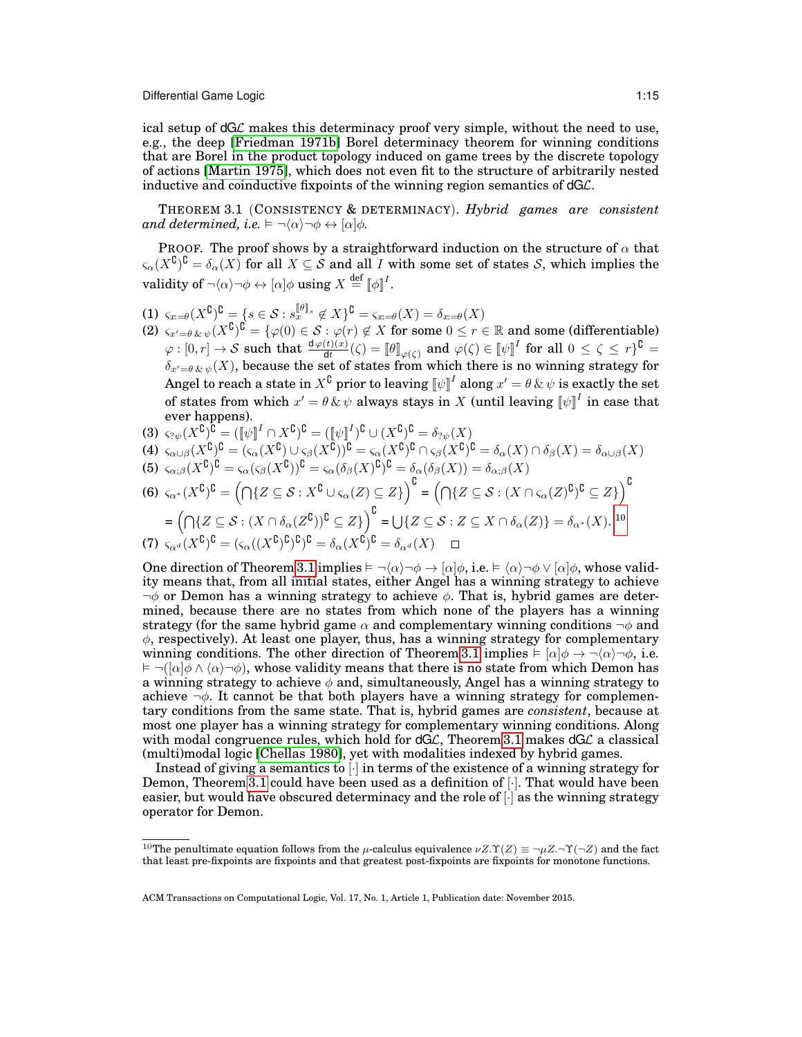ical setup of dGL makes this determinacy proof very simple, without the need to use, e.g., the deep [\[Friedman 1971b\]](#page-48-10) Borel determinacy theorem for winning conditions that are Borel in the product topology induced on game trees by the discrete topology of actions [\[Martin 1975\]](#page-48-11), which does not even fit to the structure of arbitrarily nested inductive and coinductive fixpoints of the winning region semantics of dGL.

<span id="page-14-1"></span>THEOREM 3.1 (CONSISTENCY & DETERMINACY). *Hybrid games are consistent and determined, i.e.*  $\vDash \neg \langle \alpha \rangle \neg \phi \leftrightarrow [\alpha] \phi$ *.* 

PROOF. The proof shows by a straightforward induction on the structure of  $\alpha$  that  $\varsigma_\alpha(X^\complement)^\complement = \delta_\alpha(X)$  for all  $X \subseteq \mathcal{S}$  and all  $I$  with some set of states  $\mathcal{S}$ , which implies the validity of  $\neg \langle \alpha \rangle \neg \phi \leftrightarrow [\alpha] \phi$  using  $X \stackrel{\text{def}}{=} [\![ \phi ]\!]^I$ .

- $(1)$   $\varsigma_{x:=\theta}(X^{\complement})^{\complement} = \{s \in \mathcal{S} : s_x^{\llbracket \theta \rrbracket_s} \notin X\}^{\complement} = \varsigma_{x:=\theta}(X) = \delta_{x:=\theta}(X)$
- $(2)$   $\varsigma_{x'=\theta\,\&\,\psi}(X^\complement)^\complement = \{\varphi(0)\in\mathcal{S} : \varphi(r)\not\in X \text{ for some } 0\leq r\in\mathbb{R} \text{ and some (differentiable)}\}$  $\varphi:[0,r]\to\mathcal{S} \text{ such that }\frac{\text{d}\varphi(t)(x)}{\text{d}t}(\zeta)=\llbracket\theta\rrbracket_{\varphi(\zeta)} \text{ and } \varphi(\zeta)\in\llbracket\psi\rrbracket^I \text{ for all } 0\leq\zeta\leq r\}^{\complement}=$  $\delta_{x' = \theta \& \psi}(X)$ , because the set of states from which there is no winning strategy for Angel to reach a state in  $X^\complement$  prior to leaving  $\llbracket \psi \rrbracket^I$  along  $x' = \theta \, \& \, \psi$  is exactly the set of states from which  $x' = \theta \& \psi$  always stays in X (until leaving  $\llbracket \psi \rrbracket^I$  in case that ever happens).
- $(3)$   $\varsigma_{? \psi}(X^{\complement})^{\complement} = (\llbracket \psi \rrbracket^I \cap X^{\complement})^{\complement} = (\llbracket \psi \rrbracket^I)^{\complement} \cup (X^{\complement})^{\complement} = \delta_{? \psi}(X)$

(4) 
$$
\zeta_{\alpha\cup\beta}(X^{\mathcal{C}})^{\mathcal{C}} = (\zeta_{\alpha}(X^{\mathcal{C}}) \cup \zeta_{\beta}(X^{\mathcal{C}}))^{\mathcal{C}} = \zeta_{\alpha}(X^{\mathcal{C}})^{\mathcal{C}} \cap \zeta_{\beta}(X^{\mathcal{C}})^{\mathcal{C}} = \delta_{\alpha}(X) \cap \delta_{\beta}(X) = \delta_{\alpha\cup\beta}(X)
$$
  
(5) 
$$
\zeta_{\alpha;\beta}(X^{\mathcal{C}})^{\mathcal{C}} = \zeta_{\alpha}(\zeta_{\beta}(X^{\mathcal{C}}))^{\mathcal{C}} = \zeta_{\alpha}(\delta_{\beta}(X)^{\mathcal{C}})^{\mathcal{C}} = \delta_{\alpha}(\delta_{\beta}(X)) = \delta_{\alpha;\beta}(X)
$$

$$
\begin{aligned} \text{(5)} \ \zeta_{\alpha;\beta}(X^{\mathsf{U}})^{\mathsf{U}} &= \zeta_{\alpha}(\zeta_{\beta}(X^{\mathsf{U}}))^{\mathsf{U}} = \zeta_{\alpha}(\delta_{\beta}(X)^{\mathsf{U}})^{\mathsf{U}} = \delta_{\alpha}(\delta_{\beta}(X)) = \delta_{\alpha;\beta}(X) \\ \text{(6)} \ \zeta_{\alpha^*}(X^{\mathsf{U}})^{\mathsf{U}} &= \left(\bigcap \{Z \subseteq \mathcal{S} : X^{\mathsf{U}} \cup \zeta_{\alpha}(Z) \subseteq Z\}\right)^{\mathsf{U}} = \left(\bigcap \{Z \subseteq \mathcal{S} : (X \cap \zeta_{\alpha}(Z)^{\mathsf{U}})^{\mathsf{U}} \subseteq Z\}\right)^{\mathsf{U}} \end{aligned}
$$

$$
= (\bigcap \{ Z \subseteq S : (X \cap \delta_{\alpha}(Z^{\complement}))^{\complement} \subseteq Z \})^{\complement} = \bigcup \{ Z \subseteq S : Z \subseteq X \cap \delta_{\alpha}(Z) \} = \delta_{\alpha^*}(X).^{10}
$$
  
(7)  $\varsigma_{\alpha^d}(X^{\complement})^{\complement} = (\varsigma_{\alpha}((X^{\complement})^{\complement})^{\complement})^{\complement} = \delta_{\alpha}(X^{\complement})^{\complement} = \delta_{\alpha^d}(X) \square$ 

One direction of Theorem [3.1](#page-14-1) implies  $\vdash \neg \langle \alpha \rangle \neg \phi \rightarrow [\alpha] \phi$ , i.e.  $\vdash \langle \alpha \rangle \neg \phi \vee [\alpha] \phi$ , whose validity means that, from all initial states, either Angel has a winning strategy to achieve  $\neg \phi$  or Demon has a winning strategy to achieve  $\phi$ . That is, hybrid games are determined, because there are no states from which none of the players has a winning strategy (for the same hybrid game  $\alpha$  and complementary winning conditions  $\neg \phi$  and  $\phi$ , respectively). At least one player, thus, has a winning strategy for complementary winning conditions. The other direction of Theorem [3.1](#page-14-1) implies  $\models [\alpha]\phi \rightarrow \neg(\alpha)\neg\phi$ , i.e.  $\vdash \neg([\alpha]\phi \wedge \langle \alpha \rangle \neg \phi)$ , whose validity means that there is no state from which Demon has a winning strategy to achieve  $\phi$  and, simultaneously, Angel has a winning strategy to achieve  $\neg \phi$ . It cannot be that both players have a winning strategy for complementary conditions from the same state. That is, hybrid games are *consistent*, because at most one player has a winning strategy for complementary winning conditions. Along with modal congruence rules, which hold for  $dG\mathcal{L}$ , Theorem [3.1](#page-14-1) makes  $dG\mathcal{L}$  a classical (multi)modal logic [\[Chellas 1980\]](#page-47-8), yet with modalities indexed by hybrid games.

Instead of giving a semantics to  $\lceil \cdot \rceil$  in terms of the existence of a winning strategy for Demon, Theorem [3.1](#page-14-1) could have been used as a definition of [·]. That would have been easier, but would have obscured determinacy and the role of  $\lceil \cdot \rceil$  as the winning strategy operator for Demon.

<span id="page-14-0"></span><sup>&</sup>lt;sup>10</sup>The penultimate equation follows from the  $\mu$ -calculus equivalence  $\nu Z.\Upsilon(Z) \equiv -\mu Z.\Upsilon(Z)$  and the fact that least pre-fixpoints are fixpoints and that greatest post-fixpoints are fixpoints for monotone functions.

ACM Transactions on Computational Logic, Vol. 17, No. 1, Article 1, Publication date: November 2015.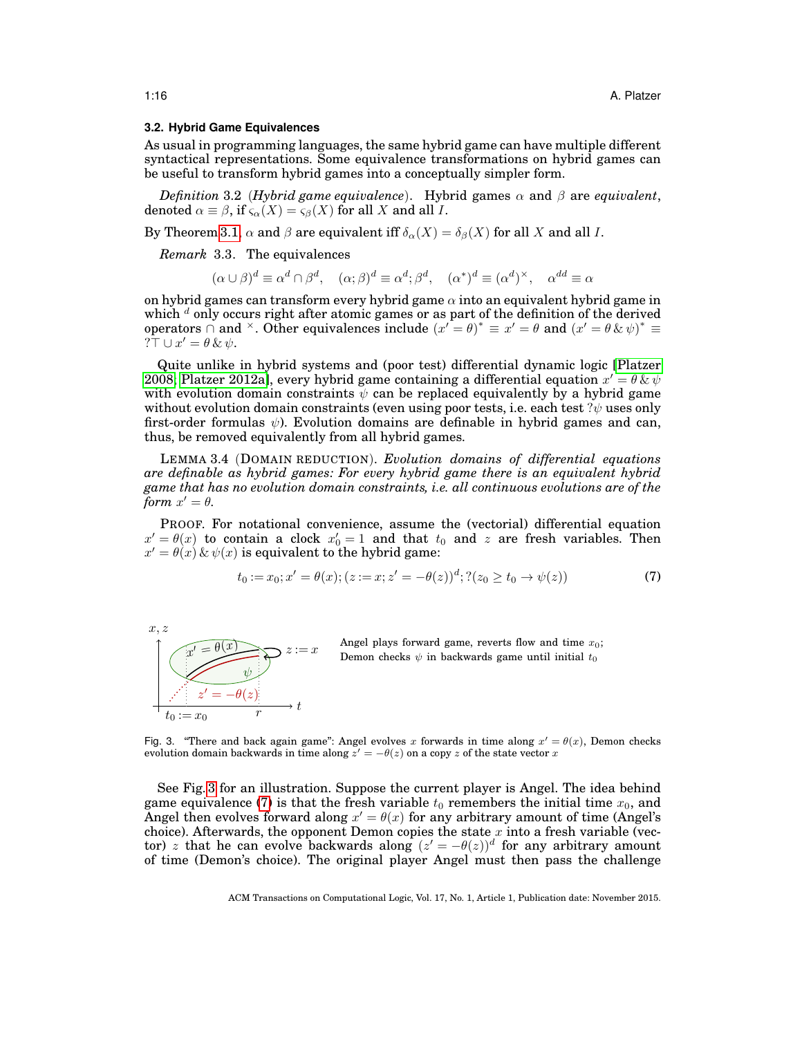#### <span id="page-15-0"></span>**3.2. Hybrid Game Equivalences**

As usual in programming languages, the same hybrid game can have multiple different syntactical representations. Some equivalence transformations on hybrid games can be useful to transform hybrid games into a conceptually simpler form.

*Definition* 3.2 (*Hybrid game equivalence*). Hybrid games  $\alpha$  and  $\beta$  are *equivalent*, denoted  $\alpha \equiv \beta$ , if  $\varsigma_{\alpha}(X) = \varsigma_{\beta}(X)$  for all X and all I.

By Theorem [3.1,](#page-14-1)  $\alpha$  and  $\beta$  are equivalent iff  $\delta_{\alpha}(X) = \delta_{\beta}(X)$  for all X and all I.

*Remark* 3.3. The equivalences

<span id="page-15-4"></span>
$$
(\alpha \cup \beta)^d \equiv \alpha^d \cap \beta^d, \quad (\alpha; \beta)^d \equiv \alpha^d; \beta^d, \quad (\alpha^*)^d \equiv (\alpha^d)^{\times}, \quad \alpha^{dd} \equiv \alpha^d
$$

on hybrid games can transform every hybrid game  $\alpha$  into an equivalent hybrid game in which  $d$  only occurs right after atomic games or as part of the definition of the derived operators  $\overrightarrow{\cap}$  and  $\overrightarrow{ }$ . Other equivalences include  $(x' = \theta)^* \equiv x' = \theta$  and  $(x' = \theta \& \psi)^* \equiv$  $? \top \cup x' = \theta \& \psi.$ 

Quite unlike in hybrid systems and (poor test) differential dynamic logic [\[Platzer](#page-49-3) [2008;](#page-49-3) [Platzer 2012a\]](#page-49-4), every hybrid game containing a differential equation  $x' = \theta \& \psi$ with evolution domain constraints  $\psi$  can be replaced equivalently by a hybrid game without evolution domain constraints (even using poor tests, i.e. each test  $?ψ$  uses only first-order formulas  $\psi$ ). Evolution domains are definable in hybrid games and can, thus, be removed equivalently from all hybrid games.

LEMMA 3.4 (DOMAIN REDUCTION). *Evolution domains of differential equations are definable as hybrid games: For every hybrid game there is an equivalent hybrid game that has no evolution domain constraints, i.e. all continuous evolutions are of the form*  $x' = \theta$ .

PROOF. For notational convenience, assume the (vectorial) differential equation  $x' = \theta(x)$  to contain a clock  $x'_0 = 1$  and that  $t_0$  and z are fresh variables. Then  $x' = \theta(x) \& \psi(x)$  is equivalent to the hybrid game:

<span id="page-15-2"></span>
$$
t_0 := x_0; x' = \theta(x); (z := x; z' = -\theta(z))^d; ?(z_0 \ge t_0 \to \psi(z))
$$
\n(7)



<span id="page-15-3"></span>Angel plays forward game, reverts flow and time  $x_0$ ; Demon checks  $\psi$  in backwards game until initial  $t_0$ 

<span id="page-15-1"></span>Fig. 3. "There and back again game": Angel evolves x forwards in time along  $x' = \theta(x)$ , Demon checks evolution domain backwards in time along  $z' = -\theta(z)$  on a copy z of the state vector x

See Fig. [3](#page-15-1) for an illustration. Suppose the current player is Angel. The idea behind game equivalence [\(7\)](#page-15-2) is that the fresh variable  $t_0$  remembers the initial time  $x_0$ , and Angel then evolves forward along  $x' = \theta(x)$  for any arbitrary amount of time (Angel's choice). Afterwards, the opponent Demon copies the state  $x$  into a fresh variable (vector) z that he can evolve backwards along  $(z' = -\theta(z))^d$  for any arbitrary amount of time (Demon's choice). The original player Angel must then pass the challenge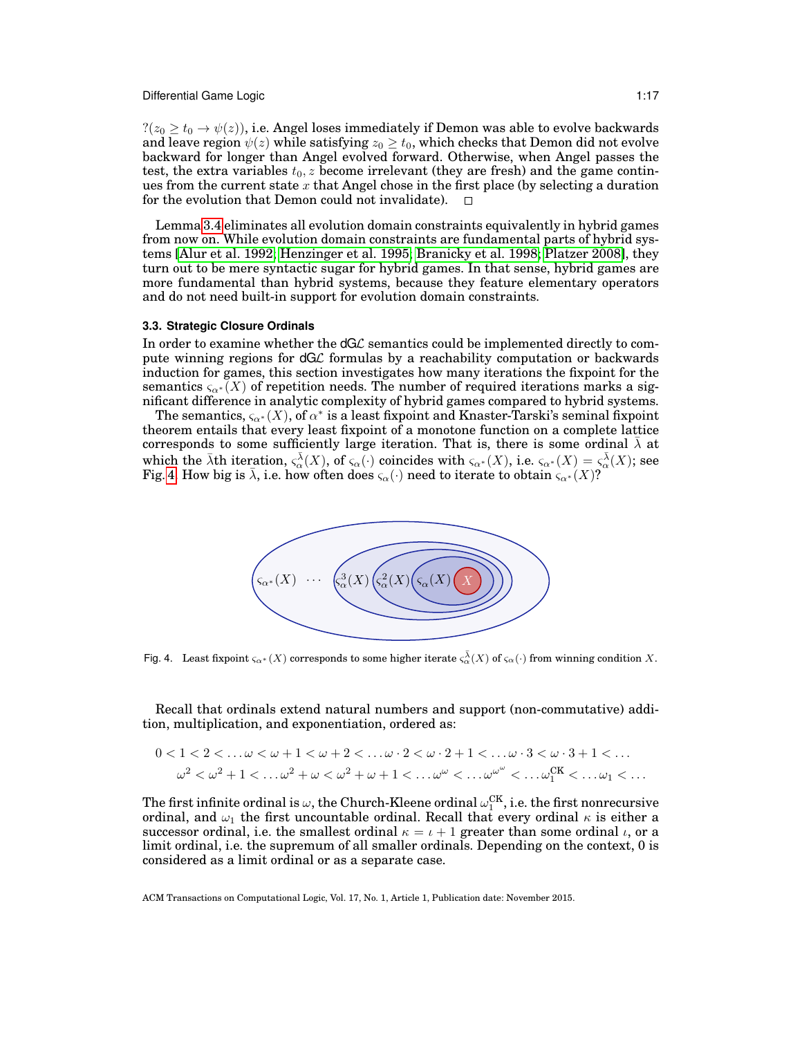$\mathcal{P}(z_0 \geq t_0 \rightarrow \psi(z))$ , i.e. Angel loses immediately if Demon was able to evolve backwards and leave region  $\psi(z)$  while satisfying  $z_0 \geq t_0$ , which checks that Demon did not evolve backward for longer than Angel evolved forward. Otherwise, when Angel passes the test, the extra variables  $t_0$ , z become irrelevant (they are fresh) and the game continues from the current state  $x$  that Angel chose in the first place (by selecting a duration for the evolution that Demon could not invalidate).  $\Box$ 

Lemma [3.4](#page-15-3) eliminates all evolution domain constraints equivalently in hybrid games from now on. While evolution domain constraints are fundamental parts of hybrid systems [\[Alur et al. 1992;](#page-47-9) [Henzinger et al. 1995;](#page-48-2) [Branicky et al. 1998;](#page-47-1) [Platzer 2008\]](#page-49-3), they turn out to be mere syntactic sugar for hybrid games. In that sense, hybrid games are more fundamental than hybrid systems, because they feature elementary operators and do not need built-in support for evolution domain constraints.

#### <span id="page-16-0"></span>**3.3. Strategic Closure Ordinals**

In order to examine whether the  $dG\mathcal{L}$  semantics could be implemented directly to compute winning regions for dGL formulas by a reachability computation or backwards induction for games, this section investigates how many iterations the fixpoint for the semantics  $\varsigma_{\alpha^*}(X)$  of repetition needs. The number of required iterations marks a significant difference in analytic complexity of hybrid games compared to hybrid systems.

The semantics,  $\varsigma_{\alpha^*}(X)$ , of  $\alpha^*$  is a least fixpoint and Knaster-Tarski's seminal fixpoint theorem entails that every least fixpoint of a monotone function on a complete lattice corresponds to some sufficiently large iteration. That is, there is some ordinal  $\lambda$  at which the  $\bar{\lambda}$ th iteration,  $\varsigma_\alpha^{\bar{\lambda}}(X)$ , of  $\varsigma_\alpha(\cdot)$  coincides with  $\varsigma_{\alpha^*}(X)$ , i.e.  $\varsigma_{\alpha^*}(X) = \varsigma_\alpha^{\bar{\lambda}}(X)$ ; see Fig. [4.](#page-16-1) How big is  $\bar{\lambda}$ , i.e. how often does  $\varsigma_{\alpha}(\cdot)$  need to iterate to obtain  $\varsigma_{\alpha^*}(X)$ ?



<span id="page-16-1"></span>Fig. 4. Least fixpoint  $\varsigma_{\alpha^*}(X)$  corresponds to some higher iterate  $\varsigma_\alpha^{\bar\lambda}(X)$  of  $\varsigma_\alpha(\cdot)$  from winning condition  $X$ .

Recall that ordinals extend natural numbers and support (non-commutative) addition, multiplication, and exponentiation, ordered as:

$$
0<1<2<\ldots\omega<\omega+1<\omega+2<\ldots\omega\cdot2<\omega\cdot2+1<\ldots\omega\cdot3<\omega\cdot3+1<\ldots
$$
  

$$
\omega^2<\omega^2+1<\ldots\omega^2+\omega<\omega^2+\omega+1<\ldots\omega^{\omega}<\ldots\omega^{\omega^{\omega}}<\ldots\omega_1^{CK}<\ldots\omega_1<\ldots
$$

The first infinite ordinal is  $\omega$ , the Church-Kleene ordinal  $\omega_{1}^{\text{CK}}$ , i.e. the first nonrecursive ordinal, and  $\omega_1$  the first uncountable ordinal. Recall that every ordinal  $\kappa$  is either a successor ordinal, i.e. the smallest ordinal  $\kappa = \iota + 1$  greater than some ordinal  $\iota$ , or a limit ordinal, i.e. the supremum of all smaller ordinals. Depending on the context, 0 is considered as a limit ordinal or as a separate case.

ACM Transactions on Computational Logic, Vol. 17, No. 1, Article 1, Publication date: November 2015.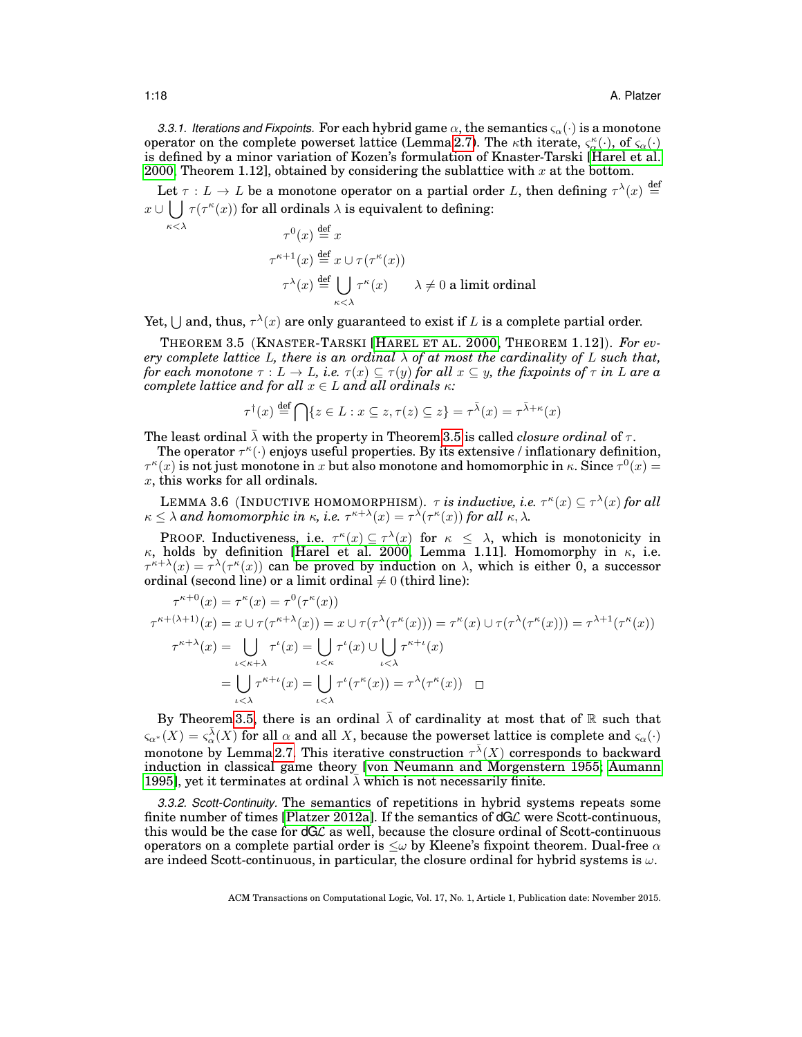*3.3.1. Iterations and Fixpoints.* For each hybrid game  $\alpha$ , the semantics  $\varsigma_{\alpha}(\cdot)$  is a monotone operator on the complete powerset lattice (Lemma [2.7\)](#page-11-2). The  $\kappa$ th iterate,  $\varsigma_\alpha^{\kappa}(\cdot)$ , of  $\varsigma_\alpha(\cdot)$ is defined by a minor variation of Kozen's formulation of Knaster-Tarski [\[Harel et al.](#page-48-9) [2000,](#page-48-9) Theorem 1.12], obtained by considering the sublattice with  $x$  at the bottom.

Let  $\tau : L \to L$  be a monotone operator on a partial order L, then defining  $\tau^{\lambda}(x) \stackrel{\text{def}}{=}$  $x \cup \begin{pmatrix} \end{pmatrix}$  $\tau(\tau^{\kappa}(x))$  for all ordinals  $\lambda$  is equivalent to defining:

$$
\tau^{0}(x) \stackrel{\text{def}}{=} x
$$
  
\n
$$
\tau^{\kappa+1}(x) \stackrel{\text{def}}{=} x \cup \tau(\tau^{\kappa}(x))
$$
  
\n
$$
\tau^{\lambda}(x) \stackrel{\text{def}}{=} \bigcup_{\kappa < \lambda} \tau^{\kappa}(x) \qquad \lambda \neq 0 \text{ a limit ordinal}
$$

Yet,  $\bigcup$  and, thus,  $\tau^{\lambda}(x)$  are only guaranteed to exist if L is a complete partial order.

THEOREM 3.5 (KNASTER-TARSKI [H[AREL ET AL](#page-48-9). 2000, THEOREM 1.12]). *For every complete lattice* L, there is an ordinal  $\bar{\lambda}$  of at most the cardinality of L such that, *for each monotone*  $\tau : L \to L$ *, i.e.*  $\tau(x) \subseteq \tau(y)$  *for all*  $x \subseteq y$ *, the fixpoints of*  $\tau$  *in* L are a *complete lattice and for all*  $x \in L$  *and all ordinals*  $\kappa$ *:* 

<span id="page-17-2"></span><span id="page-17-0"></span>
$$
\tau^{\dagger}(x) \stackrel{\text{def}}{=} \bigcap \{ z \in L : x \subseteq z, \tau(z) \subseteq z \} = \tau^{\bar{\lambda}}(x) = \tau^{\bar{\lambda} + \kappa}(x)
$$

The least ordinal  $\lambda$  with the property in Theorem [3.5](#page-17-0) is called *closure ordinal* of  $\tau$ .

The operator  $\tau^{\kappa}(\cdot)$  enjoys useful properties. By its extensive / inflationary definition,  $\tau^{\kappa}(x)$  is not just monotone in x but also monotone and homomorphic in  $\kappa$ . Since  $\tau^{0}(x) =$ x, this works for all ordinals.

LEMMA 3.6 (INDUCTIVE HOMOMORPHISM).  $\tau$  *is inductive, i.e.*  $\tau^{\kappa}(x) \subseteq \tau^{\lambda}(x)$  for all  $\kappa \leq \lambda$  and homomorphic in  $\kappa$ , i.e.  $\tau^{\kappa+\lambda}(x) = \tau^{\lambda}(\tau^{\kappa}(x))$  for all  $\kappa, \lambda$ .

**PROOF.** Inductiveness, i.e.  $\tau^{\kappa}(x) \subseteq \tau^{\lambda}(x)$  for  $\kappa \leq \lambda$ , which is monotonicity in κ, holds by definition [\[Harel et al. 2000,](#page-48-9) Lemma 1.11]. Homomorphy in  $\kappa$ , i.e.  $\tau^{\kappa+\lambda}(x) = \tau^{\lambda}(\tau^{\kappa}(x))$  can be proved by induction on  $\lambda$ , which is either 0, a successor ordinal (second line) or a limit ordinal  $\neq 0$  (third line):

$$
\tau^{\kappa+0}(x) = \tau^{\kappa}(x) = \tau^0(\tau^{\kappa}(x))
$$
  
\n
$$
\tau^{\kappa+(\lambda+1)}(x) = x \cup \tau(\tau^{\kappa+\lambda}(x)) = x \cup \tau(\tau^{\lambda}(\tau^{\kappa}(x))) = \tau^{\kappa}(x) \cup \tau(\tau^{\lambda}(\tau^{\kappa}(x))) = \tau^{\lambda+1}(\tau^{\kappa}(x))
$$
  
\n
$$
\tau^{\kappa+\lambda}(x) = \bigcup_{\iota < \kappa+1} \tau^{\iota}(x) = \bigcup_{\iota < \kappa} \tau^{\iota}(x) \cup \bigcup_{\iota < \lambda} \tau^{\kappa+\iota}(x)
$$
  
\n
$$
= \bigcup_{\iota < \lambda} \tau^{\kappa+\iota}(x) = \bigcup_{\iota < \lambda} \tau^{\iota}(\tau^{\kappa}(x)) = \tau^{\lambda}(\tau^{\kappa}(x)) \quad \Box
$$

By Theorem [3.5,](#page-17-0) there is an ordinal  $\bar{\lambda}$  of cardinality at most that of R such that  $\varsigma_{\alpha^*}(X)=\varsigma_\alpha^{\bar{\lambda}}(X)$  for all  $\alpha$  and all X, because the powerset lattice is complete and  $\varsigma_\alpha(\cdot)$ monotone by Lemma [2.7.](#page-11-2) This iterative construction  $\tau^{\bar{\lambda}}(X)$  corresponds to backward induction in classical game theory [\[von Neumann and Morgenstern 1955;](#page-50-4) [Aumann](#page-47-10) [1995\]](#page-47-10), yet it terminates at ordinal  $\overline{\lambda}$  which is not necessarily finite.

*3.3.2. Scott-Continuity.* The semantics of repetitions in hybrid systems repeats some finite number of times [\[Platzer 2012a\]](#page-49-4). If the semantics of dGL were Scott-continuous, this would be the case for dGL as well, because the closure ordinal of Scott-continuous operators on a complete partial order is  $\leq \omega$  by Kleene's fixpoint theorem. Dual-free  $\alpha$ are indeed Scott-continuous, in particular, the closure ordinal for hybrid systems is  $\omega$ .

 $\kappa<\lambda$ 

<span id="page-17-1"></span>ACM Transactions on Computational Logic, Vol. 17, No. 1, Article 1, Publication date: November 2015.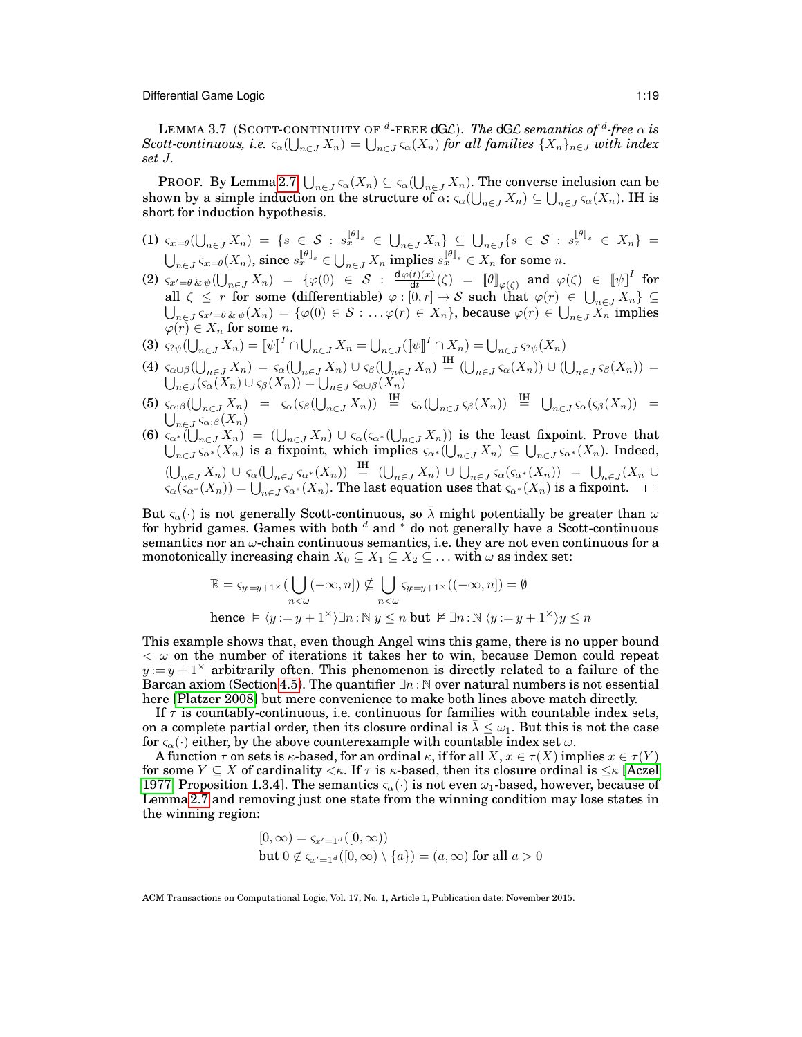LEMMA 3.7 (SCOTT-CONTINUITY OF  $^d$ -FREE  $\mathsf{dGL}$ ). *The*  $\mathsf{dGL}$  *semantics of*  $^d$ *-free*  $\alpha$  *is*  $S$ cott-continuous, i.e.  $\varsigma_\alpha(\bigcup_{n\in J}X_n)=\bigcup_{n\in J}\varsigma_\alpha(X_n)$  for all families  $\{X_n\}_{n\in J}$  with index *set* J*.*

PROOF. By Lemma [2.7,](#page-11-2)  $\bigcup_{n\in J}\varsigma_\alpha(X_n)\subseteq\varsigma_\alpha(\bigcup_{n\in J}X_n).$  The converse inclusion can be shown by a simple induction on the structure of  $\alpha$ :  $\varsigma_\alpha(\bigcup_{n\in J}X_n)\subseteq \bigcup_{n\in J}\varsigma_\alpha(X_n).$  IH is short for induction hypothesis.

- $(1)$   $\varsigma_{x = \theta} (\bigcup_{n \in J} X_n) \ = \ \{ s \ \in \ \mathcal{S} \ : \ s_{x}^{\llbracket \theta \rrbracket_{s}} \ \in \ \bigcup_{n \in J} X_n \} \ \subseteq \ \bigcup_{n \in J} \{ s \ \in \ \mathcal{S} \ : \ s_{x}^{\llbracket \theta \rrbracket_{s}} \ \in \ X_n \} \ =$  $\bigcup_{n\in J}\varsigma_{x=\theta}(X_n),$  since  $s_{x}^{[\![\theta]\!]_{s}}\in \bigcup_{n\in J}X_n$  implies  $s_{x}^{[\![\theta]\!]_{s}}\in X_n$  for some  $n.$
- $(2)$   $\varsigma_{x' = \theta} \, \& \, \psi(\bigcup_{n \in J} X_n) = \{ \varphi(0) \in S \; : \; \frac{\texttt{d}\varphi(t)(x)}{\texttt{d}t} \}$  $\frac{(\partial f)(x)}{\partial t}(\zeta)$  =  $\llbracket \theta \rrbracket_{\varphi(\zeta)}$  and  $\varphi(\zeta)$   $\in$   $\llbracket \psi \rrbracket^I$  for all  $\zeta \leq r$  for some (differentiable)  $\varphi : [0, r] \to S$  such that  $\varphi(r) \in \bigcup_{n \in J} X_n$   $\subseteq$  $\bigcup_{n\in J} \varsigma_{x'=\theta\,\&\,\psi}(X_n)=\{\varphi(0)\in\mathcal{S}:\dots\varphi(r)\in X_n\},$  because  $\varphi(r)\in \bigcup_{n\in J} X_n$  implies  $\varphi(r) \in X_n$  for some *n*.
- (3)  $\varsigma_{? \psi}(\bigcup_{n \in J} X_n) = [\![\psi]\!]^I \cap \bigcup_{n \in J} X_n = \bigcup_{n \in J} ([\![\psi]\!]^I \cap X_n) = \bigcup_{n \in J} \varsigma_{? \psi}(X_n)$  $n \in J \cup \{ \vee \}$   $\cdots \wedge n$   $\cup$   $\cup_{n \in J}$
- (4)  $\varsigma_{\alpha\cup\beta}(\bigcup_{n\in J}X_n) = \varsigma_{\alpha}(\bigcup_{n\in J}X_n) \cup \varsigma_{\beta}(\bigcup_{n\in J}X_n) \stackrel{\text{IH}}{=} (\bigcup_{n\in J}\varsigma_{\alpha}(X_n)) \cup (\bigcup_{n\in J}\varsigma_{\beta}(X_n)) =$  $\bigcup_{n\in J} (\varsigma_\alpha(X_n)\cup \varsigma_\beta(X_n)) = \bigcup_{n\in J} \varsigma_{\alpha\cup\beta}(X_n)$
- (5)  $\varsigma_{\alpha;\beta}(\bigcup_{n\in J}X_n) = \varsigma_{\alpha}(\varsigma_{\beta}(\bigcup_{n\in J}X_n)) \stackrel{\text{IH}}{=} \varsigma_{\alpha}(\bigcup_{n\in J}\varsigma_{\beta}(X_n)) \stackrel{\text{IH}}{=} \bigcup_{n\in J}\varsigma_{\alpha}(\varsigma_{\beta}(X_n)) =$  $\bigcup_{n\in J}\overline{\varsigma_{\alpha;\beta}}(X_n)$
- (6)  $\zeta_{\alpha^*}(\bigcup_{n\in J}X_n) = (\bigcup_{n\in J}X_n)\cup \zeta_{\alpha}(\zeta_{\alpha^*}(\bigcup_{n\in J}X_n))$  is the least fixpoint. Prove that  $\bigcup_{n\in J} \varsigma_{\alpha^*}(X_n)$  is a fixpoint, which implies  $\varsigma_{\alpha^*}(\bigcup_{n\in J} X_n) \subseteq \bigcup_{n\in J} \varsigma_{\alpha^*}(X_n)$ . Indeed,  $(\bigcup_{n\in J} X_n) \cup \varsigma_\alpha (\bigcup_{n\in J} \varsigma_{\alpha^*}(X_n)) \stackrel{\text{IH}}{=} (\bigcup_{n\in J} X_n) \cup \bigcup_{n\in J} \varsigma_\alpha (\varsigma_{\alpha^*}(X_n)) = \bigcup_{n\in J} (X_n \cup X_n)$  $\varsigma_\alpha(\varsigma_{\alpha^*}(X_n)) = \bigcup_{n \in J} \varsigma_{\alpha^*}(X_n).$  The last equation uses that  $\varsigma_{\alpha^*}(X_n)$  is a fixpoint.

But  $\varsigma_{\alpha}(\cdot)$  is not generally Scott-continuous, so  $\bar{\lambda}$  might potentially be greater than  $\omega$ for hybrid games. Games with both  $^d$  and  $^*$  do not generally have a Scott-continuous semantics nor an  $\omega$ -chain continuous semantics, i.e. they are not even continuous for a monotonically increasing chain  $X_0 \subseteq X_1 \subseteq X_2 \subseteq \ldots$  with  $\omega$  as index set:

$$
\mathbb{R} = s_{y=y+1} \times \left( \bigcup_{n < \omega} (-\infty, n] \right) \nsubseteq \bigcup_{n < \omega} s_{y=y+1} \times \left( (-\infty, n] \right) = \emptyset
$$
\nhence  $\models \langle y := y + 1^{\times} \rangle \exists n : \mathbb{N} \setminus y \leq n$  but  $\nvDash \exists n : \mathbb{N} \langle y := y + 1^{\times} \rangle y \leq n$ 

This example shows that, even though Angel wins this game, there is no upper bound  $<$   $\omega$  on the number of iterations it takes her to win, because Demon could repeat  $y := y + 1^{\times}$  arbitrarily often. This phenomenon is directly related to a failure of the Barcan axiom (Section [4.5\)](#page-33-0). The quantifier  $\exists n : \mathbb{N}$  over natural numbers is not essential here [\[Platzer 2008\]](#page-49-3) but mere convenience to make both lines above match directly.

If  $\tau$  is countably-continuous, i.e. continuous for families with countable index sets, on a complete partial order, then its closure ordinal is  $\bar{\lambda} \leq \omega_1$ . But this is not the case for  $\varsigma_{\alpha}(\cdot)$  either, by the above counterexample with countable index set  $\omega$ .

A function  $\tau$  on sets is  $\kappa$ -based, for an ordinal  $\kappa$ , if for all  $X, x \in \tau(X)$  implies  $x \in \tau(Y)$ for some  $Y \subseteq X$  of cardinality  $\lt k$ . If  $\tau$  is  $\kappa$ -based, then its closure ordinal is  $\leq \kappa$  [\[Aczel](#page-47-11) [1977,](#page-47-11) Proposition 1.3.4]. The semantics  $\varsigma_{\alpha}(\cdot)$  is not even  $\omega_1$ -based, however, because of Lemma [2.7](#page-11-2) and removing just one state from the winning condition may lose states in the winning region:

$$
[0, \infty) = s_{x'=1}a([0, \infty))
$$
  
but  $0 \notin s_{x'=1}a([0, \infty) \setminus \{a\}) = (a, \infty)$  for all  $a > 0$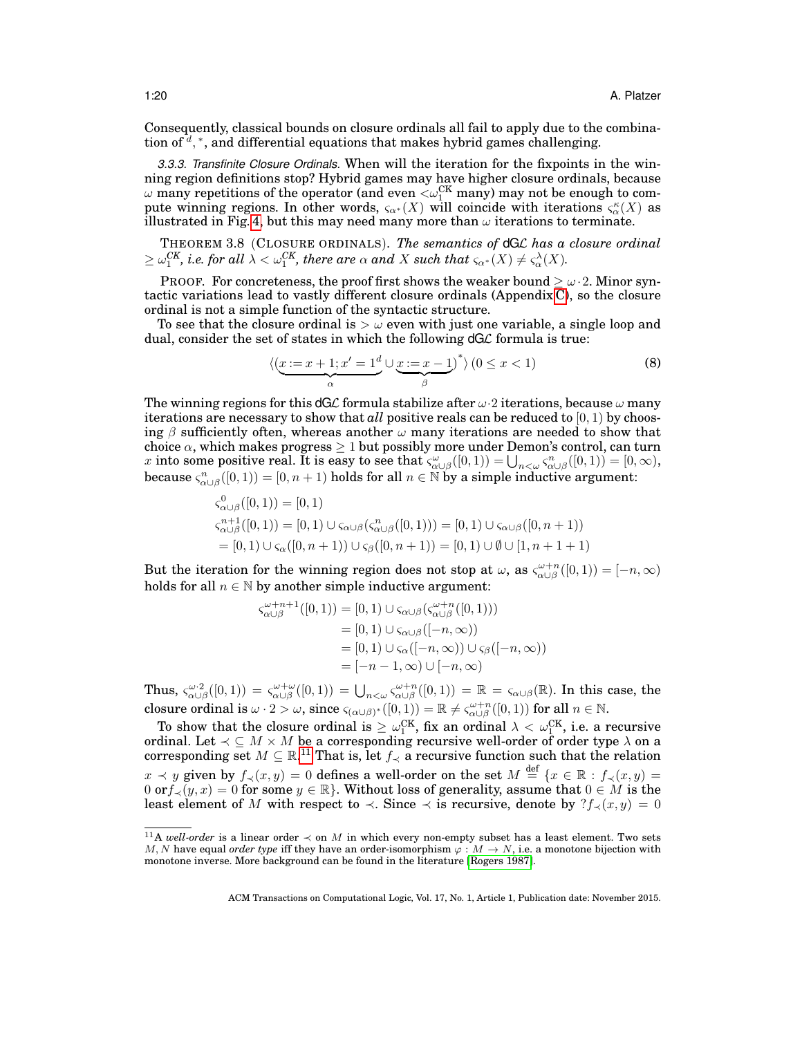Consequently, classical bounds on closure ordinals all fail to apply due to the combination of  $d$ , \*, and differential equations that makes hybrid games challenging.

*3.3.3. Transfinite Closure Ordinals.* When will the iteration for the fixpoints in the winning region definitions stop? Hybrid games may have higher closure ordinals, because  $\omega$  many repetitions of the operator (and even  $<\!\omega_{1}^{\text{CK}}$  many) may not be enough to compute winning regions. In other words,  $\varsigma_{\alpha^*}(X)$  will coincide with iterations  $\varsigma_\alpha^{\kappa}(X)$  as illustrated in Fig. [4,](#page-16-1) but this may need many more than  $\omega$  iterations to terminate.

<span id="page-19-1"></span>THEOREM 3.8 (CLOSURE ORDINALS). *The semantics of* dGL *has a closure ordinal*  $\geq \omega_{1}^{CK},$  i.e. for all  $\lambda < \omega_{1}^{CK},$  there are  $\alpha$  and  $X$  such that  $\varsigma_{\alpha^{*}}(X) \neq \varsigma_{\alpha}^{\lambda}(X).$ 

PROOF. For concreteness, the proof first shows the weaker bound  $\geq \omega \cdot 2$ . Minor syntactic variations lead to vastly different closure ordinals (Appendix [C\)](#page-57-0), so the closure ordinal is not a simple function of the syntactic structure.

To see that the closure ordinal is  $\sim \omega$  even with just one variable, a single loop and dual, consider the set of states in which the following  $dG\mathcal{L}$  formula is true:

<span id="page-19-2"></span>
$$
\langle \underbrace{(x:=x+1;x'=1^d)}_{\alpha} \cup \underbrace{x:=x-1}_{\beta} \rangle^* \rangle \left(0 \le x < 1\right) \tag{8}
$$

The winning regions for this  $dG\mathcal{L}$  formula stabilize after  $\omega \cdot 2$  iterations, because  $\omega$  many iterations are necessary to show that *all* positive reals can be reduced to  $[0, 1)$  by choosing  $\beta$  sufficiently often, whereas another  $\omega$  many iterations are needed to show that choice  $\alpha$ , which makes progress  $\geq 1$  but possibly more under Demon's control, can turn  $x \text{ into some positive real. It is easy to see that } \varsigma_{\alpha \cup \beta}^{\omega}([0,1)) = \bigcup_{n < \omega} \varsigma_{\alpha \cup \beta}^n([0,1)) = [0, \infty),$ because  $\varsigma_{\alpha\cup\beta}^n([0,1))=[0,n+1)$  holds for all  $n\in\mathbb{N}$  by a simple inductive argument:

$$
\begin{aligned} \varsigma^0_{\alpha\cup\beta}([0,1)) &= [0,1) \\ \varsigma^{n+1}_{\alpha\cup\beta}([0,1)) &= [0,1) \cup \varsigma_{\alpha\cup\beta}(\varsigma^n_{\alpha\cup\beta}([0,1))) = [0,1) \cup \varsigma_{\alpha\cup\beta}([0,n+1)) \\ &= [0,1) \cup \varsigma_{\alpha}([0,n+1)) \cup \varsigma_{\beta}([0,n+1)) = [0,1) \cup \emptyset \cup [1,n+1+1) \end{aligned}
$$

But the iteration for the winning region does not stop at  $\omega$ , as  $\varsigma^{\omega+n}_{\alpha\cup\beta}([0,1)) = [-n,\infty)$ holds for all  $n \in \mathbb{N}$  by another simple inductive argument:

$$
\begin{aligned} \varsigma^{\omega+n+1}_{\alpha\cup\beta}([0,1)) &= [0,1) \cup \varsigma_{\alpha\cup\beta}(\varsigma^{\omega+n}_{\alpha\cup\beta}([0,1))) \\ &= [0,1) \cup \varsigma_{\alpha\cup\beta}([-n,\infty)) \\ &= [0,1) \cup \varsigma_{\alpha}([-n,\infty)) \cup \varsigma_{\beta}([-n,\infty)) \\ &= [-n-1,\infty) \cup [-n,\infty) \end{aligned}
$$

Thus,  $\varsigma_{\alpha\cup\beta}^{\omega^2}(0,1) = \varsigma_{\alpha\cup\beta}^{\omega^2}(0,1) = \bigcup_{n<\omega} \varsigma_{\alpha\cup\beta}^{\omega^2}(0,1) = \mathbb{R} = \varsigma_{\alpha\cup\beta}(\mathbb{R})$ . In this case, the closure ordinal is  $\omega \cdot 2 > \omega$ , since  $\varsigma_{(\alpha \cup \beta)^*}([0,1)) = \mathbb{R} \neq \varsigma_{\alpha \cup \beta}^{\omega+n}([0,1))$  for all  $n \in \mathbb{N}$ .

To show that the closure ordinal is  $\geq \omega_{1}^{\text{CK}},$  fix an ordinal  $\lambda < \omega_{1}^{\text{CK}},$  i.e. a recursive ordinal. Let  $\prec\ \subseteq M\times M$  be a corresponding recursive well-order of order type  $\lambda$  on a corresponding set  $M \subseteq \mathbb{R}^{11}$  $M \subseteq \mathbb{R}^{11}$  $M \subseteq \mathbb{R}^{11}$  That is, let  $f_{\prec}$  a recursive function such that the relation  $x \prec y$  given by  $f_\prec(x,y) = 0$  defines a well-order on the set  $M \stackrel{\mathsf{def}}{=} \{x \in \mathbb{R} : f_\prec(x,y) = 0\}$  $0 \text{ or } f_<(y,x) = 0 \text{ for some } y \in \mathbb{R}$ . Without loss of generality, assume that  $0 \in M$  is the least element of M with respect to  $\prec$ . Since  $\prec$  is recursive, denote by  $?f_{\prec}(x,y) = 0$ 

<span id="page-19-0"></span><sup>&</sup>lt;sup>11</sup>A *well-order* is a linear order  $\prec$  on M in which every non-empty subset has a least element. Two sets M, N have equal *order type* iff they have an order-isomorphism  $\varphi : M \to N$ , i.e. a monotone bijection with monotone inverse. More background can be found in the literature [\[Rogers 1987\]](#page-49-17).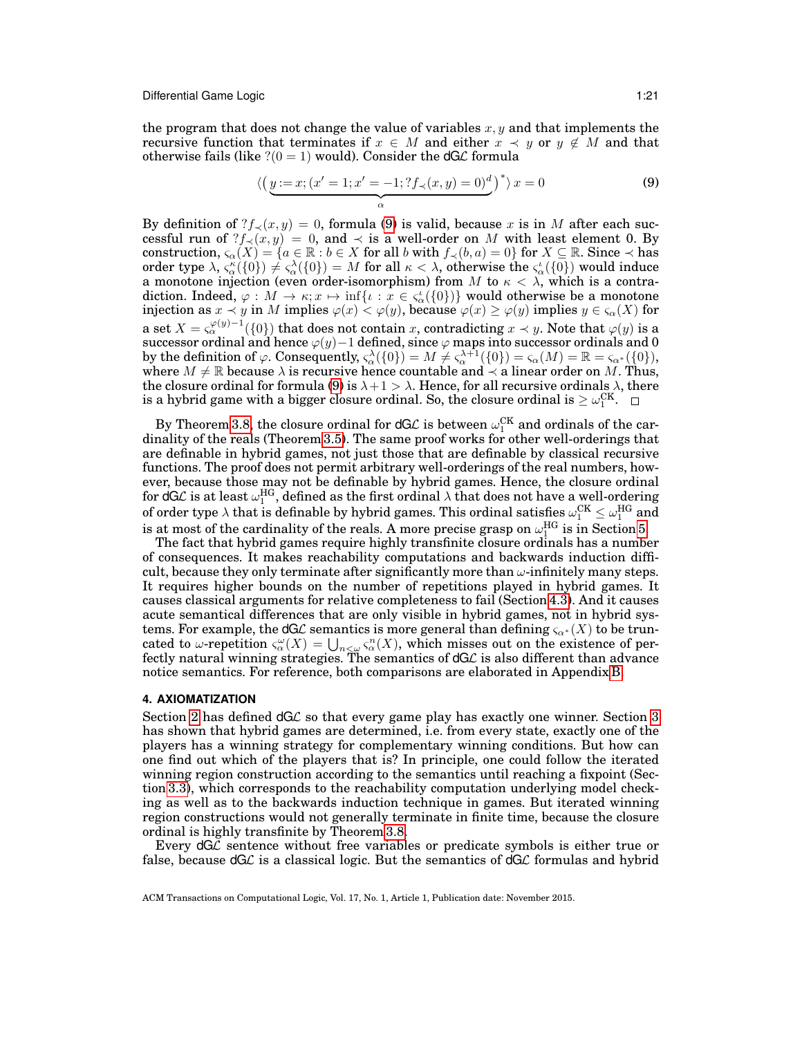the program that does not change the value of variables  $x, y$  and that implements the recursive function that terminates if  $x \in M$  and either  $x \prec y$  or  $y \notin M$  and that otherwise fails (like  $?$  (0 = 1) would). Consider the dG $\mathcal{L}$  formula

<span id="page-20-1"></span>
$$
\langle \left(\underline{y}:=x; (x'=1; x'=-1; ?f_{\prec}(x, y)=0)^d\right)^* \rangle x=0
$$
\n(9)

By definition of  $?f_{\prec}(x, y) = 0$ , formula [\(9\)](#page-20-1) is valid, because x is in M after each successful run of  $?f_{\prec}(x, y) = 0$ , and  $\prec$  is a well-order on M with least element 0. By construction,  $\varsigma_{\alpha}(X) = \{a \in \mathbb{R} : b \in X \text{ for all } b \text{ with } f_{\prec}(b, a) = 0\}$  for  $X \subseteq \mathbb{R}$ . Since  $\prec$  has order type  $\lambda$ ,  $\varsigma_\alpha^{\kappa}(\{0\})\neq \varsigma_\alpha^{\lambda}(\{0\})=M$  for all  $\kappa<\lambda$ , otherwise the  $\varsigma_\alpha^{\iota}(\{0\})$  would induce a monotone injection (even order-isomorphism) from M to  $\kappa < \lambda$ , which is a contradiction. Indeed,  $\varphi:M\to \kappa;x\mapsto \inf\{\iota: x\in \varsigma_\alpha^\iota(\{0\})\}$  would otherwise be a monotone injection as  $x\prec y$  in  $M$  implies  $\varphi(x)<\varphi(y),$  because  $\varphi(x)\geq\varphi(y)$  implies  $y\in\varsigma_{\alpha}(X)$  for a set  $X=\varsigma^{\varphi(y)-1}_{\alpha}(\{0\})$  that does not contain  $x,$  contradicting  $x\prec y.$  Note that  $\varphi(y)$  is a successor ordinal and hence  $\varphi(y)-1$  defined, since  $\varphi$  maps into successor ordinals and 0 by the definition of  $\varphi$ . Consequently,  $\varsigma_{\alpha}^{\lambda}(\{0\}) = M \neq \varsigma_{\alpha}^{\lambda+1}(\{0\}) = \varsigma_{\alpha}(M) = \mathbb{R} = \varsigma_{\alpha^*}(\{0\}),$ where  $M \neq \mathbb{R}$  because  $\lambda$  is recursive hence countable and  $\lambda$  a linear order on M. Thus, the closure ordinal for formula [\(9\)](#page-20-1) is  $\lambda + 1 > \lambda$ . Hence, for all recursive ordinals  $\lambda$ , there is a hybrid game with a bigger closure ordinal. So, the closure ordinal is  $\geq \omega_{1}^{\text{CK}}.$ 

By Theorem [3.8,](#page-19-1) the closure ordinal for dGL is between  $\omega_{1}^{\text{CK}}$  and ordinals of the cardinality of the reals (Theorem [3.5\)](#page-17-0). The same proof works for other well-orderings that are definable in hybrid games, not just those that are definable by classical recursive functions. The proof does not permit arbitrary well-orderings of the real numbers, however, because those may not be definable by hybrid games. Hence, the closure ordinal for dGL is at least  $\omega_1^{\text{HG}},$  defined as the first ordinal  $\lambda$  that does not have a well-ordering of order type  $\lambda$  that is definable by hybrid games. This ordinal satisfies  $\omega_{1}^{\text{CK}}\leq\omega_{1}^{\text{HG}}$  and is at most of the cardinality of the reals. A more precise grasp on  $\omega^\text{HG}_1$  is in Section [5.](#page-35-0)

The fact that hybrid games require highly transfinite closure ordinals has a number of consequences. It makes reachability computations and backwards induction difficult, because they only terminate after significantly more than  $\omega$ -infinitely many steps. It requires higher bounds on the number of repetitions played in hybrid games. It causes classical arguments for relative completeness to fail (Section [4.3\)](#page-26-0). And it causes acute semantical differences that are only visible in hybrid games, not in hybrid systems. For example, the dGL semantics is more general than defining  $\varsigma_{\alpha^*}(X)$  to be truncated to  $\omega$ -repetition  $\zeta_\alpha^{\omega}(X) = \bigcup_{n \leq \omega} \zeta_\alpha^n(X)$ , which misses out on the existence of perfectly natural winning strategies. The semantics of dGL is also different than advance notice semantics. For reference, both comparisons are elaborated in Appendix [B.](#page-42-0)

#### <span id="page-20-0"></span>**4. AXIOMATIZATION**

Section [2](#page-3-0) has defined dGL so that every game play has exactly one winner. Section [3](#page-12-0) has shown that hybrid games are determined, i.e. from every state, exactly one of the players has a winning strategy for complementary winning conditions. But how can one find out which of the players that is? In principle, one could follow the iterated winning region construction according to the semantics until reaching a fixpoint (Section [3.3\)](#page-16-0), which corresponds to the reachability computation underlying model checking as well as to the backwards induction technique in games. But iterated winning region constructions would not generally terminate in finite time, because the closure ordinal is highly transfinite by Theorem [3.8.](#page-19-1)

Every  $dG\mathcal{L}$  sentence without free variables or predicate symbols is either true or false, because  $dG\mathcal{L}$  is a classical logic. But the semantics of  $dG\mathcal{L}$  formulas and hybrid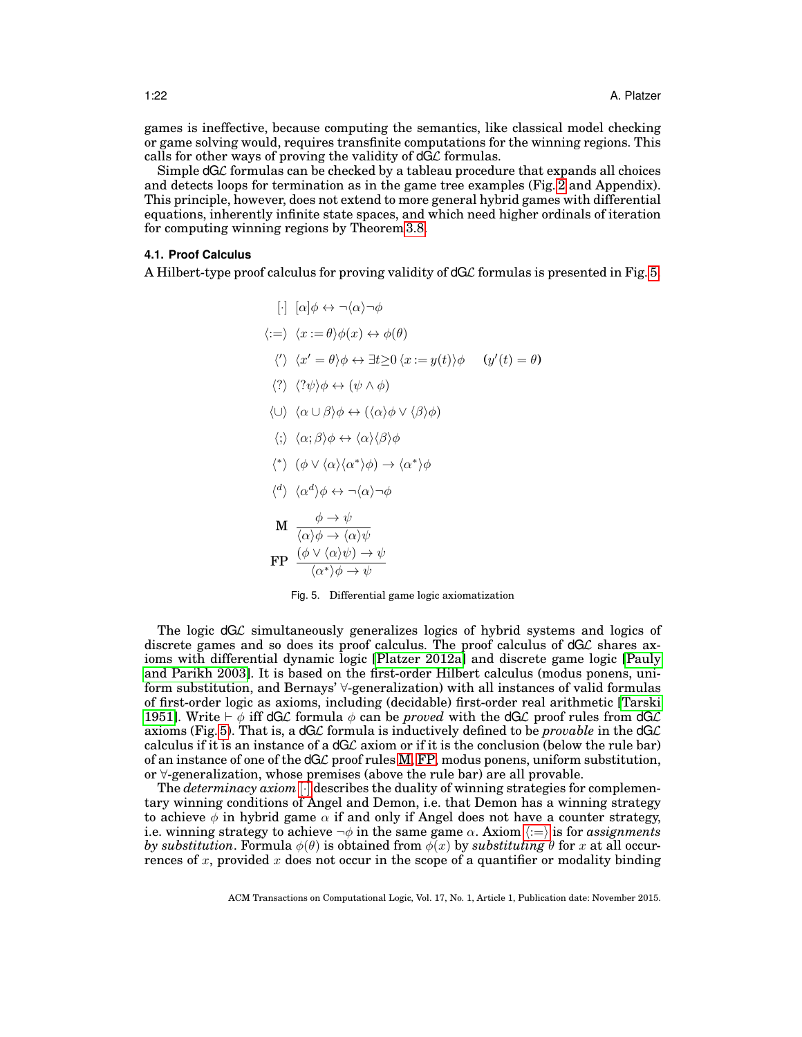games is ineffective, because computing the semantics, like classical model checking or game solving would, requires transfinite computations for the winning regions. This calls for other ways of proving the validity of  $dG\mathcal{L}$  formulas.

Simple  $dG\mathcal{L}$  formulas can be checked by a tableau procedure that expands all choices and detects loops for termination as in the game tree examples (Fig. [2](#page-13-0) and Appendix). This principle, however, does not extend to more general hybrid games with differential equations, inherently infinite state spaces, and which need higher ordinals of iteration for computing winning regions by Theorem [3.8.](#page-19-1)

#### <span id="page-21-0"></span>**4.1. Proof Calculus**

A Hilbert-type proof calculus for proving validity of  $dG\mathcal{L}$  formulas is presented in Fig. [5.](#page-21-1)

<span id="page-21-9"></span><span id="page-21-8"></span><span id="page-21-7"></span><span id="page-21-6"></span><span id="page-21-5"></span><span id="page-21-4"></span> $[\cdot] [\alpha] \phi \leftrightarrow \neg \langle \alpha \rangle \neg \phi$  $\langle := \rangle \langle x := \theta \rangle \phi(x) \leftrightarrow \phi(\theta)$  $\langle \langle \rangle \rangle \langle x' = \theta \rangle \phi \leftrightarrow \exists t \geq 0 \langle x := y(t) \rangle \phi \quad (y'(t) = \theta)$  $\langle ? \rangle$   $\langle ? \psi \rangle \phi \leftrightarrow (\psi \wedge \phi)$  $\langle \cup \rangle$   $\langle \alpha \cup \beta \rangle \phi \leftrightarrow (\langle \alpha \rangle \phi \vee \langle \beta \rangle \phi)$  $\langle ; \rangle$   $\langle \alpha ; \beta \rangle \phi \leftrightarrow \langle \alpha \rangle \langle \beta \rangle \phi$  $\langle * \rangle$   $(\phi \vee \langle \alpha \rangle \langle \alpha^* \rangle \phi) \rightarrow \langle \alpha^* \rangle \phi$  $\langle \alpha^d \rangle \langle \alpha^d \rangle \phi \leftrightarrow \neg \langle \alpha \rangle \neg \phi$  $\mathbf{M} \xrightarrow[\ell \to \ell \to \ell]{} \phi \to \psi$  $\langle \alpha \rangle \phi \rightarrow \langle \alpha \rangle \psi$  $\text{FP} \ \ \frac{(\phi \lor \langle \alpha \rangle \psi) \to \psi}{\langle \alpha^* \rangle \phi \to \psi}$ 

<span id="page-21-11"></span><span id="page-21-10"></span><span id="page-21-3"></span><span id="page-21-2"></span><span id="page-21-1"></span>Fig. 5. Differential game logic axiomatization

The logic dGL simultaneously generalizes logics of hybrid systems and logics of discrete games and so does its proof calculus. The proof calculus of  $dG\mathcal{L}$  shares axioms with differential dynamic logic [\[Platzer 2012a\]](#page-49-4) and discrete game logic [\[Pauly](#page-49-14) [and Parikh 2003\]](#page-49-14). It is based on the first-order Hilbert calculus (modus ponens, uniform substitution, and Bernays' ∀-generalization) with all instances of valid formulas of first-order logic as axioms, including (decidable) first-order real arithmetic [\[Tarski](#page-49-18) [1951\]](#page-49-18). Write  $\vdash \phi$  iff dGL formula  $\phi$  can be *proved* with the dGL proof rules from dGL axioms (Fig. [5\)](#page-21-1). That is, a  $dG\mathcal{L}$  formula is inductively defined to be *provable* in the  $dG\mathcal{L}$ calculus if it is an instance of a dGL axiom or if it is the conclusion (below the rule bar) of an instance of one of the  $dG\mathcal{L}$  proof rules [M,](#page-21-2) [FP,](#page-21-3) modus ponens, uniform substitution, or ∀-generalization, whose premises (above the rule bar) are all provable.

The *determinacy axiom* [\[](#page-21-4)·] describes the duality of winning strategies for complementary winning conditions of Angel and Demon, i.e. that Demon has a winning strategy to achieve  $\phi$  in hybrid game  $\alpha$  if and only if Angel does not have a counter strategy, i.e. winning strategy to achieve  $\neg \phi$  in the same game  $\alpha$ . Axiom  $\langle := \rangle$  $\langle := \rangle$  $\langle := \rangle$  is for *assignments by substitution.* Formula  $\phi(\theta)$  is obtained from  $\phi(x)$  by *substituting*  $\theta$  for x at all occurrences of x, provided x does not occur in the scope of a quantifier or modality binding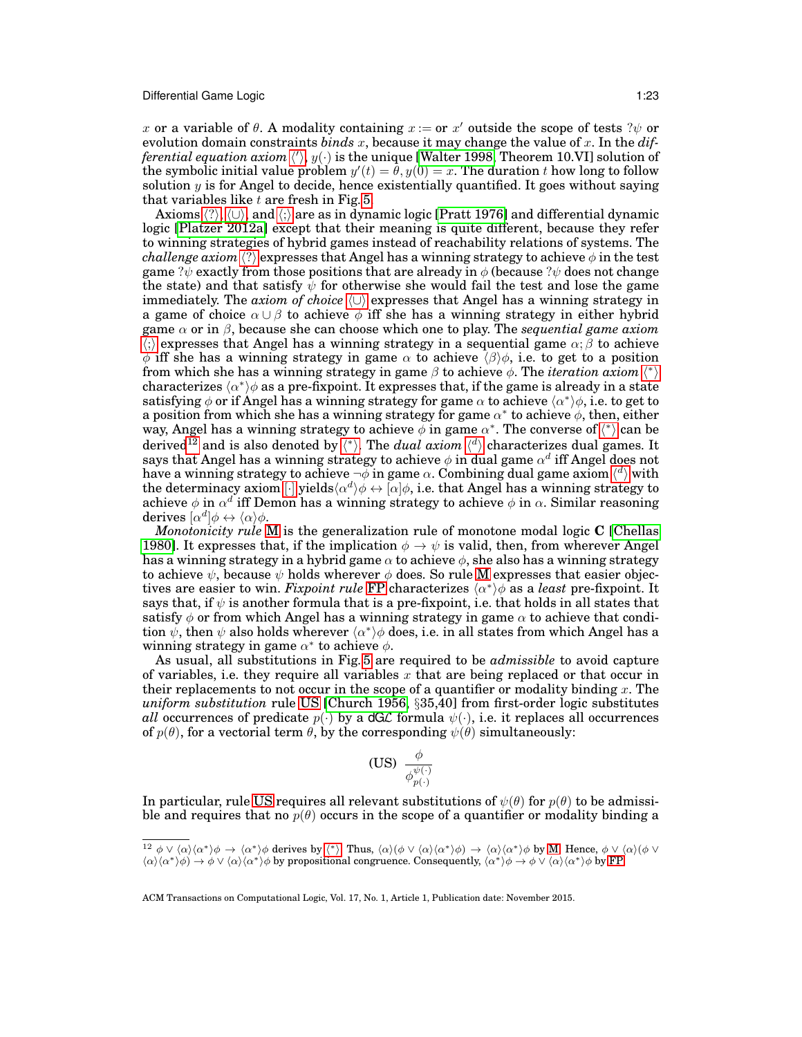x or a variable of  $\theta$ . A modality containing  $x :=$  or  $x'$  outside the scope of tests ? $\psi$  or evolution domain constraints *binds* x, because it may change the value of x. In the *dif*ferential equation axiom  $\langle\!\langle \rangle, y(\cdot)$  is t[h](#page-21-6)e unique [\[Walter 1998,](#page-50-5) Theorem 10.VI] solution of the symbolic initial value problem  $y'(t) = \theta, y(0) = x$ . The duration t how long to follow solution  $y$  is for Angel to decide, hence existentially quantified. It goes without saying that variables like  $t$  are fresh in Fig. [5.](#page-21-1)

Axioms  $\langle ? \rangle$  $\langle ? \rangle$  $\langle ? \rangle$ ,  $\langle \cup \rangle$ , and  $\langle ; \rangle$  are as in dynamic logic [\[Pratt 1976\]](#page-49-5) and differential dynamic logic [\[Platzer 2012a\]](#page-49-4) except that their meaning is quite different, because they refer to winning strategies of hybrid games instead of reachability relations of systems. The *challenge axiom*  $\langle ? \rangle$  $\langle ? \rangle$  $\langle ? \rangle$  expresses that Angel has a winning strategy to achieve  $\phi$  in the test game ? $\psi$  exactly from those positions that are already in  $\phi$  (because ? $\psi$  does not change the state) and that satisfy  $\psi$  for otherwise she would fail the test and lose the game immediately. The *axiom of choice*  $\langle \cup \rangle$  expresses that Angel has a winning strategy in a game of choice  $\alpha \cup \beta$  to achieve  $\phi$  iff she has a winning strategy in either hybrid game α or in β, because she can choose which one to play. The *sequential game axiom*  $\langle \cdot \rangle$  expresses t[h](#page-21-9)at Angel has a winning strategy in a sequential game  $\alpha$ ;  $\beta$  to achieve  $\phi$  iff she has a winning strategy in game  $\alpha$  to achieve  $\langle \beta \rangle \phi$ , i.e. to get to a position from w[h](#page-21-10)ich she has a winning strategy in game  $\beta$  to achieve  $\phi$ . The *iteration axiom*  $\langle \rangle$ characterizes  $\langle \alpha^* \rangle \phi$  as a pre-fixpoint. It expresses that, if the game is already in a state satisfying  $\phi$  or if Angel has a winning strategy for game  $\alpha$  to achieve  $\langle \alpha^* \rangle \phi$ , i.e. to get to a position from which she has a winning strategy for game  $\alpha^*$  to achieve  $\phi$ , then, either way, Angel [h](#page-21-10)as a winning strategy to achieve  $\phi$  in game  $\alpha^*$ . The converse of  $\langle^* \rangle$  can be derived<sup>[12](#page-22-0)</sup> and is also denoted by  $\langle * \rangle$ . T[h](#page-21-11)e *dual axiom*  $\langle d \rangle$  characterizes dual games. It says that Angel has a winning strategy to achieve  $\phi$  in dual game  $\alpha^d$  iff Angel does not [h](#page-21-11)ave a winning strategy to achieve  $\neg\phi$  in game  $\alpha$ . Combining dual game axiom  $\langle{}^d\rangle$  with the determinacy axiom  $[\cdot]$  $[\cdot]$  yields $\langle \alpha^d \rangle \phi \leftrightarrow [\alpha] \phi$ , i.e. that Angel has a winning strategy to achieve  $\phi$  in  $\alpha^d$  iff Demon has a winning strategy to achieve  $\phi$  in  $\alpha$ . Similar reasoning derives  $\lbrack \alpha^d \rbrack \phi \leftrightarrow \langle \alpha \rangle \phi$ .

*Monotonicity rule* [M](#page-21-2) is the generalization rule of monotone modal logic **C** [\[Chellas](#page-47-8) [1980\]](#page-47-8). It expresses that, if the implication  $\phi \rightarrow \psi$  is valid, then, from wherever Angel has a winning strategy in a hybrid game  $\alpha$  to achieve  $\phi$ , she also has a winning strategy to achieve  $\psi$ , because  $\psi$  holds wherever  $\phi$  does. So rule [M](#page-21-2) expresses that easier objectives are easier to win. *Fixpoint rule* [FP](#page-21-3) characterizes  $\langle \alpha^* \rangle \phi$  as a *least* pre-fixpoint. It says that, if  $\psi$  is another formula that is a pre-fixpoint, i.e. that holds in all states that satisfy  $\phi$  or from which Angel has a winning strategy in game  $\alpha$  to achieve that condition  $\psi$ , then  $\psi$  also holds wherever  $\langle \alpha^* \rangle \phi$  does, i.e. in all states from which Angel has a winning strategy in game  $\alpha^*$  to achieve  $\phi$ .

As usual, all substitutions in Fig. [5](#page-21-1) are required to be *admissible* to avoid capture of variables, i.e. they require all variables  $x$  that are being replaced or that occur in their replacements to not occur in the scope of a quantifier or modality binding  $x$ . The *uniform substitution* rule [US](#page-22-1) [\[Church 1956,](#page-47-12) §35,40] from first-order logic substitutes *all* occurrences of predicate  $p(\cdot)$  by a dGL formula  $\psi(\cdot)$ , i.e. it replaces all occurrences of  $p(\theta)$ , for a vectorial term  $\theta$ , by the corresponding  $\psi(\theta)$  simultaneously:

<span id="page-22-1"></span>
$$
\textbf{(US)}\;\; \frac{\phi}{\phi_{p(\cdot)}^{\psi(\cdot)}}
$$

In particular, rule [US](#page-22-1) requires all relevant substitutions of  $\psi(\theta)$  for  $p(\theta)$  to be admissible and requires that no  $p(\theta)$  occurs in the scope of a quantifier or modality binding a

<span id="page-22-0"></span> $^{12} \phi \vee \langle \alpha \rangle \langle \alpha^* \rangle \phi \rightarrow \langle \alpha^* \rangle \phi$  $^{12} \phi \vee \langle \alpha \rangle \langle \alpha^* \rangle \phi \rightarrow \langle \alpha^* \rangle \phi$  $^{12} \phi \vee \langle \alpha \rangle \langle \alpha^* \rangle \phi \rightarrow \langle \alpha^* \rangle \phi$  derives by  $\langle^* \rangle$ . Thus,  $\langle \alpha \rangle (\phi \vee \langle \alpha \rangle \langle \alpha^* \rangle \phi) \rightarrow \langle \alpha \rangle \langle \alpha^* \rangle \phi$  by [M.](#page-21-2) Hence,  $\phi \vee \langle \alpha \rangle (\phi \vee \phi)$  $\langle \alpha \rangle \langle \alpha^* \rangle \phi \rightarrow \phi \vee \langle \alpha \rangle \langle \alpha^* \rangle \phi$  by propositional congruence. Consequently,  $\langle \alpha^* \rangle \phi \rightarrow \phi \vee \langle \alpha \rangle \langle \alpha^* \rangle \phi$  by [FP.](#page-21-3)

ACM Transactions on Computational Logic, Vol. 17, No. 1, Article 1, Publication date: November 2015.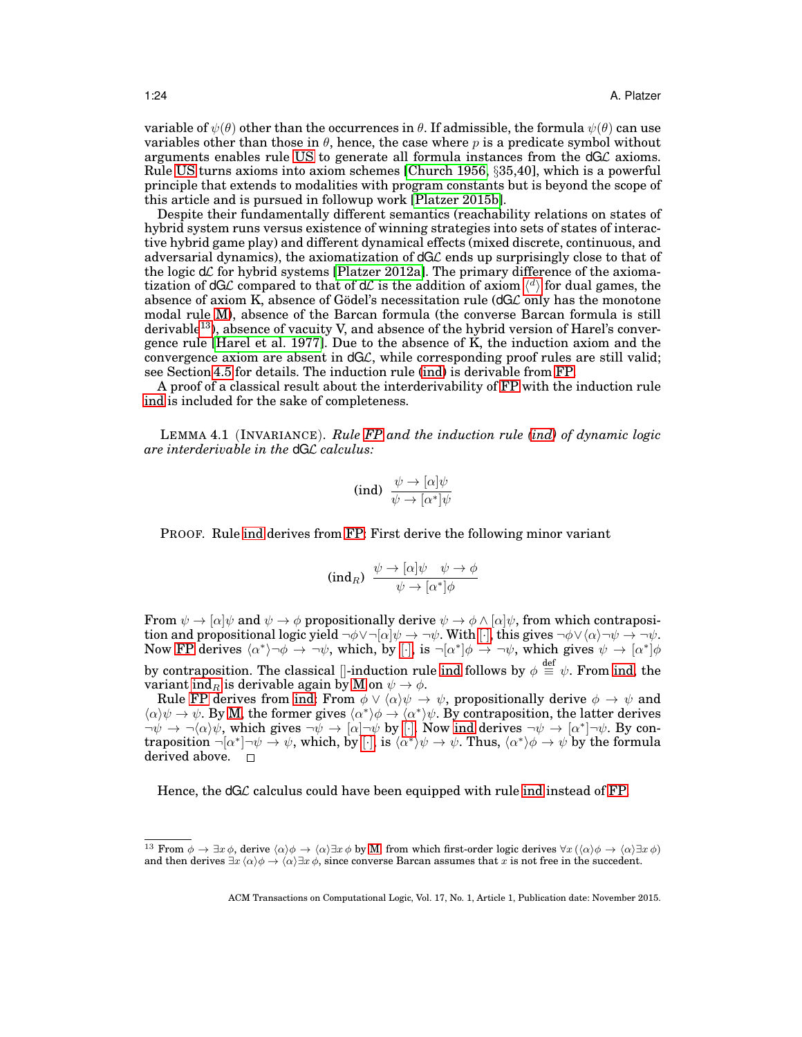variable of  $\psi(\theta)$  other than the occurrences in  $\theta$ . If admissible, the formula  $\psi(\theta)$  can use variables other than those in  $\theta$ , hence, the case where p is a predicate symbol without arguments enables rule [US](#page-22-1) to generate all formula instances from the dGL axioms. Rule [US](#page-22-1) turns axioms into axiom schemes [\[Church 1956,](#page-47-12) §35,40], which is a powerful principle that extends to modalities with program constants but is beyond the scope of this article and is pursued in followup work [\[Platzer 2015b\]](#page-49-19).

Despite their fundamentally different semantics (reachability relations on states of hybrid system runs versus existence of winning strategies into sets of states of interactive hybrid game play) and different dynamical effects (mixed discrete, continuous, and adversarial dynamics), the axiomatization of  $dG\mathcal{L}$  ends up surprisingly close to that of the logic  $d\mathcal{L}$  for hybrid systems [\[Platzer 2012a\]](#page-49-4). The primary difference of the axiomatization of dGL compared to t[h](#page-21-11)at of dL is the addition of axiom  $\langle d \rangle$  for dual games, the absence of axiom K, absence of Godel's necessitation rule  $(dG\mathcal{L})$  only has the monotone modal rule [M\)](#page-21-2), absence of the Barcan formula (the converse Barcan formula is still derivable<sup>[13](#page-23-0)</sup>), absence of vacuity V, and absence of the hybrid version of Harel's convergence rule [\[Harel et al. 1977\]](#page-48-8). Due to the absence of K, the induction axiom and the convergence axiom are absent in dGL, while corresponding proof rules are still valid; see Section [4.5](#page-33-0) for details. The induction rule [\(ind\)](#page-23-1) is derivable from [FP.](#page-21-3)

A proof of a classical result about the interderivability of [FP](#page-21-3) with the induction rule [ind](#page-23-1) is included for the sake of completeness.

LEMMA 4.1 (INVARIANCE). *Rule [FP](#page-21-3) and the induction rule [\(ind\)](#page-23-1) of dynamic logic are interderivable in the* dGL *calculus:*

<span id="page-23-3"></span><span id="page-23-1"></span>
$$
\text{(ind)} \ \ \frac{\psi \to [\alpha]\psi}{\psi \to [\alpha^*]\psi}
$$

PROOF. Rule [ind](#page-23-1) derives from [FP:](#page-21-3) First derive the following minor variant

<span id="page-23-2"></span>
$$
(\text{ind}_R) \ \frac{\psi \to [\alpha] \psi \quad \psi \to \phi}{\psi \to [\alpha^*] \phi}
$$

From  $\psi \to [\alpha]\psi$  and  $\psi \to \phi$  propositionally derive  $\psi \to \phi \wedge [\alpha]\psi$ , from which contraposition and propositional logic yield  $\neg \phi \vee \neg [\alpha] \psi \rightarrow \neg \psi$  $\neg \phi \vee \neg [\alpha] \psi \rightarrow \neg \psi$  $\neg \phi \vee \neg [\alpha] \psi \rightarrow \neg \psi$ . With  $[\cdot]$ , this gives  $\neg \phi \vee (\alpha) \neg \psi \rightarrow \neg \psi$ . Now [FP](#page-21-3) derives  $\langle \alpha^* \rangle \neg \phi \rightarrow \neg \psi$ , which, by [\[](#page-21-4)·], is  $\neg [\alpha^*] \phi \rightarrow \neg \psi$ , which gives  $\psi \rightarrow [\alpha^*] \phi$ by contraposition. The classical  $\Vert\text{-induction rule}$  [ind](#page-23-1) follows by  $\phi\stackrel{\text{def}}{=}\psi$ . From [ind,](#page-23-1) the variant [ind](#page-23-2)<sub>R</sub> is derivable again by [M](#page-21-2) on  $\psi \to \phi$ .

Rule [FP](#page-21-3) derives from [ind:](#page-23-1) From  $\phi \vee \langle \alpha \rangle \psi \rightarrow \psi$ , propositionally derive  $\phi \rightarrow \psi$  and  $\langle \alpha \rangle \psi \to \psi$ . By [M,](#page-21-2) the former gives  $\langle \alpha^* \rangle \phi \to \langle \alpha^* \rangle \psi$ . By contraposition, the latter derives  $\neg \psi \to \neg(\alpha)\psi$ , which gives  $\neg \psi \to [\alpha]\neg \psi$  $\neg \psi \to [\alpha]\neg \psi$  $\neg \psi \to [\alpha]\neg \psi$  by [·]. Now [ind](#page-23-1) derives  $\neg \psi \to [\alpha^*]\neg \psi$ . By contraposition  $\neg[\alpha^*] \neg \psi \to \psi$  $\neg[\alpha^*] \neg \psi \to \psi$  $\neg[\alpha^*] \neg \psi \to \psi$ , which, by  $[\cdot]$ , is  $\langle \alpha^* \rangle \psi \to \psi$ . Thus,  $\langle \alpha^* \rangle \phi \to \psi$  by the formula derived above.  $\Box$ 

Hence, the  $dG\mathcal{L}$  calculus could have been equipped with rule [ind](#page-23-1) instead of [FP.](#page-21-3)

<span id="page-23-0"></span><sup>&</sup>lt;sup>13</sup> From  $\phi \to \exists x \, \phi$ , derive  $\langle \alpha \rangle \phi \to \langle \alpha \rangle \exists x \, \phi$  by [M,](#page-21-2) from which first-order logic derives  $\forall x (\langle \alpha \rangle \phi \to \langle \alpha \rangle \exists x \, \phi)$ and then derives  $\exists x \langle \alpha \rangle \phi \rightarrow \langle \alpha \rangle \exists x \phi$ , since converse Barcan assumes that x is not free in the succedent.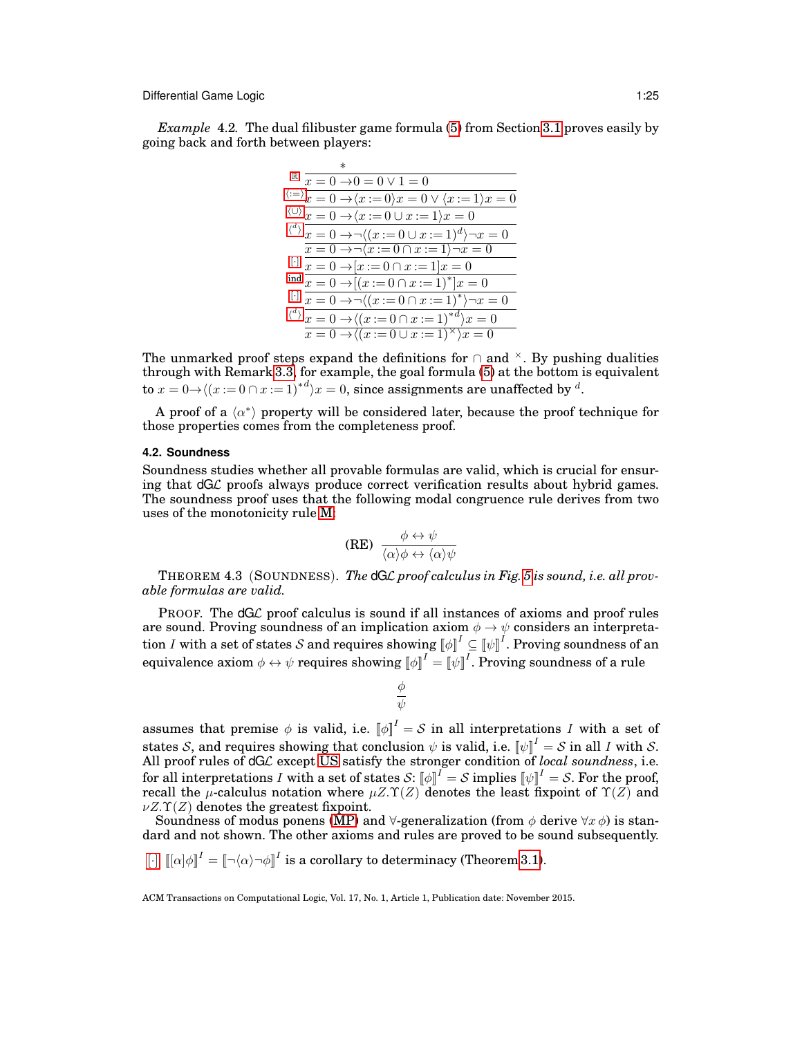*Example* 4.2*.* The dual filibuster game formula [\(5\)](#page-12-3) from Section [3.1](#page-12-1) proves easily by going back and forth between players:

|  | $\overline{x} \overline{1} = 0 \rightarrow 0 = 0 \vee 1 = 0$                                   |
|--|------------------------------------------------------------------------------------------------|
|  | $\langle x=0 \rangle x=0 \rightarrow \langle x:=0 \rangle x=0 \vee \langle x:=1 \rangle x=0$   |
|  | $\langle 0 \rangle x = 0 \rightarrow \langle x := 0 \cup x := 1 \rangle x = 0$                 |
|  | $\langle x^d \rangle x = 0 \rightarrow \neg \langle (x := 0 \cup x := 1)^d \rangle \neg x = 0$ |
|  | $\overline{x} = 0 \rightarrow \neg \langle x := 0 \cap x := 1 \rangle \neg x = 0$              |
|  | $x = 0 \rightarrow [x := 0 \cap x := 1]x = 0$                                                  |
|  | $\frac{\text{ind}}{x} = 0 \rightarrow [(x := 0 \cap x := 1)^*]x = 0$                           |
|  | $x = 0 \rightarrow \neg ((x := 0 \cap x := 1)^*) \neg x = 0$                                   |
|  | $\langle x^d \rangle x = 0 \rightarrow (\langle x := 0 \cap x := 1 \rangle^{*d}) x = 0$        |
|  | $x = 0 \rightarrow ((x := 0 \cup x := 1)^{\times})x = 0$                                       |

The unmarked proof steps expand the definitions for  $\cap$  and  $\times$ . By pushing dualities through with Remark [3.3,](#page-15-4) for example, the goal formula [\(5\)](#page-12-3) at the bottom is equivalent to  $x = 0 \rightarrow \langle (x := 0 \cap x := 1)^{*d} \rangle x = 0$ , since assignments are unaffected by  $^d$ .

A proof of a  $\langle \alpha^* \rangle$  property will be considered later, because the proof technique for those properties comes from the completeness proof.

## <span id="page-24-0"></span>**4.2. Soundness**

Soundness studies whether all provable formulas are valid, which is crucial for ensuring that dGL proofs always produce correct verification results about hybrid games. The soundness proof uses that the following modal congruence rule derives from two uses of the monotonicity rule [M:](#page-21-2)

<span id="page-24-1"></span>
$$
(RE) \frac{\phi \leftrightarrow \psi}{\langle \alpha \rangle \phi \leftrightarrow \langle \alpha \rangle \psi}
$$

<span id="page-24-2"></span>THEOREM 4.3 (SOUNDNESS). *The* dGL *proof calculus in Fig. [5](#page-21-1) is sound, i.e. all provable formulas are valid.*

PROOF. The dGL proof calculus is sound if all instances of axioms and proof rules are sound. Proving soundness of an implication axiom  $\phi \rightarrow \psi$  considers an interpretation  $I$  with a set of states  $\mathcal S$  and requires showing  $\llbracket\phi\rrbracket^I\subseteq\llbracket\psi\rrbracket^I.$  Proving soundness of an equivalence axiom  $\phi\leftrightarrow\psi$  requires showing  $\llbracket\phi\rrbracket^I=\llbracket\psi\rrbracket^I.$  Proving soundness of a rule

$$
\frac{\phi}{\psi}
$$

assumes that premise  $\phi$  is valid, i.e.  $\llbracket \phi \rrbracket^I = S$  in all interpretations I with a set of states S, and requires showing that conclusion  $\psi$  is valid, i.e.  $[\psi]^{I} = S$  in all I with S. All proof rules of dGL except [US](#page-22-1) satisfy the stronger condition of *local soundness*, i.e. for all interpretations  $I$  with a set of states  $\mathcal{S}\colon \llbracket \phi \rrbracket^I = \mathcal{S}$  implies  $\llbracket \psi \rrbracket^I = \mathcal{S}.$  For the proof, recall the  $\mu$ -calculus notation where  $\mu Z.\Upsilon(Z)$  denotes the least fixpoint of  $\Upsilon(Z)$  and  $\nu Z.\Upsilon(Z)$  denotes the greatest fixpoint.

Soundness of modus ponens [\(MP\)](#page-0-0) and  $\forall$ -generalization (from  $\phi$  derive  $\forall x \phi$ ) is standard and not shown. The other axioms and rules are proved to be sound subsequently.

 $\left[\cdot\right]$  $\left[\cdot\right]$  $\left[\cdot\right]$   $\left[\left[\alpha|\phi\right]\right]^{I} = \left[\left[\neg(\alpha)\neg\phi\right]\right]^{I}$  is a corollary to determinacy (Theorem [3.1\)](#page-14-1).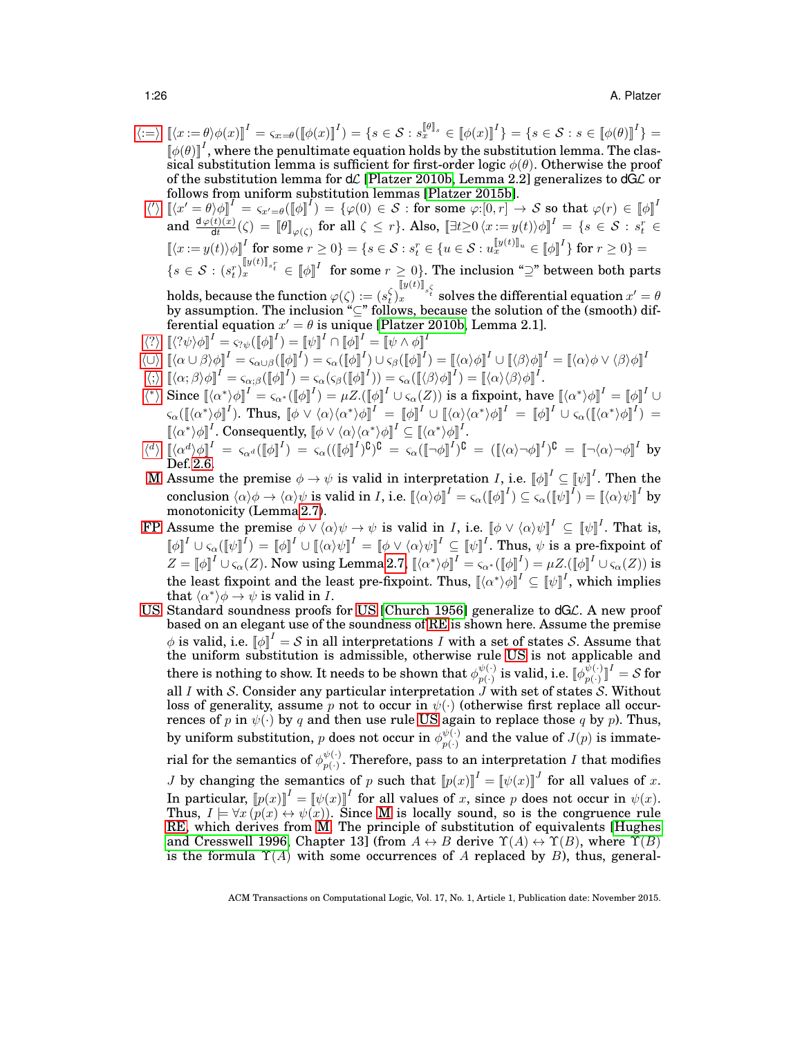- $\langle := \rangle$  $\langle := \rangle$  $\langle := \rangle$   $\left[ \langle x := \theta \rangle \phi(x) \right]^I = \varsigma_{x:=\theta} (\left[ \phi(x) \right]^I) = \{ s \in \mathcal{S} : s_x^{\left[ \theta \right]_s} \in \left[ \phi(x) \right]^I \} = \{ s \in \mathcal{S} : s \in \left[ \phi(\theta) \right]^I \} = \{ s \in \mathcal{S} : s \in \left[ \phi(\theta) \right]^I \}$  $\llbracket \phi(\theta) \rrbracket^I$ , where the penultimate equation holds by the substitution lemma. The classical substitution lemma is sufficient for first-order logic  $\phi(\theta)$ . Otherwise the proof of the substitution lemma for  $d\mathcal{L}$  [\[Platzer 2010b,](#page-49-1) Lemma 2.2] generalizes to  $dG\mathcal{L}$  or follows from uniform substitution lemmas [\[Platzer 2015b\]](#page-49-19).
- $\langle \langle \rangle \: \left[\langle x' = \theta \rangle \phi\right]^I = \varsigma_{x' = \theta} (\left[\![\phi\right]\!]^I) = \{ \varphi(0) \in \mathcal{S} : \text{for some } \varphi:[0,r] \to \mathcal{S} \text{ so that } \varphi(r) \in \left[\![\phi\right]\!]^I$  $\langle \langle \rangle \: \left[\langle x' = \theta \rangle \phi\right]^I = \varsigma_{x' = \theta} (\left[\![\phi\right]\!]^I) = \{ \varphi(0) \in \mathcal{S} : \text{for some } \varphi:[0,r] \to \mathcal{S} \text{ so that } \varphi(r) \in \left[\![\phi\right]\!]^I$  $\langle \langle \rangle \: \left[\langle x' = \theta \rangle \phi\right]^I = \varsigma_{x' = \theta} (\left[\![\phi\right]\!]^I) = \{ \varphi(0) \in \mathcal{S} : \text{for some } \varphi:[0,r] \to \mathcal{S} \text{ so that } \varphi(r) \in \left[\![\phi\right]\!]^I$  $\text{and}\,\, \frac{\text{d}\,\varphi(t)(x)}{\text{d}t}(\zeta) \,=\, \llbracket \theta \rrbracket_{\varphi(\zeta)} \,\, \text{for all $\zeta\leq r$}\}. \,\, \text{Also,}\,\, \llbracket \exists t \geq 0 \, \langle x := y(t) \rangle \phi \rrbracket^{I} \,=\, \{s \,\in\, \mathcal{S} \,:\, s_t^r \,\in\, \mathcal{S} \,:\, t \leq t \}$  $[\![\langle x\mathop{:}{=}\ y(t)\rangle\phi]\!]^I$  for some  $r\geq 0\}=\{s\in\mathcal{S}:s^r_t\in\{u\in\mathcal{S}:u^{[\![y(t)]\!]}_x\in\llbracket\phi\rrbracket^I\}$  for  $r\geq 0\}=\{s\in\mathcal{S}:s^r_t\in\{u\in\mathcal{S}:u^{[\![y(t)]\!]}_x\in\llbracket\phi\rrbracket^I\}$  $\{s \in \mathcal{S} : (s_i^r)^{[y(t)]_{s_i^r}}_x \in [\![\phi]\!]^I \text{ for some } r \geq 0\}.$  The inclusion " $\supseteq$ " between both parts  $\text{holds, because the function } \varphi(\zeta):=(s_t^\zeta)_x^{\llbracket y(t)\rrbracket_{s_t^\zeta}} \text{ solves the differential equation } x'=\theta$ by assumption. The inclusion "⊆" follows, because the solution of the (smooth) dif-
- ferential equation  $x' = \theta$  is unique [\[Platzer 2010b,](#page-49-1) Lemma 2.1].  $\langle ? \rangle$  $\langle ? \rangle$  $\langle ? \rangle$   $[\langle ?\psi \rangle \phi]^{I} = \varsigma_{? \psi}([\phi]^{I}) = [\psi]^{I} \cap [\phi]^{I} = [\psi \wedge \phi]^{I}$

$$
\langle \cup \rangle \left[ (\alpha \cup \beta) \phi \right]^I = \zeta_{\alpha \cup \beta} (\llbracket \phi \rrbracket^I) = \zeta_{\alpha} (\llbracket \phi \rrbracket^I) \cup \zeta_{\beta} (\llbracket \phi \rrbracket^I) = \llbracket \langle \alpha \rangle \phi \rrbracket^I \cup \llbracket \langle \beta \rangle \phi \rrbracket^I = \llbracket \langle \alpha \rangle \phi \vee \langle \beta \rangle \phi \rrbracket^I
$$

- $\langle ; \rangle \left[ \langle \alpha; \beta \rangle \phi \right]^I = \varsigma_{\alpha; \beta} (\llbracket \phi \rrbracket^I) = \varsigma_{\alpha} (\varsigma_{\beta} (\llbracket \phi \rrbracket^I)) = \varsigma_{\alpha} (\llbracket \langle \beta \rangle \phi \rrbracket^I) = \llbracket \langle \alpha \rangle \langle \beta \rangle \phi \rrbracket^I.$  $\langle ; \rangle \left[ \langle \alpha; \beta \rangle \phi \right]^I = \varsigma_{\alpha; \beta} (\llbracket \phi \rrbracket^I) = \varsigma_{\alpha} (\varsigma_{\beta} (\llbracket \phi \rrbracket^I)) = \varsigma_{\alpha} (\llbracket \langle \beta \rangle \phi \rrbracket^I) = \llbracket \langle \alpha \rangle \langle \beta \rangle \phi \rrbracket^I.$  $\langle ; \rangle \left[ \langle \alpha; \beta \rangle \phi \right]^I = \varsigma_{\alpha; \beta} (\llbracket \phi \rrbracket^I) = \varsigma_{\alpha} (\varsigma_{\beta} (\llbracket \phi \rrbracket^I)) = \varsigma_{\alpha} (\llbracket \langle \beta \rangle \phi \rrbracket^I) = \llbracket \langle \alpha \rangle \langle \beta \rangle \phi \rrbracket^I.$
- $\langle * \rangle$  Since  $\llbracket \langle \alpha^* \rangle \phi \rrbracket^I = \varsigma_{\alpha^*}(\llbracket \phi \rrbracket^I) = \mu Z.(\llbracket \phi \rrbracket^I \cup \varsigma_{\alpha}(Z))$  $\llbracket \langle \alpha^* \rangle \phi \rrbracket^I = \varsigma_{\alpha^*}(\llbracket \phi \rrbracket^I) = \mu Z.(\llbracket \phi \rrbracket^I \cup \varsigma_{\alpha}(Z))$  $\llbracket \langle \alpha^* \rangle \phi \rrbracket^I = \varsigma_{\alpha^*}(\llbracket \phi \rrbracket^I) = \mu Z.(\llbracket \phi \rrbracket^I \cup \varsigma_{\alpha}(Z))$  is a fixpoint, have  $\llbracket \langle \alpha^* \rangle \phi \rrbracket^I = \llbracket \phi \rrbracket^I \cup \varsigma_{\alpha}(Z)$  $\mathcal{S}_{\alpha}(\llbracket \langle \alpha^* \rangle \phi \rrbracket^I). \hspace{0.2cm} \text{Thus,} \hspace{0.2cm} \llbracket \phi \vee \langle \alpha \rangle \langle \alpha^* \rangle \phi \rrbracket^I \hspace{0.2cm} = \hspace{0.2cm} \llbracket \phi \rrbracket^I \cup \llbracket \langle \alpha \rangle \langle \alpha^* \rangle \phi \rrbracket^I \hspace{0.2cm} = \hspace{0.2cm} \llbracket \phi \rrbracket^I \cup \mathcal{S}_{\alpha}(\llbracket \langle \alpha^* \rangle \phi \rrbracket^I) \hspace{0.2cm} = \hspace$  $[\langle \alpha^* \rangle \phi]^{I}$ . Consequently,  $[\phi \vee \langle \alpha \rangle \langle \alpha^* \rangle \phi]^{I} \subseteq [\langle \alpha^* \rangle \phi]^{I}$ .
- $\langle \phi \rangle$  $\langle \phi \rangle$  $\langle \phi \rangle$   $[\langle \alpha^d \rangle \phi]^{I} = \varsigma_{\alpha^d}([\![\phi]\!]^{I}) = \varsigma_{\alpha}(([\![\phi]\!]^{I})^{\complement})^{\complement} = \varsigma_{\alpha}([\![\neg \phi]\!]^{I})^{\complement} = ([[\![\langle \alpha \rangle \neg \phi]\!]^{I})^{\complement} = [\![\neg \langle \alpha \rangle \neg \phi]\!]^{I}$  by Def. [2.6.](#page-9-1)
- [M](#page-21-2) Assume the premise  $\phi \to \psi$  is valid in interpretation *I*, i.e.  $[\![\phi]\!]^I \subseteq [\![\psi]\!]^I$ . Then the  $\text{conclusion } \langle \alpha \rangle \phi \rightarrow \langle \alpha \rangle \psi \text{ is valid in } I, \text{ i.e. } \llbracket \langle \alpha \rangle \phi \rrbracket^I = \varsigma_\alpha (\llbracket \phi \rrbracket^I) \subseteq \varsigma_\alpha (\llbracket \psi \rrbracket^I) = \llbracket \langle \alpha \rangle \psi \rrbracket^I \text{ by }$ monotonicity (Lemma [2.7\)](#page-11-2).
- [FP](#page-21-3) Assume the premise  $\phi \vee \langle \alpha \rangle \psi \to \psi$  is valid in *I*, i.e.  $[\![ \phi \vee \langle \alpha \rangle \psi ]\!]^I \subseteq [\![ \psi ]\!]^I$ . That is,  $\llbracket \phi \rrbracket^I \cup \varsigma_\alpha (\llbracket \psi \rrbracket^I) = \llbracket \phi \rrbracket^I \cup \llbracket \langle \alpha \rangle \psi \rrbracket^I = \llbracket \phi \vee \langle \alpha \rangle \psi \rrbracket^I \subseteq \llbracket \psi \rrbracket^I$ . Thus,  $\psi$  is a pre-fixpoint of  $Z=\llbracket\phi\rrbracket^I\cup\varsigma_\alpha(Z).$  Now using Lemma [2.7,](#page-11-2)  $\llbracket\langle\alpha^*\rangle\phi\rrbracket^I=\varsigma_{\alpha^*}(\llbracket\phi\rrbracket^I)=\mu Z.(\llbracket\phi\rrbracket^I\cup\varsigma_\alpha(Z))$  is the least fixpoint and the least pre-fixpoint. Thus,  $\llbracket \langle \alpha^* \rangle \phi \rrbracket^I \subseteq \llbracket \psi \rrbracket^I,$  which implies that  $\langle \alpha^* \rangle \phi \rightarrow \psi$  is valid in I.
- [US](#page-22-1) Standard soundness proofs for [US](#page-22-1) [\[Church 1956\]](#page-47-12) generalize to dGL. A new proof based on an elegant use of the soundness of [RE](#page-24-1) is shown here. Assume the premise  $\phi$  is valid, i.e.  $\llbracket \phi \rrbracket^I = \mathcal{S}$  in all interpretations  $I$  with a set of states  $\mathcal{S}.$  Assume that the uniform substitution is admissible, otherwise rule [US](#page-22-1) is not applicable and there is nothing to show. It needs to be shown that  $\phi_{n(\cdot)}^{\psi(\cdot)}$  $p_{p(\cdot)}^{\psi(\cdot)}$  is valid, i.e.  $[\![\phi_{p(\cdot)}^{\psi(\cdot)}\!]$  $_{p(\cdot)}^{\psi(\cdot)}\rrbracket^{I}=\mathcal{S}% _{p(\cdot)}^{\psi(\cdot)}\mathcal{S}_{p(\cdot)}^{\psi(\cdot)}$  for all I with S. Consider any particular interpretation  $\hat{J}$  with set of states S. Without loss of generality, assume p not to occur in  $\psi(\cdot)$  (otherwise first replace all occurrences of p in  $\psi(\cdot)$  by q and then use rule [US](#page-22-1) again to replace those q by p). Thus, by uniform substitution, p does not occur in  $\phi_{n(\lambda)}^{\psi(\cdot)}$  $p(\cdot)$  and the value of  $J(p)$  is immaterial for the semantics of  $\phi_{n(\cdot)}^{\psi(\cdot)}$  $p(\cdot)$ . Therefore, pass to an interpretation I that modifies *J* by changing the semantics of p such that  $[\![p(x)]\!]^I = [\![\psi(x)]\!]^J$  for all values of x. In particular,  $[\![p(x)]\!]^I = [\![\psi(x)]\!]^I$  for all values of x, since p does not occur in  $\psi(x)$ . Thus,  $I \models \forall x (p(x) \leftrightarrow \psi(x))$ . Since [M](#page-21-2) is locally sound, so is the congruence rule [RE,](#page-24-1) which derives from [M.](#page-21-2) The principle of substitution of equivalents [\[Hughes](#page-48-12) [and Cresswell 1996,](#page-48-12) Chapter 13] (from  $A \leftrightarrow B$  derive  $\Upsilon(A) \leftrightarrow \Upsilon(B)$ , where  $\Upsilon(B)$ is the formula  $\Upsilon(A)$  with some occurrences of A replaced by B), thus, general-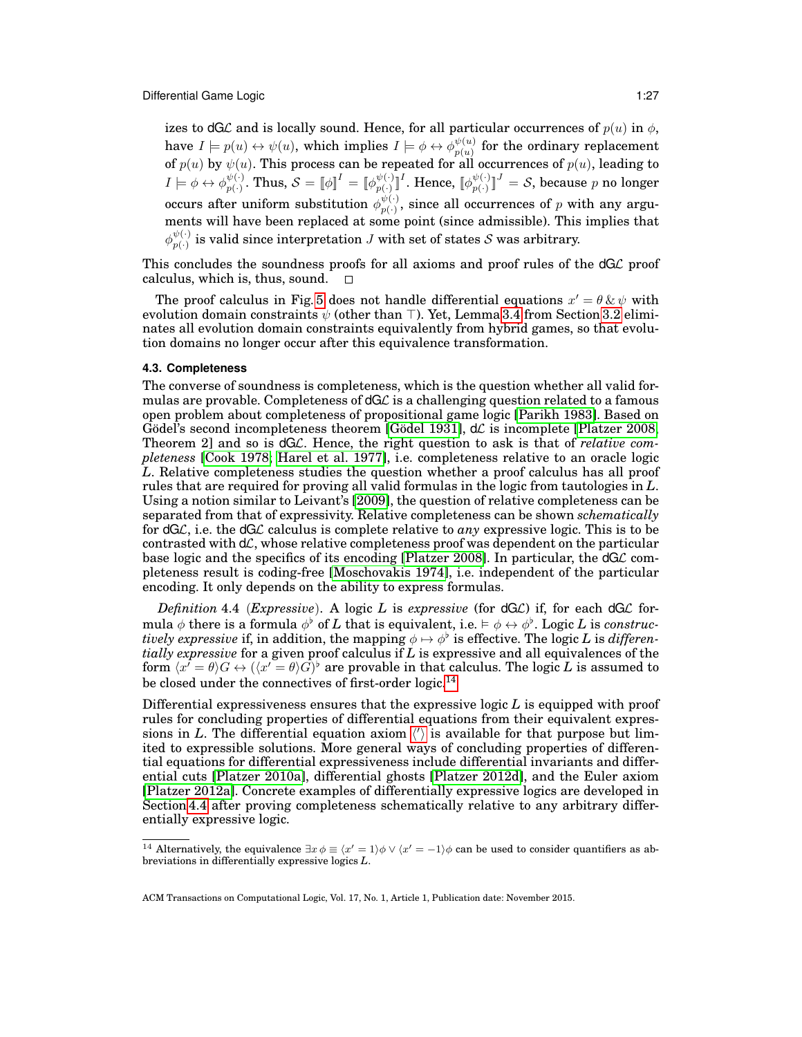izes to dGL and is locally sound. Hence, for all particular occurrences of  $p(u)$  in  $\phi$ , have  $I \models p(u) \leftrightarrow \psi(u)$ , which implies  $I \models \phi \leftrightarrow \phi_{n(u)}^{\psi(u)}$  $\frac{\psi(u)}{p(u)}$  for the ordinary replacement of  $p(u)$  by  $\psi(u)$ . This process can be repeated for all occurrences of  $p(u)$ , leading to  $I \models \phi \leftrightarrow \phi_{n(\cdot)}^{\psi(\cdot)}$  $p_{p(\cdot)}^{\psi(\cdot)}. \text{ Thus, } \mathcal{S} = \llbracket \phi \rrbracket^{I} = \llbracket \phi_{p(\cdot)}^{\psi(\cdot)} \rrbracket$  $p(\cdot) \llbracket^I.$  Hence,  $\llbracket \phi_{p(\cdot)}^{\psi(\cdot)} \rrbracket^I$  $[\psi(\cdot )^{\parallel J}]=\mathcal{S},$  because  $p$  no longer occurs after uniform substitution  $\phi_{n(\cdot)}^{\psi(\cdot)}$  $p(\cdot)$ , since all occurrences of p with any arguments will have been replaced at some point (since admissible). This implies that  $\phi_{n(\cdot)}^{\psi(\cdot)}$  $p_{(1)}^{(\nu)}$  is valid since interpretation J with set of states S was arbitrary.

This concludes the soundness proofs for all axioms and proof rules of the  $dG\mathcal{L}$  proof calculus, which is, thus, sound.  $\square$ 

The proof calculus in Fig. [5](#page-21-1) does not handle differential equations  $x' = \theta \& \psi$  with evolution domain constraints  $\psi$  (other than  $\top$ ). Yet, Lemma [3.4](#page-15-3) from Section [3.2](#page-15-0) eliminates all evolution domain constraints equivalently from hybrid games, so that evolution domains no longer occur after this equivalence transformation.

#### <span id="page-26-0"></span>**4.3. Completeness**

The converse of soundness is completeness, which is the question whether all valid formulas are provable. Completeness of dGL is a challenging question related to a famous open problem about completeness of propositional game logic [\[Parikh 1983\]](#page-49-12). Based on Gödel's second incompleteness theorem [Gödel 1931],  $d\mathcal{L}$  is incomplete [\[Platzer 2008,](#page-49-3) Theorem 2] and so is dGL. Hence, the right question to ask is that of *relative completeness* [\[Cook 1978;](#page-47-13) [Harel et al. 1977\]](#page-48-8), i.e. completeness relative to an oracle logic *L*. Relative completeness studies the question whether a proof calculus has all proof rules that are required for proving all valid formulas in the logic from tautologies in *L*. Using a notion similar to Leivant's [\[2009\]](#page-48-14), the question of relative completeness can be separated from that of expressivity. Relative completeness can be shown *schematically* for dGL, i.e. the dGL calculus is complete relative to *any* expressive logic. This is to be contrasted with  $d\mathcal{L}$ , whose relative completeness proof was dependent on the particular base logic and the specifics of its encoding [\[Platzer 2008\]](#page-49-3). In particular, the  $dG\mathcal{L}$  completeness result is coding-free [\[Moschovakis 1974\]](#page-49-20), i.e. independent of the particular encoding. It only depends on the ability to express formulas.

<span id="page-26-2"></span>*Definition* 4.4 (*Expressive*). A logic *L* is *expressive* (for dGL) if, for each dGL formula  $\phi$  there is a formula  $\phi^{\flat}$  of  $L$  that is equivalent, i.e.  $\models \phi \leftrightarrow \phi^{\flat}$ . Logic  $L$  is *construc* $tively \textit{ expressive if, in addition, the mapping } \phi \mapsto \phi^{\flat} \textit{ is effective.}$  The logic *L* is *differentially expressive* for a given proof calculus if *L* is expressive and all equivalences of the form  $\langle x^{\overline{\prime}} = \theta \rangle G \leftrightarrow (\langle x^{\overline{\prime}} = \theta \rangle G)^{\flat}$  are provable in that calculus. The logic *L* is assumed to be closed under the connectives of first-order logic.<sup>[14](#page-26-1)</sup>

Differential expressiveness ensures that the expressive logic *L* is equipped with proof rules for concluding properties of differential equations from their equivalent expressions in L. T[h](#page-21-6)e differential equation axiom  $\langle \rangle$  is available for that purpose but limited to expressible solutions. More general ways of concluding properties of differential equations for differential expressiveness include differential invariants and differential cuts [\[Platzer 2010a\]](#page-49-15), differential ghosts [\[Platzer 2012d\]](#page-49-21), and the Euler axiom [\[Platzer 2012a\]](#page-49-4). Concrete examples of differentially expressive logics are developed in Section [4.4](#page-31-0) after proving completeness schematically relative to any arbitrary differentially expressive logic.

<span id="page-26-1"></span><sup>&</sup>lt;sup>14</sup> Alternatively, the equivalence  $\exists x \phi \equiv \langle x' = 1 \rangle \phi \vee \langle x' = -1 \rangle \phi$  can be used to consider quantifiers as abbreviations in differentially expressive logics *L*.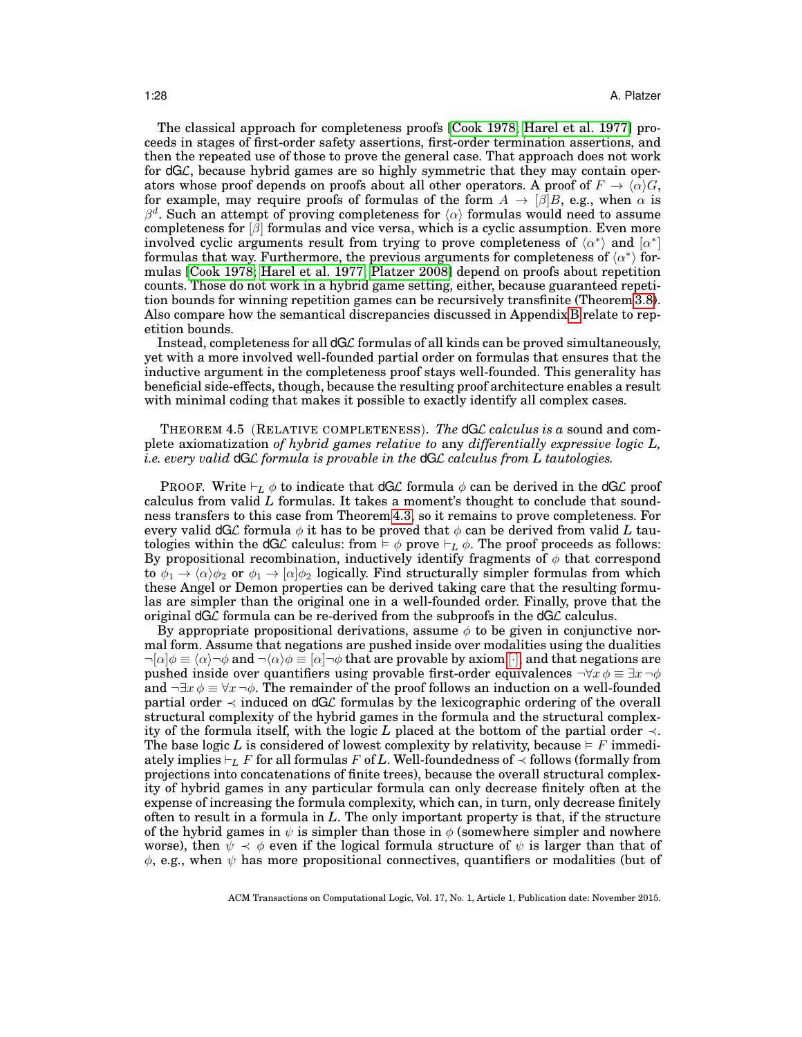The classical approach for completeness proofs [\[Cook 1978;](#page-47-13) [Harel et al. 1977\]](#page-48-8) proceeds in stages of first-order safety assertions, first-order termination assertions, and then the repeated use of those to prove the general case. That approach does not work for  $dG\mathcal{L}$ , because hybrid games are so highly symmetric that they may contain operators whose proof depends on proofs about all other operators. A proof of  $F \to \langle \alpha \rangle G$ , for example, may require proofs of formulas of the form  $A \to \beta B$ , e.g., when  $\alpha$  is  $\beta^d$ . Such an attempt of proving completeness for  $\langle \alpha \rangle$  formulas would need to assume completeness for  $\beta$  formulas and vice versa, which is a cyclic assumption. Even more involved cyclic arguments result from trying to prove completeness of  $\langle \alpha^* \rangle$  and  $\lbrack \alpha^* \rbrack$ formulas that way. Furthermore, the previous arguments for completeness of  $\langle \alpha^* \rangle$  formulas [\[Cook 1978;](#page-47-13) [Harel et al. 1977;](#page-48-8) [Platzer 2008\]](#page-49-3) depend on proofs about repetition counts. Those do not work in a hybrid game setting, either, because guaranteed repetition bounds for winning repetition games can be recursively transfinite (Theorem [3.8\)](#page-19-1). Also compare how the semantical discrepancies discussed in Appendix [B](#page-42-0) relate to repetition bounds.

Instead, completeness for all dGL formulas of all kinds can be proved simultaneously, yet with a more involved well-founded partial order on formulas that ensures that the inductive argument in the completeness proof stays well-founded. This generality has beneficial side-effects, though, because the resulting proof architecture enables a result with minimal coding that makes it possible to exactly identify all complex cases.

## <span id="page-27-0"></span>THEOREM 4.5 (RELATIVE COMPLETENESS). *The* dGL *calculus is a* sound and complete axiomatization *of hybrid games relative to* any *differentially expressive logic L, i.e. every valid* dGL *formula is provable in the* dGL *calculus from L tautologies.*

**PROOF.** Write  $\vdash_L \phi$  to indicate that  $\text{dGL}$  formula  $\phi$  can be derived in the  $\text{dGL}$  proof calculus from valid *L* formulas. It takes a moment's thought to conclude that soundness transfers to this case from Theorem [4.3,](#page-24-2) so it remains to prove completeness. For every valid dGL formula  $\phi$  it has to be proved that  $\phi$  can be derived from valid L tautologies within the  $dG\mathcal{L}$  calculus: from  $\models \phi$  prove  $\models_L \phi$ . The proof proceeds as follows: By propositional recombination, inductively identify fragments of  $\phi$  that correspond to  $\phi_1 \rightarrow \langle \alpha \rangle \phi_2$  or  $\phi_1 \rightarrow \langle \alpha \rangle \phi_2$  logically. Find structurally simpler formulas from which these Angel or Demon properties can be derived taking care that the resulting formulas are simpler than the original one in a well-founded order. Finally, prove that the original  $dG\mathcal{L}$  formula can be re-derived from the subproofs in the  $dG\mathcal{L}$  calculus.

By appropriate propositional derivations, assume  $\phi$  to be given in conjunctive normal form. Assume that negations are pushed inside over modalities using the dualities  $\neg[\alpha]\phi \equiv \langle \alpha \rangle \neg \phi$  $\neg[\alpha]\phi \equiv \langle \alpha \rangle \neg \phi$  $\neg[\alpha]\phi \equiv \langle \alpha \rangle \neg \phi$  and  $\neg \langle \alpha \rangle \phi \equiv [\alpha] \neg \phi$  that are provable by axiom [·], and that negations are pushed inside over quantifiers using provable first-order equivalences  $\neg \forall x \phi \equiv \exists x \neg \phi$ and  $\neg \exists x \phi \equiv \forall x \neg \phi$ . The remainder of the proof follows an induction on a well-founded partial order  $\prec$  induced on dGL formulas by the lexicographic ordering of the overall structural complexity of the hybrid games in the formula and the structural complexity of the formula itself, with the logic *L* placed at the bottom of the partial order ≺. The base logic L is considered of lowest complexity by relativity, because  $\models$  F immediately implies  $\vdash_L F$  for all formulas F of L. Well-foundedness of  $\prec$  follows (formally from projections into concatenations of finite trees), because the overall structural complexity of hybrid games in any particular formula can only decrease finitely often at the expense of increasing the formula complexity, which can, in turn, only decrease finitely often to result in a formula in *L*. The only important property is that, if the structure of the hybrid games in  $\psi$  is simpler than those in  $\phi$  (somewhere simpler and nowhere worse), then  $\psi \prec \phi$  even if the logical formula structure of  $\psi$  is larger than that of  $\phi$ , e.g., when  $\psi$  has more propositional connectives, quantifiers or modalities (but of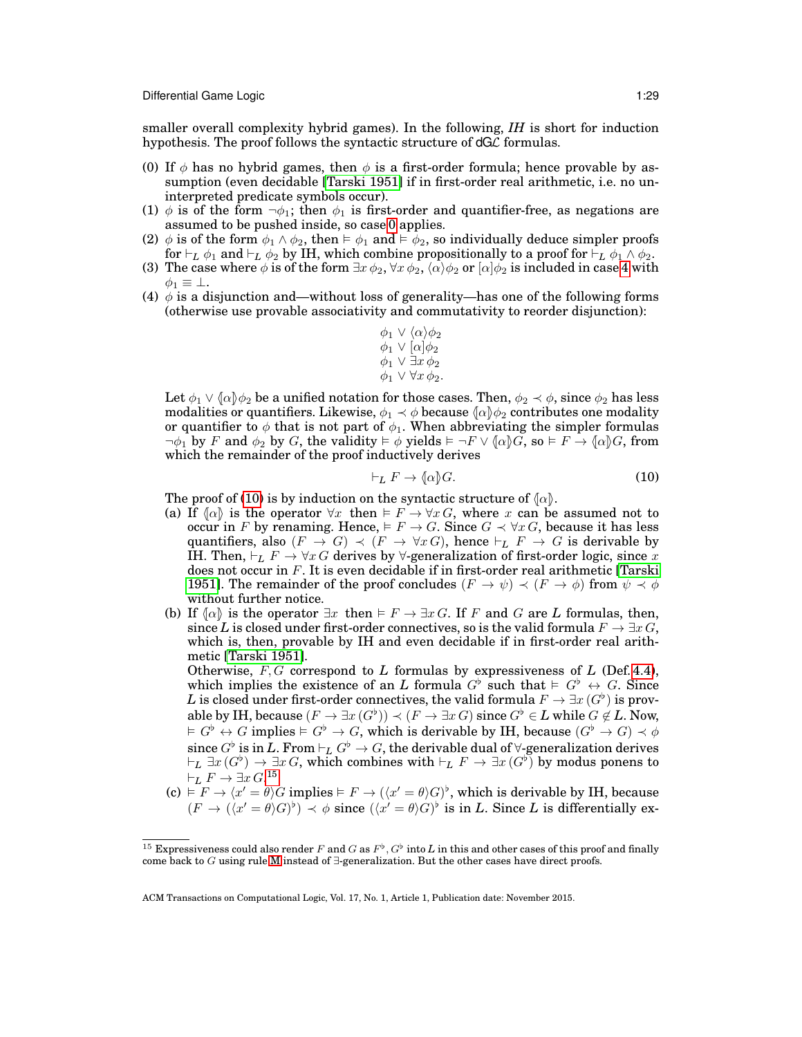smaller overall complexity hybrid games). In the following, *IH* is short for induction hypothesis. The proof follows the syntactic structure of  $dG\mathcal{L}$  formulas.

- <span id="page-28-0"></span>(0) If  $\phi$  has no hybrid games, then  $\phi$  is a first-order formula; hence provable by assumption (even decidable [\[Tarski 1951\]](#page-49-18) if in first-order real arithmetic, i.e. no uninterpreted predicate symbols occur).
- (1)  $\phi$  is of the form  $\neg \phi_1$ ; then  $\phi_1$  is first-order and quantifier-free, as negations are assumed to be pushed inside, so case [0](#page-28-0) applies.
- (2)  $\phi$  is of the form  $\phi_1 \wedge \phi_2$ , then  $\models \phi_1$  and  $\models \phi_2$ , so individually deduce simpler proofs for  $\vdash_L \phi_1$  and  $\vdash_L \phi_2$  by IH, which combine propositionally to a proof for  $\vdash_L \phi_1 \wedge \phi_2$ .
- (3) The case where  $\phi$  is of the form  $\exists x \phi_2$ ,  $\forall x \phi_2$ ,  $\langle \alpha \rangle \phi_2$  or  $[\alpha] \phi_2$  is included in case [4](#page-28-1) with  $\phi_1 \equiv \perp$ .
- <span id="page-28-1"></span>(4)  $\phi$  is a disjunction and—without loss of generality—has one of the following forms (otherwise use provable associativity and commutativity to reorder disjunction):

$$
\begin{array}{c}\n\phi_1 \lor \langle \alpha \rangle \phi_2 \\
\phi_1 \lor [\alpha] \phi_2 \\
\phi_1 \lor \exists x \, \phi_2 \\
\phi_1 \lor \forall x \, \phi_2.\n\end{array}
$$

Let  $\phi_1 \vee (\alpha) \phi_2$  be a unified notation for those cases. Then,  $\phi_2 \prec \phi$ , since  $\phi_2$  has less modalities or quantifiers. Likewise,  $\phi_1 \prec \phi$  because  $\langle \alpha | \phi_2 \rangle$  contributes one modality or quantifier to  $\phi$  that is not part of  $\phi_1$ . When abbreviating the simpler formulas  $\neg \phi_1$  by F and  $\phi_2$  by G, the validity  $\models \phi$  yields  $\models \neg F \vee (\alpha)G$ , so  $\models F \rightarrow (\alpha)G$ , from which the remainder of the proof inductively derives

<span id="page-28-2"></span>
$$
\vdash_L F \to \langle \alpha \rangle G. \tag{10}
$$

The proof of [\(10\)](#page-28-2) is by induction on the syntactic structure of  $\{\alpha\}$ .

- (a) If  $\{\alpha\}$  is the operator  $\forall x$  then  $\models F \rightarrow \forall x \, G$ , where x can be assumed not to occur in F by renaming. Hence,  $\models F \rightarrow G$ . Since  $G \prec \forall x \, G$ , because it has less quantifiers, also  $(F \to G) \prec (F \to \forall x \, G)$ , hence  $\vdash_L F \to G$  is derivable by IH. Then,  $\vdash_L F \to \forall x G$  derives by  $\forall$ -generalization of first-order logic, since x does not occur in F. It is even decidable if in first-order real arithmetic [\[Tarski](#page-49-18) [1951\]](#page-49-18). The remainder of the proof concludes  $(F \to \psi) \prec (F \to \phi)$  from  $\psi \prec \phi$ without further notice.
- (b) If  $\langle \alpha \rangle$  is the operator  $\exists x$  then  $\models F \rightarrow \exists x \, G$ . If F and G are L formulas, then, since *L* is closed under first-order connectives, so is the valid formula  $F \to \exists x G$ , which is, then, provable by IH and even decidable if in first-order real arithmetic [\[Tarski 1951\]](#page-49-18).

Otherwise,  $F, G$  correspond to  $L$  formulas by expressiveness of  $L$  (Def. [4.4\)](#page-26-2), which implies the existence of an *L* formula  $G^{\flat}$  such that  $\models G^{\flat} \leftrightarrow G$ . Since  $L$  is closed under first-order connectives, the valid formula  $F \to \exists x\,(G^\flat)$  is provable by IH, because  $(F \to \exists x \,(G^\flat)) \prec (F \to \exists x \, G)$  since  $G^\flat \in L$  while  $G \not\in L$ . Now,  $G^{\flat} \leftrightarrow G$  implies  $\vdash G^{\flat} \to G$ , which is derivable by IH, because  $(G^{\flat} \to G) \prec \phi$ since  $G^\flat$  is in  $L.$  From  $\vdash_L G^\flat \to G,$  the derivable dual of  $\forall$ -generalization derives  $\vdash_L \exists x\, (G^\flat) \to \exists x\, G,$  which combines with  $\vdash_L F \to \exists x\, (G^\flat)$  by modus ponens to  $\vdash_L F \to \exists x \, G.$ <sup>[15](#page-28-3)</sup>

 $(c) \vDash F \rightarrow \langle x' = \theta \rangle G$  implies  $\vDash F \rightarrow (\langle x' = \theta \rangle G)^{\flat}$ , which is derivable by IH, because  $(F \to (\langle x' = \theta \rangle G)^{\flat}) \prec \phi$  since  $(\langle x' = \theta \rangle G)^{\flat}$  is in *L*. Since *L* is differentially ex-

<span id="page-28-3"></span><sup>&</sup>lt;sup>15</sup> Expressiveness could also render F and G as  $F^{\flat}, G^{\flat}$  into L in this and other cases of this proof and finally come back to G using rule [M](#page-21-2) instead of ∃-generalization. But the other cases have direct proofs.

ACM Transactions on Computational Logic, Vol. 17, No. 1, Article 1, Publication date: November 2015.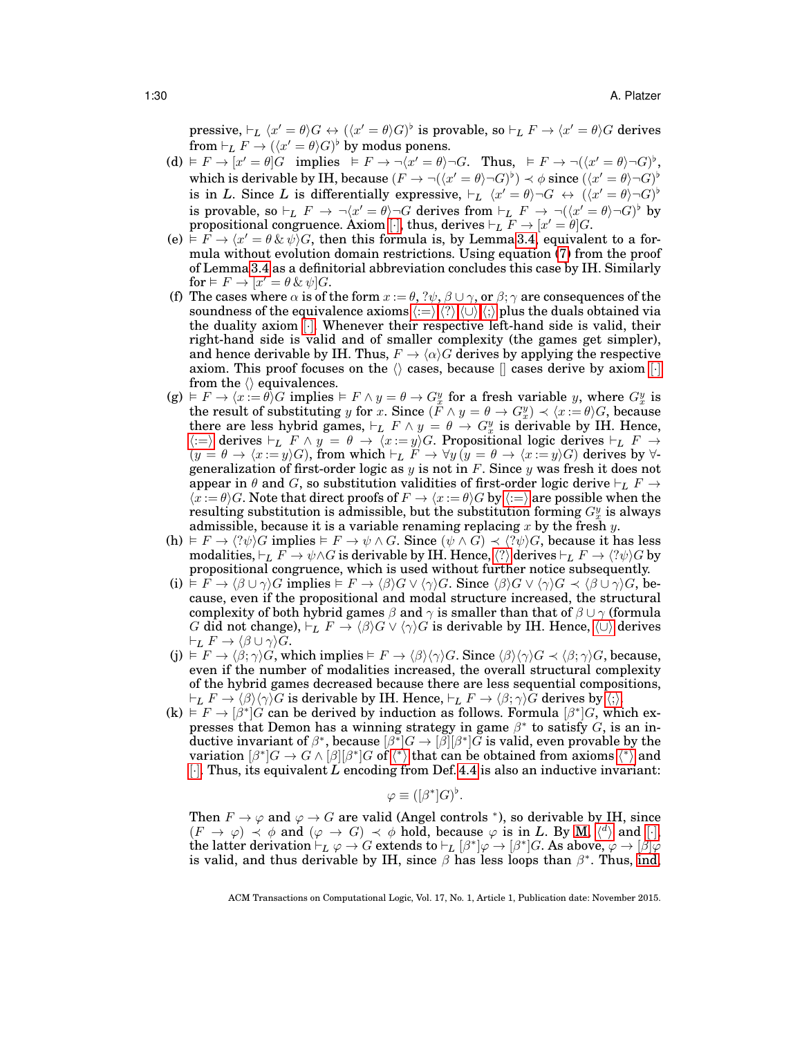$\text{pressure}, \vdash_L \langle x' = \theta \rangle G \leftrightarrow (\langle x' = \theta \rangle G)^\flat \text{ is provable, so } \vdash_L F \rightarrow \langle x' = \theta \rangle G \text{ derives}$ from  $\vdash_L F \to (\langle x' = \theta \rangle G)^{\flat}$  by modus ponens.

- (d)  $\models F \rightarrow [x' = \theta]G$  implies  $\models F \rightarrow \neg(x' = \theta) \neg G$ . Thus,  $\models F \rightarrow \neg((x' = \theta) \neg G)^{\flat}$ , which is derivable by IH, because  $(F \to \neg((x' = \theta) \neg G)^{\flat}) \prec \phi$  since  $(\langle x' = \theta \rangle \neg G)^{\flat}$ is in *L*. Since *L* is differentially expressive,  $\vdash_L \langle x' = \theta \rangle \neg G \leftrightarrow (\langle x' = \theta \rangle \neg G)^{\flat}$ is provable, so  $\vdash_L F \to \neg(x' = \theta) \neg G$  derives from  $\vdash_L F \to \neg(\langle x' = \theta \rangle \neg G)^{\flat}$  by propositional congruence. Axiom [ $\cdot$ ], thus, derives  $\vdash_L F \to [x' = \theta] G$ .
- (e)  $\overline{\varepsilon}$   $\overline{F} \to \langle x' = \theta \, \& \, \psi \rangle G$ , then this formula is, by Lemma [3.4,](#page-15-3) equivalent to a formula without evolution domain restrictions. Using equation [\(7\)](#page-15-2) from the proof of Lemma [3.4](#page-15-3) as a definitorial abbreviation concludes this case by IH. Similarly for  $\models F \rightarrow [x' = \theta \& \psi]G$ .
- (f) The cases where  $\alpha$  is of the form  $x := \theta$ ,  $\gamma \psi$ ,  $\beta \cup \gamma$ , or  $\beta$ ;  $\gamma$  are consequences of the soundness of t[h](#page-21-9)e equivalence axioms  $\langle:=\rangle,\langle:\rangle,\langle\cup\rangle,\langle:\rangle$  $\langle:=\rangle,\langle:\rangle,\langle\cup\rangle,\langle:\rangle$  $\langle:=\rangle,\langle:\rangle,\langle\cup\rangle,\langle:\rangle$  plus the duals obtained via the duality axiom [[·](#page-21-4)]. Whenever their respective left-hand side is valid, their right-hand side is valid and of smaller complexity (the games get simpler), and hence derivable by IH. Thus,  $F \to \langle \alpha \rangle G$  derives by applying the respective axiom. This proof focuses on the  $\langle \rangle$  cases, because  $\langle \rangle$  cases derive by axiom  $[\cdot]$ from the  $\langle \rangle$  equivalences.
- $(g) \models F \rightarrow \langle x \stackrel{\cdot}{:=} \theta \rangle G$  implies  $\models F \land y = \theta \rightarrow G_x^y$  for a fresh variable y, where  $G_x^y$  is the result of substituting y for x. Since  $(F \wedge y = \theta \to G_x^y) \prec \langle x := \theta \rangle G$ , because there are less hybrid games,  $\vdash_L F \wedge y = \theta \rightarrow G_x^y$  is derivable by IH. Hence,  $\langle i=\rangle$  derives  $\vdash_L$  F  $\land$   $y = \theta \rightarrow \langle x:=y \rangle G$  $y = \theta \rightarrow \langle x:=y \rangle G$  $y = \theta \rightarrow \langle x:=y \rangle G$ . Propositional logic derives  $\vdash_L$  F  $\rightarrow$  $(y = \theta \to \langle x := y \rangle G)$ , from which  $\vdash_L F \to \forall y \, (y = \theta \to \langle x := y \rangle G)$  derives by  $\forall$ generalization of first-order logic as y is not in F. Since y was fresh it does not appear in  $\theta$  and G, so substitution validities of first-order logic derive  $\vdash_L F \to$  $\langle x := \theta \rangle G$  $\langle x := \theta \rangle G$  $\langle x := \theta \rangle G$ . Note that direct proofs of  $F \to \langle x := \theta \rangle G$  by  $\langle x := \theta \rangle G$  are possible when the resulting substitution is admissible, but the substitution forming  $G_x^y$  is always admissible, because it is a variable renaming replacing x by the fresh y.
- (h)  $\vdash F \rightarrow \langle ?\psi \rangle G$  implies  $\models F \rightarrow \psi \land G$ . Since  $(\psi \land G) \prec \langle ?\psi \rangle G$ , because it has less modalities,  $\vdash_L F \to \psi \land G$  is derivable by IH. Hence,  $\langle ? \rangle$  $\langle ? \rangle$  $\langle ? \rangle$  derives  $\vdash_L F \to \langle ?\psi \rangle G$  by propositional congruence, which is used without further notice subsequently.
- (i)  $F \to \beta \cup \gamma$ G implies  $F \to \beta \beta G \vee \langle \gamma \rangle G$ . Since  $\langle \beta \rangle G \vee \langle \gamma \rangle G \prec \langle \beta \cup \gamma \rangle G$ , because, even if the propositional and modal structure increased, the structural complexity of both hybrid games  $\beta$  and  $\gamma$  is smaller than that of  $\beta \cup \gamma$  (formula G did not change),  $\vdash_L F \to \langle \beta \rangle G \vee \langle \gamma \rangle G$  is derivable by IH. Hence,  $\langle \cup \rangle$  derives  $\vdash_L F \to \langle \beta \cup \gamma \rangle \overline{G}.$
- (j)  $\models F \rightarrow \langle \beta; \gamma \rangle G$ , which implies  $\models F \rightarrow \langle \beta \rangle \langle \gamma \rangle G$ . Since  $\langle \beta \rangle \langle \gamma \rangle G \prec \langle \beta; \gamma \rangle G$ , because, even if the number of modalities increased, the overall structural complexity of the hybrid games decreased because there are less sequential compositions,  $\vdash_L F \to \langle \beta \rangle \langle \gamma \rangle G$  $\vdash_L F \to \langle \beta \rangle \langle \gamma \rangle G$  $\vdash_L F \to \langle \beta \rangle \langle \gamma \rangle G$  is derivable by IH. Hence,  $\vdash_L F \to \langle \beta; \gamma \rangle G$  derives by  $\langle ; \rangle$ .
- $(k) \to F \to \beta^* \dot{G}$  can be derived by induction as follows. Formula  $\beta^* G$ , which expresses that Demon has a winning strategy in game  $\beta^*$  to satisfy G, is an inductive invariant of  $\beta^*,$  because  $[\beta^*]G \to [\beta][\beta^*]\bar{G}$  is valid, even provable by the variation  $[\beta^*]G \to G \wedge [\beta][\beta^*]G$  of  $\langle^* \rangle$  t[h](#page-21-10)at can be obtained from axioms  $\langle^* \rangle$  and [\[](#page-21-4)·]. Thus, its equivalent *L* encoding from Def. [4.4](#page-26-2) is also an inductive invariant:

$$
\varphi \equiv ( [\beta^*] G )^{\flat}.
$$

Then  $F \to \varphi$  and  $\varphi \to G$  are valid (Angel controls \*), so derivable by IH, since  $(F \to \varphi) \prec \varphi$  $(F \to \varphi) \prec \varphi$  $(F \to \varphi) \prec \varphi$  and  $(\varphi \to G) \prec \varphi$  hold, because  $\varphi$  is in *L*. By [M,](#page-21-2)  $\langle d \rangle$  and [\[](#page-21-4)·],  $\text{the latter derivation} \vdash_L \varphi \to G \text{ extends to } \vdash_L [\beta^*] \varphi \to [\beta^*] G. \text{ As above, } \varphi \to [\beta] \varphi$ is valid, and thus derivable by IH, since  $\beta$  has less loops than  $\beta^*$ . Thus, [ind,](#page-23-1)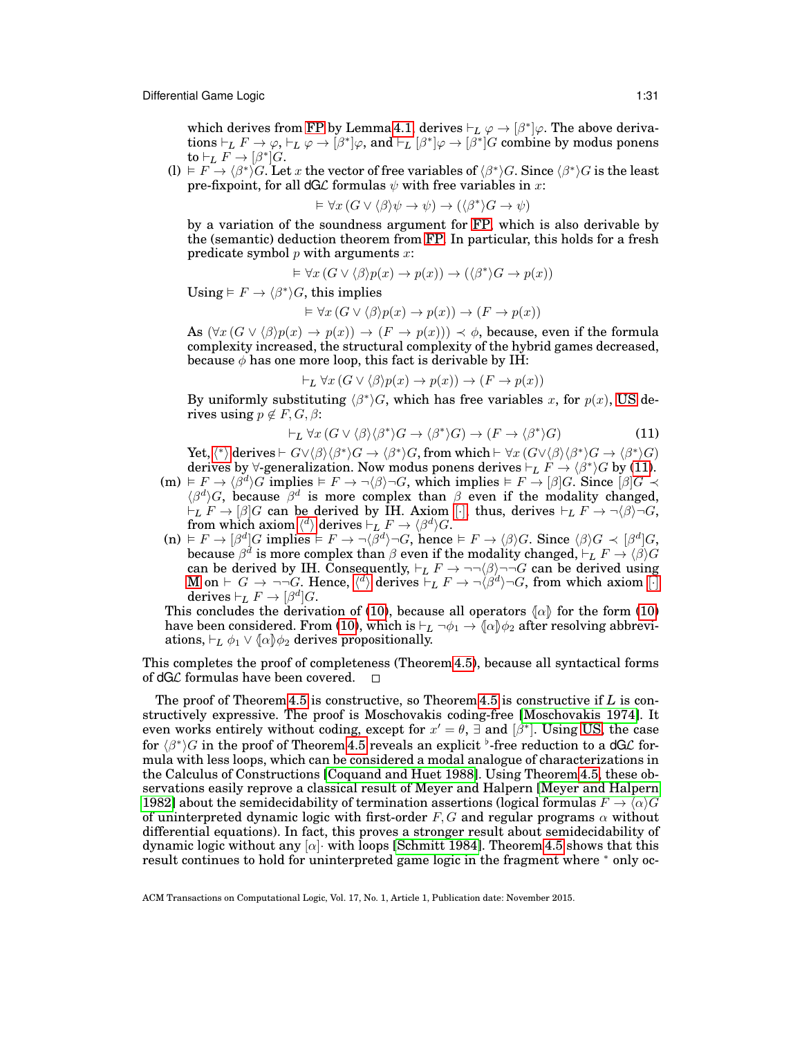which derives from [FP](#page-21-3) by Lemma [4.1,](#page-23-3) derives  $\vdash_L \varphi \to [\beta^*]\varphi$ . The above deriva- $\text{tions} \vdash_L F \to \varphi, \vdash_L \varphi \to [\beta^*] \varphi, \text{ and } \vdash_L [\beta^*] \varphi \to [\beta^*] G \text{ combine by modus ponens}$ to  $\vdash_L F \to [\beta^*]G$ .

 $\text{(l)} \models F \to \langle \beta^* \rangle G.$  Let x the vector of free variables of  $\langle \beta^* \rangle G.$  Since  $\langle \beta^* \rangle G$  is the least pre-fixpoint, for all  $dG\mathcal{L}$  formulas  $\psi$  with free variables in x:

$$
\vDash \forall x (G \lor \langle \beta \rangle \psi \to \psi) \to (\langle \beta^* \rangle G \to \psi)
$$

by a variation of the soundness argument for [FP,](#page-21-3) which is also derivable by the (semantic) deduction theorem from [FP.](#page-21-3) In particular, this holds for a fresh predicate symbol  $p$  with arguments  $x$ :

$$
\vDash \forall x (G \lor \langle \beta \rangle p(x) \to p(x)) \to (\langle \beta^* \rangle G \to p(x))
$$

Using  $\models$   $F \rightarrow \langle \beta^* \rangle G$ , this implies

$$
\vDash \forall x (G \lor \langle \beta \rangle p(x) \to p(x)) \to (F \to p(x))
$$

As  $(\forall x (G \lor \langle \beta \rangle p(x) \to p(x)) \to (F \to p(x))) \prec \phi$ , because, even if the formula complexity increased, the structural complexity of the hybrid games decreased, because  $\phi$  has one more loop, this fact is derivable by IH:

$$
\vdash_L \forall x (G \lor \langle \beta \rangle p(x) \to p(x)) \to (F \to p(x))
$$

By uniformly substituting  $\langle \beta^* \rangle G$ , which has free variables x, for  $p(x)$ , [US](#page-22-1) derives using  $p \notin F, G, \beta$ :

<span id="page-30-0"></span>
$$
\vdash_L \forall x (G \lor \langle \beta \rangle \langle \beta^* \rangle G \to \langle \beta^* \rangle G) \to (F \to \langle \beta^* \rangle G)
$$
\n(11)

Yet,  $\langle * \rangle$  derives  $\vdash G \vee \langle \beta \rangle \langle \beta^* \rangle G \rightarrow \langle \beta^* \rangle G$  $\vdash G \vee \langle \beta \rangle \langle \beta^* \rangle G \rightarrow \langle \beta^* \rangle G$  $\vdash G \vee \langle \beta \rangle \langle \beta^* \rangle G \rightarrow \langle \beta^* \rangle G$ , from which  $\vdash \forall x (G \vee \langle \beta \rangle \langle \beta^* \rangle G \rightarrow \langle \beta^* \rangle G)$ derives by  $\forall$ -generalization. Now modus ponens derives  $\vdash_L F \to \langle \beta^\ast \rangle G$  by [\(11\)](#page-30-0).  $(m) \models F \rightarrow \langle \beta^d \rangle G$  implies  $\models F \rightarrow \neg \langle \beta \rangle \neg G$ , which implies  $\models F \rightarrow [\beta] G$ . Since  $[\beta] G \prec$ 

- $\langle \beta^d \rangle G$ , because  $\beta^d$  is more complex than  $\beta$  even if the modality changed,  $\vdash_L F \to [\beta]G$  $\vdash_L F \to [\beta]G$  $\vdash_L F \to [\beta]G$  can be derived by IH. Axiom [·], thus, derives  $\vdash_L F \to \neg \langle \beta \rangle \neg G$ ,  $\text{from which axiom }\langle^d\rangle \text{ derives }\vdash_L F \to \langle\beta^d\rangle G.$  $\text{from which axiom }\langle^d\rangle \text{ derives }\vdash_L F \to \langle\beta^d\rangle G.$  $\text{from which axiom }\langle^d\rangle \text{ derives }\vdash_L F \to \langle\beta^d\rangle G.$
- $\mathcal{L}(\mathbf{n}) \models F \to [\beta^d] G \text{ implies } \models F \to \neg(\bar{\beta}^d) \neg G \text{, hence } \models F \to \langle \beta \rangle G \text{. Since } \langle \beta \rangle G \prec [\beta^d] G \text{,}$ because  $\beta^d$  is more complex than  $\beta$  even if the modality changed,  $\vdash_L F \to \langle \beta \rangle G$ can be derived by IH. Consequently,  $\vdash_L F \to \neg\neg(\beta) \neg\neg G$  can be derived using [M](#page-21-2) on  $\vdash$  $\vdash$   $G \to \neg \neg G$ . Hence,  $\langle \overline{d} \rangle$  derives  $\vdash_L F \to \neg \overline{\langle \beta^d \rangle} \neg G$ , from which axiom [\[](#page-21-4)·]  $\text{derives} \vdash_L F \to [\beta^d] G.$

This concludes the derivation of [\(10\)](#page-28-2), because all operators  $\langle \alpha \rangle$  for the form (10) have been considered. From [\(10\)](#page-28-2), which is  $\vdash_L \neg \phi_1 \rightarrow \langle \alpha \rangle \phi_2$  after resolving abbreviations,  $\vdash_L \phi_1 \lor \langle \vdash \phi_2 \rangle$  derives propositionally.

This completes the proof of completeness (Theorem [4.5\)](#page-27-0), because all syntactical forms of dG $\cal L$  formulas have been covered.  $\Box$ 

The proof of Theorem [4.5](#page-27-0) is constructive, so Theorem [4.5](#page-27-0) is constructive if *L* is constructively expressive. The proof is Moschovakis coding-free [\[Moschovakis 1974\]](#page-49-20). It even works entirely without coding, except for  $x' = \theta$ ,  $\exists$  and  $\beta^*$ . Using [US,](#page-22-1) the case for  $\langle \beta^* \rangle G$  in the proof of Theorem [4.5](#page-27-0) reveals an explicit  $^\flat$ -free reduction to a dGL formula with less loops, which can be considered a modal analogue of characterizations in the Calculus of Constructions [\[Coquand and Huet 1988\]](#page-47-3). Using Theorem [4.5,](#page-27-0) these observations easily reprove a classical result of Meyer and Halpern [\[Meyer and Halpern](#page-48-15) [1982\]](#page-48-15) about the semidecidability of termination assertions (logical formulas  $F \to \langle \alpha \rangle G$ of uninterpreted dynamic logic with first-order  $F, G$  and regular programs  $\alpha$  without differential equations). In fact, this proves a stronger result about semidecidability of dynamic logic without any  $\alpha$  with loops [\[Schmitt 1984\]](#page-49-22). Theorem [4.5](#page-27-0) shows that this result continues to hold for uninterpreted game logic in the fragment where <sup>∗</sup> only oc-

ACM Transactions on Computational Logic, Vol. 17, No. 1, Article 1, Publication date: November 2015.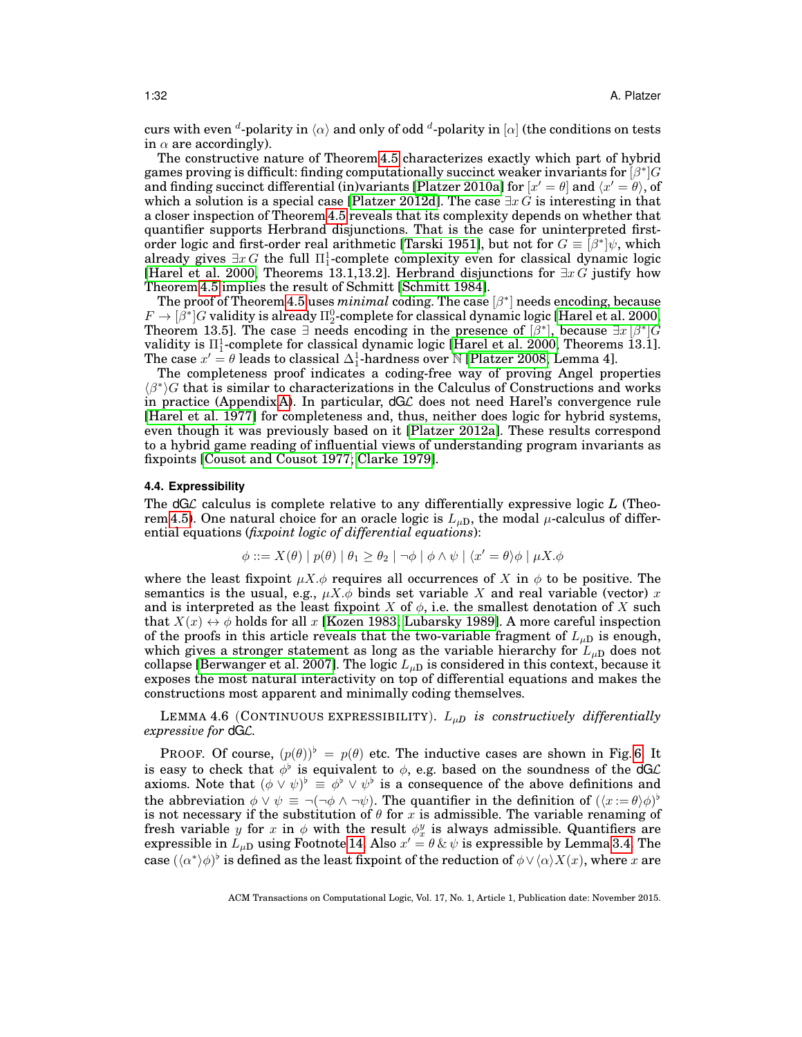curs with even  ${}^d$ -polarity in  $\langle \alpha \rangle$  and only of odd  ${}^d$ -polarity in  $[\alpha]$  (the conditions on tests in  $\alpha$  are accordingly).

The constructive nature of Theorem [4.5](#page-27-0) characterizes exactly which part of hybrid games proving is difficult: finding computationally succinct weaker invariants for  $\overline{[\beta^*]G}$ and finding succinct differential (in)variants [\[Platzer 2010a\]](#page-49-15) for  $[x' = \theta]$  and  $\langle x' = \theta \rangle$ , of which a solution is a special case [\[Platzer 2012d\]](#page-49-21). The case  $\exists x \tilde{G}$  is interesting in that a closer inspection of Theorem [4.5](#page-27-0) reveals that its complexity depends on whether that quantifier supports Herbrand disjunctions. That is the case for uninterpreted first-order logic and first-order real arithmetic [\[Tarski 1951\]](#page-49-18), but not for  $G \equiv [\beta^*] \psi$ , which already gives  $\exists x \, G$  the full  $\Pi^1_1$ -complete complexity even for classical dynamic logic [\[Harel et al. 2000,](#page-48-9) Theorems 13.1,13.2]. Herbrand disjunctions for  $\exists x G$  justify how Theorem [4.5](#page-27-0) implies the result of Schmitt [\[Schmitt 1984\]](#page-49-22).

The proof of Theorem [4.5](#page-27-0) uses  $minimal$  coding. The case  $\lbrack \beta^* \rbrack$  needs encoding, because  $F \to [\bar{\beta^*}] G$  validity is already  $\Pi^0_2$ -complete for classical dynamic logic [\[Harel et al. 2000,](#page-48-9) Theorem 13.5]. The case  $\exists$  needs encoding in the presence of  $\lbrack \beta^* \rbrack$ , because  $\exists x \lbrack \beta^* \rbrack G$ validity is  $\Pi^1_1$ -complete for classical dynamic logic [\[Harel et al. 2000,](#page-48-9) Theorems 13.1]. The case  $x' = \theta$  leads to classical  $\Delta_1^1$ -hardness over N [\[Platzer 2008,](#page-49-3) Lemma 4].

The completeness proof indicates a coding-free way of proving Angel properties  $\langle \beta^* \rangle$ G that is similar to characterizations in the Calculus of Constructions and works in practice (Appendix [A\)](#page-41-0). In particular, dGL does not need Harel's convergence rule [\[Harel et al. 1977\]](#page-48-8) for completeness and, thus, neither does logic for hybrid systems, even though it was previously based on it [\[Platzer 2012a\]](#page-49-4). These results correspond to a hybrid game reading of influential views of understanding program invariants as fixpoints [\[Cousot and Cousot 1977;](#page-48-7) [Clarke 1979\]](#page-47-4).

### <span id="page-31-0"></span>**4.4. Expressibility**

The dGL calculus is complete relative to any differentially expressive logic *L* (Theo-rem [4.5\)](#page-27-0). One natural choice for an oracle logic is  $L_{\mu D}$ , the modal  $\mu$ -calculus of differential equations (*fixpoint logic of differential equations*):

$$
\phi ::= X(\theta) | p(\theta) | \theta_1 \ge \theta_2 | \neg \phi | \phi \land \psi | \langle x' = \theta \rangle \phi | \mu X. \phi
$$

where the least fixpoint  $\mu X.\phi$  requires all occurrences of X in  $\phi$  to be positive. The semantics is the usual, e.g.,  $\mu X.\phi$  binds set variable X and real variable (vector) x and is interpreted as the least fixpoint X of  $\phi$ , i.e. the smallest denotation of X such that  $X(x) \leftrightarrow \phi$  holds for all x [\[Kozen 1983;](#page-48-16) [Lubarsky 1989\]](#page-48-17). A more careful inspection of the proofs in this article reveals that the two-variable fragment of  $L_{\mu}$  is enough, which gives a stronger statement as long as the variable hierarchy for  $L_{\mu D}$  does not collapse [\[Berwanger et al. 2007\]](#page-47-5). The logic  $L_{\mu D}$  is considered in this context, because it exposes the most natural interactivity on top of differential equations and makes the constructions most apparent and minimally coding themselves.

<span id="page-31-1"></span>LEMMA 4.6 (CONTINUOUS EXPRESSIBILITY). Lµ*<sup>D</sup> is constructively differentially expressive for* dGL*.*

PROOF. Of course,  $(p(\theta))^b = p(\theta)$  etc. The inductive cases are shown in Fig. [6.](#page-32-0) It is easy to check that  $\phi^{\flat}$  is equivalent to  $\phi$ , e.g. based on the soundness of the dGL axioms. Note that  $(\phi \vee \psi)^{\flat} \equiv \phi^{\flat} \vee \psi^{\flat}$  is a consequence of the above definitions and the abbreviation  $\phi \vee \psi \equiv \neg(\neg \phi \wedge \neg \psi)$ . The quantifier in the definition of  $(\langle x := \theta \rangle \phi)^{\flat}$ is not necessary if the substitution of  $\theta$  for x is admissible. The variable renaming of fresh variable y for x in  $\phi$  with the result  $\phi_x^y$  is always admissible. Quantifiers are expressible in  $L_{\mu \mathrm{D}}$  using Footnote [14.](#page-26-1) Also  $x' = \theta \, \& \, \psi$  is expressible by Lemma [3.4.](#page-15-3) The case  $(\langle \alpha^* \rangle \phi)^{\flat}$  is defined as the least fixpoint of the reduction of  $\phi \vee \langle \alpha \rangle X(x),$  where  $x$  are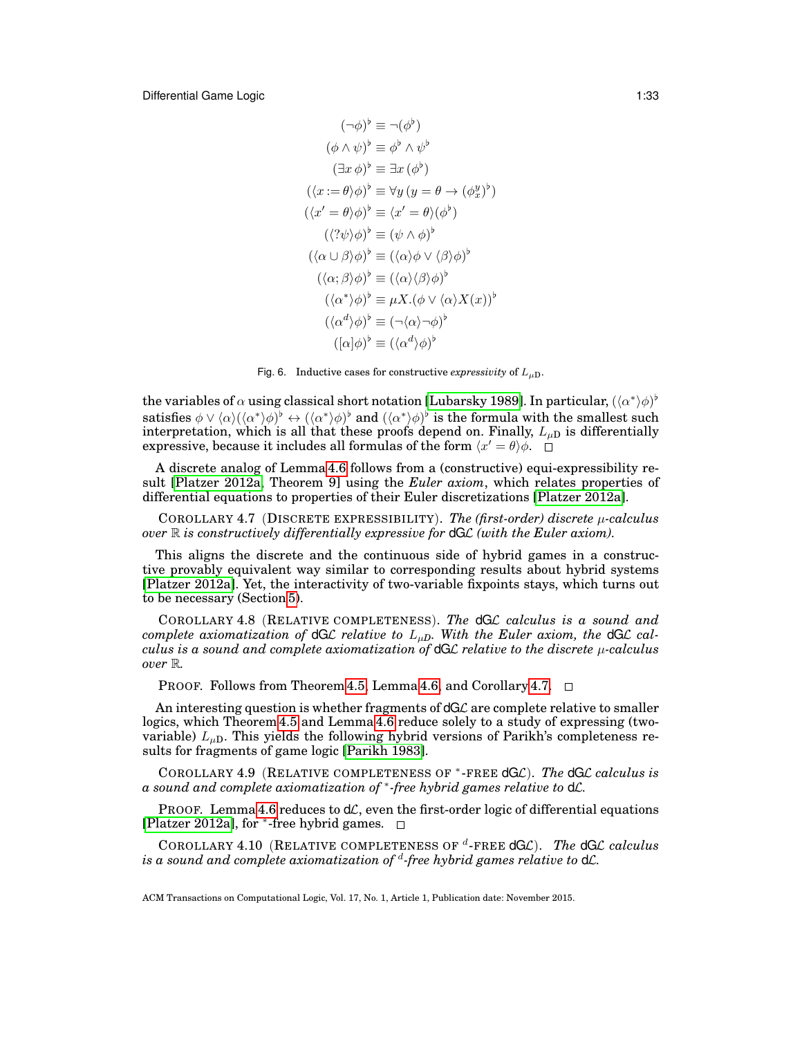$$
(\neg \phi)^{\flat} \equiv \neg (\phi^{\flat})
$$
  
\n
$$
(\phi \land \psi)^{\flat} \equiv \phi^{\flat} \land \psi^{\flat}
$$
  
\n
$$
(\exists x \phi)^{\flat} \equiv \exists x (\phi^{\flat})
$$
  
\n
$$
(\langle x := \theta \rangle \phi)^{\flat} \equiv \forall y (y = \theta \to (\phi_x^y)^{\flat})
$$
  
\n
$$
(\langle x' = \theta \rangle \phi)^{\flat} \equiv \langle x' = \theta \rangle (\phi^{\flat})
$$
  
\n
$$
(\langle \gamma \psi \rangle \phi)^{\flat} \equiv (\psi \land \phi)^{\flat}
$$
  
\n
$$
(\langle \alpha \cup \beta \rangle \phi)^{\flat} \equiv (\langle \alpha \rangle \phi \lor \langle \beta \rangle \phi)^{\flat}
$$
  
\n
$$
(\langle \alpha, \beta \rangle \phi)^{\flat} \equiv (\langle \alpha \rangle \langle \beta \rangle \phi)^{\flat}
$$
  
\n
$$
(\langle \alpha^* \rangle \phi)^{\flat} \equiv \mu X. (\phi \lor \langle \alpha \rangle X(x))^{\flat}
$$
  
\n
$$
(\langle \alpha^d \rangle \phi)^{\flat} \equiv (\neg \langle \alpha \rangle \neg \phi)^{\flat}
$$
  
\n
$$
([\alpha] \phi)^{\flat} \equiv (\langle \alpha^d \rangle \phi)^{\flat}
$$

 $\phi = \phi$ 

<span id="page-32-0"></span>Fig. 6. Inductive cases for constructive *expressivity* of  $L_{\mu D}$ .

the variables of  $\alpha$  using classical short notation [\[Lubarsky 1989\]](#page-48-17). In particular,  $(\langle\alpha^*\rangle\phi)^{\flat}$ satisfies  $\phi\vee\langle\alpha\rangle(\langle\alpha^*\rangle\phi)^\flat\leftrightarrow(\langle\alpha^*\rangle\phi)^\flat$  and  $(\langle\alpha^*\rangle\phi)^\flat$  is the formula with the smallest such interpretation, which is all that these proofs depend on. Finally,  $L_{\mu D}$  is differentially expressive, because it includes all formulas of the form  $\langle x' = \theta \rangle \phi$ .

A discrete analog of Lemma [4.6](#page-31-1) follows from a (constructive) equi-expressibility result [\[Platzer 2012a,](#page-49-4) Theorem 9] using the *Euler axiom*, which relates properties of differential equations to properties of their Euler discretizations [\[Platzer 2012a\]](#page-49-4).

<span id="page-32-1"></span>COROLLARY 4.7 (DISCRETE EXPRESSIBILITY). *The (first-order) discrete* µ*-calculus over* R *is constructively differentially expressive for* dGL *(with the Euler axiom).*

This aligns the discrete and the continuous side of hybrid games in a constructive provably equivalent way similar to corresponding results about hybrid systems [\[Platzer 2012a\]](#page-49-4). Yet, the interactivity of two-variable fixpoints stays, which turns out to be necessary (Section [5\)](#page-35-0).

COROLLARY 4.8 (RELATIVE COMPLETENESS). *The* dGL *calculus is a sound and complete axiomatization of*  $dGL$  *relative to*  $L_{\mu D}$ *. With the Euler axiom, the*  $dGL$  *calculus is a sound and complete axiomatization of* dGL *relative to the discrete* µ*-calculus over* R*.*

PROOF. Follows from Theorem [4.5,](#page-27-0) Lemma [4.6,](#page-31-1) and Corollary [4.7.](#page-32-1)  $\Box$ 

An interesting question is whether fragments of  $dG\mathcal{L}$  are complete relative to smaller logics, which Theorem [4.5](#page-27-0) and Lemma [4.6](#page-31-1) reduce solely to a study of expressing (twovariable)  $L_{\mu D}$ . This yields the following hybrid versions of Parikh's completeness results for fragments of game logic [\[Parikh 1983\]](#page-49-12).

<span id="page-32-3"></span>COROLLARY 4.9 (RELATIVE COMPLETENESS OF <sup>∗</sup> -FREE dGL). *The* dGL *calculus is a sound and complete axiomatization of* <sup>∗</sup> *-free hybrid games relative to* dL*.*

PROOF. Lemma [4.6](#page-31-1) reduces to  $d\mathcal{L}$ , even the first-order logic of differential equations [\[Platzer 2012a\]](#page-49-4), for <sup>∗</sup> -free hybrid games.

<span id="page-32-2"></span>COROLLARY 4.10 (RELATIVE COMPLETENESS OF <sup>d</sup>-FREE dGC). The dGC calculus *is a sound and complete axiomatization of* <sup>d</sup> *-free hybrid games relative to* dL*.*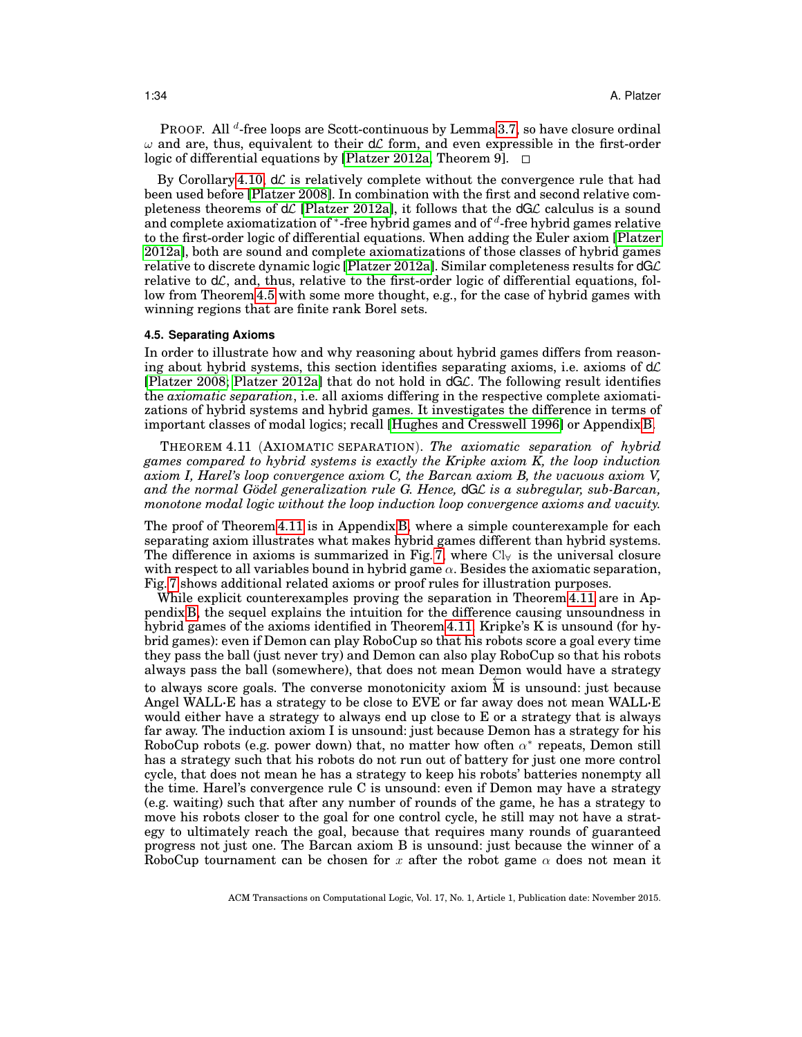PROOF. All <sup>d</sup>-free loops are Scott-continuous by Lemma [3.7,](#page-17-1) so have closure ordinal  $\omega$  and are, thus, equivalent to their  $d\mathcal{L}$  form, and even expressible in the first-order logic of differential equations by [\[Platzer 2012a,](#page-49-4) Theorem 9]. □

By Corollary [4.10,](#page-32-2)  $d\mathcal{L}$  is relatively complete without the convergence rule that had been used before [\[Platzer 2008\]](#page-49-3). In combination with the first and second relative completeness theorems of  $d\mathcal{L}$  [\[Platzer 2012a\]](#page-49-4), it follows that the  $dG\mathcal{L}$  calculus is a sound and complete axiomatization of \*-free hybrid games and of  $d$ -free hybrid games relative to the first-order logic of differential equations. When adding the Euler axiom [\[Platzer](#page-49-4) [2012a\]](#page-49-4), both are sound and complete axiomatizations of those classes of hybrid games relative to discrete dynamic logic [\[Platzer 2012a\]](#page-49-4). Similar completeness results for  $dG\mathcal{L}$ relative to  $d\mathcal{L}$ , and, thus, relative to the first-order logic of differential equations, follow from Theorem [4.5](#page-27-0) with some more thought, e.g., for the case of hybrid games with winning regions that are finite rank Borel sets.

#### <span id="page-33-0"></span>**4.5. Separating Axioms**

In order to illustrate how and why reasoning about hybrid games differs from reasoning about hybrid systems, this section identifies separating axioms, i.e. axioms of  $d\mathcal{L}$ [\[Platzer 2008;](#page-49-3) [Platzer 2012a\]](#page-49-4) that do not hold in dGL. The following result identifies the *axiomatic separation*, i.e. all axioms differing in the respective complete axiomatizations of hybrid systems and hybrid games. It investigates the difference in terms of important classes of modal logics; recall [\[Hughes and Cresswell 1996\]](#page-48-12) or Appendix [B.](#page-42-0)

<span id="page-33-1"></span>THEOREM 4.11 (AXIOMATIC SEPARATION). *The axiomatic separation of hybrid games compared to hybrid systems is exactly the Kripke axiom K, the loop induction axiom I, Harel's loop convergence axiom C, the Barcan axiom B, the vacuous axiom V,* and the normal Gödel generalization rule G. Hence, dGL is a subregular, sub-Barcan, *monotone modal logic without the loop induction loop convergence axioms and vacuity.*

The proof of Theorem [4.11](#page-33-1) is in Appendix [B,](#page-42-0) where a simple counterexample for each separating axiom illustrates what makes hybrid games different than hybrid systems. The difference in axioms is summarized in Fig. [7,](#page-34-0) where  $Cl_{\forall}$  is the universal closure with respect to all variables bound in hybrid game  $\alpha$ . Besides the axiomatic separation, Fig. [7](#page-34-0) shows additional related axioms or proof rules for illustration purposes.

While explicit counterexamples proving the separation in Theorem [4.11](#page-33-1) are in Appendix [B,](#page-42-0) the sequel explains the intuition for the difference causing unsoundness in hybrid games of the axioms identified in Theorem [4.11.](#page-33-1) Kripke's K is unsound (for hybrid games): even if Demon can play RoboCup so that his robots score a goal every time they pass the ball (just never try) and Demon can also play RoboCup so that his robots always pass the ball (somewhere), that does not mean Demon would have a strategy to always score goals. The converse monotonicity axiom  $M$  is unsound: just because Angel WALL·E has a strategy to be close to EVE or far away does not mean WALL·E would either have a strategy to always end up close to E or a strategy that is always far away. The induction axiom I is unsound: just because Demon has a strategy for his RoboCup robots (e.g. power down) that, no matter how often  $\alpha^*$  repeats, Demon still has a strategy such that his robots do not run out of battery for just one more control cycle, that does not mean he has a strategy to keep his robots' batteries nonempty all the time. Harel's convergence rule C is unsound: even if Demon may have a strategy (e.g. waiting) such that after any number of rounds of the game, he has a strategy to move his robots closer to the goal for one control cycle, he still may not have a strategy to ultimately reach the goal, because that requires many rounds of guaranteed progress not just one. The Barcan axiom B is unsound: just because the winner of a RoboCup tournament can be chosen for x after the robot game  $\alpha$  does not mean it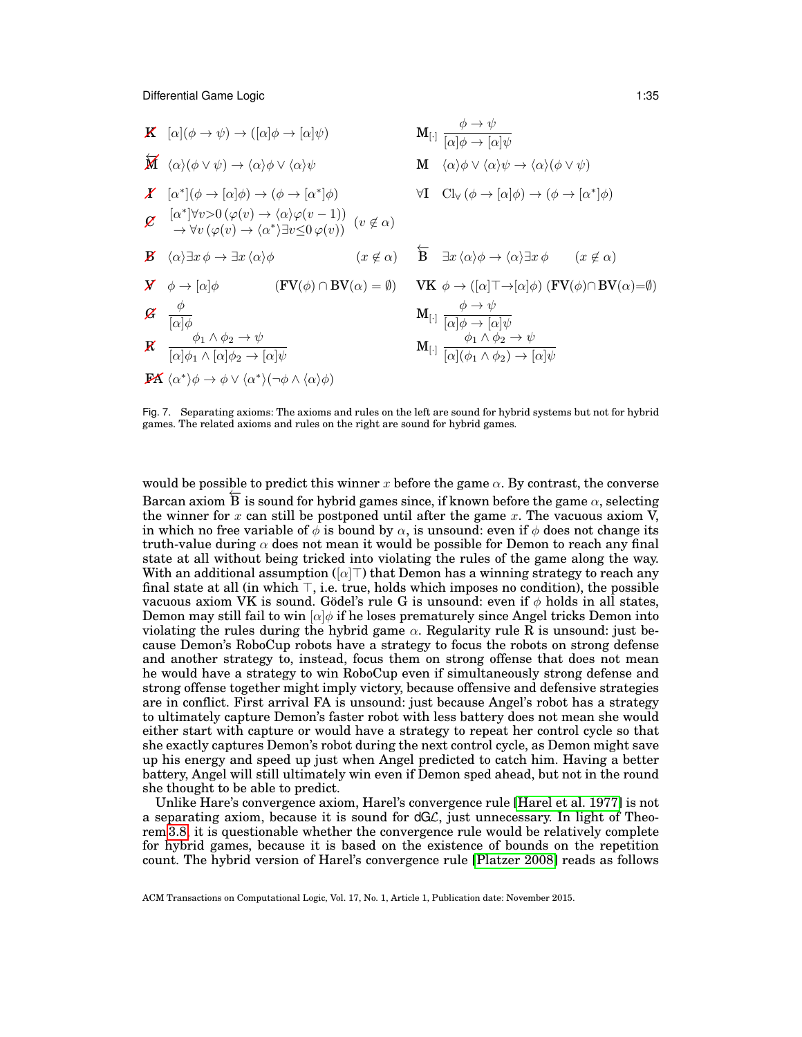

<span id="page-34-0"></span>Fig. 7. Separating axioms: The axioms and rules on the left are sound for hybrid systems but not for hybrid games. The related axioms and rules on the right are sound for hybrid games.

would be possible to predict this winner x before the game  $\alpha$ . By contrast, the converse Barcan axiom  $\overline{B}$  is sound for hybrid games since, if known before the game  $\alpha$ , selecting the winner for  $x$  can still be postponed until after the game  $x$ . The vacuous axiom V, in which no free variable of  $\phi$  is bound by  $\alpha$ , is unsound: even if  $\phi$  does not change its truth-value during  $\alpha$  does not mean it would be possible for Demon to reach any final state at all without being tricked into violating the rules of the game along the way. With an additional assumption ( $\alpha|\top$ ) that Demon has a winning strategy to reach any final state at all (in which  $\top$ , i.e. true, holds which imposes no condition), the possible vacuous axiom VK is sound. Gödel's rule G is unsound: even if  $\phi$  holds in all states, Demon may still fail to win  $\alpha/\phi$  if he loses prematurely since Angel tricks Demon into violating the rules during the hybrid game  $\alpha$ . Regularity rule R is unsound: just because Demon's RoboCup robots have a strategy to focus the robots on strong defense and another strategy to, instead, focus them on strong offense that does not mean he would have a strategy to win RoboCup even if simultaneously strong defense and strong offense together might imply victory, because offensive and defensive strategies are in conflict. First arrival FA is unsound: just because Angel's robot has a strategy to ultimately capture Demon's faster robot with less battery does not mean she would either start with capture or would have a strategy to repeat her control cycle so that she exactly captures Demon's robot during the next control cycle, as Demon might save up his energy and speed up just when Angel predicted to catch him. Having a better battery, Angel will still ultimately win even if Demon sped ahead, but not in the round she thought to be able to predict.

Unlike Hare's convergence axiom, Harel's convergence rule [\[Harel et al. 1977\]](#page-48-8) is not a separating axiom, because it is sound for dGL, just unnecessary. In light of Theorem [3.8,](#page-19-1) it is questionable whether the convergence rule would be relatively complete for hybrid games, because it is based on the existence of bounds on the repetition count. The hybrid version of Harel's convergence rule [\[Platzer 2008\]](#page-49-3) reads as follows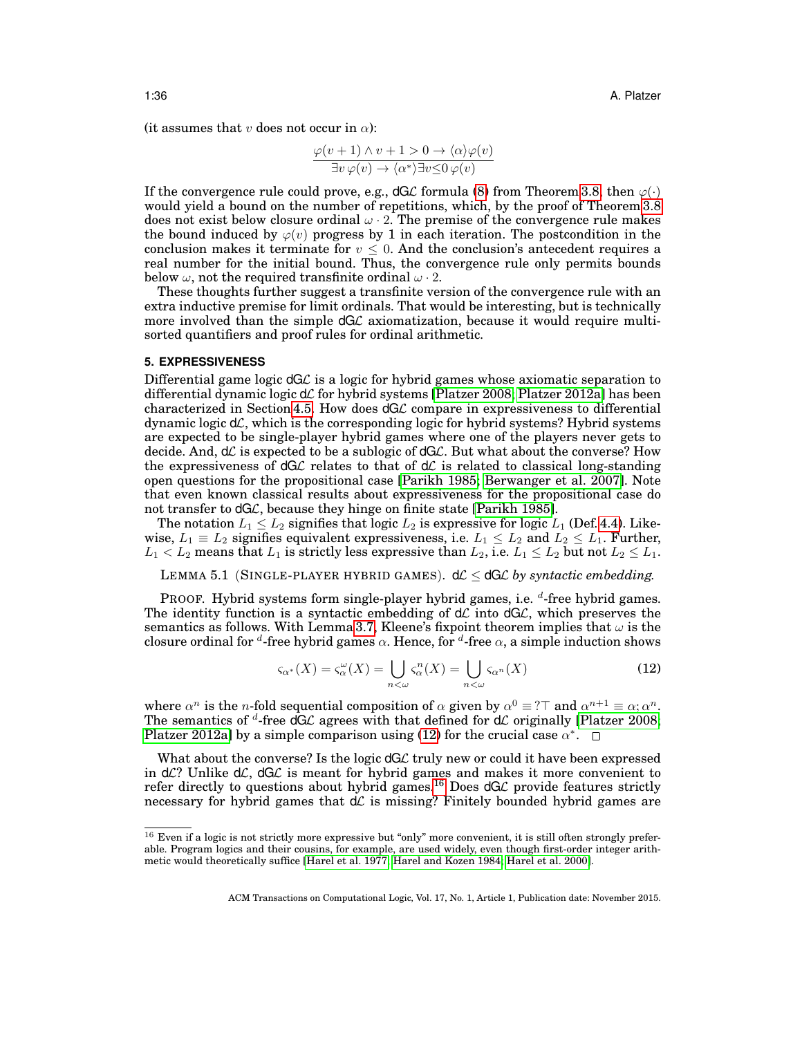(it assumes that v does not occur in  $\alpha$ ):

$$
\frac{\varphi(v+1)\wedge v+1>0\to\langle\alpha\rangle\varphi(v)}{\exists v\,\varphi(v)\to\langle\alpha^*\rangle\exists v\leq 0\,\varphi(v)}
$$

If the convergence rule could prove, e.g.,  $dG\mathcal{L}$  formula [\(8\)](#page-19-2) from Theorem [3.8,](#page-19-1) then  $\varphi(\cdot)$ would yield a bound on the number of repetitions, which, by the proof of Theorem [3.8](#page-19-1) does not exist below closure ordinal  $\omega \cdot 2$ . The premise of the convergence rule makes the bound induced by  $\varphi(v)$  progress by 1 in each iteration. The postcondition in the conclusion makes it terminate for  $v \leq 0$ . And the conclusion's antecedent requires a real number for the initial bound. Thus, the convergence rule only permits bounds below  $\omega$ , not the required transfinite ordinal  $\omega \cdot 2$ .

These thoughts further suggest a transfinite version of the convergence rule with an extra inductive premise for limit ordinals. That would be interesting, but is technically more involved than the simple  $dG\mathcal{L}$  axiomatization, because it would require multisorted quantifiers and proof rules for ordinal arithmetic.

#### <span id="page-35-0"></span>**5. EXPRESSIVENESS**

Differential game logic  $dG\mathcal{L}$  is a logic for hybrid games whose axiomatic separation to differential dynamic logic  $d\mathcal{L}$  for hybrid systems [\[Platzer 2008;](#page-49-3) [Platzer 2012a\]](#page-49-4) has been characterized in Section [4.5.](#page-33-0) How does  $dG\mathcal{L}$  compare in expressiveness to differential dynamic logic  $d\mathcal{L}$ , which is the corresponding logic for hybrid systems? Hybrid systems are expected to be single-player hybrid games where one of the players never gets to decide. And,  $d\mathcal{L}$  is expected to be a sublogic of  $dG\mathcal{L}$ . But what about the converse? How the expressiveness of  $dG\mathcal{L}$  relates to that of  $d\mathcal{L}$  is related to classical long-standing open questions for the propositional case [\[Parikh 1985;](#page-49-13) [Berwanger et al. 2007\]](#page-47-5). Note that even known classical results about expressiveness for the propositional case do not transfer to dGC, because they hinge on finite state [\[Parikh 1985\]](#page-49-13).

The notation  $L_1 \leq L_2$  signifies that logic  $L_2$  is expressive for logic  $L_1$  (Def. [4.4\)](#page-26-2). Likewise,  $L_1 \equiv L_2$  signifies equivalent expressiveness, i.e.  $L_1 \le L_2$  and  $L_2 \le L_1$ . Further,  $L_1 < L_2$  means that  $L_1$  is strictly less expressive than  $L_2,$  i.e.  $L_1 \le L_2$  but not  $L_2 \le L_1.$ 

<span id="page-35-3"></span>LEMMA 5.1 (SINGLE-PLAYER HYBRID GAMES).  $d\mathcal{L} \leq dG\mathcal{L}$  by syntactic embedding.

PROOF. Hybrid systems form single-player hybrid games, i.e. d-free hybrid games. The identity function is a syntactic embedding of  $d\mathcal{L}$  into  $dG\mathcal{L}$ , which preserves the semantics as follows. With Lemma [3.7,](#page-17-1) Kleene's fixpoint theorem implies that  $\omega$  is the closure ordinal for <sup>d</sup>-free hybrid games  $\alpha$ . Hence, for <sup>d</sup>-free  $\alpha$ , a simple induction shows

<span id="page-35-1"></span>
$$
\varsigma_{\alpha^*}(X) = \varsigma_{\alpha}^{\omega}(X) = \bigcup_{n < \omega} \varsigma_{\alpha}^n(X) = \bigcup_{n < \omega} \varsigma_{\alpha^n}(X) \tag{12}
$$

where  $\alpha^n$  is the *n*-fold sequential composition of  $\alpha$  given by  $\alpha^0 \equiv ?\top$  and  $\alpha^{n+1} \equiv \alpha; \alpha^n$ . The semantics of <sup>d</sup>-free dGL agrees with that defined for dL originally [\[Platzer 2008;](#page-49-3) [Platzer 2012a\]](#page-49-4) by a simple comparison using [\(12\)](#page-35-1) for the crucial case  $\alpha^*$ .

What about the converse? Is the logic dGL truly new or could it have been expressed in  $d\mathcal{L}$ ? Unlike  $d\mathcal{L}$ ,  $dG\mathcal{L}$  is meant for hybrid games and makes it more convenient to refer directly to questions about hybrid games.<sup>[16](#page-35-2)</sup> Does  $dG\mathcal{L}$  provide features strictly necessary for hybrid games that  $d\mathcal{L}$  is missing? Finitely bounded hybrid games are

<span id="page-35-2"></span> $16$  Even if a logic is not strictly more expressive but "only" more convenient, it is still often strongly preferable. Program logics and their cousins, for example, are used widely, even though first-order integer arithmetic would theoretically suffice [\[Harel et al. 1977;](#page-48-8) [Harel and Kozen 1984;](#page-48-18) [Harel et al. 2000\]](#page-48-9).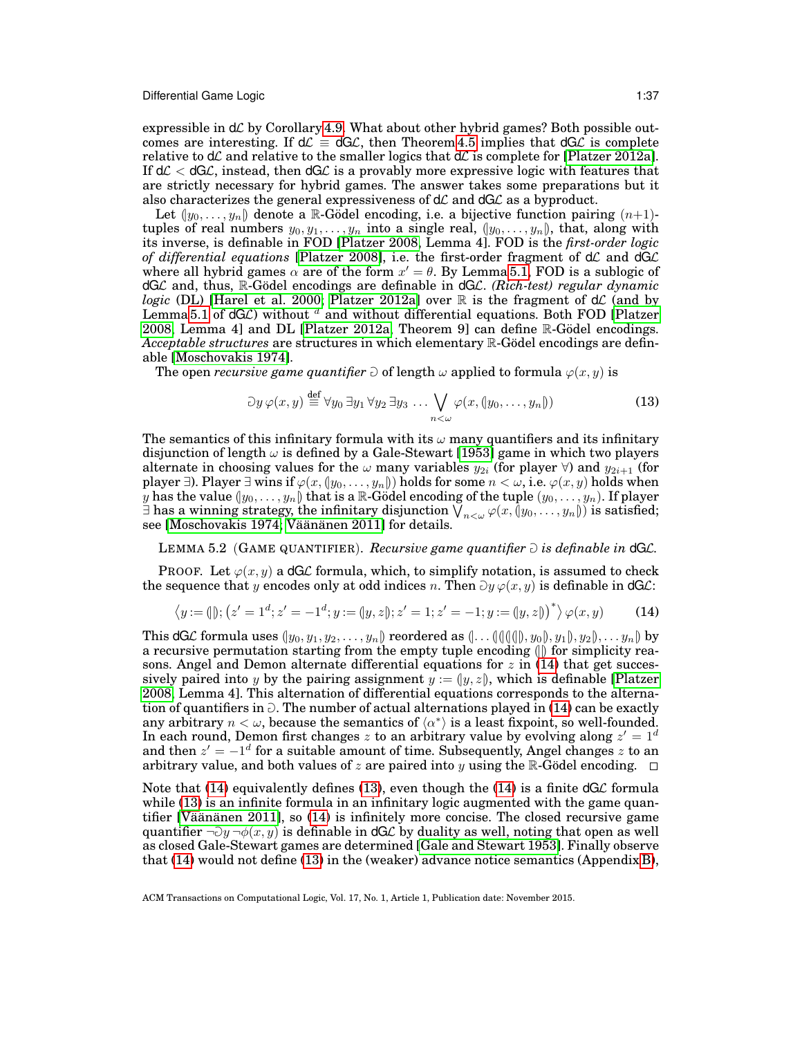expressible in  $d\mathcal{L}$  by Corollary [4.9.](#page-32-3) What about other hybrid games? Both possible outcomes are interesting. If  $d\mathcal{L} \equiv dG\mathcal{L}$ , then Theorem [4.5](#page-27-0) implies that  $dG\mathcal{L}$  is complete relative to  $d\mathcal{L}$  and relative to the smaller logics that  $d\mathcal{L}$  is complete for [\[Platzer 2012a\]](#page-49-4). If  $d\mathcal{L} < dG\mathcal{L}$ , instead, then  $dG\mathcal{L}$  is a provably more expressive logic with features that are strictly necessary for hybrid games. The answer takes some preparations but it also characterizes the general expressiveness of  $d\mathcal{L}$  and  $dG\mathcal{L}$  as a byproduct.

Let  $(y_0, \ldots, y_n)$  denote a R-Gödel encoding, i.e. a bijective function pairing  $(n+1)$ tuples of real numbers  $y_0, y_1, \ldots, y_n$  into a single real,  $(y_0, \ldots, y_n)$ , that, along with its inverse, is definable in FOD [\[Platzer 2008,](#page-49-3) Lemma 4]. FOD is the *first-order logic* of differential equations [\[Platzer 2008\]](#page-49-3), i.e. the first-order fragment of dC and dGC where all hybrid games  $\alpha$  are of the form  $x' = \theta$ . By Lemma [5.1,](#page-35-3) FOD is a sublogic of dGL and, thus, R-Gödel encodings are definable in dGL. *(Rich-test) regular dynamic logic* (DL) [\[Harel et al. 2000;](#page-48-9) [Platzer 2012a\]](#page-49-4) over  $\mathbb R$  is the fragment of  $d\mathcal{L}$  (and by Lemma [5.1](#page-35-3) of  $dGC$ ) without  $d$  and without differential equations. Both FOD [\[Platzer](#page-49-3) [2008,](#page-49-3) Lemma 4] and DL [\[Platzer 2012a,](#page-49-4) Theorem 9] can define  $\mathbb R$ -Gödel encodings. *Acceptable structures* are structures in which elementary R-Godel encodings are definable [\[Moschovakis 1974\]](#page-49-20).

The open *recursive game quantifier*  $\partial$  of length  $\omega$  applied to formula  $\varphi(x, y)$  is

<span id="page-36-2"></span><span id="page-36-1"></span>
$$
\partial y \varphi(x, y) \stackrel{\text{def}}{=} \forall y_0 \exists y_1 \forall y_2 \exists y_3 \dots \bigvee_{n < \omega} \varphi(x, (y_0, \dots, y_n)) \tag{13}
$$

The semantics of this infinitary formula with its  $\omega$  many quantifiers and its infinitary disjunction of length  $\omega$  is defined by a Gale-Stewart [\[1953\]](#page-48-19) game in which two players alternate in choosing values for the  $\omega$  many variables  $y_{2i}$  (for player  $\forall$ ) and  $y_{2i+1}$  (for player ∃). Player ∃ wins if  $\varphi(x,(y_0,\ldots,y_n))$  holds for some  $n < \omega$ , i.e.  $\varphi(x,y)$  holds when  $y$  has the value  $(y_0,\ldots,y_n)$  that is a  $\mathbb R$ -Gödel encoding of the tuple  $(y_0,\ldots,y_n).$  If player  $\exists$  has a winning strategy, the infinitary disjunction  $\bigvee_{n<\omega}\varphi(x,\c0y_0,\ldots,y_n\right))$  is satisfied; see [\[Moschovakis 1974;](#page-49-20) Väänänen 2011] for details.

#### LEMMA 5.2 (GAME QUANTIFIER). *Recursive game quantifier*  $\partial$  *is definable in*  $dGL$ .

PROOF. Let  $\varphi(x, y)$  a dGC formula, which, to simplify notation, is assumed to check the sequence that y encodes only at odd indices n. Then  $\partial y \varphi(x, y)$  is definable in dGL:

<span id="page-36-0"></span>
$$
\langle y := 0 | \mathbf{y}; (z' = 1^d; z' = -1^d; y := (y, z); z' = 1; z' = -1; y := (y, z) \rangle^* \rangle \varphi(x, y) \tag{14}
$$

This dGL formula uses  $(y_0, y_1, y_2, \ldots, y_n)$  reordered as  $(\ldots (\langle (\langle \langle \phi \rangle, y_0 \rangle, y_1 \rangle, y_2 \rangle, \ldots, y_n))$  by a recursive permutation starting from the empty tuple encoding  $(\parallel)$  for simplicity reasons. Angel and Demon alternate differential equations for  $z$  in [\(14\)](#page-36-0) that get successively paired into y by the pairing assignment  $y := (y, z)$ , which is definable [\[Platzer](#page-49-3) [2008,](#page-49-3) Lemma 4]. This alternation of differential equations corresponds to the alternation of quantifiers in  $\partial$ . The number of actual alternations played in [\(14\)](#page-36-0) can be exactly any arbitrary  $n < \omega$ , because the semantics of  $\langle \alpha^* \rangle$  is a least fixpoint, so well-founded. In each round, Demon first changes z to an arbitrary value by evolving along  $z' = 1<sup>d</sup>$ and then  $z' = -1^d$  for a suitable amount of time. Subsequently, Angel changes z to an arbitrary value, and both values of z are paired into y using the R-Godel encoding.  $\square$ 

Note that [\(14\)](#page-36-0) equivalently defines [\(13\)](#page-36-1), even though the (14) is a finite  $dG\mathcal{L}$  formula while [\(13\)](#page-36-1) is an infinite formula in an infinitary logic augmented with the game quantifier [Väänänen 2011], so  $(14)$  is infinitely more concise. The closed recursive game quantifier  $\neg$ )  $\neg$   $\neg$ (x, y) is definable in dGL by duality as well, noting that open as well as closed Gale-Stewart games are determined [\[Gale and Stewart 1953\]](#page-48-19). Finally observe that [\(14\)](#page-36-0) would not define [\(13\)](#page-36-1) in the (weaker) advance notice semantics (Appendix [B\)](#page-42-0),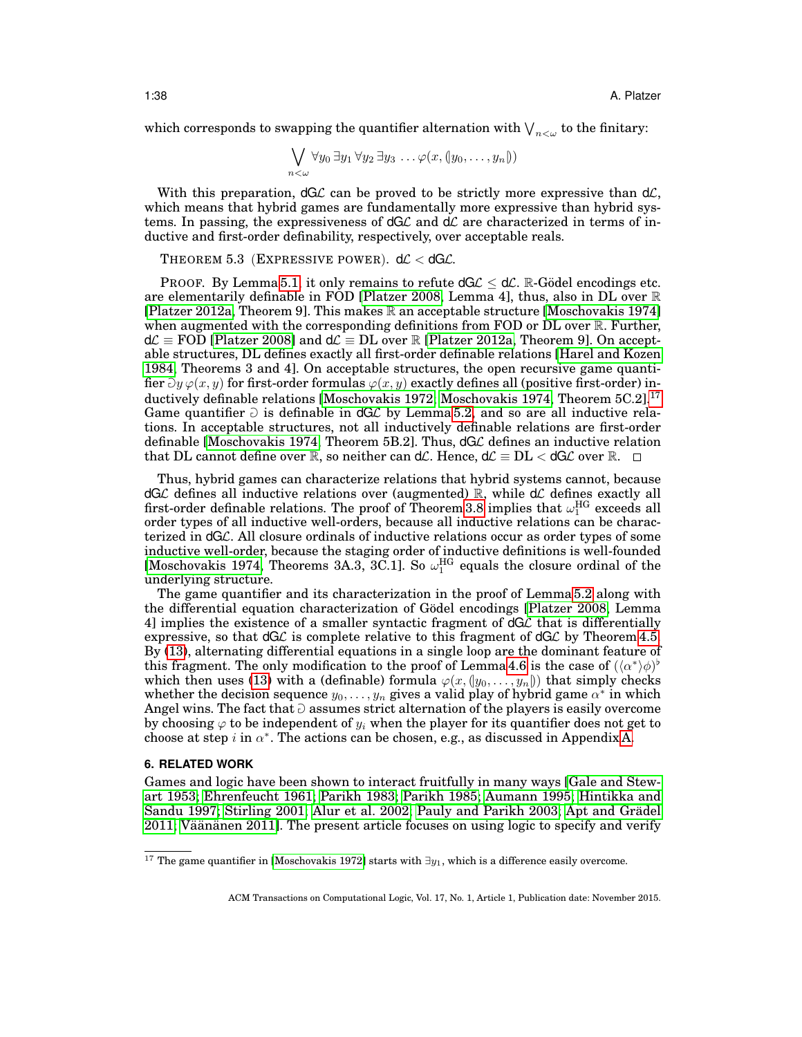which corresponds to swapping the quantifier alternation with  $\mathop{\bigvee}_{n<\omega}$  to the finitary:

$$
\bigvee_{n<\omega}\forall y_0\,\exists y_1\,\forall y_2\,\exists y_3\,\ldots\varphi(x,(y_0,\ldots,y_n))
$$

With this preparation,  $dG\mathcal{L}$  can be proved to be strictly more expressive than  $d\mathcal{L}$ , which means that hybrid games are fundamentally more expressive than hybrid systems. In passing, the expressiveness of  $dG\mathcal{L}$  and  $d\mathcal{L}$  are characterized in terms of inductive and first-order definability, respectively, over acceptable reals.

<span id="page-37-2"></span>THEOREM 5.3 (EXPRESSIVE POWER).  $d\mathcal{L} < dG\mathcal{L}$ .

PROOF. By Lemma [5.1,](#page-35-3) it only remains to refute  $dG\mathcal{L} < d\mathcal{L}$ . R-Gödel encodings etc. are elementarily definable in FOD [\[Platzer 2008,](#page-49-3) Lemma 4], thus, also in DL over R [\[Platzer 2012a,](#page-49-4) Theorem 9]. This makes  $\mathbb R$  an acceptable structure [\[Moschovakis 1974\]](#page-49-20) when augmented with the corresponding definitions from FOD or DL over R. Further,  $d\mathcal{L} \equiv \text{FOD}$  [\[Platzer 2008\]](#page-49-3) and  $d\mathcal{L} \equiv \text{DL}$  over R [\[Platzer 2012a,](#page-49-4) Theorem 9]. On acceptable structures, DL defines exactly all first-order definable relations [\[Harel and Kozen](#page-48-18) [1984,](#page-48-18) Theorems 3 and 4]. On acceptable structures, the open recursive game quantifier  $\partial y \varphi(x, y)$  for first-order formulas  $\varphi(x, y)$  exactly defines all (positive first-order) in-ductively definable relations [\[Moschovakis 1972;](#page-49-23) [Moschovakis 1974,](#page-49-20) Theorem 5C.2].<sup>[17](#page-37-1)</sup> Game quantifier  $\partial$  is definable in dGL by Lemma [5.2,](#page-36-2) and so are all inductive relations. In acceptable structures, not all inductively definable relations are first-order definable [\[Moschovakis 1974,](#page-49-20) Theorem 5B.2]. Thus, dGL defines an inductive relation that DL cannot define over R, so neither can dL. Hence,  $d\mathcal{L} \equiv DL < dG\mathcal{L}$  over R.  $\Box$ 

Thus, hybrid games can characterize relations that hybrid systems cannot, because  $dG\mathcal{L}$  defines all inductive relations over (augmented) R, while  $d\mathcal{L}$  defines exactly all first-order definable relations. The proof of Theorem [3.8](#page-19-1) implies that  $\omega_{1}^{\text{HG}}$  exceeds all order types of all inductive well-orders, because all inductive relations can be characterized in dGL. All closure ordinals of inductive relations occur as order types of some inductive well-order, because the staging order of inductive definitions is well-founded [\[Moschovakis 1974,](#page-49-20) Theorems 3A.3, 3C.1]. So  $\omega_1^{\text{HG}}$  equals the closure ordinal of the underlying structure.

The game quantifier and its characterization in the proof of Lemma [5.2](#page-36-2) along with the differential equation characterization of Godel encodings [\[Platzer 2008,](#page-49-3) Lemma 4] implies the existence of a smaller syntactic fragment of  $dG\mathcal{L}$  that is differentially expressive, so that  $dG\mathcal{L}$  is complete relative to this fragment of  $dG\mathcal{L}$  by Theorem [4.5.](#page-27-0) By [\(13\)](#page-36-1), alternating differential equations in a single loop are the dominant feature of this fragment. The only modification to the proof of Lemma [4.6](#page-31-1) is the case of  $(\langle \alpha^* \rangle \phi)^{\flat}$ which then uses [\(13\)](#page-36-1) with a (definable) formula  $\varphi(x, (y_0, \ldots, y_n))$  that simply checks whether the decision sequence  $y_0, \ldots, y_n$  gives a valid play of hybrid game  $\alpha^*$  in which Angel wins. The fact that  $\partial$  assumes strict alternation of the players is easily overcome by choosing  $\varphi$  to be independent of  $y_i$  when the player for its quantifier does not get to choose at step i in  $\alpha^*$ . The actions can be chosen, e.g., as discussed in Appendix [A.](#page-41-0)

#### <span id="page-37-0"></span>**6. RELATED WORK**

Games and logic have been shown to interact fruitfully in many ways [\[Gale and Stew](#page-48-19)[art 1953;](#page-48-19) [Ehrenfeucht 1961;](#page-48-20) [Parikh 1983;](#page-49-12) [Parikh 1985;](#page-49-13) [Aumann 1995;](#page-47-10) [Hintikka and](#page-48-21) [Sandu 1997;](#page-48-21) [Stirling 2001;](#page-49-24) [Alur et al. 2002;](#page-47-6) [Pauly and Parikh 2003;](#page-49-14) Apt and Grädel  $2011$ ; Väänänen  $2011$ . The present article focuses on using logic to specify and verify

<span id="page-37-1"></span><sup>&</sup>lt;sup>17</sup> The game quantifier in [\[Moschovakis 1972\]](#page-49-23) starts with  $\exists y_1$ , which is a difference easily overcome.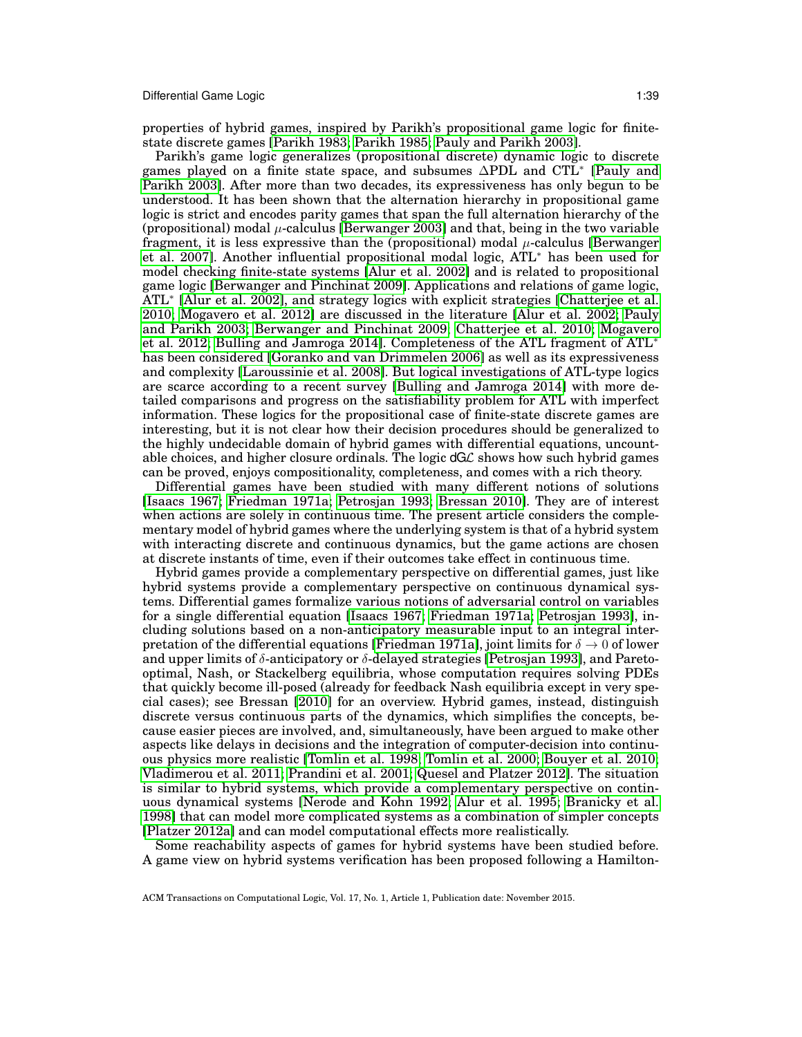properties of hybrid games, inspired by Parikh's propositional game logic for finitestate discrete games [\[Parikh 1983;](#page-49-12) [Parikh 1985;](#page-49-13) [Pauly and Parikh 2003\]](#page-49-14).

Parikh's game logic generalizes (propositional discrete) dynamic logic to discrete games played on a finite state space, and subsumes ∆PDL and CTL<sup>∗</sup> [\[Pauly and](#page-49-14) [Parikh 2003\]](#page-49-14). After more than two decades, its expressiveness has only begun to be understood. It has been shown that the alternation hierarchy in propositional game logic is strict and encodes parity games that span the full alternation hierarchy of the (propositional) modal  $\mu$ -calculus [\[Berwanger 2003\]](#page-47-15) and that, being in the two variable fragment, it is less expressive than the (propositional) modal  $\mu$ -calculus [\[Berwanger](#page-47-5) [et al. 2007\]](#page-47-5). Another influential propositional modal logic, ATL<sup>∗</sup> has been used for model checking finite-state systems [\[Alur et al. 2002\]](#page-47-6) and is related to propositional game logic [\[Berwanger and Pinchinat 2009\]](#page-47-7). Applications and relations of game logic, ATL<sup>∗</sup> [\[Alur et al. 2002\]](#page-47-6), and strategy logics with explicit strategies [\[Chatterjee et al.](#page-47-16) [2010;](#page-47-16) [Mogavero et al. 2012\]](#page-49-25) are discussed in the literature [\[Alur et al. 2002;](#page-47-6) [Pauly](#page-49-14) [and Parikh 2003;](#page-49-14) [Berwanger and Pinchinat 2009;](#page-47-7) [Chatterjee et al. 2010;](#page-47-16) [Mogavero](#page-49-25) [et al. 2012;](#page-49-25) [Bulling and Jamroga 2014\]](#page-47-17). Completeness of the ATL fragment of ATL<sup>∗</sup> has been considered [\[Goranko and van Drimmelen 2006\]](#page-48-22) as well as its expressiveness and complexity [\[Laroussinie et al. 2008\]](#page-48-23). But logical investigations of ATL-type logics are scarce according to a recent survey [\[Bulling and Jamroga 2014\]](#page-47-17) with more detailed comparisons and progress on the satisfiability problem for ATL with imperfect information. These logics for the propositional case of finite-state discrete games are interesting, but it is not clear how their decision procedures should be generalized to the highly undecidable domain of hybrid games with differential equations, uncountable choices, and higher closure ordinals. The logic  $dG\mathcal{L}$  shows how such hybrid games can be proved, enjoys compositionality, completeness, and comes with a rich theory.

Differential games have been studied with many different notions of solutions [\[Isaacs 1967;](#page-48-6) [Friedman 1971a;](#page-48-24) [Petrosjan 1993;](#page-49-26) [Bressan 2010\]](#page-47-18). They are of interest when actions are solely in continuous time. The present article considers the complementary model of hybrid games where the underlying system is that of a hybrid system with interacting discrete and continuous dynamics, but the game actions are chosen at discrete instants of time, even if their outcomes take effect in continuous time.

Hybrid games provide a complementary perspective on differential games, just like hybrid systems provide a complementary perspective on continuous dynamical systems. Differential games formalize various notions of adversarial control on variables for a single differential equation [\[Isaacs 1967;](#page-48-6) [Friedman 1971a;](#page-48-24) [Petrosjan 1993\]](#page-49-26), including solutions based on a non-anticipatory measurable input to an integral inter-pretation of the differential equations [\[Friedman 1971a\]](#page-48-24), joint limits for  $\delta \to 0$  of lower and upper limits of  $\delta$ -anticipatory or  $\delta$ -delayed strategies [\[Petrosjan 1993\]](#page-49-26), and Paretooptimal, Nash, or Stackelberg equilibria, whose computation requires solving PDEs that quickly become ill-posed (already for feedback Nash equilibria except in very special cases); see Bressan [\[2010\]](#page-47-18) for an overview. Hybrid games, instead, distinguish discrete versus continuous parts of the dynamics, which simplifies the concepts, because easier pieces are involved, and, simultaneously, have been argued to make other aspects like delays in decisions and the integration of computer-decision into continuous physics more realistic [\[Tomlin et al. 1998;](#page-49-7) [Tomlin et al. 2000;](#page-50-1) [Bouyer et al. 2010;](#page-47-2) [Vladimerou et al. 2011;](#page-50-2) [Prandini et al. 2001;](#page-49-10) [Quesel and Platzer 2012\]](#page-49-11). The situation is similar to hybrid systems, which provide a complementary perspective on continuous dynamical systems [\[Nerode and Kohn 1992;](#page-49-0) [Alur et al. 1995;](#page-47-0) [Branicky et al.](#page-47-1) [1998\]](#page-47-1) that can model more complicated systems as a combination of simpler concepts [\[Platzer 2012a\]](#page-49-4) and can model computational effects more realistically.

Some reachability aspects of games for hybrid systems have been studied before. A game view on hybrid systems verification has been proposed following a Hamilton-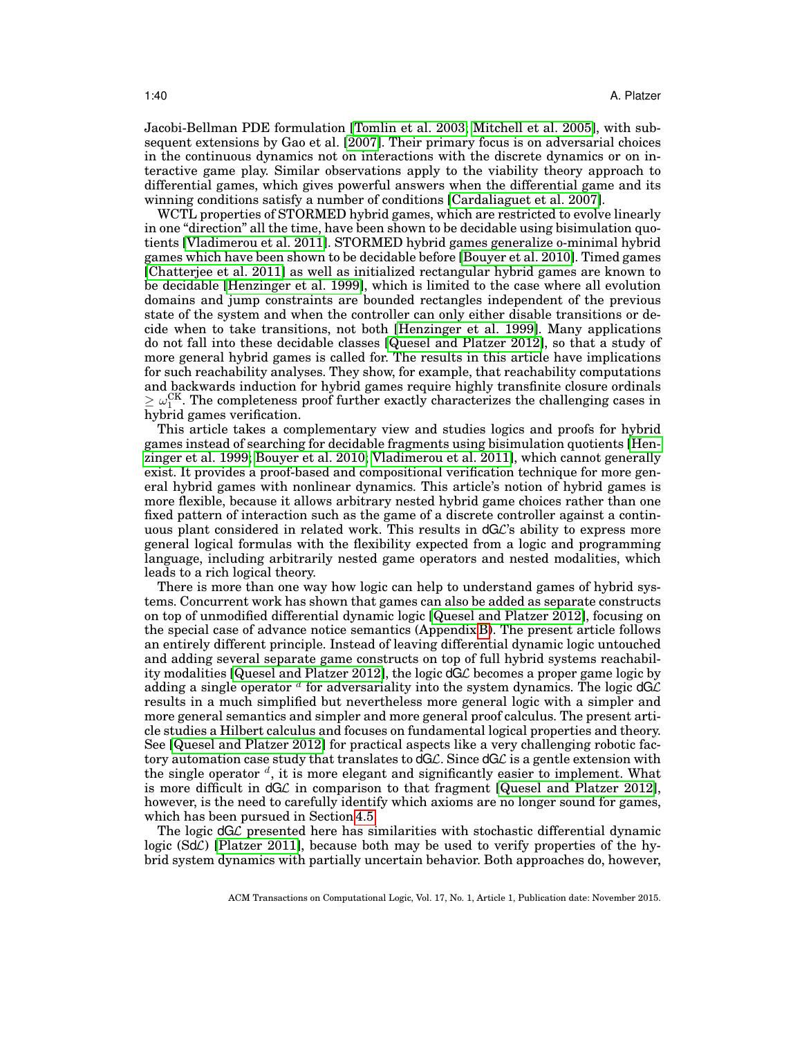Jacobi-Bellman PDE formulation [\[Tomlin et al. 2003;](#page-49-27) [Mitchell et al. 2005\]](#page-48-25), with subsequent extensions by Gao et al. [\[2007\]](#page-48-26). Their primary focus is on adversarial choices in the continuous dynamics not on interactions with the discrete dynamics or on interactive game play. Similar observations apply to the viability theory approach to differential games, which gives powerful answers when the differential game and its winning conditions satisfy a number of conditions [\[Cardaliaguet et al. 2007\]](#page-47-19).

WCTL properties of STORMED hybrid games, which are restricted to evolve linearly in one "direction" all the time, have been shown to be decidable using bisimulation quotients [\[Vladimerou et al. 2011\]](#page-50-2). STORMED hybrid games generalize o-minimal hybrid games which have been shown to be decidable before [\[Bouyer et al. 2010\]](#page-47-2). Timed games [\[Chatterjee et al. 2011\]](#page-47-20) as well as initialized rectangular hybrid games are known to be decidable [\[Henzinger et al. 1999\]](#page-48-4), which is limited to the case where all evolution domains and jump constraints are bounded rectangles independent of the previous state of the system and when the controller can only either disable transitions or decide when to take transitions, not both [\[Henzinger et al. 1999\]](#page-48-4). Many applications do not fall into these decidable classes [\[Quesel and Platzer 2012\]](#page-49-11), so that a study of more general hybrid games is called for. The results in this article have implications for such reachability analyses. They show, for example, that reachability computations and backwards induction for hybrid games require highly transfinite closure ordinals  $\geq \omega_{1}^{\text{CK}}$ . The completeness proof further exactly characterizes the challenging cases in hybrid games verification.

This article takes a complementary view and studies logics and proofs for hybrid games instead of searching for decidable fragments using bisimulation quotients [\[Hen](#page-48-4)[zinger et al. 1999;](#page-48-4) [Bouyer et al. 2010;](#page-47-2) [Vladimerou et al. 2011\]](#page-50-2), which cannot generally exist. It provides a proof-based and compositional verification technique for more general hybrid games with nonlinear dynamics. This article's notion of hybrid games is more flexible, because it allows arbitrary nested hybrid game choices rather than one fixed pattern of interaction such as the game of a discrete controller against a continuous plant considered in related work. This results in dGL's ability to express more general logical formulas with the flexibility expected from a logic and programming language, including arbitrarily nested game operators and nested modalities, which leads to a rich logical theory.

There is more than one way how logic can help to understand games of hybrid systems. Concurrent work has shown that games can also be added as separate constructs on top of unmodified differential dynamic logic [\[Quesel and Platzer 2012\]](#page-49-11), focusing on the special case of advance notice semantics (Appendix [B\)](#page-42-0). The present article follows an entirely different principle. Instead of leaving differential dynamic logic untouched and adding several separate game constructs on top of full hybrid systems reachability modalities [\[Quesel and Platzer 2012\]](#page-49-11), the logic dGL becomes a proper game logic by adding a single operator  $^d$  for adversariality into the system dynamics. The logic dG $\cal C$ results in a much simplified but nevertheless more general logic with a simpler and more general semantics and simpler and more general proof calculus. The present article studies a Hilbert calculus and focuses on fundamental logical properties and theory. See [\[Quesel and Platzer 2012\]](#page-49-11) for practical aspects like a very challenging robotic factory automation case study that translates to  $dG\mathcal{L}$ . Since  $dG\mathcal{L}$  is a gentle extension with the single operator  $d$ , it is more elegant and significantly easier to implement. What is more difficult in  $dG\mathcal{L}$  in comparison to that fragment [\[Quesel and Platzer 2012\]](#page-49-11), however, is the need to carefully identify which axioms are no longer sound for games, which has been pursued in Section [4.5.](#page-33-0)

The logic  $dG\mathcal{L}$  presented here has similarities with stochastic differential dynamic logic (SdC) [\[Platzer 2011\]](#page-49-28), because both may be used to verify properties of the hybrid system dynamics with partially uncertain behavior. Both approaches do, however,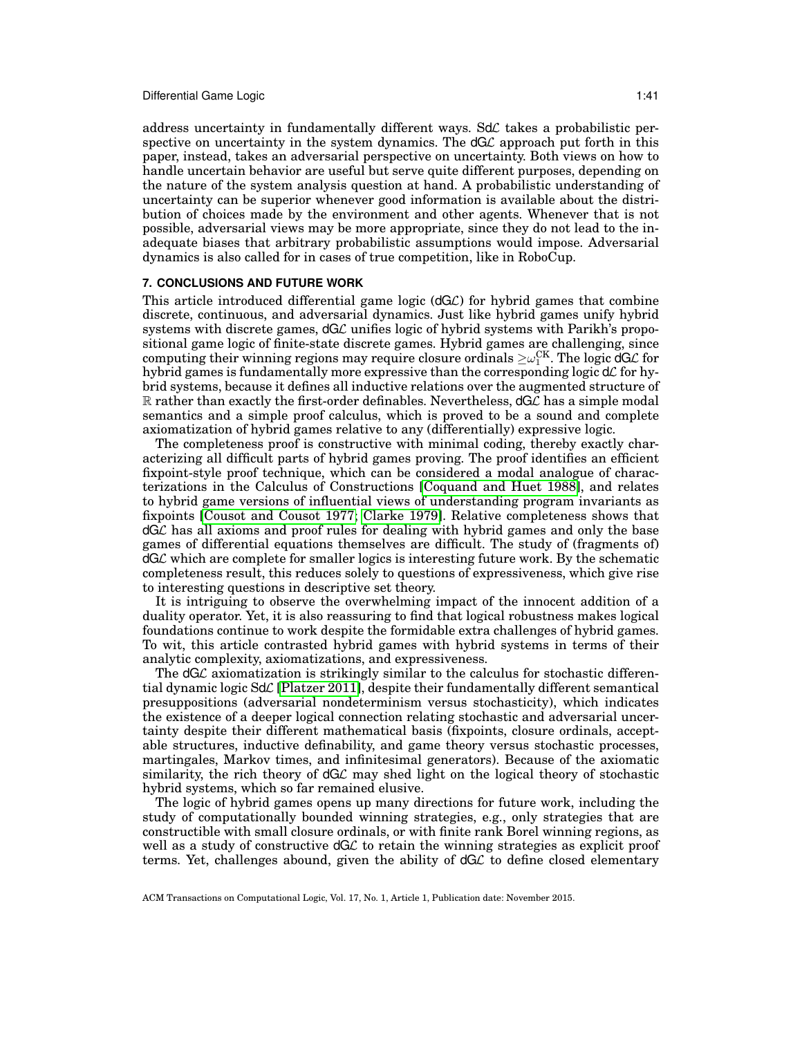address uncertainty in fundamentally different ways.  $Sd\mathcal{L}$  takes a probabilistic perspective on uncertainty in the system dynamics. The  $dGL$  approach put forth in this paper, instead, takes an adversarial perspective on uncertainty. Both views on how to handle uncertain behavior are useful but serve quite different purposes, depending on the nature of the system analysis question at hand. A probabilistic understanding of uncertainty can be superior whenever good information is available about the distribution of choices made by the environment and other agents. Whenever that is not possible, adversarial views may be more appropriate, since they do not lead to the inadequate biases that arbitrary probabilistic assumptions would impose. Adversarial dynamics is also called for in cases of true competition, like in RoboCup.

## <span id="page-40-0"></span>**7. CONCLUSIONS AND FUTURE WORK**

This article introduced differential game logic  $(dG\mathcal{L})$  for hybrid games that combine discrete, continuous, and adversarial dynamics. Just like hybrid games unify hybrid systems with discrete games,  $dG\mathcal{L}$  unifies logic of hybrid systems with Parikh's propositional game logic of finite-state discrete games. Hybrid games are challenging, since computing their winning regions may require closure ordinals  $\geq\!\omega_{1}^{\text{CK}}.$  The logic dGL for hybrid games is fundamentally more expressive than the corresponding logic  $d\mathcal{L}$  for hybrid systems, because it defines all inductive relations over the augmented structure of  $\mathbb R$  rather than exactly the first-order definables. Nevertheless,  $dG\mathcal{L}$  has a simple modal semantics and a simple proof calculus, which is proved to be a sound and complete axiomatization of hybrid games relative to any (differentially) expressive logic.

The completeness proof is constructive with minimal coding, thereby exactly characterizing all difficult parts of hybrid games proving. The proof identifies an efficient fixpoint-style proof technique, which can be considered a modal analogue of characterizations in the Calculus of Constructions [\[Coquand and Huet 1988\]](#page-47-3), and relates to hybrid game versions of influential views of understanding program invariants as fixpoints [\[Cousot and Cousot 1977;](#page-48-7) [Clarke 1979\]](#page-47-4). Relative completeness shows that dGL has all axioms and proof rules for dealing with hybrid games and only the base games of differential equations themselves are difficult. The study of (fragments of) dGL which are complete for smaller logics is interesting future work. By the schematic completeness result, this reduces solely to questions of expressiveness, which give rise to interesting questions in descriptive set theory.

It is intriguing to observe the overwhelming impact of the innocent addition of a duality operator. Yet, it is also reassuring to find that logical robustness makes logical foundations continue to work despite the formidable extra challenges of hybrid games. To wit, this article contrasted hybrid games with hybrid systems in terms of their analytic complexity, axiomatizations, and expressiveness.

The  $dG\mathcal{L}$  axiomatization is strikingly similar to the calculus for stochastic differential dynamic logic SdL [\[Platzer 2011\]](#page-49-28), despite their fundamentally different semantical presuppositions (adversarial nondeterminism versus stochasticity), which indicates the existence of a deeper logical connection relating stochastic and adversarial uncertainty despite their different mathematical basis (fixpoints, closure ordinals, acceptable structures, inductive definability, and game theory versus stochastic processes, martingales, Markov times, and infinitesimal generators). Because of the axiomatic similarity, the rich theory of  $dG\mathcal{L}$  may shed light on the logical theory of stochastic hybrid systems, which so far remained elusive.

The logic of hybrid games opens up many directions for future work, including the study of computationally bounded winning strategies, e.g., only strategies that are constructible with small closure ordinals, or with finite rank Borel winning regions, as well as a study of constructive  $dG\mathcal{L}$  to retain the winning strategies as explicit proof terms. Yet, challenges abound, given the ability of  $dG\mathcal{L}$  to define closed elementary

ACM Transactions on Computational Logic, Vol. 17, No. 1, Article 1, Publication date: November 2015.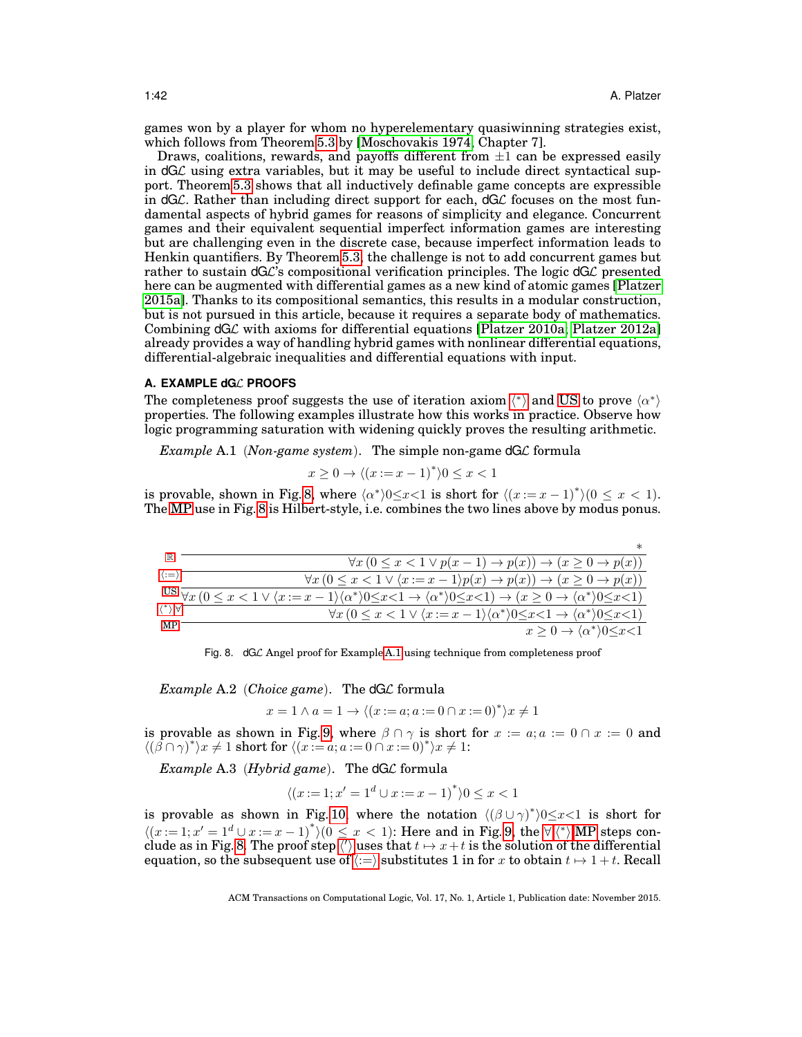games won by a player for whom no hyperelementary quasiwinning strategies exist, which follows from Theorem [5.3](#page-37-2) by [\[Moschovakis 1974,](#page-49-20) Chapter 7].

Draws, coalitions, rewards, and payoffs different from  $\pm 1$  can be expressed easily in  $dG\mathcal{L}$  using extra variables, but it may be useful to include direct syntactical support. Theorem [5.3](#page-37-2) shows that all inductively definable game concepts are expressible in  $dG\mathcal{L}$ . Rather than including direct support for each,  $dG\mathcal{L}$  focuses on the most fundamental aspects of hybrid games for reasons of simplicity and elegance. Concurrent games and their equivalent sequential imperfect information games are interesting but are challenging even in the discrete case, because imperfect information leads to Henkin quantifiers. By Theorem [5.3,](#page-37-2) the challenge is not to add concurrent games but rather to sustain  $dG\mathcal{L}$ 's compositional verification principles. The logic  $dG\mathcal{L}$  presented here can be augmented with differential games as a new kind of atomic games [\[Platzer](#page-49-16) [2015a\]](#page-49-16). Thanks to its compositional semantics, this results in a modular construction, but is not pursued in this article, because it requires a separate body of mathematics. Combining  $dG\mathcal{L}$  with axioms for differential equations [\[Platzer 2010a;](#page-49-15) [Platzer 2012a\]](#page-49-4) already provides a way of handling hybrid games with nonlinear differential equations, differential-algebraic inequalities and differential equations with input.

## <span id="page-41-0"></span>**A. EXAMPLE dG**L **PROOFS**

T[h](#page-21-10)e completeness proof suggests the use of iteration axiom  $\langle * \rangle$  and [US](#page-22-1) to prove  $\langle \alpha^* \rangle$ properties. The following examples illustrate how this works in practice. Observe how logic programming saturation with widening quickly proves the resulting arithmetic.

*Example* A.1 (*Non-game system*). The simple non-game dGL formula

<span id="page-41-2"></span>
$$
x \ge 0 \to \langle (x := x - 1)^* \rangle 0 \le x < 1
$$

is provable, shown in Fig. [8,](#page-41-1) where  $\langle \alpha^* \rangle 0 \le x < 1$  is short for  $\langle (x := x - 1)^* \rangle (0 \le x < 1)$ . The [MP](#page-0-0) use in Fig. [8](#page-41-1) is Hilbert-style, i.e. combines the two lines above by modus ponus.

| 11R                                     | $\forall x (0 \leq x < 1 \lor p(x-1) \to p(x)) \to (x \geq 0 \to p(x))$                                                                                                                                                               |
|-----------------------------------------|---------------------------------------------------------------------------------------------------------------------------------------------------------------------------------------------------------------------------------------|
| $\langle \, := \rangle$                 | $\forall x (0 \leq x < 1 \lor \langle x := x - 1 \rangle p(x) \rightarrow p(x)) \rightarrow (x \geq 0 \rightarrow p(x))$                                                                                                              |
|                                         | US $\overline{\forall x (0 \le x < 1 \lor \langle x := x - 1 \rangle \langle \alpha^* \rangle} 0 \le x < 1 \rightarrow \langle \alpha^* \rangle} 0 \le x < 1) \rightarrow (x \ge 0 \rightarrow \langle \alpha^* \rangle 0 \le x < 1)$ |
| $\langle \, \cdot \, \rangle$ $\forall$ | $\forall x (0 \le x < 1 \lor \langle x := x - 1 \rangle \langle \alpha^* \rangle 0 \le x < 1 \to \langle \alpha^* \rangle 0 \le x < 1)$                                                                                               |
| МP                                      | $x > 0 \rightarrow \langle \alpha^* \rangle 0 \leq x < 1$                                                                                                                                                                             |

<span id="page-41-1"></span>Fig. 8. dGL Angel proof for Example [A.1](#page-41-2) using technique from completeness proof

<span id="page-41-3"></span>*Example* A.2 (*Choice game*). The dGL formula

$$
x = 1 \land a = 1 \rightarrow \langle (x := a; a := 0 \cap x := 0)^* \rangle x \neq 1
$$

is provable as shown in Fig. [9,](#page-42-1) where  $\beta \cap \gamma$  is short for  $x := a$ ;  $a := 0 \cap x := 0$  and  $\langle (\mathbf{\beta} \cap \gamma)^* \rangle x \neq 1$  short for  $\langle (x := \alpha; \alpha := 0 \cap x := 0)^* \rangle x \neq 1$ :

<span id="page-41-4"></span>*Example* A.3 (*Hybrid game*). The dGL formula

$$
\langle (x:=1; x'=1^d \cup x:=x-1)^* \rangle 0 \le x < 1
$$

is provable as shown in Fig. [10,](#page-42-2) where the notation  $\langle (\beta \cup \gamma)^* \rangle 0 \leq x < 1$  is short for  $\langle (x:=1; x'=1^d \cup x:=x-1)^* \rangle (0 \le x < 1)$ : Here and in Fig. [9,](#page-42-1) t[h](#page-21-10)e  $\forall x \, (^*)$ , MP steps con-clude as in Fig. [8.](#page-41-1) T[h](#page-21-6)e proof step  $\langle \rangle$  uses that  $t \mapsto x+t$  is the solution of the differential equation, so the subsequent use of  $\langle:=\rangle$  $\langle:=\rangle$  $\langle:=\rangle$  substitutes 1 in for x to obtain  $t \mapsto 1 + t$ . Recall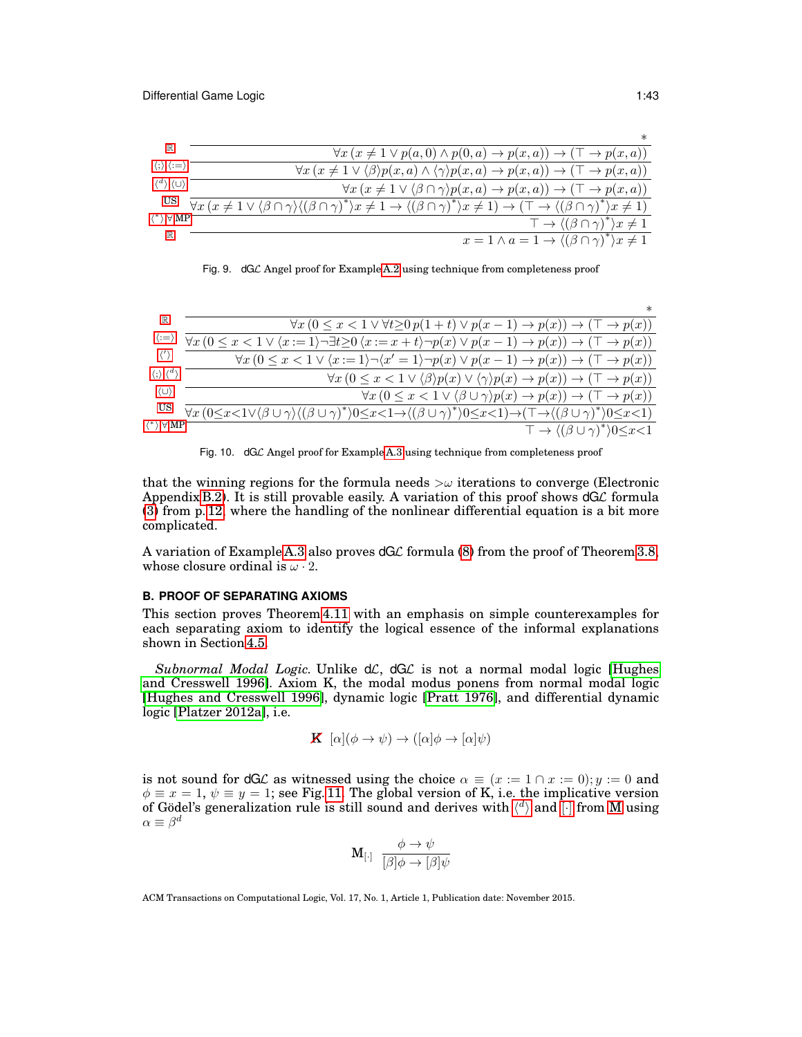

<span id="page-42-1"></span>

| Fig. 9. dGC Angel proof for Example A.2 using technique from completeness proof |  |  |
|---------------------------------------------------------------------------------|--|--|
|                                                                                 |  |  |

|                                               | $^\ast$                                                                                                                                                                                     |
|-----------------------------------------------|---------------------------------------------------------------------------------------------------------------------------------------------------------------------------------------------|
| ℝ                                             | $\forall x (0 \leq x < 1 \lor \forall t \geq 0 \ p(1 + t) \lor p(x - 1) \to p(x)) \to (\top \to p(x))$                                                                                      |
| ∷≕)                                           | $\forall x (0 \leq x < 1 \lor \langle x := 1 \rangle \neg \exists t \geq 0 \langle x := x + t \rangle \neg p(x) \lor p(x - 1) \rightarrow p(x)) \rightarrow (\top \rightarrow p(x))$        |
| (1)                                           | $\forall x (0 \leq x < 1 \lor \langle x := 1 \rangle \neg \langle x' = 1 \rangle \neg p(x) \lor p(x - 1) \rightarrow p(x)) \rightarrow (\top \rightarrow p(x))$                             |
| $\langle \cdot \rangle$ , $\langle^d \rangle$ | $\forall x (0 \leq x \leq 1 \vee \langle \beta \rangle p(x) \vee \langle \gamma \rangle p(x) \rightarrow p(x)) \rightarrow (\top \rightarrow p(x))$                                         |
| (U)                                           | $\forall x (0 \leq x < 1 \vee (\beta \cup \gamma)p(x) \rightarrow p(x)) \rightarrow (\top \rightarrow p(x))$                                                                                |
|                                               | $\forall x (0 \leq x < 1 \lor (\beta \cup \gamma) \land ((\beta \cup \gamma)^*) 0 \leq x < 1 \to ((\beta \cup \gamma)^*) 0 \leq x < 1) \to (\top \to ((\beta \cup \gamma)^*) 0 \leq x < 1)$ |
| $\langle$ * $\rangle$ , $\forall$ ,MP         | $\top \rightarrow \langle (\beta \cup \gamma)^* \rangle 0 \leq x \leq 1$                                                                                                                    |

<span id="page-42-2"></span>

that the winning regions for the formula needs  $>\omega$  iterations to converge (Electronic Appendix [B.2\)](#page-57-1). It is still provable easily. A variation of this proof shows  $dG\mathcal{L}$  formula [\(3\)](#page-11-0) from p. [12,](#page-11-0) where the handling of the nonlinear differential equation is a bit more complicated.

A variation of Example [A.3](#page-41-4) also proves  $dG\mathcal{L}$  formula [\(8\)](#page-19-2) from the proof of Theorem [3.8,](#page-19-1) whose closure ordinal is  $\omega \cdot 2$ .

#### <span id="page-42-0"></span>**B. PROOF OF SEPARATING AXIOMS**

This section proves Theorem [4.11](#page-33-1) with an emphasis on simple counterexamples for each separating axiom to identify the logical essence of the informal explanations shown in Section [4.5.](#page-33-0)

Subnormal Modal Logic. Unlike dC, dGC is not a normal modal logic [\[Hughes](#page-48-12) [and Cresswell 1996\]](#page-48-12). Axiom K, the modal modus ponens from normal modal logic [\[Hughes and Cresswell 1996\]](#page-48-12), dynamic logic [\[Pratt 1976\]](#page-49-5), and differential dynamic logic [\[Platzer 2012a\]](#page-49-4), i.e.

$$
\mathbf{K} \ [\alpha](\phi \to \psi) \to ([\alpha]\phi \to [\alpha]\psi)
$$

is not sound for dGL as witnessed using the choice  $\alpha \equiv (x := 1 \cap x := 0); y := 0$  and  $\phi \equiv x = 1, \psi \equiv y = 1$ ; see Fig. [11.](#page-43-0) The global version of K, i.e. the implicative version of Gödel's generalization rule is still sound and derives wit[h](#page-21-11)  $\langle d \rangle$  and  $\lceil \cdot \rceil$  from [M](#page-21-2) using  $\alpha \equiv \beta^d$ 

$$
\mathbf{M}_{\left[\cdot\right]}\ \ \frac{\phi\rightarrow\psi}{\left[\beta\right]\phi\rightarrow\left[\beta\right]\psi}
$$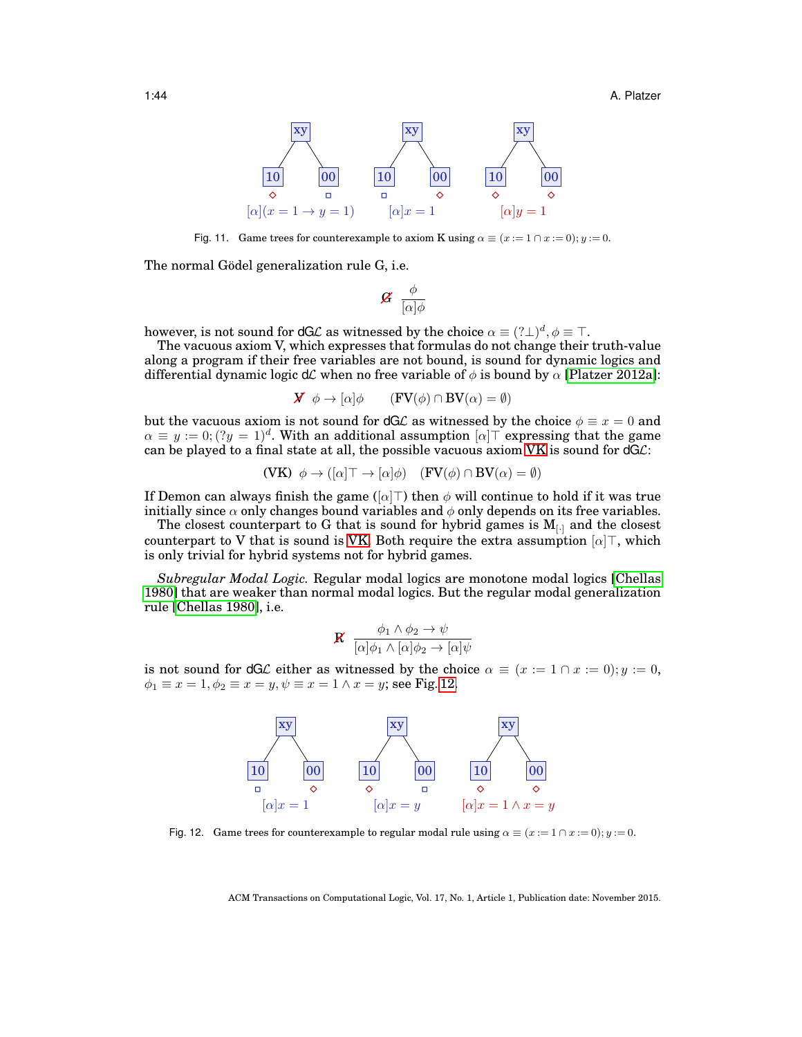1:44 A. Platzer



<span id="page-43-0"></span>Fig. 11. Game trees for counterexample to axiom K using  $\alpha \equiv (x := 1 \cap x := 0); y := 0$ .

The normal Gödel generalization rule G, i.e.

$$
\mathcal{G} \ \frac{\phi}{[\alpha]\phi}
$$

however, is not sound for dGL as witnessed by the choice  $\alpha \equiv (?\bot)^d, \phi \equiv \top.$ 

The vacuous axiom V, which expresses that formulas do not change their truth-value along a program if their free variables are not bound, is sound for dynamic logics and differential dynamic logic dC when no free variable of  $\phi$  is bound by  $\alpha$  [\[Platzer 2012a\]](#page-49-4):

$$
\mathbf{X} \phi \to [\alpha] \phi \qquad (\mathbf{FV}(\phi) \cap \mathbf{BV}(\alpha) = \emptyset)
$$

but the vacuous axiom is not sound for dGL as witnessed by the choice  $\phi \equiv x = 0$  and  $\alpha \equiv y := 0$ ;  $(2y = 1)^d$ . With an additional assumption  $[\alpha]$ <sup>T</sup> expressing that the game can be played to a final state at all, the possible vacuous axiom  $VK$  is sound for  $dGC$ :

<span id="page-43-1"></span>
$$
(\mathbf{V}\mathbf{K}) \ \ \phi \to ([\alpha] \top \to [\alpha] \phi) \quad (\mathbf{FV}(\phi) \cap \mathbf{BV}(\alpha) = \emptyset)
$$

If Demon can always finish the game ( $\lceil \alpha \rceil$ ) then  $\phi$  will continue to hold if it was true initially since  $\alpha$  only changes bound variables and  $\phi$  only depends on its free variables.

The closest counterpart to G that is sound for hybrid games is  $M_{\text{L}}$  and the closest counterpart to V that is sound is [VK.](#page-43-1) Both require the extra assumption  $\lbrack \alpha \rbrack \top$ , which is only trivial for hybrid systems not for hybrid games.

*Subregular Modal Logic.* Regular modal logics are monotone modal logics [\[Chellas](#page-47-8) [1980\]](#page-47-8) that are weaker than normal modal logics. But the regular modal generalization rule [\[Chellas 1980\]](#page-47-8), i.e.

$$
\mathbf{R} \quad \frac{\phi_1 \wedge \phi_2 \rightarrow \psi}{[\alpha]\phi_1 \wedge [\alpha]\phi_2 \rightarrow [\alpha]\psi}
$$

is not sound for dGL either as witnessed by the choice  $\alpha \equiv (x := 1 \cap x := 0); y := 0$ ,  $\phi_1 \equiv x = 1, \phi_2 \equiv x = y, \psi \equiv x = 1 \wedge x = y$ ; see Fig. [12.](#page-43-2)



<span id="page-43-2"></span>Fig. 12. Game trees for counterexample to regular modal rule using  $\alpha \equiv (x := 1 \cap x := 0); y := 0.$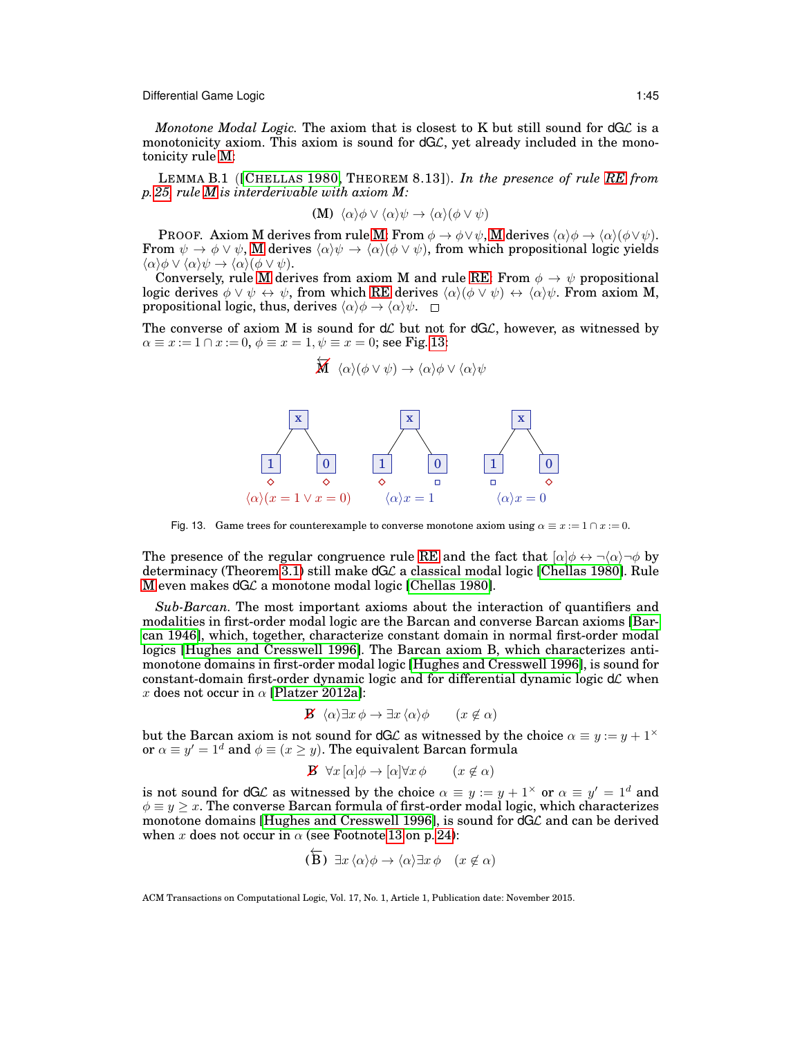*Monotone Modal Logic.* The axiom that is closest to K but still sound for dGL is a monotonicity axiom. This axiom is sound for  $dG\mathcal{L}$ , yet already included in the monotonicity rule [M:](#page-21-2)

LEMMA B.1 ([C[HELLAS](#page-47-8) 1980, THEOREM 8.13]). *In the presence of rule [RE](#page-24-1) from p. [25,](#page-24-1) rule [M](#page-21-2) is interderivable with axiom M:*

<span id="page-44-1"></span>
$$
(\mathbf{M}) \ \langle \alpha \rangle \phi \vee \langle \alpha \rangle \psi \rightarrow \langle \alpha \rangle (\phi \vee \psi)
$$

**PROOF.** Axiom M derives from rule [M:](#page-21-2) From  $\phi \to \phi \lor \psi$ , [M](#page-21-2) derives  $\langle \alpha \rangle \phi \to \langle \alpha \rangle (\phi \lor \psi)$ . From  $\psi \to \phi \lor \psi$ , [M](#page-21-2) derives  $\langle \alpha \rangle \psi \to \langle \alpha \rangle (\phi \lor \psi)$ , from which propositional logic yields  $\langle \alpha \rangle \phi \vee \langle \alpha \rangle \psi \rightarrow \langle \alpha \rangle (\phi \vee \psi).$ 

Conversely, rule [M](#page-21-2) derives from axiom M and rule [RE:](#page-24-1) From  $\phi \to \psi$  propositional logic derives  $\phi \lor \psi \leftrightarrow \psi$ , from which [RE](#page-24-1) derives  $\langle \alpha \rangle(\phi \lor \psi) \leftrightarrow \langle \alpha \rangle \psi$ . From axiom M, propositional logic, thus, derives  $\langle \alpha \rangle \phi \rightarrow \langle \alpha \rangle \psi$ .  $\Box$ 

The converse of axiom M is sound for  $d\mathcal{L}$  but not for  $dG\mathcal{L}$ , however, as witnessed by  $\alpha \equiv x := 1 \cap x := 0, \, \phi \equiv x = 1, \psi \equiv x = 0$ ; see Fig. [13:](#page-44-0)

$$
\overleftarrow{\mathbf{M}} \ \ \langle \alpha \rangle (\phi \vee \psi) \rightarrow \langle \alpha \rangle \phi \vee \langle \alpha \rangle \psi
$$



<span id="page-44-0"></span>Fig. 13. Game trees for counterexample to converse monotone axiom using  $\alpha \equiv x := 1 \cap x := 0$ .

The presence of the regular congruence rule [RE](#page-24-1) and the fact that  $\lbrack \alpha \rbrack \phi \leftrightarrow \neg \langle \alpha \rangle \neg \phi$  by determinacy (Theorem [3.1\)](#page-14-1) still make dGL a classical modal logic [\[Chellas 1980\]](#page-47-8). Rule [M](#page-21-2) even makes dGC a monotone modal logic [\[Chellas 1980\]](#page-47-8).

*Sub-Barcan.* The most important axioms about the interaction of quantifiers and modalities in first-order modal logic are the Barcan and converse Barcan axioms [\[Bar](#page-47-21)[can 1946\]](#page-47-21), which, together, characterize constant domain in normal first-order modal logics [\[Hughes and Cresswell 1996\]](#page-48-12). The Barcan axiom B, which characterizes antimonotone domains in first-order modal logic [\[Hughes and Cresswell 1996\]](#page-48-12), is sound for constant-domain first-order dynamic logic and for differential dynamic logic  $d\mathcal{L}$  when x does not occur in  $\alpha$  [\[Platzer 2012a\]](#page-49-4):

**B** 
$$
\langle \alpha \rangle \exists x \phi \rightarrow \exists x \langle \alpha \rangle \phi
$$
  $(x \notin \alpha)$ 

but the Barcan axiom is not sound for dGL as witnessed by the choice  $\alpha \equiv y := y + 1^{\times}$ or  $\alpha \equiv y' = 1^d$  and  $\phi \equiv (x \ge y)$ . The equivalent Barcan formula

$$
\mathbf{B} \ \forall x \left[ \alpha \middle| \phi \rightarrow \left[ \alpha \middle| \forall x \phi \right] \quad (x \notin \alpha) \right]
$$

is not sound for dGL as witnessed by the choice  $\alpha \equiv y := y + 1^{\times}$  or  $\alpha \equiv y' = 1^d$  and  $\phi \equiv y \geq x$ . The converse Barcan formula of first-order modal logic, which characterizes monotone domains [\[Hughes and Cresswell 1996\]](#page-48-12), is sound for  $dG\mathcal{L}$  and can be derived when x does not occur in  $\alpha$  (see Footnote [13](#page-23-0) on p. [24\)](#page-23-0):

<span id="page-44-2"></span>
$$
(\overleftarrow{\mathbf{B}}) \exists x \langle \alpha \rangle \phi \rightarrow \langle \alpha \rangle \exists x \phi \quad (x \notin \alpha)
$$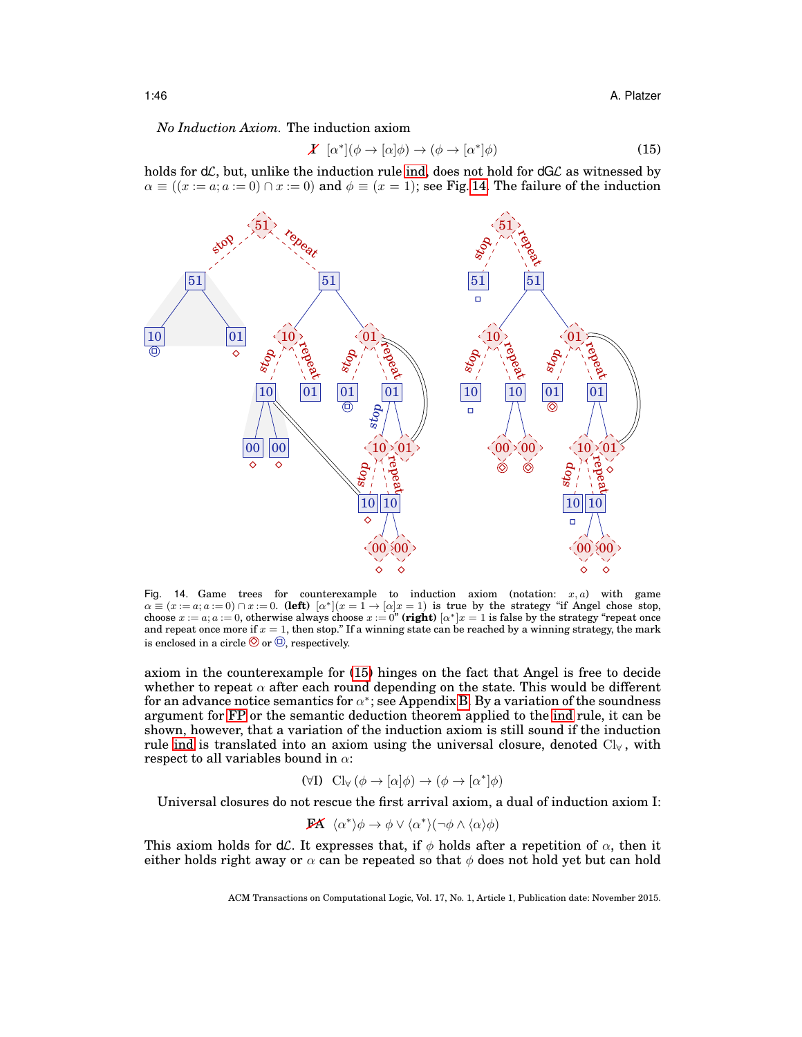*No Induction Axiom.* The induction axiom

<span id="page-45-1"></span>
$$
\mathbf{X} \ [\alpha^*](\phi \to [\alpha]\phi) \to (\phi \to [\alpha^*]\phi) \tag{15}
$$

holds for  $d\mathcal{L}$ , but, unlike the induction rule [ind,](#page-23-1) does not hold for  $dG\mathcal{L}$  as witnessed by  $\alpha \equiv ((x := a; a := 0) \cap x := 0)$  and  $\phi \equiv (x = 1)$ ; see Fig. [14.](#page-45-0) The failure of the induction



<span id="page-45-0"></span>Fig. 14. Game trees for counterexample to induction axiom (notation:  $x, a$ ) with game  $\alpha \equiv (x := a; a := 0) \cap x := 0.$  (left)  $\alpha^* | (x = 1 \rightarrow \alpha | x = 1)$  is true by the strategy "if Angel chose stop, choose  $x := a$ ;  $a := 0$ , otherwise always choose  $x := 0$ " (right)  $\alpha^* | x = 1$  is false by the strategy "repeat once and repeat once more if  $x = 1$ , then stop." If a winning state can be reached by a winning strategy, the mark is enclosed in a circle  $\circledcirc$  or  $\circledcirc$ , respectively.

axiom in the counterexample for [\(15\)](#page-45-1) hinges on the fact that Angel is free to decide whether to repeat  $\alpha$  after each round depending on the state. This would be different for an advance notice semantics for  $\alpha^*$ ; see Appendix [B.](#page-42-0) By a variation of the soundness argument for [FP](#page-21-3) or the semantic deduction theorem applied to the [ind](#page-23-1) rule, it can be shown, however, that a variation of the induction axiom is still sound if the induction rule [ind](#page-23-1) is translated into an axiom using the universal closure, denoted  $Cl_{\forall}$ , with respect to all variables bound in  $\alpha$ :

<span id="page-45-2"></span>
$$
(\forall I) \quad Cl_{\forall} \left(\phi \to [\alpha]\phi\right) \to \left(\phi \to [\alpha^*]\phi\right)
$$

Universal closures do not rescue the first arrival axiom, a dual of induction axiom I:

$$
\mathbf{FA} \ \langle \alpha^* \rangle \phi \to \phi \lor \langle \alpha^* \rangle (\neg \phi \land \langle \alpha \rangle \phi)
$$

This axiom holds for  $d\mathcal{L}$ . It expresses that, if  $\phi$  holds after a repetition of  $\alpha$ , then it either holds right away or  $\alpha$  can be repeated so that  $\phi$  does not hold yet but can hold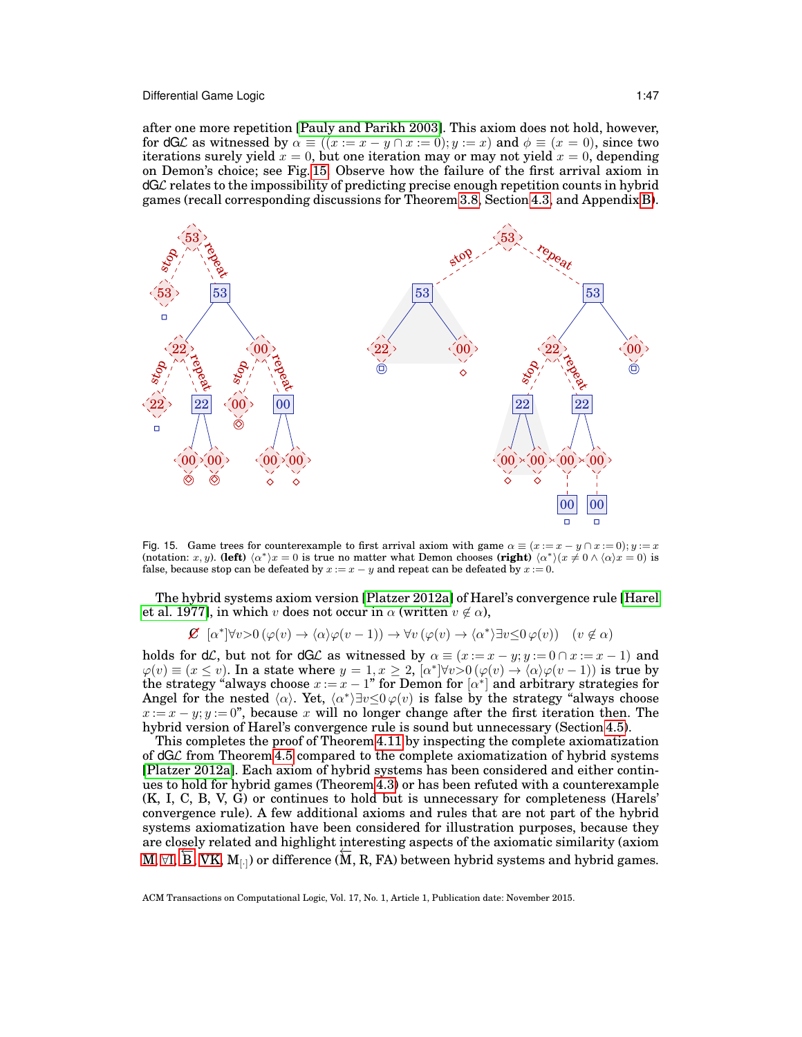after one more repetition [\[Pauly and Parikh 2003\]](#page-49-14). This axiom does not hold, however, for dGL as witnessed by  $\alpha \equiv ((x := x - y \cap x := 0); y := x)$  and  $\phi \equiv (x = 0)$ , since two iterations surely yield  $x = 0$ , but one iteration may or may not yield  $x = 0$ , depending on Demon's choice; see Fig. [15.](#page-46-0) Observe how the failure of the first arrival axiom in dGL relates to the impossibility of predicting precise enough repetition counts in hybrid games (recall corresponding discussions for Theorem [3.8,](#page-19-1) Section [4.3,](#page-26-0) and Appendix [B\)](#page-42-0).



<span id="page-46-0"></span>Fig. 15. Game trees for counterexample to first arrival axiom with game  $\alpha \equiv (x := x - y \cap x := 0); y := x$ (notation: x, y). **(left)**  $\langle \alpha^* \rangle x = 0$  is true no matter what Demon chooses **(right)**  $\langle \alpha^* \rangle (x \neq 0 \wedge \langle \alpha \rangle x = 0)$  is false, because stop can be defeated by  $x := x - y$  and repeat can be defeated by  $x := 0$ .

The hybrid systems axiom version [\[Platzer 2012a\]](#page-49-4) of Harel's convergence rule [\[Harel](#page-48-8) [et al. 1977\]](#page-48-8), in which v does not occur in  $\alpha$  (written  $v \notin \alpha$ ),

$$
\mathcal{L} \ [\alpha^*] \forall v > 0 \ (\varphi(v) \to \langle \alpha \rangle \varphi(v-1)) \to \forall v \ (\varphi(v) \to \langle \alpha^* \rangle \exists v \leq 0 \ \varphi(v)) \ (v \notin \alpha)
$$

holds for d $\mathcal{L}$ , but not for d $\mathcal{G}\mathcal{L}$  as witnessed by  $\alpha \equiv (x := x - y; y := 0 \cap x := x - 1)$  and  $\varphi(v) \equiv (x \le v)$ . In a state where  $y = 1, x \ge 2$ ,  $\lbrack \alpha^* \rbrack \forall v > 0 \ (\varphi(v) \rightarrow \lbrack \alpha \rangle \varphi(v-1))$  is true by the strategy "always choose  $x := x - 1$ " for Demon for  $[\alpha^*]$  and arbitrary strategies for Angel for the nested  $\langle \alpha \rangle$ . Yet,  $\langle \alpha^* \rangle \exists v \leq 0 \varphi(v)$  is false by the strategy "always choose  $x := x - y$ ; y := 0", because x will no longer change after the first iteration then. The hybrid version of Harel's convergence rule is sound but unnecessary (Section [4.5\)](#page-33-0).

This completes the proof of Theorem [4.11](#page-33-1) by inspecting the complete axiomatization of dGL from Theorem [4.5](#page-27-0) compared to the complete axiomatization of hybrid systems [\[Platzer 2012a\]](#page-49-4). Each axiom of hybrid systems has been considered and either continues to hold for hybrid games (Theorem [4.3\)](#page-24-2) or has been refuted with a counterexample (K, I, C, B, V, G) or continues to hold but is unnecessary for completeness (Harels' convergence rule). A few additional axioms and rules that are not part of the hybrid systems axiomatization have been considered for illustration purposes, because they are closely related and highlight interesting aspects of the axiomatic similarity (axiom  $M$ ,  $\forall I$ ,  $\overline{B}$ ,  $VK$ ,  $M_{[·]}$ ) or difference ( $\overline{M}$ , R, FA) between hybrid systems and hybrid games.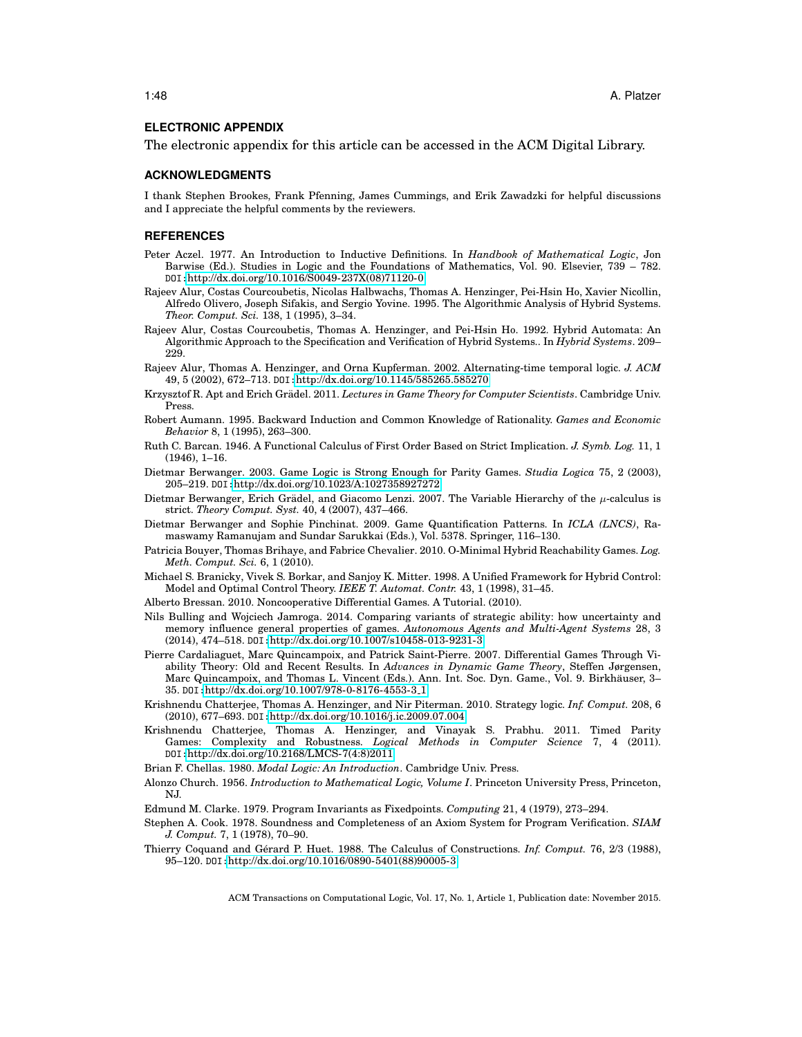#### **ELECTRONIC APPENDIX**

The electronic appendix for this article can be accessed in the ACM Digital Library.

#### **ACKNOWLEDGMENTS**

I thank Stephen Brookes, Frank Pfenning, James Cummings, and Erik Zawadzki for helpful discussions and I appreciate the helpful comments by the reviewers.

### **REFERENCES**

- <span id="page-47-11"></span>Peter Aczel. 1977. An Introduction to Inductive Definitions. In *Handbook of Mathematical Logic*, Jon Barwise (Ed.). Studies in Logic and the Foundations of Mathematics, Vol. 90. Elsevier, 739 – 782. DOI:[http://dx.doi.org/10.1016/S0049-237X\(08\)71120-0](http://dx.doi.org/10.1016/S0049-237X(08)71120-0)
- <span id="page-47-0"></span>Rajeev Alur, Costas Courcoubetis, Nicolas Halbwachs, Thomas A. Henzinger, Pei-Hsin Ho, Xavier Nicollin, Alfredo Olivero, Joseph Sifakis, and Sergio Yovine. 1995. The Algorithmic Analysis of Hybrid Systems. *Theor. Comput. Sci.* 138, 1 (1995), 3–34.
- <span id="page-47-9"></span>Rajeev Alur, Costas Courcoubetis, Thomas A. Henzinger, and Pei-Hsin Ho. 1992. Hybrid Automata: An Algorithmic Approach to the Specification and Verification of Hybrid Systems.. In *Hybrid Systems*. 209– 229.
- <span id="page-47-6"></span>Rajeev Alur, Thomas A. Henzinger, and Orna Kupferman. 2002. Alternating-time temporal logic. *J. ACM* 49, 5 (2002), 672–713. DOI:<http://dx.doi.org/10.1145/585265.585270>
- <span id="page-47-14"></span>Krzysztof R. Apt and Erich Grädel. 2011. *Lectures in Game Theory for Computer Scientists*. Cambridge Univ. Press.
- <span id="page-47-10"></span>Robert Aumann. 1995. Backward Induction and Common Knowledge of Rationality. *Games and Economic Behavior* 8, 1 (1995), 263–300.
- <span id="page-47-21"></span>Ruth C. Barcan. 1946. A Functional Calculus of First Order Based on Strict Implication. *J. Symb. Log.* 11, 1 (1946), 1–16.
- <span id="page-47-15"></span>Dietmar Berwanger. 2003. Game Logic is Strong Enough for Parity Games. *Studia Logica* 75, 2 (2003), 205–219. DOI:<http://dx.doi.org/10.1023/A:1027358927272>
- <span id="page-47-5"></span>Dietmar Berwanger, Erich Grädel, and Giacomo Lenzi. 2007. The Variable Hierarchy of the  $\mu$ -calculus is strict. *Theory Comput. Syst.* 40, 4 (2007), 437–466.
- <span id="page-47-7"></span>Dietmar Berwanger and Sophie Pinchinat. 2009. Game Quantification Patterns. In *ICLA (LNCS)*, Ramaswamy Ramanujam and Sundar Sarukkai (Eds.), Vol. 5378. Springer, 116–130.
- <span id="page-47-2"></span>Patricia Bouyer, Thomas Brihaye, and Fabrice Chevalier. 2010. O-Minimal Hybrid Reachability Games. *Log. Meth. Comput. Sci.* 6, 1 (2010).
- <span id="page-47-1"></span>Michael S. Branicky, Vivek S. Borkar, and Sanjoy K. Mitter. 1998. A Unified Framework for Hybrid Control: Model and Optimal Control Theory. *IEEE T. Automat. Contr.* 43, 1 (1998), 31–45.
- <span id="page-47-18"></span>Alberto Bressan. 2010. Noncooperative Differential Games. A Tutorial. (2010).
- <span id="page-47-17"></span>Nils Bulling and Wojciech Jamroga. 2014. Comparing variants of strategic ability: how uncertainty and memory influence general properties of games. *Autonomous Agents and Multi-Agent Systems* 28, 3 (2014), 474–518. DOI:<http://dx.doi.org/10.1007/s10458-013-9231-3>
- <span id="page-47-19"></span>Pierre Cardaliaguet, Marc Quincampoix, and Patrick Saint-Pierre. 2007. Differential Games Through Viability Theory: Old and Recent Results. In *Advances in Dynamic Game Theory*, Steffen Jørgensen, Marc Quincampoix, and Thomas L. Vincent (Eds.). Ann. Int. Soc. Dyn. Game., Vol. 9. Birkhauser, 3– ¨ 35. DOI:[http://dx.doi.org/10.1007/978-0-8176-4553-3](http://dx.doi.org/10.1007/978-0-8176-4553-3_1) 1
- <span id="page-47-16"></span>Krishnendu Chatterjee, Thomas A. Henzinger, and Nir Piterman. 2010. Strategy logic. *Inf. Comput.* 208, 6 (2010), 677–693. DOI:<http://dx.doi.org/10.1016/j.ic.2009.07.004>
- <span id="page-47-20"></span>Krishnendu Chatterjee, Thomas A. Henzinger, and Vinayak S. Prabhu. 2011. Timed Parity Games: Complexity and Robustness. *Logical Methods in Computer Science* 7, 4 (2011). DOI:[http://dx.doi.org/10.2168/LMCS-7\(4:8\)2011](http://dx.doi.org/10.2168/LMCS-7(4:8)2011)
- <span id="page-47-8"></span>Brian F. Chellas. 1980. *Modal Logic: An Introduction*. Cambridge Univ. Press.
- <span id="page-47-12"></span>Alonzo Church. 1956. *Introduction to Mathematical Logic, Volume I*. Princeton University Press, Princeton, NJ.
- <span id="page-47-4"></span>Edmund M. Clarke. 1979. Program Invariants as Fixedpoints. *Computing* 21, 4 (1979), 273–294.
- <span id="page-47-13"></span>Stephen A. Cook. 1978. Soundness and Completeness of an Axiom System for Program Verification. *SIAM J. Comput.* 7, 1 (1978), 70–90.
- <span id="page-47-3"></span>Thierry Coquand and Gérard P. Huet. 1988. The Calculus of Constructions. *Inf. Comput.* 76, 2/3 (1988), 95–120. DOI:[http://dx.doi.org/10.1016/0890-5401\(88\)90005-3](http://dx.doi.org/10.1016/0890-5401(88)90005-3)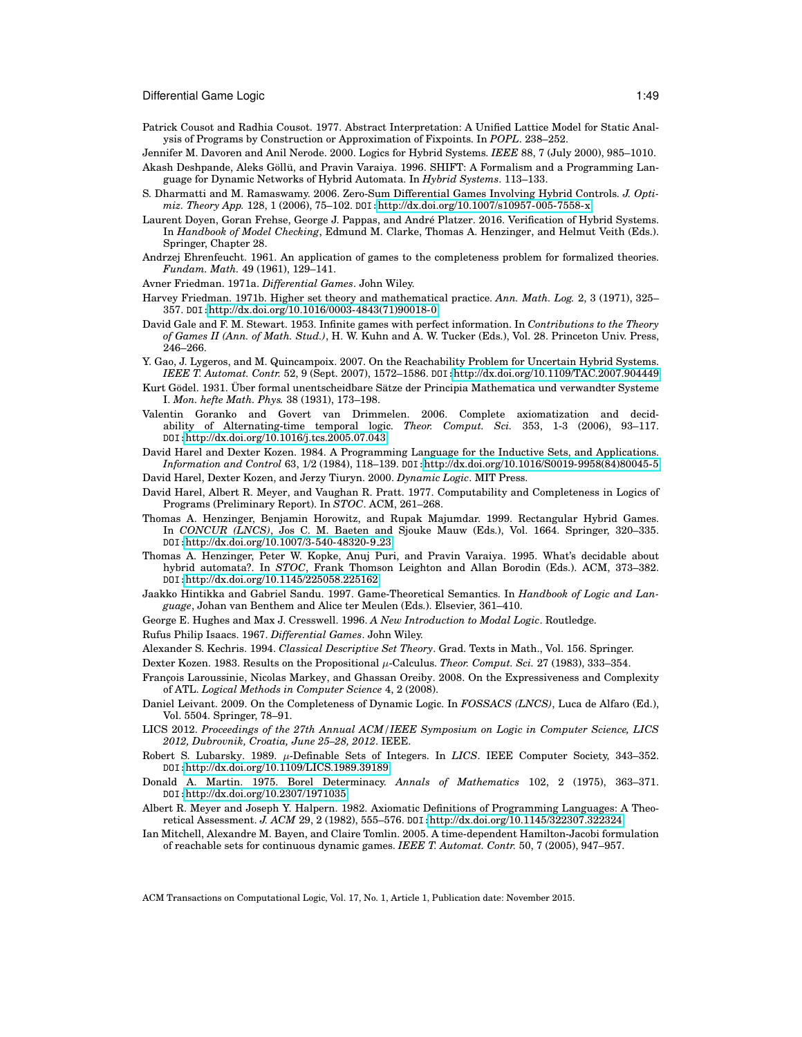- <span id="page-48-7"></span>Patrick Cousot and Radhia Cousot. 1977. Abstract Interpretation: A Unified Lattice Model for Static Analysis of Programs by Construction or Approximation of Fixpoints. In *POPL*. 238–252.
- <span id="page-48-0"></span>Jennifer M. Davoren and Anil Nerode. 2000. Logics for Hybrid Systems. *IEEE* 88, 7 (July 2000), 985–1010. Akash Deshpande, Aleks Göllü, and Pravin Varaiya. 1996. SHIFT: A Formalism and a Programming Lan-
- <span id="page-48-1"></span>guage for Dynamic Networks of Hybrid Automata. In *Hybrid Systems*. 113–133.
- <span id="page-48-5"></span>S. Dharmatti and M. Ramaswamy. 2006. Zero-Sum Differential Games Involving Hybrid Controls. *J. Optimiz. Theory App.* 128, 1 (2006), 75–102. DOI:<http://dx.doi.org/10.1007/s10957-005-7558-x>
- <span id="page-48-3"></span>Laurent Doyen, Goran Frehse, George J. Pappas, and André Platzer. 2016. Verification of Hybrid Systems. In *Handbook of Model Checking*, Edmund M. Clarke, Thomas A. Henzinger, and Helmut Veith (Eds.). Springer, Chapter 28.
- <span id="page-48-20"></span>Andrzej Ehrenfeucht. 1961. An application of games to the completeness problem for formalized theories. *Fundam. Math.* 49 (1961), 129–141.
- <span id="page-48-24"></span>Avner Friedman. 1971a. *Differential Games*. John Wiley.
- <span id="page-48-10"></span>Harvey Friedman. 1971b. Higher set theory and mathematical practice. *Ann. Math. Log.* 2, 3 (1971), 325– 357. DOI:[http://dx.doi.org/10.1016/0003-4843\(71\)90018-0](http://dx.doi.org/10.1016/0003-4843(71)90018-0)
- <span id="page-48-19"></span>David Gale and F. M. Stewart. 1953. Infinite games with perfect information. In *Contributions to the Theory of Games II (Ann. of Math. Stud.)*, H. W. Kuhn and A. W. Tucker (Eds.), Vol. 28. Princeton Univ. Press, 246–266.
- <span id="page-48-26"></span>Y. Gao, J. Lygeros, and M. Quincampoix. 2007. On the Reachability Problem for Uncertain Hybrid Systems. *IEEE T. Automat. Contr.* 52, 9 (Sept. 2007), 1572–1586. DOI:<http://dx.doi.org/10.1109/TAC.2007.904449>
- <span id="page-48-13"></span>Kurt Gödel. 1931. Über formal unentscheidbare Sätze der Principia Mathematica und verwandter Systeme I. *Mon. hefte Math. Phys.* 38 (1931), 173–198.
- <span id="page-48-22"></span>Valentin Goranko and Govert van Drimmelen. 2006. Complete axiomatization and decidability of Alternating-time temporal logic. *Theor. Comput. Sci.* 353, 1-3 (2006), 93–117. DOI:<http://dx.doi.org/10.1016/j.tcs.2005.07.043>
- <span id="page-48-18"></span>David Harel and Dexter Kozen. 1984. A Programming Language for the Inductive Sets, and Applications. *Information and Control* 63, 1/2 (1984), 118–139. DOI:[http://dx.doi.org/10.1016/S0019-9958\(84\)80045-5](http://dx.doi.org/10.1016/S0019-9958(84)80045-5)
- <span id="page-48-9"></span>David Harel, Dexter Kozen, and Jerzy Tiuryn. 2000. *Dynamic Logic*. MIT Press.
- <span id="page-48-8"></span>David Harel, Albert R. Meyer, and Vaughan R. Pratt. 1977. Computability and Completeness in Logics of Programs (Preliminary Report). In *STOC*. ACM, 261–268.
- <span id="page-48-4"></span>Thomas A. Henzinger, Benjamin Horowitz, and Rupak Majumdar. 1999. Rectangular Hybrid Games. In *CONCUR (LNCS)*, Jos C. M. Baeten and Sjouke Mauw (Eds.), Vol. 1664. Springer, 320–335. DOI:[http://dx.doi.org/10.1007/3-540-48320-9](http://dx.doi.org/10.1007/3-540-48320-9_23) 23
- <span id="page-48-2"></span>Thomas A. Henzinger, Peter W. Kopke, Anuj Puri, and Pravin Varaiya. 1995. What's decidable about hybrid automata?. In *STOC*, Frank Thomson Leighton and Allan Borodin (Eds.). ACM, 373–382. DOI:<http://dx.doi.org/10.1145/225058.225162>
- <span id="page-48-21"></span>Jaakko Hintikka and Gabriel Sandu. 1997. Game-Theoretical Semantics. In *Handbook of Logic and Language*, Johan van Benthem and Alice ter Meulen (Eds.). Elsevier, 361–410.
- <span id="page-48-12"></span>George E. Hughes and Max J. Cresswell. 1996. *A New Introduction to Modal Logic*. Routledge.
- <span id="page-48-6"></span>Rufus Philip Isaacs. 1967. *Differential Games*. John Wiley.
- <span id="page-48-28"></span>Alexander S. Kechris. 1994. *Classical Descriptive Set Theory*. Grad. Texts in Math., Vol. 156. Springer.
- <span id="page-48-16"></span>Dexter Kozen. 1983. Results on the Propositional µ-Calculus. *Theor. Comput. Sci.* 27 (1983), 333–354.
- <span id="page-48-23"></span>François Laroussinie, Nicolas Markey, and Ghassan Oreiby. 2008. On the Expressiveness and Complexity of ATL. *Logical Methods in Computer Science* 4, 2 (2008).
- <span id="page-48-14"></span>Daniel Leivant. 2009. On the Completeness of Dynamic Logic. In *FOSSACS (LNCS)*, Luca de Alfaro (Ed.), Vol. 5504. Springer, 78–91.
- <span id="page-48-27"></span>LICS 2012. *Proceedings of the 27th Annual ACM/IEEE Symposium on Logic in Computer Science, LICS 2012, Dubrovnik, Croatia, June 25–28, 2012*. IEEE.
- <span id="page-48-17"></span>Robert S. Lubarsky. 1989. µ-Definable Sets of Integers. In *LICS*. IEEE Computer Society, 343–352. DOI:<http://dx.doi.org/10.1109/LICS.1989.39189>
- <span id="page-48-11"></span>Donald A. Martin. 1975. Borel Determinacy. *Annals of Mathematics* 102, 2 (1975), 363–371. DOI:<http://dx.doi.org/10.2307/1971035>
- <span id="page-48-15"></span>Albert R. Meyer and Joseph Y. Halpern. 1982. Axiomatic Definitions of Programming Languages: A Theoretical Assessment. *J. ACM* 29, 2 (1982), 555–576. DOI:<http://dx.doi.org/10.1145/322307.322324>
- <span id="page-48-25"></span>Ian Mitchell, Alexandre M. Bayen, and Claire Tomlin. 2005. A time-dependent Hamilton-Jacobi formulation of reachable sets for continuous dynamic games. *IEEE T. Automat. Contr.* 50, 7 (2005), 947–957.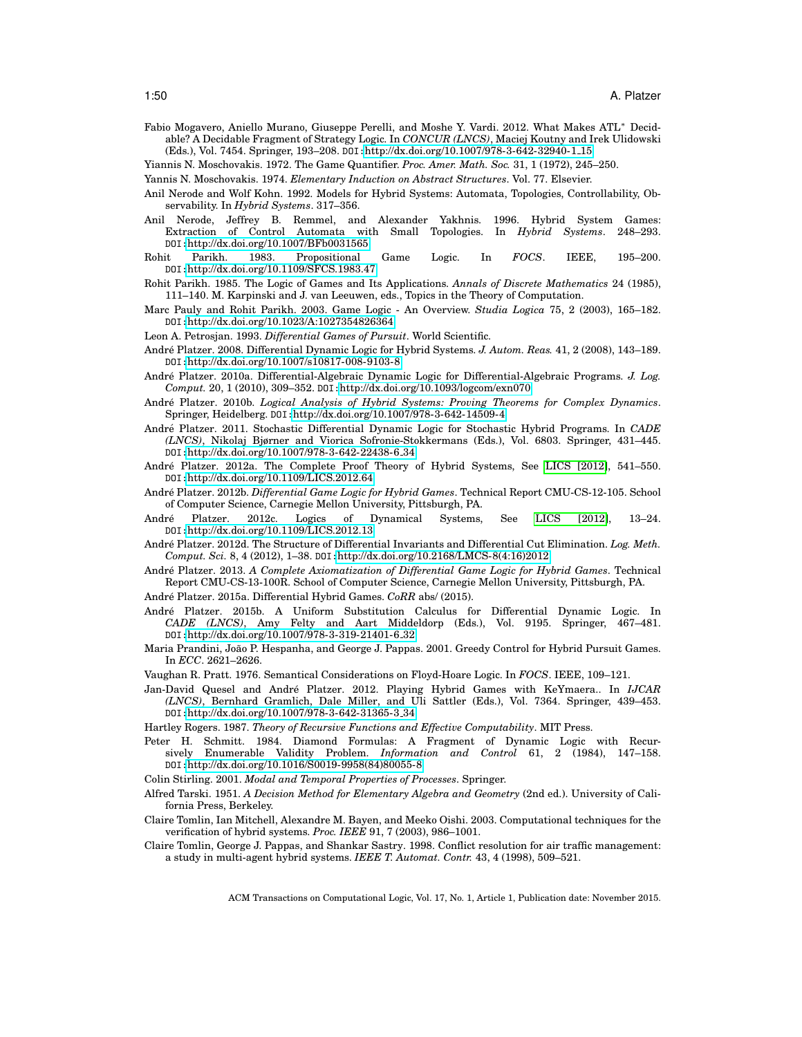<span id="page-49-25"></span>Fabio Mogavero, Aniello Murano, Giuseppe Perelli, and Moshe Y. Vardi. 2012. What Makes ATL<sup>∗</sup> Decidable? A Decidable Fragment of Strategy Logic. In *CONCUR (LNCS)*, Maciej Koutny and Irek Ulidowski (Eds.), Vol. 7454. Springer, 193–208. DOI:[http://dx.doi.org/10.1007/978-3-642-32940-1](http://dx.doi.org/10.1007/978-3-642-32940-1_15) 15

<span id="page-49-23"></span>Yiannis N. Moschovakis. 1972. The Game Quantifier. *Proc. Amer. Math. Soc.* 31, 1 (1972), 245–250.

- <span id="page-49-20"></span>Yannis N. Moschovakis. 1974. *Elementary Induction on Abstract Structures*. Vol. 77. Elsevier.
- <span id="page-49-0"></span>Anil Nerode and Wolf Kohn. 1992. Models for Hybrid Systems: Automata, Topologies, Controllability, Observability. In *Hybrid Systems*. 317–356.
- <span id="page-49-6"></span>Anil Nerode, Jeffrey B. Remmel, and Alexander Yakhnis. 1996. Hybrid System Games: Extraction of Control Automata with Small Topologies. In *Hybrid Systems*. 248–293. DOI:<http://dx.doi.org/10.1007/BFb0031565>
- <span id="page-49-12"></span>Rohit Parikh. 1983. Propositional Game Logic. In *FOCS*. IEEE, 195–200. DOI:<http://dx.doi.org/10.1109/SFCS.1983.47>
- <span id="page-49-13"></span>Rohit Parikh. 1985. The Logic of Games and Its Applications. *Annals of Discrete Mathematics* 24 (1985), 111–140. M. Karpinski and J. van Leeuwen, eds., Topics in the Theory of Computation.
- <span id="page-49-14"></span>Marc Pauly and Rohit Parikh. 2003. Game Logic - An Overview. *Studia Logica* 75, 2 (2003), 165–182. DOI:<http://dx.doi.org/10.1023/A:1027354826364>
- <span id="page-49-26"></span>Leon A. Petrosjan. 1993. *Differential Games of Pursuit*. World Scientific.
- <span id="page-49-3"></span>André Platzer. 2008. Differential Dynamic Logic for Hybrid Systems. J. Autom. Reas. 41, 2 (2008), 143-189. DOI:<http://dx.doi.org/10.1007/s10817-008-9103-8>
- <span id="page-49-15"></span>André Platzer. 2010a. Differential-Algebraic Dynamic Logic for Differential-Algebraic Programs. J. Log. *Comput.* 20, 1 (2010), 309–352. DOI:<http://dx.doi.org/10.1093/logcom/exn070>
- <span id="page-49-1"></span>André Platzer. 2010b. *Logical Analysis of Hybrid Systems: Proving Theorems for Complex Dynamics*. Springer, Heidelberg. DOI:<http://dx.doi.org/10.1007/978-3-642-14509-4>
- <span id="page-49-28"></span>Andre Platzer. 2011. Stochastic Differential Dynamic Logic for Stochastic Hybrid Programs. In ´ *CADE (LNCS)*, Nikolaj Bjørner and Viorica Sofronie-Stokkermans (Eds.), Vol. 6803. Springer, 431–445. DOI:[http://dx.doi.org/10.1007/978-3-642-22438-6](http://dx.doi.org/10.1007/978-3-642-22438-6_34) 34
- <span id="page-49-4"></span>Andre Platzer. 2012a. The Complete Proof Theory of Hybrid Systems, See [LICS \[2012\]](#page-48-27), 541–550. ´ DOI:<http://dx.doi.org/10.1109/LICS.2012.64>
- <span id="page-49-8"></span>André Platzer. 2012b. *Differential Game Logic for Hybrid Games*. Technical Report CMU-CS-12-105. School of Computer Science, Carnegie Mellon University, Pittsburgh, PA.
- <span id="page-49-2"></span>Andre Platzer. 2012c. Logics of Dynamical Systems, See [LICS \[2012\]](#page-48-27), 13–24. ´ DOI:<http://dx.doi.org/10.1109/LICS.2012.13>
- <span id="page-49-21"></span>André Platzer. 2012d. The Structure of Differential Invariants and Differential Cut Elimination. *Log. Meth. Comput. Sci.* 8, 4 (2012), 1–38. DOI:[http://dx.doi.org/10.2168/LMCS-8\(4:16\)2012](http://dx.doi.org/10.2168/LMCS-8(4:16)2012)
- <span id="page-49-9"></span>André Platzer. 2013. A Complete Axiomatization of Differential Game Logic for Hybrid Games. Technical Report CMU-CS-13-100R. School of Computer Science, Carnegie Mellon University, Pittsburgh, PA.
- <span id="page-49-16"></span>André Platzer. 2015a. Differential Hybrid Games. CoRR abs/ (2015).
- <span id="page-49-19"></span>Andre Platzer. 2015b. A Uniform Substitution Calculus for Differential Dynamic Logic. In ´ *CADE (LNCS)*, Amy Felty and Aart Middeldorp (Eds.), Vol. 9195. Springer, 467–481. DOI:[http://dx.doi.org/10.1007/978-3-319-21401-6](http://dx.doi.org/10.1007/978-3-319-21401-6_32) 32
- <span id="page-49-10"></span>Maria Prandini, Joao P. Hespanha, and George J. Pappas. 2001. Greedy Control for Hybrid Pursuit Games. ˜ In *ECC*. 2621–2626.
- <span id="page-49-5"></span>Vaughan R. Pratt. 1976. Semantical Considerations on Floyd-Hoare Logic. In *FOCS*. IEEE, 109–121.
- <span id="page-49-11"></span>Jan-David Quesel and André Platzer. 2012. Playing Hybrid Games with KeYmaera.. In IJCAR *(LNCS)*, Bernhard Gramlich, Dale Miller, and Uli Sattler (Eds.), Vol. 7364. Springer, 439–453. DOI:[http://dx.doi.org/10.1007/978-3-642-31365-3](http://dx.doi.org/10.1007/978-3-642-31365-3_34) 34

<span id="page-49-17"></span>Hartley Rogers. 1987. *Theory of Recursive Functions and Effective Computability*. MIT Press.

- <span id="page-49-22"></span>Peter H. Schmitt. 1984. Diamond Formulas: A Fragment of Dynamic Logic with Recursively Enumerable Validity Problem. *Information and Control* 61, 2 (1984), 147–158. DOI:[http://dx.doi.org/10.1016/S0019-9958\(84\)80055-8](http://dx.doi.org/10.1016/S0019-9958(84)80055-8)
- <span id="page-49-24"></span>Colin Stirling. 2001. *Modal and Temporal Properties of Processes*. Springer.
- <span id="page-49-18"></span>Alfred Tarski. 1951. *A Decision Method for Elementary Algebra and Geometry* (2nd ed.). University of California Press, Berkeley.
- <span id="page-49-27"></span>Claire Tomlin, Ian Mitchell, Alexandre M. Bayen, and Meeko Oishi. 2003. Computational techniques for the verification of hybrid systems. *Proc. IEEE* 91, 7 (2003), 986–1001.
- <span id="page-49-7"></span>Claire Tomlin, George J. Pappas, and Shankar Sastry. 1998. Conflict resolution for air traffic management: a study in multi-agent hybrid systems. *IEEE T. Automat. Contr.* 43, 4 (1998), 509–521.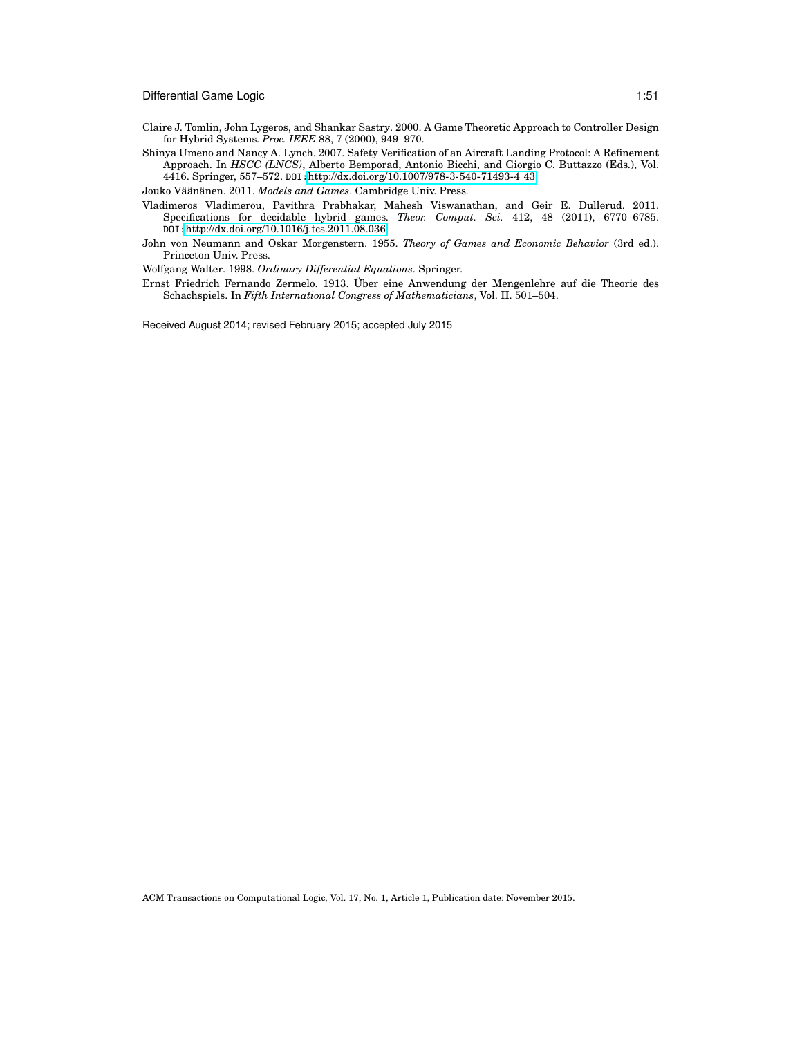- <span id="page-50-1"></span>Claire J. Tomlin, John Lygeros, and Shankar Sastry. 2000. A Game Theoretic Approach to Controller Design for Hybrid Systems. *Proc. IEEE* 88, 7 (2000), 949–970.
- <span id="page-50-0"></span>Shinya Umeno and Nancy A. Lynch. 2007. Safety Verification of an Aircraft Landing Protocol: A Refinement Approach. In *HSCC (LNCS)*, Alberto Bemporad, Antonio Bicchi, and Giorgio C. Buttazzo (Eds.), Vol. 4416. Springer, 557–572. DOI:[http://dx.doi.org/10.1007/978-3-540-71493-4](http://dx.doi.org/10.1007/978-3-540-71493-4_43) 43

<span id="page-50-6"></span>Jouko Väänänen. 2011. Models and Games. Cambridge Univ. Press.

- <span id="page-50-2"></span>Vladimeros Vladimerou, Pavithra Prabhakar, Mahesh Viswanathan, and Geir E. Dullerud. 2011. Specifications for decidable hybrid games. *Theor. Comput. Sci.* 412, 48 (2011), 6770–6785. DOI:<http://dx.doi.org/10.1016/j.tcs.2011.08.036>
- <span id="page-50-4"></span>John von Neumann and Oskar Morgenstern. 1955. *Theory of Games and Economic Behavior* (3rd ed.). Princeton Univ. Press.

<span id="page-50-5"></span>Wolfgang Walter. 1998. *Ordinary Differential Equations*. Springer.

<span id="page-50-3"></span>Ernst Friedrich Fernando Zermelo. 1913. Uber eine Anwendung der Mengenlehre auf die Theorie des ¨ Schachspiels. In *Fifth International Congress of Mathematicians*, Vol. II. 501–504.

Received August 2014; revised February 2015; accepted July 2015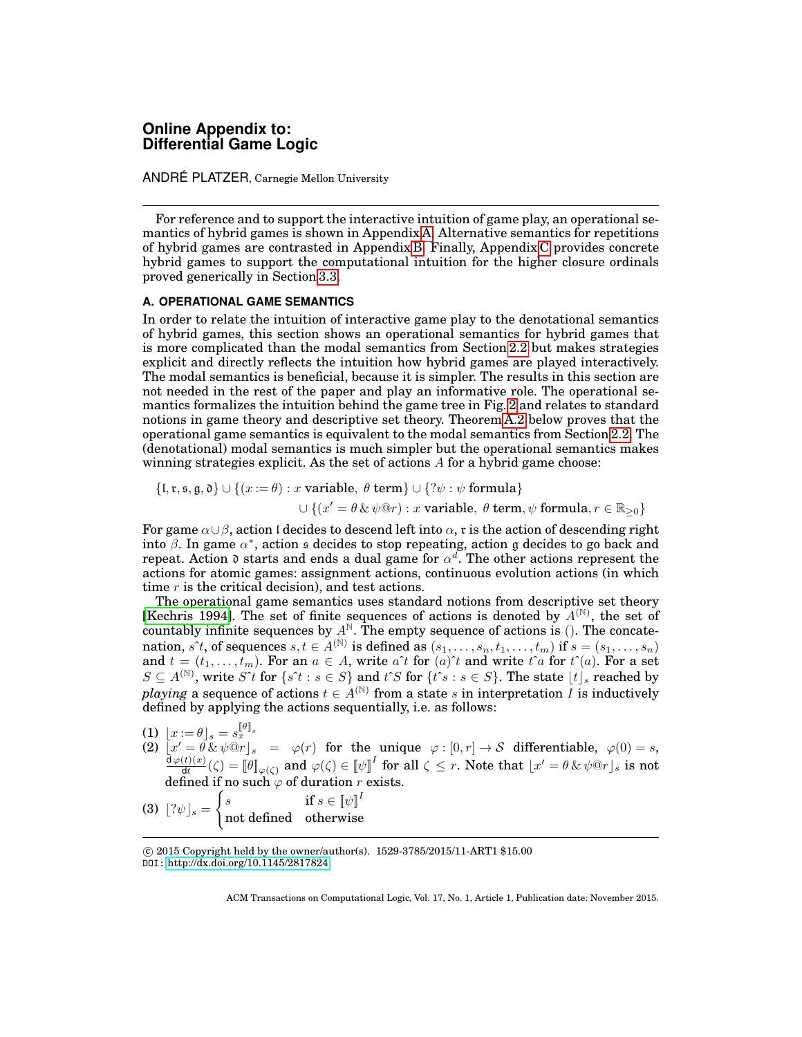# **Online Appendix to: Differential Game Logic**

ANDRÉ PLATZER, Carnegie Mellon University

For reference and to support the interactive intuition of game play, an operational semantics of hybrid games is shown in Appendix [A.](#page-41-0) Alternative semantics for repetitions of hybrid games are contrasted in Appendix [B.](#page-42-0) Finally, Appendix [C](#page-57-0) provides concrete hybrid games to support the computational intuition for the higher closure ordinals proved generically in Section [3.3.](#page-16-0)

## **A. OPERATIONAL GAME SEMANTICS**

In order to relate the intuition of interactive game play to the denotational semantics of hybrid games, this section shows an operational semantics for hybrid games that is more complicated than the modal semantics from Section [2.2](#page-8-1) but makes strategies explicit and directly reflects the intuition how hybrid games are played interactively. The modal semantics is beneficial, because it is simpler. The results in this section are not needed in the rest of the paper and play an informative role. The operational semantics formalizes the intuition behind the game tree in Fig. [2](#page-13-0) and relates to standard notions in game theory and descriptive set theory. Theorem [A.2](#page-41-3) below proves that the operational game semantics is equivalent to the modal semantics from Section [2.2.](#page-8-1) The (denotational) modal semantics is much simpler but the operational semantics makes winning strategies explicit. As the set of actions  $A$  for a hybrid game choose:

$$
\begin{aligned} \{\mathfrak{l}, \mathfrak{r}, \mathfrak{s}, \mathfrak{g}, \mathfrak{d}\} \cup \{\left(x := \theta\right) : x \text{ variable, } \theta \text{ term}\} \cup \{?\psi : \psi \text{ formula}\} \\ \cup \{\left(x' = \theta \& \psi @r\right) : x \text{ variable, } \theta \text{ term, } \psi \text{ formula}, r \in \mathbb{R}_{\geq 0}\}\end{aligned}
$$

For game  $\alpha \cup \beta$ , action I decides to descend left into  $\alpha$ , r is the action of descending right into  $\beta$ . In game  $\alpha^*$ , action s decides to stop repeating, action g decides to go back and repeat. Action  $\mathfrak d$  starts and ends a dual game for  $\alpha^d$ . The other actions represent the actions for atomic games: assignment actions, continuous evolution actions (in which time r is the critical decision), and test actions.

The operational game semantics uses standard notions from descriptive set theory [\[Kechris 1994\]](#page-48-28). The set of finite sequences of actions is denoted by  $A^{(\mathbb{N})}$ , the set of countably infinite sequences by  $A^N$ . The empty sequence of actions is (). The concatenation, s<sup> $\lambda$ </sup>t, of sequences  $s, t \in A^{(\mathbb{N})}$  is defined as  $(s_1, \ldots, s_n, t_1, \ldots, t_m)$  if  $s = (s_1, \ldots, s_n)$ and  $t = (t_1, \ldots, t_m)$ . For an  $a \in A$ , write  $a^{\uparrow}t$  for  $(a)^{\uparrow}t$  and write  $t^{\uparrow}a$  for  $t^{\uparrow}(a)$ . For a set  $S \subseteq A^{(\mathbb{N})}$ , write  $S^{\uparrow}t$  for  $\{s^{\uparrow}t : s \in S\}$  and  $t^{\uparrow}S$  for  $\{t^{\uparrow}s : s \in S\}$ . The state  $\lfloor t \rfloor_s$  reached by *playing* a sequence of actions  $t \in A^{(\mathbb{N})}$  from a state s in interpretation  $I$  is inductively defined by applying the actions sequentially, i.e. as follows:

- 
- (1)  $[x := \theta]_s = s_x^{\llbracket \theta \rrbracket_s}$ <br>
(2)  $[x' = \theta \& \psi \t\mathcal{Q}r]_s = \varphi(r)$  for the unique  $\varphi : [0, r] \to S$  differentiable,  $\varphi(0) = s$ ,<br>  $\frac{d\varphi(t)(x)}{dt}$  and  $\varphi(t') \in \mathbb{R}^{d \times I}$  for all  $\zeta \leq x$ . Note that  $|x' = \theta$  is not  $\frac{d(t)(x)}{dt}(\zeta)=\llbracket \theta \rrbracket_{\varphi(\zeta)}$  and  $\varphi(\zeta)\in \llbracket \psi \rrbracket^I$  for all  $\zeta\leq r.$  Note that  $\lfloor x'= \theta\,\&\,\psi @r \rfloor_s$  is not defined if no such  $\varphi$  of duration r exists.

(3) 
$$
\lfloor ?\psi \rfloor_s = \begin{cases} s & \text{if } s \in [\![\psi]\!]^I \\ \text{not defined} & \text{otherwise} \end{cases}
$$

c 2015 Copyright held by the owner/author(s). 1529-3785/2015/11-ART1 \$15.00 DOI: <http://dx.doi.org/10.1145/2817824>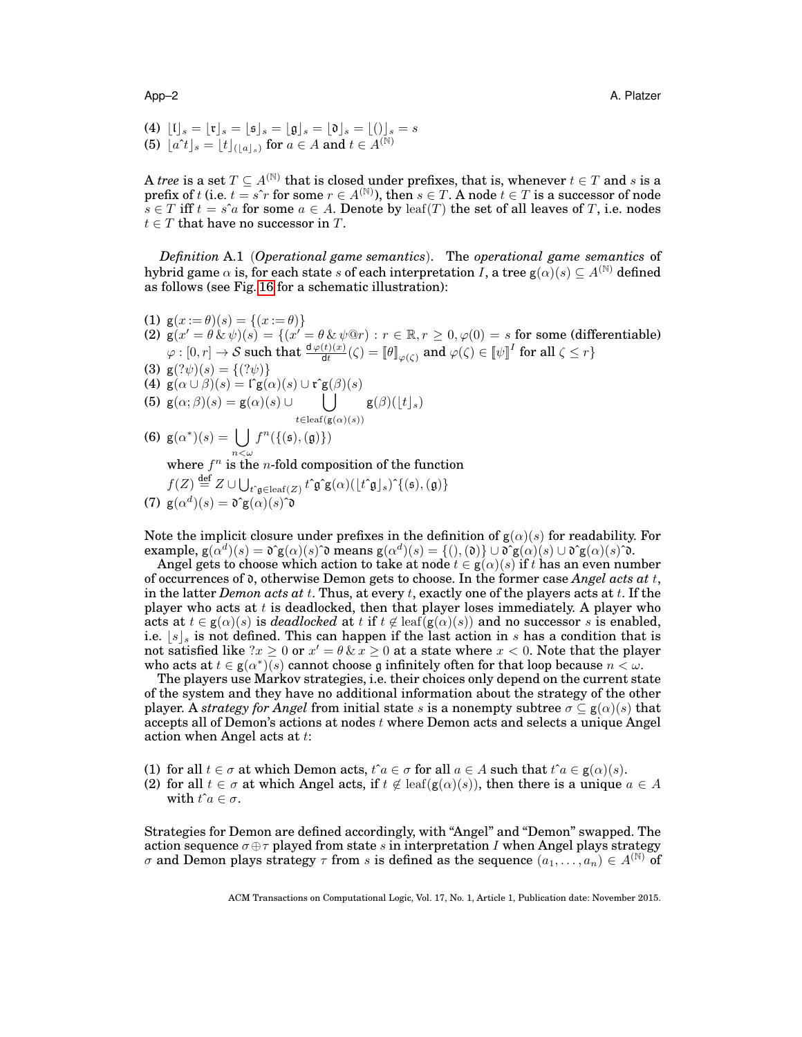- (4)  $\lfloor \mathfrak{l} \rfloor_s = \lfloor \mathfrak{r} \rfloor_s = \lfloor \mathfrak{s} \rfloor_s = \lfloor \mathfrak{g} \rfloor_s = \lfloor \mathfrak{d} \rfloor_s = \lfloor (\mathfrak{j} \rfloor_s = s$
- (5)  $[a^{\uparrow}t]_s = \lfloor t \rfloor_{(\lfloor a \rfloor_s)}$  for  $a \in A$  and  $t \in A^{(\mathbb{N})}$

A *tree* is a set  $T \subseteq A^{(\mathbb{N})}$  that is closed under prefixes, that is, whenever  $t \in T$  and s is a prefix of t (i.e.  $t = s^r r$  for some  $r \in A^{(\mathbb{N})}$ ), then  $s \in T$ . A node  $t \in T$  is a successor of node  $s \in T$  iff  $t = s \hat{a}$  for some  $a \in A$ . Denote by leaf(T) the set of all leaves of T, i.e. nodes  $t \in T$  that have no successor in T.

*Definition* A.1 (*Operational game semantics*). The *operational game semantics* of hybrid game  $\alpha$  is, for each state s of each interpretation I, a tree  $g(\alpha)(s) \subset A^{(N)}$  defined as follows (see Fig. [16](#page-53-0) for a schematic illustration):

- (1)  $g(x := \theta)(s) = \{(x := \theta)\}\$ (2)  $g(x' = \theta \& \psi)(s) = \{(x' = \theta \& \psi \circledcirc r) : r \in \mathbb{R}, r \geq 0, \varphi(0) = s \text{ for some (differentiable)}\}$  $\varphi:[0,r]\to\mathcal{S}$  such that  $\frac{\text{d}\varphi(t)(x)}{\text{d}t}(\zeta)=\llbracket\theta\rrbracket_{\varphi(\zeta)}$  and  $\varphi(\zeta)\in\llbracket\psi\rrbracket^I$  for all  $\zeta\leq r\}$
- (3)  $g(? \psi)(s) = \{(? \psi)\}\$
- (4)  $g(\alpha \cup \beta)(s) = \Gamma g(\alpha)(s) \cup \mathfrak{r}^{\mathsf{s}}g(\beta)(s)$

(5) 
$$
\mathsf{g}(\alpha;\beta)(s) = \mathsf{g}(\alpha)(s) \cup \bigcup_{t \in \text{leaf}(\mathsf{g}(\alpha)(s))} \mathsf{g}(\beta)(\lfloor t \rfloor_s)
$$

(6)  $g(\alpha^*)(s) = \int f^n(\{\mathfrak{s},\mathfrak{g}\})$ 

where  $f^n$  is the *n*-fold composition of the function

$$
f(Z) \stackrel{\text{def}}{=} Z \cup \bigcup_{t^c \mathfrak{g} \in \text{leaf}(Z)} t^c \mathfrak{g}^c \mathfrak{g}(\alpha) (\lfloor t^c \mathfrak{g} \rfloor_s)^c \{(\mathfrak{s}), (\mathfrak{g})\}
$$
  
(7) 
$$
\mathfrak{g}(\alpha^d)(s) = \mathfrak{d}^c \mathfrak{g}(\alpha)(s) \mathfrak{d}
$$

Note the implicit closure under prefixes in the definition of  $g(\alpha)(s)$  for readability. For example,  $g(\alpha^d)(s) = \mathfrak{d}^{\circ} g(\alpha)(s)$  $\mathfrak{d}$  means  $g(\alpha^d)(s) = \{(),(\mathfrak{d})\} \cup \mathfrak{d}^{\circ} g(\alpha)(s) \cup \mathfrak{d}^{\circ} g(\alpha)(s)$  $\mathfrak{d}$ .

Angel gets to choose which action to take at node  $t \in g(\alpha)(s)$  if thas an even number of occurrences of d, otherwise Demon gets to choose. In the former case *Angel acts at* t, in the latter *Demon acts at* t. Thus, at every t, exactly one of the players acts at t. If the player who acts at  $t$  is deadlocked, then that player loses immediately. A player who acts at  $t \in g(\alpha)(s)$  is *deadlocked* at t if  $t \notin \text{leaf}(g(\alpha)(s))$  and no successor s is enabled, i.e.  $\left|s\right|$  is not defined. This can happen if the last action in s has a condition that is not satisfied like  $2x \geq 0$  or  $x' = \theta \& x \geq 0$  at a state where  $x < 0$ . Note that the player who acts at  $t \in g(\alpha^*)(s)$  cannot choose g infinitely often for that loop because  $n < \omega$ .

The players use Markov strategies, i.e. their choices only depend on the current state of the system and they have no additional information about the strategy of the other player. A *strategy for Angel* from initial state s is a nonempty subtree  $\sigma \subset g(\alpha)(s)$  that accepts all of Demon's actions at nodes  $t$  where Demon acts and selects a unique Angel action when Angel acts at t:

- (1) for all  $t \in \sigma$  at which Demon acts,  $t \hat{i} a \in \sigma$  for all  $a \in A$  such that  $t \hat{i} a \in g(\alpha)(s)$ .
- (2) for all  $t \in \sigma$  at which Angel acts, if  $t \notin \text{leaf}(g(\alpha)(s))$ , then there is a unique  $a \in A$ with  $t\hat{i}a \in \sigma$ .

Strategies for Demon are defined accordingly, with "Angel" and "Demon" swapped. The action sequence  $\sigma \oplus \tau$  played from state s in interpretation I when Angel plays strategy σ and Demon plays strategy  $τ$  from s is defined as the sequence  $(a_1, \ldots, a_n) \in A^{(\mathbb{N})}$  of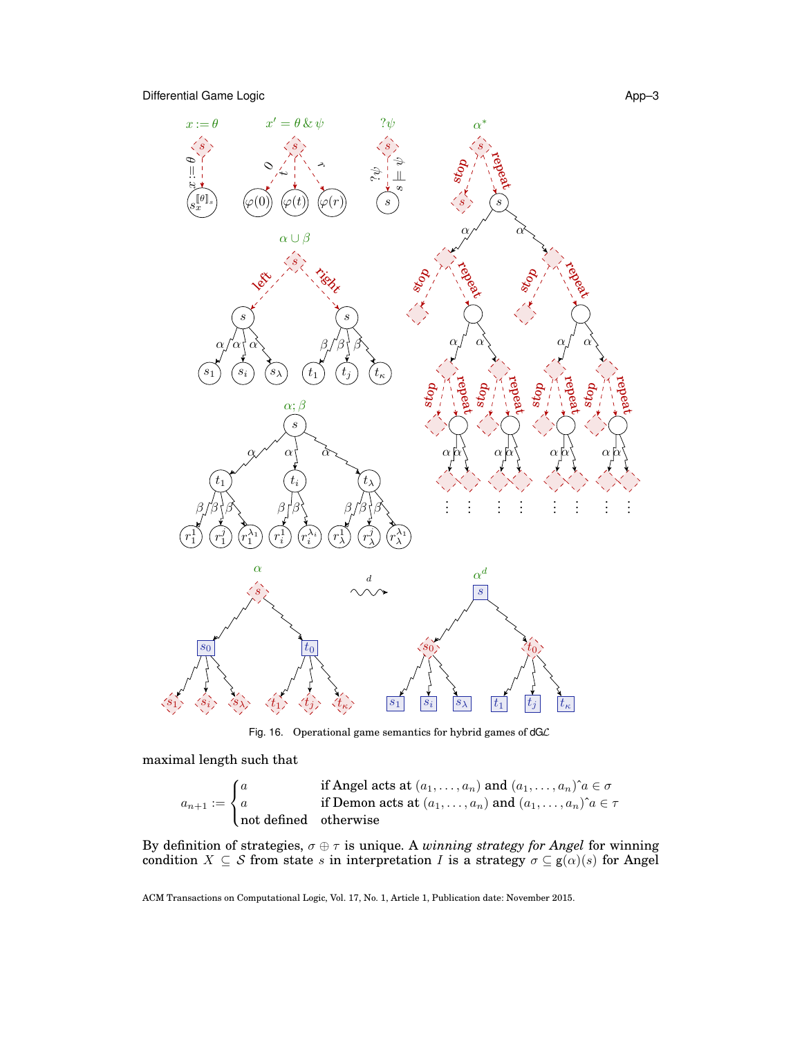



<span id="page-53-0"></span>Fig. 16. Operational game semantics for hybrid games of  $dG\mathcal{L}$ 

maximal length such that

$$
a_{n+1} := \begin{cases} a & \text{if Angel acts at } (a_1, \ldots, a_n) \text{ and } (a_1, \ldots, a_n)^{\hat{}}a \in \sigma \\ a & \text{if Demon acts at } (a_1, \ldots, a_n) \text{ and } (a_1, \ldots, a_n)^{\hat{}}a \in \tau \\ \text{not defined} & \text{otherwise} \end{cases}
$$

By definition of strategies,  $\sigma \oplus \tau$  is unique. A *winning strategy for Angel* for winning condition  $X \subseteq \mathcal{S}$  from state s in interpretation I is a strategy  $\sigma \subseteq g(\alpha)(s)$  for Angel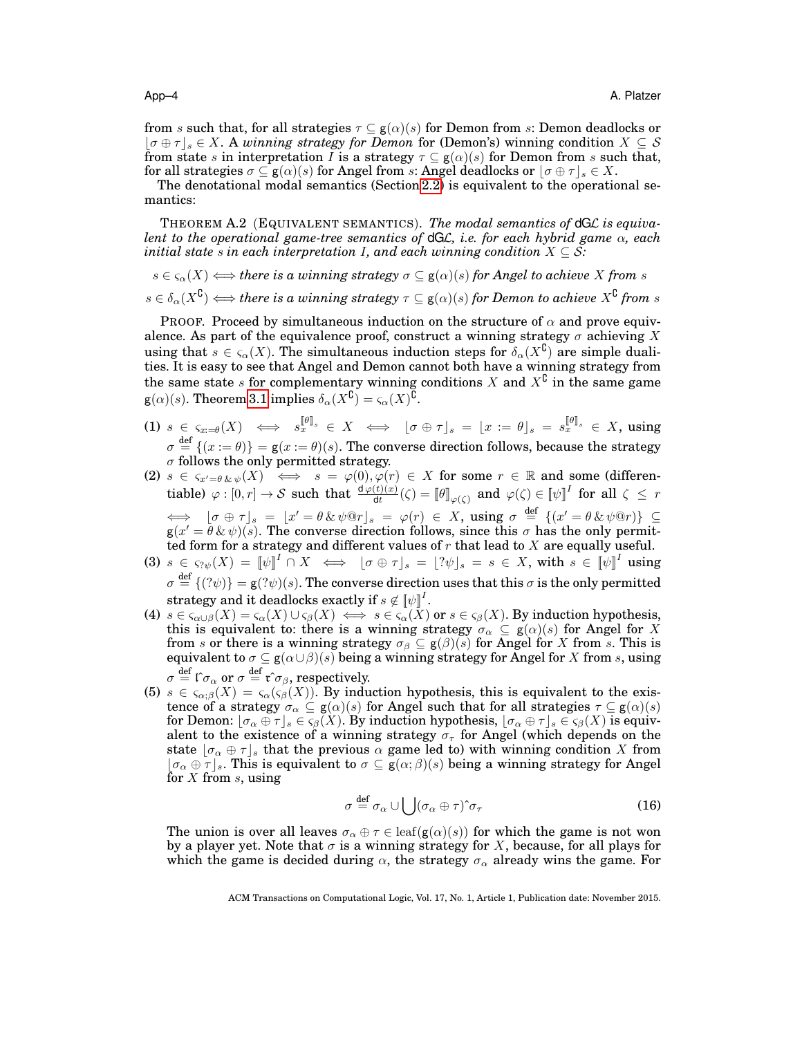from s such that, for all strategies  $\tau \subseteq g(\alpha)(s)$  for Demon from s: Demon deadlocks or  $\lfloor \sigma \oplus \tau \rfloor_s \in X$ . A *winning strategy for Demon* for (Demon's) winning condition  $X \subseteq S$ from state s in interpretation I is a strategy  $\tau \subseteq g(\alpha)(s)$  for Demon from s such that, for all strategies  $\sigma \subseteq g(\alpha)(s)$  for Angel from s: Angel deadlocks or  $|\sigma \oplus \tau|_s \in X$ .

The denotational modal semantics (Section [2.2\)](#page-8-1) is equivalent to the operational semantics:

THEOREM A.2 (EQUIVALENT SEMANTICS). *The modal semantics of* dGL *is equivalent to the operational game-tree semantics of* dGL*, i.e. for each hybrid game* α*, each initial state*  $s$  *in each interpretation I, and each winning condition*  $X \subseteq S$ :

 $s \in \varsigma_\alpha(X) \Longleftrightarrow$  *there is a winning strategy*  $\sigma \subseteq g(\alpha)(s)$  *for Angel to achieve* X *from* s

$$
s\in\delta_\alpha(X^\complement)\Longleftrightarrow \textit{there is a winning strategy}~\tau\subseteq\mathsf{g}(\alpha)(s)~\textit{for Demon to achieve}~X^\complement~\textit{from}~s
$$

PROOF. Proceed by simultaneous induction on the structure of  $\alpha$  and prove equivalence. As part of the equivalence proof, construct a winning strategy  $\sigma$  achieving X using that  $s \in \varsigma_\alpha(X)$ . The simultaneous induction steps for  $\delta_\alpha(X^{\complement})$  are simple dualities. It is easy to see that Angel and Demon cannot both have a winning strategy from the same state s for complementary winning conditions X and  $X^{\complement}$  in the same game  $g(\alpha)(s)$ . Theorem [3.1](#page-14-1) implies  $\delta_{\alpha}(X^{\complement}) = \varsigma_{\alpha}(X)^{\widetilde{\complement}}$ .

- $\qquad \qquad \text{ (1) } \; s \; \in \; \varsigma_{x = \theta}(X) \; \iff \; s_x^{\llbracket \theta \rrbracket_s} \; \in \; X \; \iff \; \; \lfloor \sigma \oplus \tau \rfloor_s \; = \; \lfloor x \, := \, \theta \rfloor_s \; = \; s_x^{\llbracket \theta \rrbracket_s} \; \in \; X, \; \text{using}$  $\sigma \stackrel{\text{def}}{=} \{(x := \theta)\} = \mathsf{g}(x := \theta)(s)$ . The converse direction follows, because the strategy  $\sigma$  follows the only permitted strategy.
- (2)  $s \in \varsigma_{x'=0 \& \psi(X)}$   $\iff$   $s = \varphi(0), \varphi(r) \in X$  for some  $r \in \mathbb{R}$  and some (differentiable)  $\varphi : [0, r] \to S$  such that  $\frac{d \varphi(t)(x)}{dt}(\zeta) = [\![\theta]\!]_{\varphi(\zeta)}$  and  $\varphi(\zeta) \in [\![\psi]\!]^I$  for all  $\zeta \leq r$  $\iff \begin{array}{rcl} [\sigma \oplus \tau]_s \; = \; \lfloor x' = \theta \, \& \, \psi \mathbb{Q}r \rfloor_s \; = \; \varphi(r) \; \in \; X, \; \text{using} \; \sigma \; \stackrel{\text{def}}{=} \; \{(x' = \theta \, \& \, \psi \mathbb{Q}r)\} \; \subseteq \end{array}$  $g(x' = \bar{\theta} \& \psi)(\bar{s})$ . The converse direction follows, since this  $\sigma$  has the only permitted form for a strategy and different values of  $r$  that lead to  $X$  are equally useful.
- $\mathcal{A}(3) \,\, s \,\in\, \varsigma_{? \psi}(X) \,=\, \llbracket \psi \rrbracket^I \, \cap \, X \,\, \iff\,\, \lfloor \sigma \oplus \tau \rfloor_s \,=\, \lfloor ?\psi \rfloor_s \,=\, s \,\in\, X, \text{ with } \, s \,\in\, \llbracket \psi \rrbracket^I \text{ using }$  $\sigma \stackrel{\text{def}}{=} \{(\hat{\psi})\} = \mathsf{g}(\hat{\psi})(s)$ . The converse direction uses that this  $\sigma$  is the only permitted strategy and it deadlocks exactly if  $s \not\in \llbracket \psi \rrbracket^I.$
- (4)  $s \in \varsigma_{\alpha \cup \beta}(X) = \varsigma_{\alpha}(X) \cup \varsigma_{\beta}(X) \iff s \in \varsigma_{\alpha}(X)$  or  $s \in \varsigma_{\beta}(X)$ . By induction hypothesis, this is equivalent to: there is a winning strategy  $\sigma_{\alpha} \subseteq g(\alpha)(s)$  for Angel for X from s or there is a winning strategy  $\sigma_{\beta} \subseteq g(\beta)(s)$  for Angel for X from s. This is equivalent to  $\sigma \subseteq g(\alpha \cup \beta)(s)$  being a winning strategy for Angel for X from s, using  $\sigma\stackrel{\rm def}{=}\mathfrak{l}^\circ\sigma_\alpha \text{ or }\sigma\stackrel{\rm def}{=}\mathfrak{r}^\circ\sigma_\beta, \text{respectively.}$
- (5)  $s \in \varsigma_{\alpha;\beta}(X) = \varsigma_{\alpha}(\varsigma_{\beta}(X))$ . By induction hypothesis, this is equivalent to the existence of a strategy  $\sigma_{\alpha} \subseteq g(\alpha)(s)$  for Angel such that for all strategies  $\tau \subseteq g(\alpha)(s)$ for Demon:  $\sigma_{\alpha} \oplus \tau |_{s} \in \varsigma_{\beta}(X)$ . By induction hypothesis,  $\sigma_{\alpha} \oplus \tau |_{s} \in \varsigma_{\beta}(X)$  is equivalent to the existence of a winning strategy  $\sigma_{\tau}$  for Angel (which depends on the state  $\lfloor \sigma_{\alpha} \oplus \tau \rfloor$  that the previous  $\alpha$  game led to) with winning condition X from  $[\sigma_{\alpha} \oplus \tau]_s$ . This is equivalent to  $\sigma \subseteq g(\alpha;\beta)(s)$  being a winning strategy for Angel for  $X$  from  $s$ , using

<span id="page-54-0"></span>
$$
\sigma \stackrel{\text{def}}{=} \sigma_{\alpha} \cup \bigcup (\sigma_{\alpha} \oplus \tau)^{\hat{}} \sigma_{\tau}
$$
 (16)

The union is over all leaves  $\sigma_{\alpha} \oplus \tau \in \text{leaf}(g(\alpha)(s))$  for which the game is not won by a player yet. Note that  $\sigma$  is a winning strategy for X, because, for all plays for which the game is decided during  $\alpha$ , the strategy  $\sigma_{\alpha}$  already wins the game. For

ACM Transactions on Computational Logic, Vol. 17, No. 1, Article 1, Publication date: November 2015.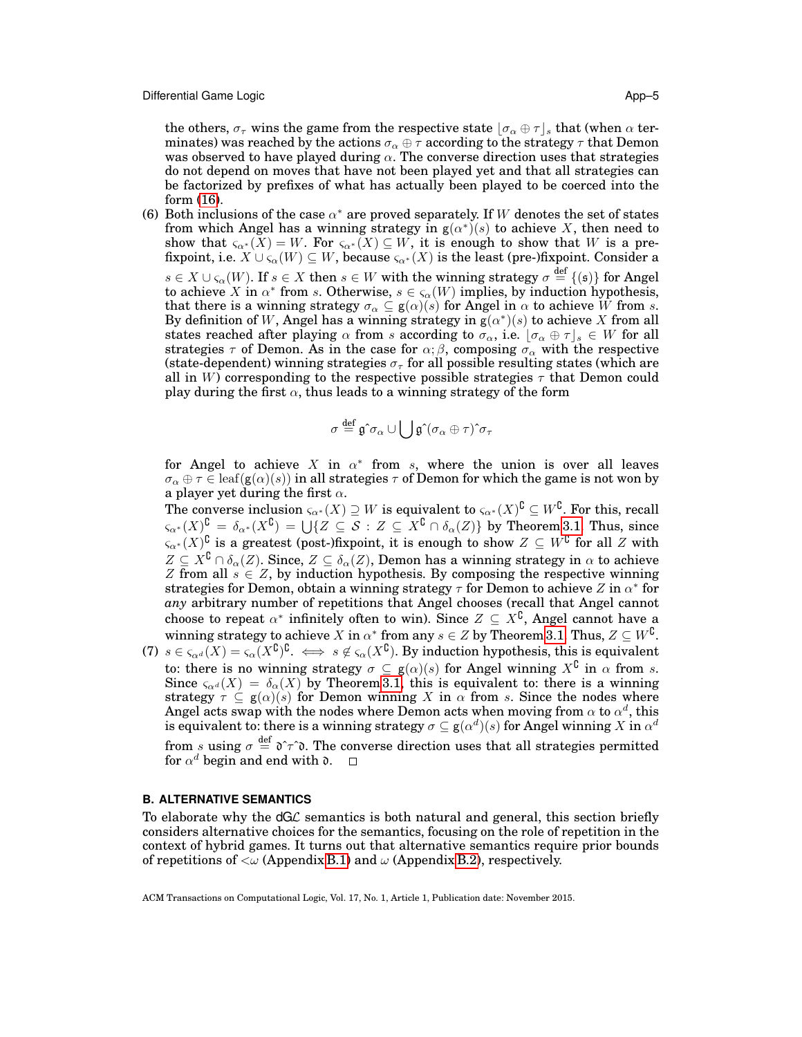the others,  $\sigma_{\tau}$  wins the game from the respective state  $[\sigma_{\alpha} \oplus \tau]_s$  that (when  $\alpha$  terminates) was reached by the actions  $\sigma_{\alpha} \oplus \tau$  according to the strategy  $\tau$  that Demon was observed to have played during  $\alpha$ . The converse direction uses that strategies do not depend on moves that have not been played yet and that all strategies can be factorized by prefixes of what has actually been played to be coerced into the form [\(16\)](#page-54-0).

(6) Both inclusions of the case  $\alpha^*$  are proved separately. If W denotes the set of states from which Angel has a winning strategy in  $g(\alpha^*)^*(s)$  to achieve X, then need to show that  $\varsigma_{\alpha^*}(X) = W$ . For  $\varsigma_{\alpha^*}(X) \subseteq W$ , it is enough to show that W is a prefixpoint, i.e.  $X \cup \varsigma_\alpha(W) \subseteq W$ , because  $\varsigma_{\alpha^*}(X)$  is the least (pre-)fixpoint. Consider a  $s \in X \cup \varsigma_\alpha(W)$ . If  $s \in X$  then  $s \in W$  with the winning strategy  $\sigma \stackrel{\text{def}}{=} \{(\mathfrak{s})\}$  for Angel to achieve X in  $\alpha^*$  from s. Otherwise,  $s \in \varsigma_\alpha(W)$  implies, by induction hypothesis, that there is a winning strategy  $\sigma_{\alpha} \subseteq g(\alpha)(s)$  for Angel in  $\alpha$  to achieve W from s. By definition of W, Angel has a winning strategy in  $g(\alpha^*)(s)$  to achieve X from all states reached after playing  $\alpha$  from s according to  $\sigma_{\alpha}$ , i.e.  $[\sigma_{\alpha} \oplus \tau]_s \in W$  for all strategies  $\tau$  of Demon. As in the case for  $\alpha$ ;  $\beta$ , composing  $\sigma_{\alpha}$  with the respective (state-dependent) winning strategies  $\sigma_{\tau}$  for all possible resulting states (which are all in W) corresponding to the respective possible strategies  $\tau$  that Demon could play during the first  $\alpha$ , thus leads to a winning strategy of the form

$$
\sigma\stackrel{\mathrm{def}}{=}\mathfrak g\hat{\hphantom{\alpha}}\sigma_\alpha\cup\bigcup\mathfrak g\hat{\hphantom{\alpha}}(\sigma_\alpha\oplus\tau)\hat{\hphantom{\alpha}}\sigma_\tau
$$

for Angel to achieve X in  $\alpha^*$  from s, where the union is over all leaves  $\sigma_{\alpha} \oplus \tau \in \text{leaf}(g(\alpha)(s))$  in all strategies  $\tau$  of Demon for which the game is not won by a player yet during the first  $\alpha$ .

The converse inclusion  $\varsigma_{\alpha^*}(X) \supseteq W$  is equivalent to  $\varsigma_{\alpha^*}(X)^{\complement} \subseteq W^{\complement}$ . For this, recall  $\varsigma_{\alpha^*}(X)^{\complement} \,=\, \delta_{\alpha^*}(X^{\complement}) \,=\, \bigcup \{ Z \,\subseteq\, \mathcal{S} \,:\, Z \,\subseteq\, X^{\complement} \cap \delta_{\alpha}(Z) \} \,$  by Theorem [3.1.](#page-14-1) Thus, since  $\zeta_{\alpha^*}(X)^{\complement}$  is a greatest (post-)fixpoint, it is enough to show  $Z \subseteq W^{\complement}$  for all Z with  $Z \subseteq X^{\complement} \cap \delta_{\alpha}(Z)$ . Since,  $Z \subseteq \delta_{\alpha}(Z)$ , Demon has a winning strategy in  $\alpha$  to achieve Z from all  $s \in \mathbb{Z}$ , by induction hypothesis. By composing the respective winning strategies for Demon, obtain a winning strategy  $\tau$  for Demon to achieve Z in  $\alpha^*$  for *any* arbitrary number of repetitions that Angel chooses (recall that Angel cannot choose to repeat  $\alpha^*$  infinitely often to win). Since  $Z \subseteq X^{\complement}$ , Angel cannot have a winning strategy to achieve X in  $\alpha^*$  from any  $s \in Z$  by Theorem [3.1.](#page-14-1) Thus,  $Z \subseteq W^{\complement}$ .

(7)  $s \in \varsigma_{\alpha}(\overline{X}) = \varsigma_{\alpha}(\overline{X}^{\complement})^{\complement}$ .  $\Leftrightarrow s \notin \varsigma_{\alpha}(\overline{X}^{\complement})$ . By induction hypothesis, this is equivalent to: there is no winning strategy  $\sigma \subseteq g(\alpha)(s)$  for Angel winning  $X^{\complement}$  in  $\alpha$  from s. Since  $\varsigma_{\alpha}a(X) = \delta_{\alpha}(X)$  by Theorem [3.1,](#page-14-1) this is equivalent to: there is a winning strategy  $\tau \subseteq g(\alpha)(s)$  for Demon winning X in  $\alpha$  from s. Since the nodes where Angel acts swap with the nodes where Demon acts when moving from  $\alpha$  to  $\alpha^d$ , this is equivalent to: there is a winning strategy  $\sigma\subseteq {\sf g}(\alpha^d)(s)$  for Angel winning  $X$  in  $\alpha^d$ from s using  $\sigma \stackrel{\text{def}}{=} \mathfrak{d} \hat{\tau} \hat{\tau}$ . The converse direction uses that all strategies permitted for  $\alpha^d$  begin and end with  ${\mathfrak d}$ .

## **B. ALTERNATIVE SEMANTICS**

To elaborate why the  $dG\mathcal{L}$  semantics is both natural and general, this section briefly considers alternative choices for the semantics, focusing on the role of repetition in the context of hybrid games. It turns out that alternative semantics require prior bounds of repetitions of  $\langle \omega \rangle$  (Appendix [B.1\)](#page-56-0) and  $\omega$  (Appendix [B.2\)](#page-57-1), respectively.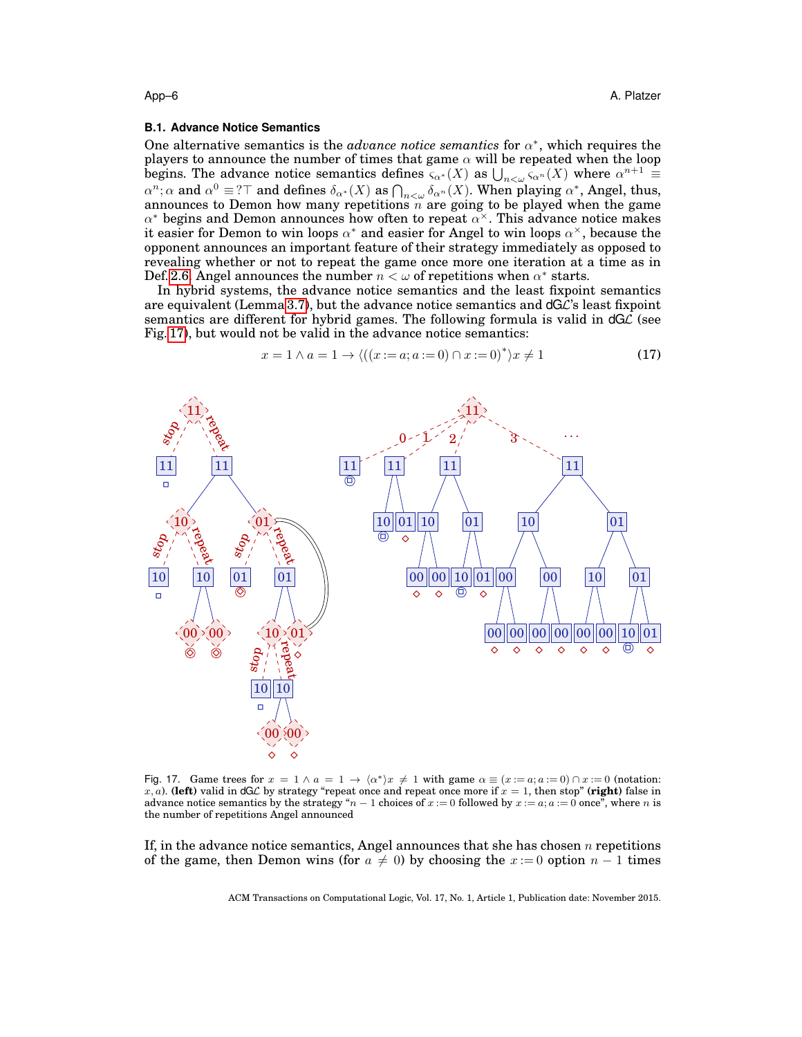#### <span id="page-56-0"></span>**B.1. Advance Notice Semantics**

One alternative semantics is the *advance notice semantics* for  $\alpha^*$ , which requires the players to announce the number of times that game  $\alpha$  will be repeated when the loop begins. The advance notice semantics defines  $\varsigma_{\alpha^*}(X)$  as  $\bigcup_{n<\omega} \varsigma_{\alpha^n}(X)$  where  $\alpha^{n+1} \equiv$  $\alpha^n$ ;  $\alpha$  and  $\alpha^0 \equiv T$  and defines  $\delta_{\alpha^*}(X)$  as  $\bigcap_{n<\omega} \delta_{\alpha^n}(X)$ . When playing  $\alpha^*$ , Angel, thus, announces to Demon how many repetitions  $\tilde{n}$  are going to be played when the game  $\alpha^*$  begins and Demon announces how often to repeat  $\alpha^{\times}$ . This advance notice makes it easier for Demon to win loops  $\alpha^*$  and easier for Angel to win loops  $\alpha^\times$ , because the opponent announces an important feature of their strategy immediately as opposed to revealing whether or not to repeat the game once more one iteration at a time as in Def. [2.6.](#page-9-1) Angel announces the number  $n < \omega$  of repetitions when  $\alpha^*$  starts.

In hybrid systems, the advance notice semantics and the least fixpoint semantics are equivalent (Lemma [3.7\)](#page-17-1), but the advance notice semantics and  $dG\mathcal{L}$ 's least fixpoint semantics are different for hybrid games. The following formula is valid in  $dG\mathcal{L}$  (see Fig. [17\)](#page-56-1), but would not be valid in the advance notice semantics:

<span id="page-56-2"></span>
$$
x = 1 \land a = 1 \to \langle ((x := a; a := 0) \cap x := 0)^* \rangle x \neq 1 \tag{17}
$$



<span id="page-56-1"></span>Fig. 17. Game trees for  $x = 1 \wedge a = 1 \rightarrow \langle \alpha^* \rangle x \neq 1$  with game  $\alpha \equiv (x := a, a := 0) \cap x := 0$  (notation: x, a). **(left)** valid in dGL by strategy "repeat once and repeat once more if  $x = 1$ , then stop" **(right)** false in advance notice semantics by the strategy " $n - 1$  choices of  $x := 0$  followed by  $x := a$ ;  $a := 0$  once", where n is the number of repetitions Angel announced

If, in the advance notice semantics, Angel announces that she has chosen  $n$  repetitions of the game, then Demon wins (for  $a \neq 0$ ) by choosing the  $x := 0$  option  $n - 1$  times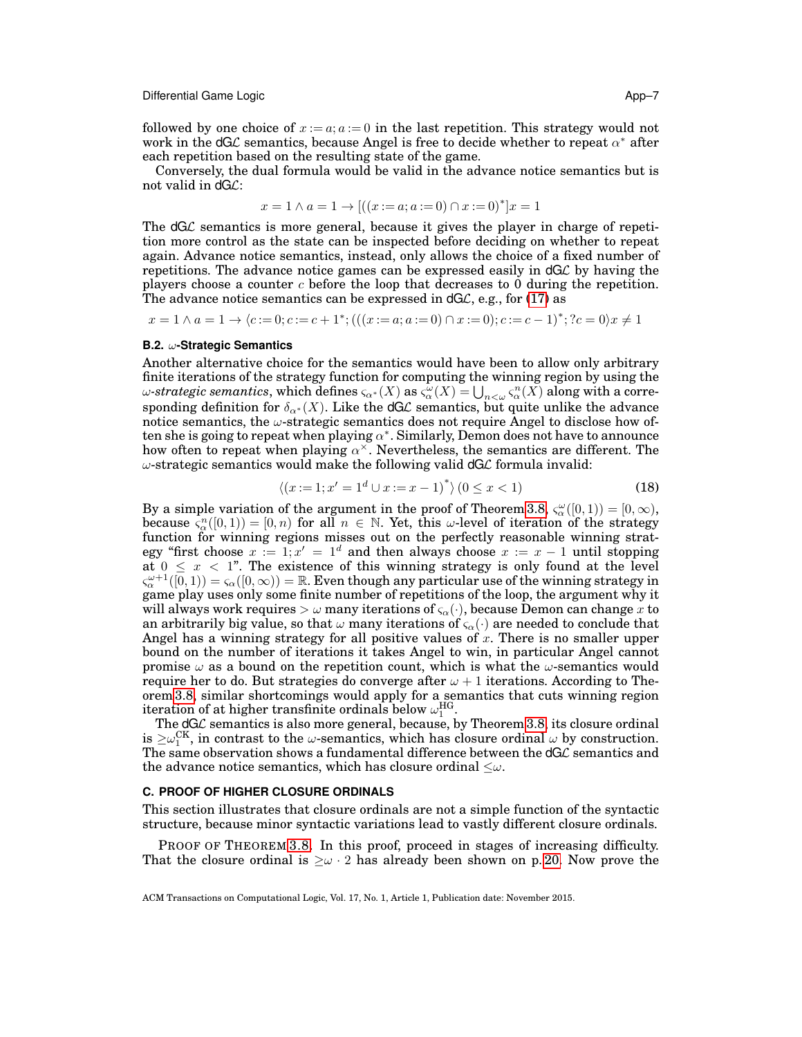Differential Game Logic **App–7** and App–7 and App–7 and App–7 and App–7 and App–7 and App–7 and App–7 and App–7 and App–7 and App–7 and App–7 and App–7 and App–7 and App–7 and App–7 and App–7 and App–7 and App–7 and App–7

followed by one choice of  $x := a$ ;  $a := 0$  in the last repetition. This strategy would not work in the dGL semantics, because Angel is free to decide whether to repeat  $\alpha^*$  after each repetition based on the resulting state of the game.

Conversely, the dual formula would be valid in the advance notice semantics but is not valid in dGL:

$$
x = 1 \land a = 1 \rightarrow [((x := a; a := 0) \cap x := 0)^*]x = 1
$$

The dGL semantics is more general, because it gives the player in charge of repetition more control as the state can be inspected before deciding on whether to repeat again. Advance notice semantics, instead, only allows the choice of a fixed number of repetitions. The advance notice games can be expressed easily in dGL by having the players choose a counter  $c$  before the loop that decreases to 0 during the repetition. The advance notice semantics can be expressed in  $dG\mathcal{L}$ , e.g., for [\(17\)](#page-56-2) as

 $x = 1 \land a = 1 \to \langle c := 0; c := c + 1^*; (((x := a; a := 0) \cap x := 0); c := c - 1)^*; ?c = 0 \rangle x \neq 1$ 

## <span id="page-57-1"></span>**B.2.** ω**-Strategic Semantics**

Another alternative choice for the semantics would have been to allow only arbitrary finite iterations of the strategy function for computing the winning region by using the  $\omega$ -strategic semantics, which defines  $\varsigma_{\alpha^*}(X)$  as  $\varsigma_{\alpha}^{\omega}(X)=\bigcup_{n<\omega}\varsigma_{\alpha}^n(X)$  along with a corresponding definition for  $\delta_{\alpha^*}(X)$ . Like the dGL semantics, but quite unlike the advance notice semantics, the  $\omega$ -strategic semantics does not require Angel to disclose how often she is going to repeat when playing  $\alpha^*$ . Similarly, Demon does not have to announce how often to repeat when playing  $\alpha^{\times}$ . Nevertheless, the semantics are different. The  $\omega$ -strategic semantics would make the following valid  $dG\mathcal{L}$  formula invalid:

$$
\langle (x:=1; x'=1^d \cup x:=x-1)^* \rangle \left(0 \le x < 1\right) \tag{18}
$$

By a simple variation of the argument in the proof of Theorem [3.8,](#page-19-1)  $\varsigma_{\alpha}^{\omega}([0,1)) = [0,\infty)$ , because  $\zeta_\alpha^n([0,1)) = [0,n)$  for all  $n \in \mathbb{N}$ . Yet, this  $\omega$ -level of iteration of the strategy function for winning regions misses out on the perfectly reasonable winning strategy "first choose  $x := 1$ ;  $x' = 1<sup>d</sup>$  and then always choose  $x := x - 1$  until stopping at  $0 \leq x < 1$ ". The existence of this winning strategy is only found at the level  $\varsigma_{\alpha}^{\omega+1}([0,1))=\varsigma_{\alpha}([0,\infty))=\mathbb{R}.$  Even though any particular use of the winning strategy in game play uses only some finite number of repetitions of the loop, the argument why it will always work requires  $>\omega$  many iterations of  $\varsigma_{\alpha}(\cdot)$ , because Demon can change x to an arbitrarily big value, so that  $\omega$  many iterations of  $\varsigma_{\alpha}(\cdot)$  are needed to conclude that Angel has a winning strategy for all positive values of x. There is no smaller upper bound on the number of iterations it takes Angel to win, in particular Angel cannot promise  $\omega$  as a bound on the repetition count, which is what the  $\omega$ -semantics would require her to do. But strategies do converge after  $\omega + 1$  iterations. According to Theorem [3.8,](#page-19-1) similar shortcomings would apply for a semantics that cuts winning region iteration of at higher transfinite ordinals below  $\omega_1^{\text{HG}}$ .

The  $dG\mathcal{L}$  semantics is also more general, because, by Theorem [3.8,](#page-19-1) its closure ordinal is  $\geq \omega_{1}^{\text{CK}}$ , in contrast to the  $\omega$ -semantics, which has closure ordinal  $\omega$  by construction. The same observation shows a fundamental difference between the  $dG\mathcal{L}$  semantics and the advance notice semantics, which has closure ordinal  $\leq \omega$ .

#### <span id="page-57-0"></span>**C. PROOF OF HIGHER CLOSURE ORDINALS**

This section illustrates that closure ordinals are not a simple function of the syntactic structure, because minor syntactic variations lead to vastly different closure ordinals.

PROOF OF THEOREM [3.8.](#page-19-1) In this proof, proceed in stages of increasing difficulty. That the closure ordinal is  $\geq \omega$  · 2 has already been shown on p. [20.](#page-19-1) Now prove the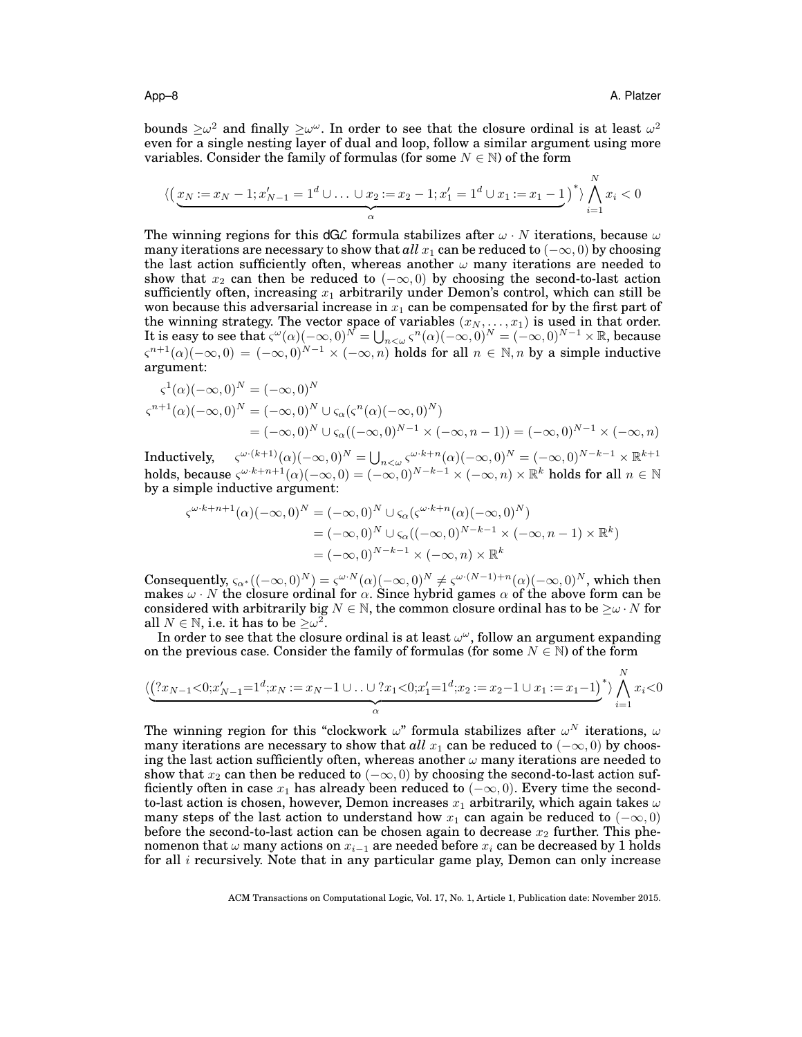bounds  $\geq \omega^2$  and finally  $\geq \omega^\omega$ . In order to see that the closure ordinal is at least  $\omega^2$ even for a single nesting layer of dual and loop, follow a similar argument using more variables. Consider the family of formulas (for some  $N \in \mathbb{N}$ ) of the form

$$
\langle \left( \underbrace{x_N := x_N - 1; x'_{N-1} = 1^d \cup \ldots \cup x_2 := x_2 - 1; x'_1 = 1^d \cup x_1 := x_1 - 1}_{\alpha} \right)^* \rangle \bigwedge_{i=1}^N x_i < 0
$$

The winning regions for this dGL formula stabilizes after  $\omega \cdot N$  iterations, because  $\omega$ many iterations are necessary to show that  $all x_1$  can be reduced to  $(-\infty, 0)$  by choosing the last action sufficiently often, whereas another  $\omega$  many iterations are needed to show that  $x_2$  can then be reduced to  $(-\infty, 0)$  by choosing the second-to-last action sufficiently often, increasing  $x_1$  arbitrarily under Demon's control, which can still be won because this adversarial increase in  $x_1$  can be compensated for by the first part of the winning strategy. The vector space of variables  $(x_N, \ldots, x_1)$  is used in that order. It is easy to see that  $\zeta^{\omega}(\alpha)(-\infty,0)^N = \bigcup_{n<\omega} \zeta^n(\alpha)(-\infty,0)^N = (-\infty,0)^{N-1} \times \mathbb{R}$ , because  $\varsigma^{n+1}(\alpha)(-\infty,0) = (-\infty,0)^{N-1} \times (-\infty,n)$  holds for all  $n \in \mathbb{N}, n$  by a simple inductive argument:

$$
\begin{aligned} \varsigma^1(\alpha)(-\infty,0)^N &= (-\infty,0)^N \\ \varsigma^{n+1}(\alpha)(-\infty,0)^N &= (-\infty,0)^N \cup \varsigma_\alpha(\varsigma^n(\alpha)(-\infty,0)^N) \\ &= (-\infty,0)^N \cup \varsigma_\alpha((-\infty,0)^{N-1} \times (-\infty,n-1)) = (-\infty,0)^{N-1} \times (-\infty,n) \end{aligned}
$$

 $\text{Inductively, } \quad \zeta^{\omega\cdot (k+1)}(\alpha)(-\infty,0)^N = \bigcup_{n<\omega} \zeta^{\omega\cdot k+n}(\alpha)(-\infty,0)^N = (-\infty,0)^{N-k-1}\times\mathbb{R}^{k+1}$ holds, because  $\zeta^{\omega \cdot k+n+1}(\alpha)(-\infty,0) = (-\infty,0)^{N-k-1} \times (-\infty,n) \times \mathbb{R}^k$  holds for all  $n \in \mathbb{N}$ by a simple inductive argument:

$$
\zeta^{\omega \cdot k + n + 1}(\alpha)(-\infty, 0)^N = (-\infty, 0)^N \cup \zeta_\alpha(\zeta^{\omega \cdot k + n}(\alpha)(-\infty, 0)^N)
$$
  
=  $(-\infty, 0)^N \cup \zeta_\alpha((-\infty, 0)^{N - k - 1} \times (-\infty, n - 1) \times \mathbb{R}^k)$   
=  $(-\infty, 0)^{N - k - 1} \times (-\infty, n) \times \mathbb{R}^k$ 

Consequently,  $\varsigma_{\alpha^*}((-\infty,0)^N) = \varsigma^{\omega \cdot N}(\alpha)(-\infty,0)^N \neq \varsigma^{\omega \cdot (N-1)+n}(\alpha)(-\infty,0)^N$ , which then makes  $\omega \cdot N$  the closure ordinal for  $\alpha$ . Since hybrid games  $\alpha$  of the above form can be considered with arbitrarily big  $N \in \mathbb{N}$ , the common closure ordinal has to be  $\geq \omega \cdot N$  for all  $N \in \mathbb{N}$ , i.e. it has to be  $\geq \omega^2$ .

In order to see that the closure ordinal is at least  $\omega^{\omega}$ , follow an argument expanding on the previous case. Consider the family of formulas (for some  $N \in \mathbb{N}$ ) of the form

$$
\langle \underbrace{(?x_{N-1}<0;x'_{N-1}=1^d;x_N:=x_N-1\cup\ldots\cup?x_1<0;x'_1=1^d;x_2:=x_2-1\cup x_1:=x_1-1)}_{{\alpha}}\rangle\bigwedge_{i=1}^N x_i<0
$$

The winning region for this "clockwork  $\omega$ " formula stabilizes after  $\omega^N$  iterations,  $\omega$ many iterations are necessary to show that *all*  $x_1$  can be reduced to ( $-\infty$ , 0) by choosing the last action sufficiently often, whereas another  $\omega$  many iterations are needed to show that  $x_2$  can then be reduced to  $(-\infty, 0)$  by choosing the second-to-last action sufficiently often in case  $x_1$  has already been reduced to  $(-\infty, 0)$ . Every time the secondto-last action is chosen, however, Demon increases  $x_1$  arbitrarily, which again takes  $\omega$ many steps of the last action to understand how  $x_1$  can again be reduced to  $(-\infty,0)$ before the second-to-last action can be chosen again to decrease  $x_2$  further. This phenomenon that  $\omega$  many actions on  $x_{i-1}$  are needed before  $x_i$  can be decreased by 1 holds for all  $i$  recursively. Note that in any particular game play, Demon can only increase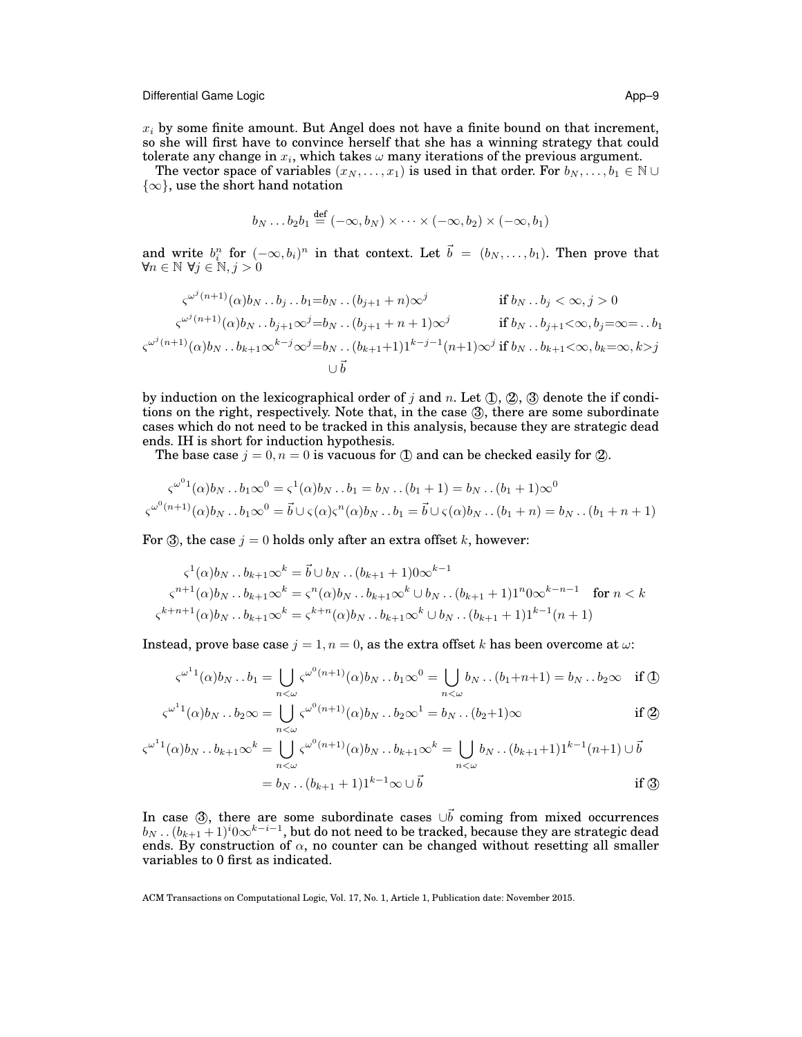Differential Game Logic App–9

 $x_i$  by some finite amount. But Angel does not have a finite bound on that increment, so she will first have to convince herself that she has a winning strategy that could tolerate any change in  $x_i$ , which takes  $\omega$  many iterations of the previous argument.

The vector space of variables  $(x_N, \ldots, x_1)$  is used in that order. For  $b_N, \ldots, b_1 \in \mathbb{N} \cup \mathbb{N}$  $\{\infty\}$ , use the short hand notation

$$
b_N \dots b_2 b_1 \stackrel{\text{def}}{=} (-\infty, b_N) \times \dots \times (-\infty, b_2) \times (-\infty, b_1)
$$

and write  $b_i^n$  for  $(-\infty, b_i)^n$  in that context. Let  $\vec{b} = (b_N, \ldots, b_1)$ . Then prove that  $\forall n \in \mathbb{N}$   $\forall j \in \mathbb{N}, j > 0$ 

$$
\varsigma^{\omega^{j}(n+1)}(\alpha)b_N \dots b_j \dots b_1 = b_N \dots (b_{j+1} + n)\infty^j \qquad \text{if } b_N \dots b_j < \infty, j > 0
$$
  

$$
\varsigma^{\omega^{j}(n+1)}(\alpha)b_N \dots b_{j+1}\infty^j = b_N \dots (b_{j+1} + n + 1)\infty^j \qquad \text{if } b_N \dots b_{j+1} < \infty, b_j = \infty = \dots b_1
$$
  

$$
\varsigma^{\omega^{j}(n+1)}(\alpha)b_N \dots b_{k+1}\infty^{k-j}\infty^j = b_N \dots (b_{k+1}+1)1^{k-j-1}(n+1)\infty^j \text{ if } b_N \dots b_{k+1} < \infty, b_k = \infty, k > j
$$
  

$$
\cup \vec{b}
$$

by induction on the lexicographical order of j and n. Let  $(1)$ ,  $(2)$ ,  $(3)$  denote the if conditions on the right, respectively. Note that, in the case  $(3)$ , there are some subordinate cases which do not need to be tracked in this analysis, because they are strategic dead ends. IH is short for induction hypothesis.

The base case  $j = 0, n = 0$  is vacuous for  $\Box$  and can be checked easily for  $\Box$ .

$$
\zeta^{\omega^0 1}(\alpha)b_N \dots b_1 \infty^0 = \zeta^1(\alpha)b_N \dots b_1 = b_N \dots (b_1 + 1) = b_N \dots (b_1 + 1)\infty^0
$$
  

$$
\zeta^{\omega^0 (n+1)}(\alpha)b_N \dots b_1 \infty^0 = \vec{b} \cup \zeta(\alpha)\zeta^n(\alpha)b_N \dots b_1 = \vec{b} \cup \zeta(\alpha)b_N \dots (b_1 + n) = b_N \dots (b_1 + n + 1)
$$

For  $\mathcal{F}$ , the case  $j = 0$  holds only after an extra offset k, however:

$$
\varsigma^{1}(\alpha)b_{N}...b_{k+1}\infty^{k} = \vec{b}\cup b_{N}...(b_{k+1}+1)0\infty^{k-1}
$$
  

$$
\varsigma^{n+1}(\alpha)b_{N}...b_{k+1}\infty^{k} = \varsigma^{n}(\alpha)b_{N}...b_{k+1}\infty^{k}\cup b_{N}...(b_{k+1}+1)1^{n}0\infty^{k-n-1} \text{ for } n < k
$$
  

$$
\varsigma^{k+n+1}(\alpha)b_{N}...b_{k+1}\infty^{k} = \varsigma^{k+n}(\alpha)b_{N}...b_{k+1}\infty^{k}\cup b_{N}...(b_{k+1}+1)1^{k-1}(n+1)
$$

Instead, prove base case  $j = 1, n = 0$ , as the extra offset k has been overcome at  $\omega$ .

$$
\varsigma^{\omega^1 1}(\alpha)b_N \dots b_1 = \bigcup_{n < \omega} \varsigma^{\omega^0 (n+1)}(\alpha)b_N \dots b_1 \infty^0 = \bigcup_{n < \omega} b_N \dots (b_1 + n + 1) = b_N \dots b_2 \infty \quad \text{if } \textcircled{1}
$$

$$
\varsigma^{\omega^1 1}(\alpha)b_N \dots b_2 \infty = \bigcup_{n < \omega} \varsigma^{\omega^0 (n+1)}(\alpha)b_N \dots b_2 \infty^1 = b_N \dots (b_2 + 1)\infty \qquad \text{if } \textcircled{2}
$$

$$
\varsigma^{\omega^1 1}(\alpha)b_N \dots b_{k+1} \infty^k = \bigcup_{n < \omega} \varsigma^{\omega^0 (n+1)}(\alpha)b_N \dots b_{k+1} \infty^k = \bigcup_{n < \omega} b_N \dots (b_{k+1}+1)1^{k-1}(n+1) \cup \vec{b}
$$
\n
$$
= b_N \dots (b_{k+1}+1)1^{k-1} \infty \cup \vec{b}
$$
\nif  $\mathfrak{B}$ 

In case  $(3)$ , there are some subordinate cases  $\cup \vec{b}$  coming from mixed occurrences  $b_N$  . .  $(b_{k+1}+1)^i$ 0 $\infty^{k-i-1}$ , but do not need to be tracked, because they are strategic dead ends. By construction of  $\alpha$ , no counter can be changed without resetting all smaller variables to 0 first as indicated.